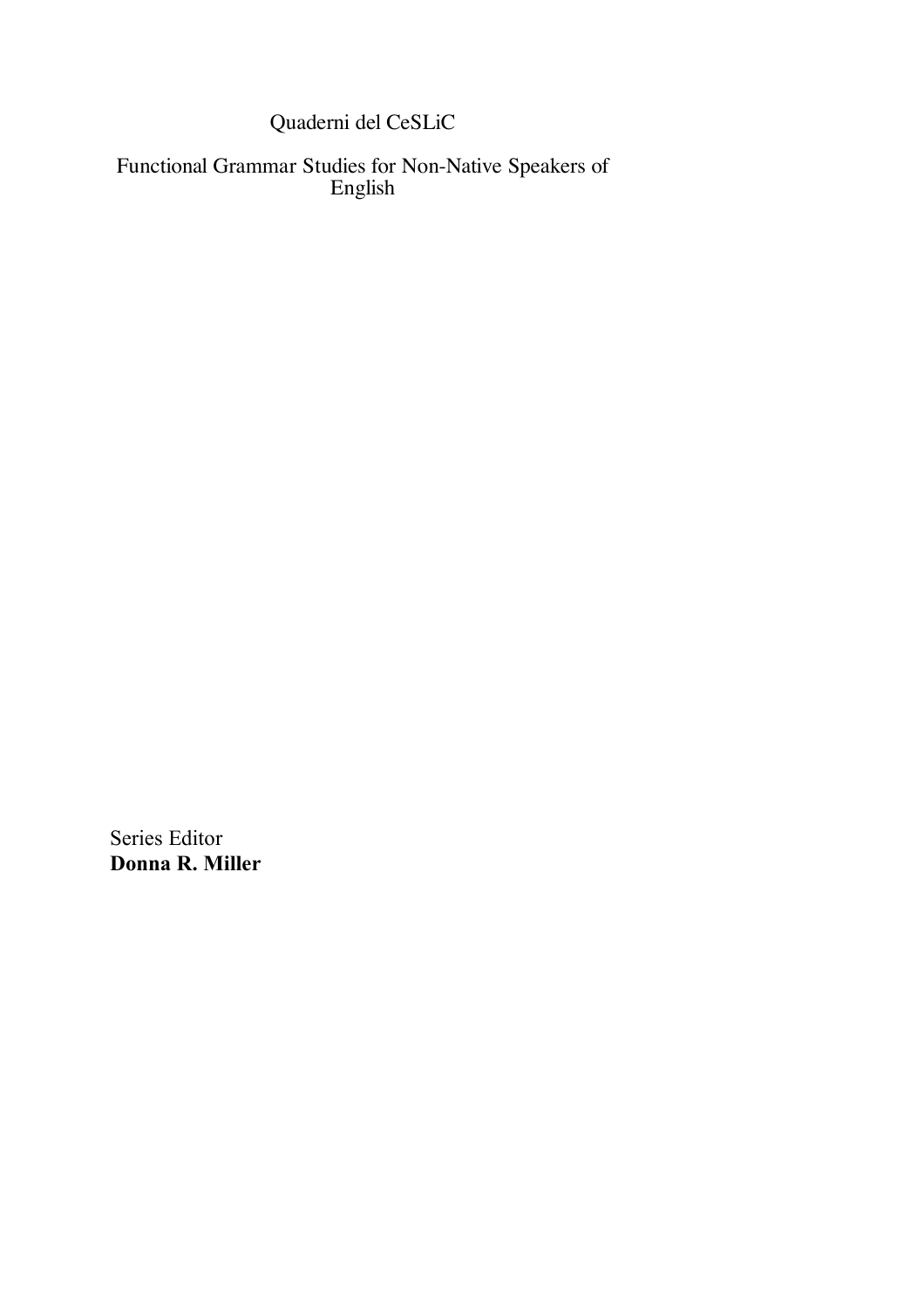Quaderni del CeSLiC

Functional Grammar Studies for Non-Native Speakers of English

Series Editor **Donna R. Miller**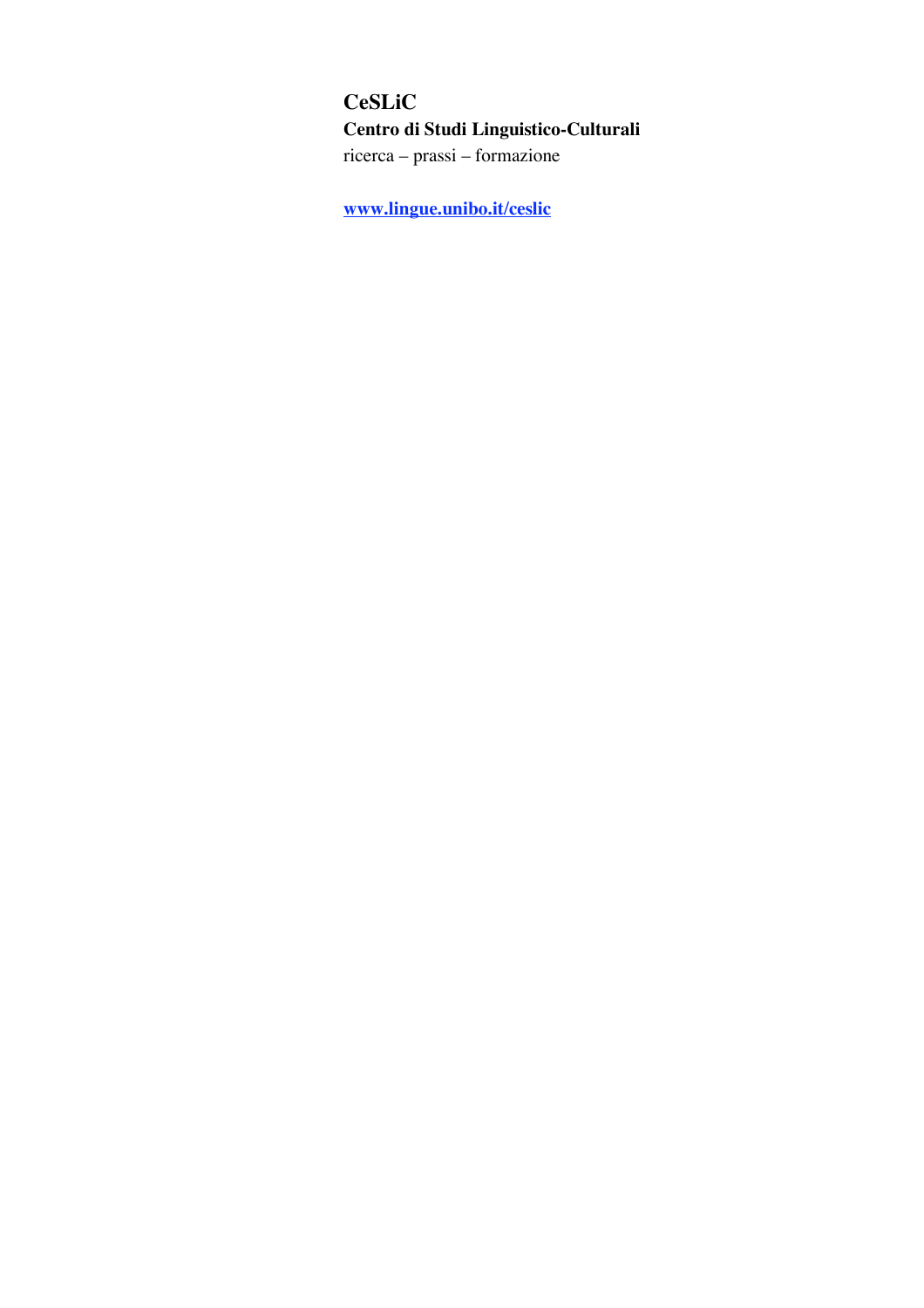# **CeSLiC Centro di Studi Linguistico-Culturali** ricerca – prassi – formazione

**www.lingue.unibo.it/ceslic**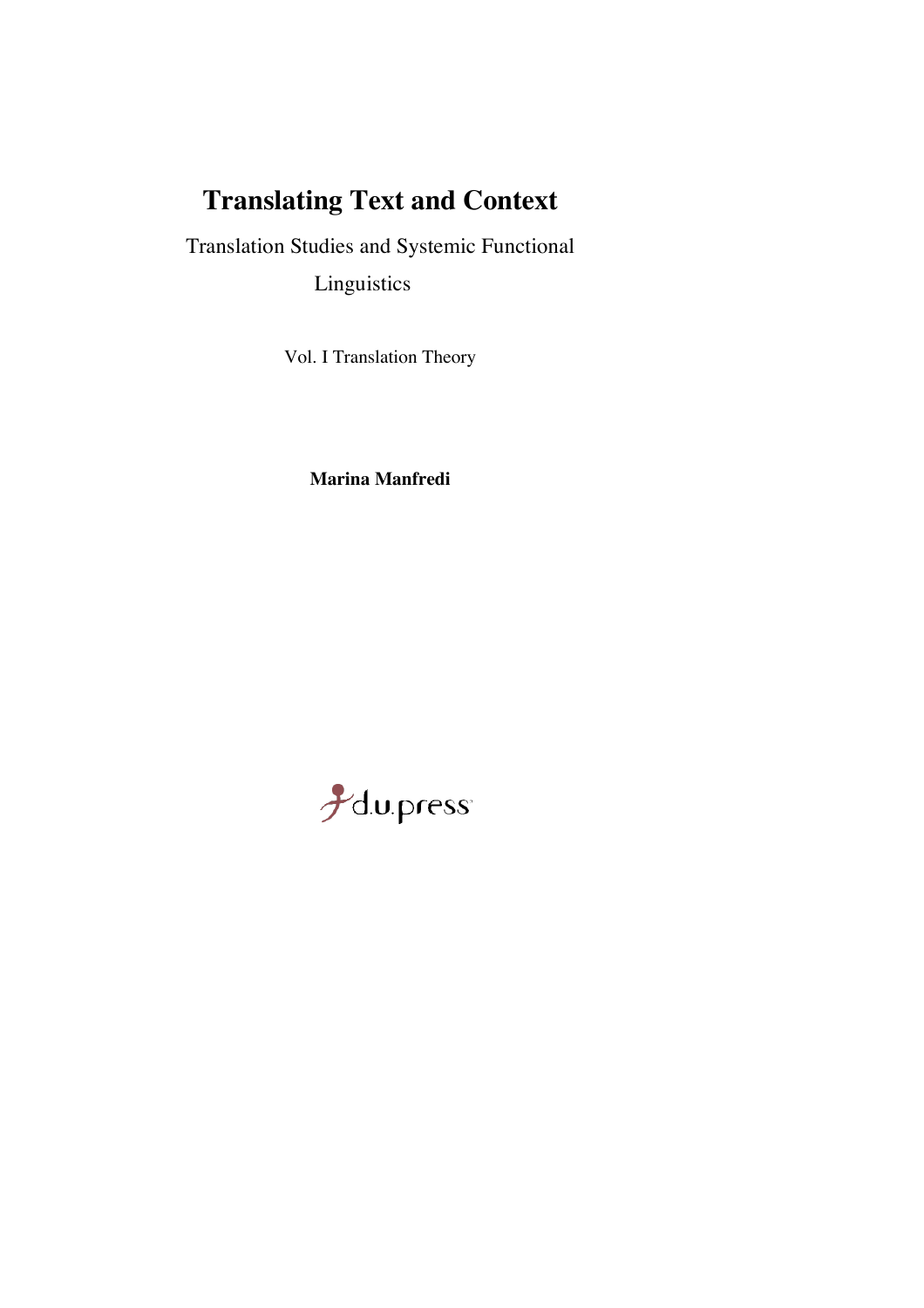# **Translating Text and Context**

Translation Studies and Systemic Functional Linguistics

Vol. I Translation Theory

**Marina Manfredi**

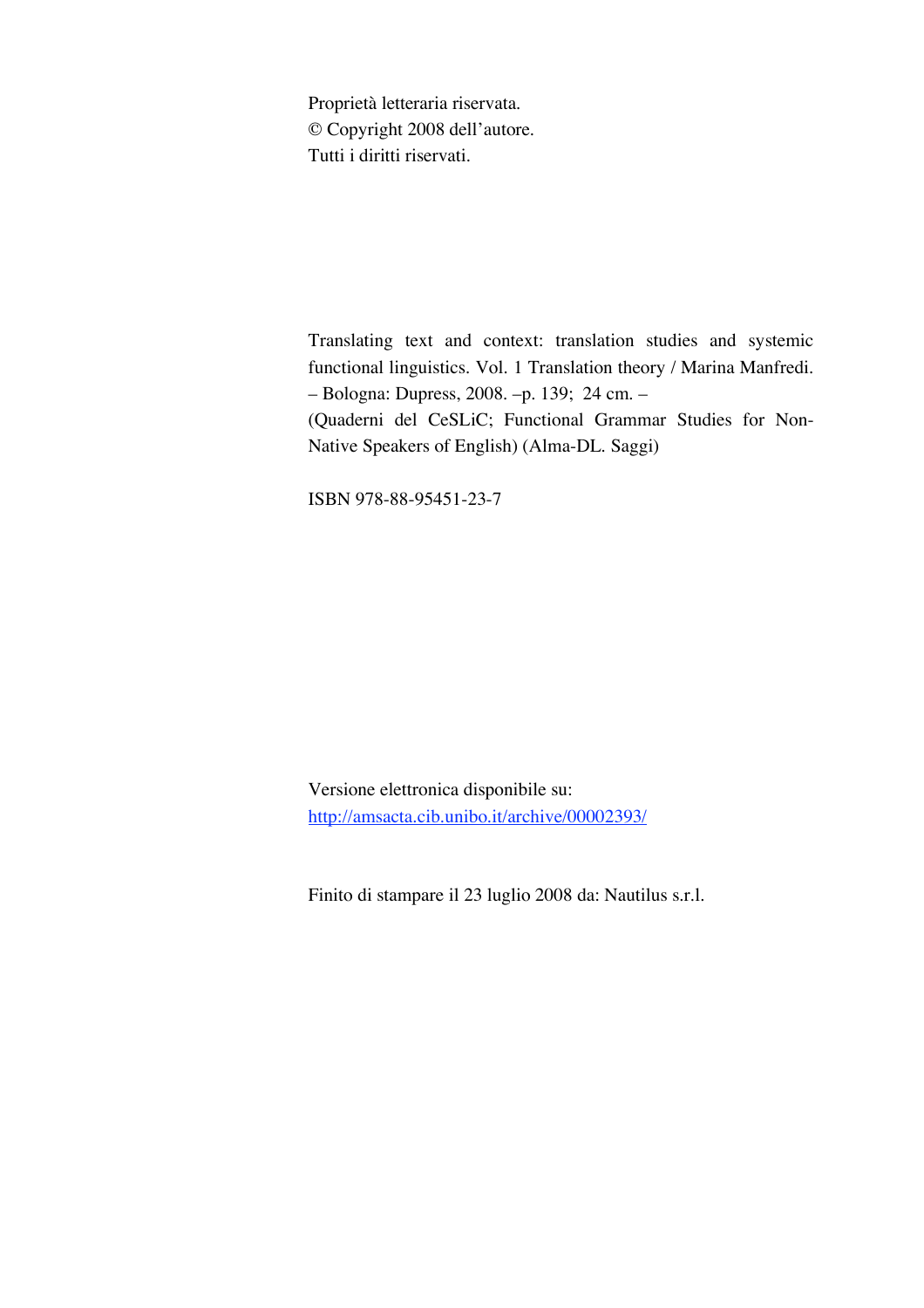Proprietà letteraria riservata. © Copyright 2008 dell'autore. Tutti i diritti riservati.

Translating text and context: translation studies and systemic functional linguistics. Vol. 1 Translation theory / Marina Manfredi. – Bologna: Dupress, 2008. –p. 139; 24 cm. –

(Quaderni del CeSLiC; Functional Grammar Studies for Non-Native Speakers of English) (Alma-DL. Saggi)

ISBN 978-88-95451-23-7

Versione elettronica disponibile su: http://amsacta.cib.unibo.it/archive/00002393/

Finito di stampare il 23 luglio 2008 da: Nautilus s.r.l.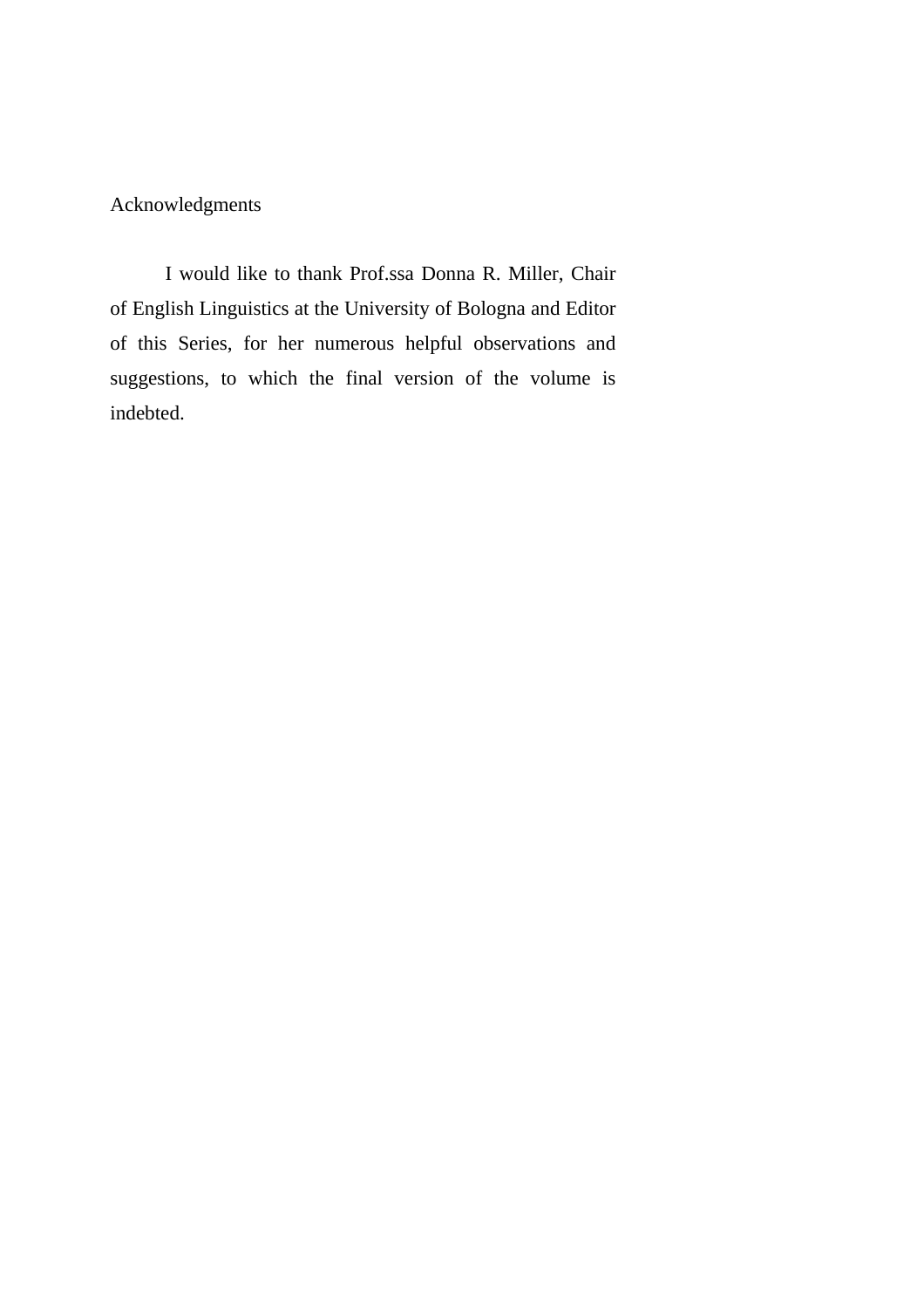Acknowledgments

I would like to thank Prof.ssa Donna R. Miller, Chair of English Linguistics at the University of Bologna and Editor of this Series, for her numerous helpful observations and suggestions, to which the final version of the volume is indebted.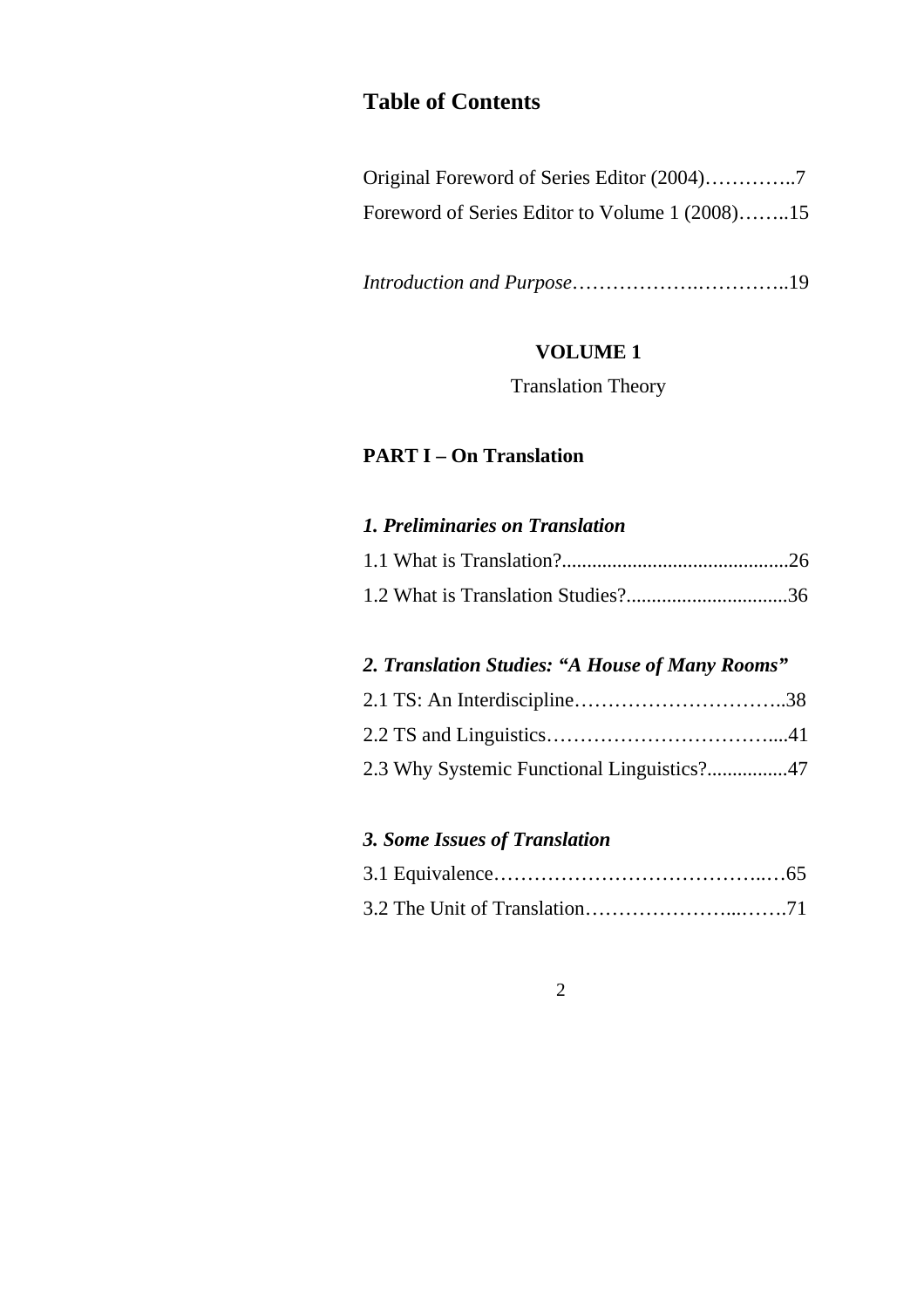# **Table of Contents**

| Foreword of Series Editor to Volume 1 (2008)15 |  |
|------------------------------------------------|--|

*Introduction and Purpose*……………….…………..19

## **VOLUME 1**

Translation Theory

## **PART I – On Translation**

## *1. Preliminaries on Translation*

## *2. Translation Studies: "A House of Many Rooms"*

| 2.3 Why Systemic Functional Linguistics?47 |  |
|--------------------------------------------|--|

## *3. Some Issues of Translation*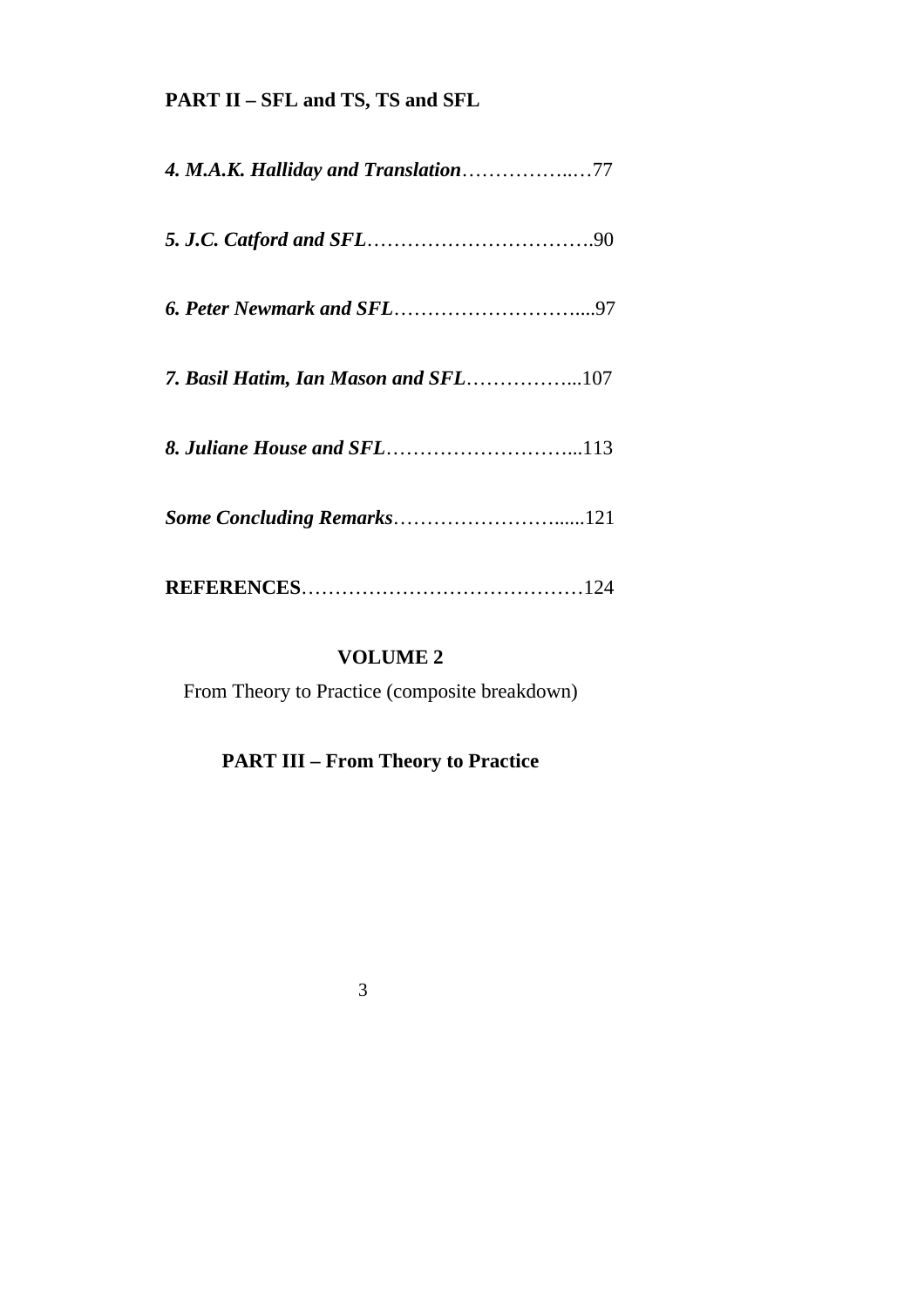# **PART II – SFL and TS, TS and SFL**

| <b>4. M.A.K. Halliday and Translation77</b> |
|---------------------------------------------|
|                                             |
|                                             |
| 7. Basil Hatim, Ian Mason and SFL107        |
|                                             |
|                                             |
|                                             |

## **VOLUME 2**

From Theory to Practice (composite breakdown)

# **PART III – From Theory to Practice**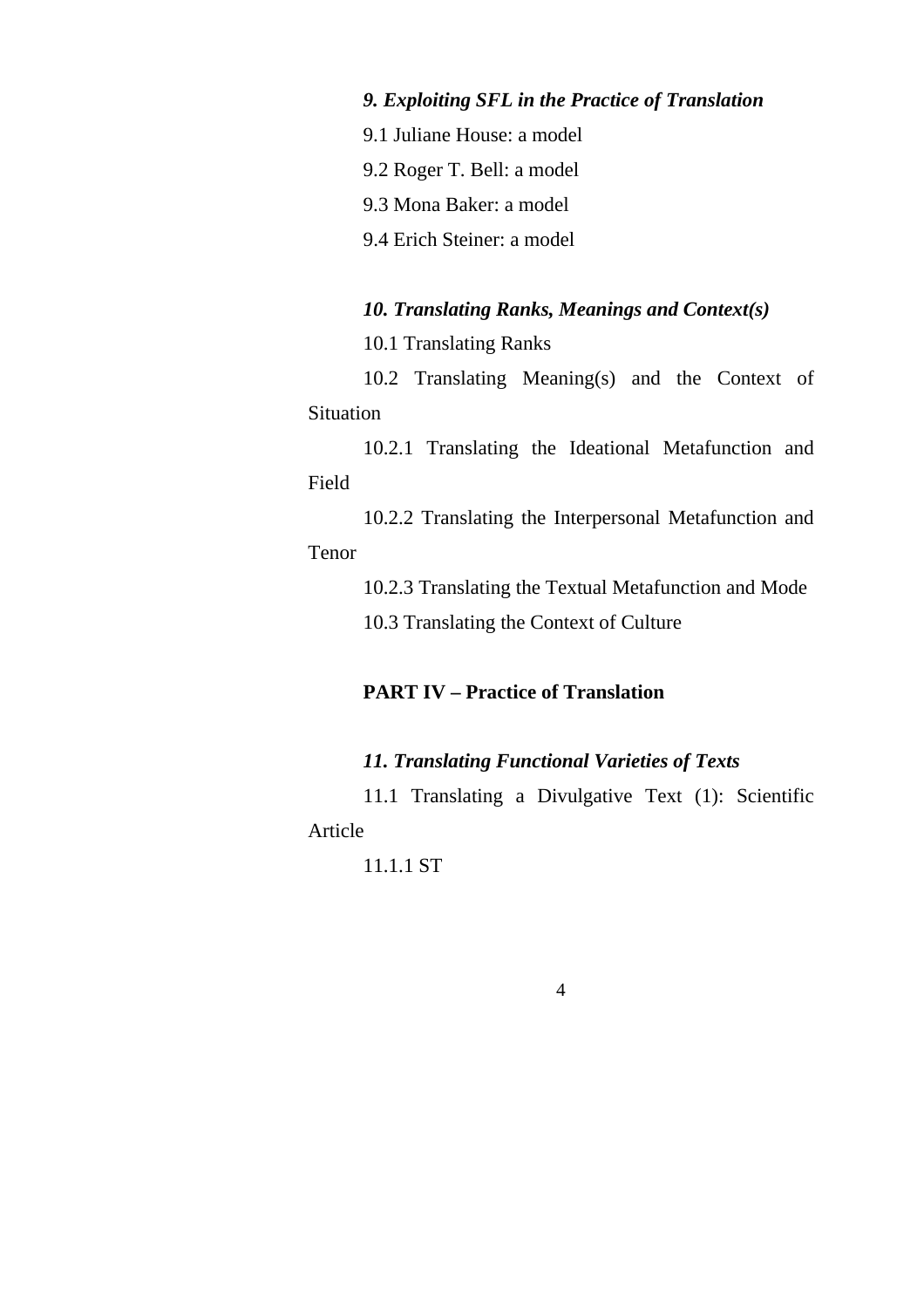# *9. Exploiting SFL in the Practice of Translation*

- 9.1 Juliane House: a model
- 9.2 Roger T. Bell: a model
- 9.3 Mona Baker: a model
- 9.4 Erich Steiner: a model

#### *10. Translating Ranks, Meanings and Context(s)*

10.1 Translating Ranks

10.2 Translating Meaning(s) and the Context of Situation

10.2.1 Translating the Ideational Metafunction and Field

10.2.2 Translating the Interpersonal Metafunction and

## Tenor

10.2.3 Translating the Textual Metafunction and Mode

10.3 Translating the Context of Culture

## **PART IV – Practice of Translation**

#### *11. Translating Functional Varieties of Texts*

11.1 Translating a Divulgative Text (1): Scientific Article

11.1.1 ST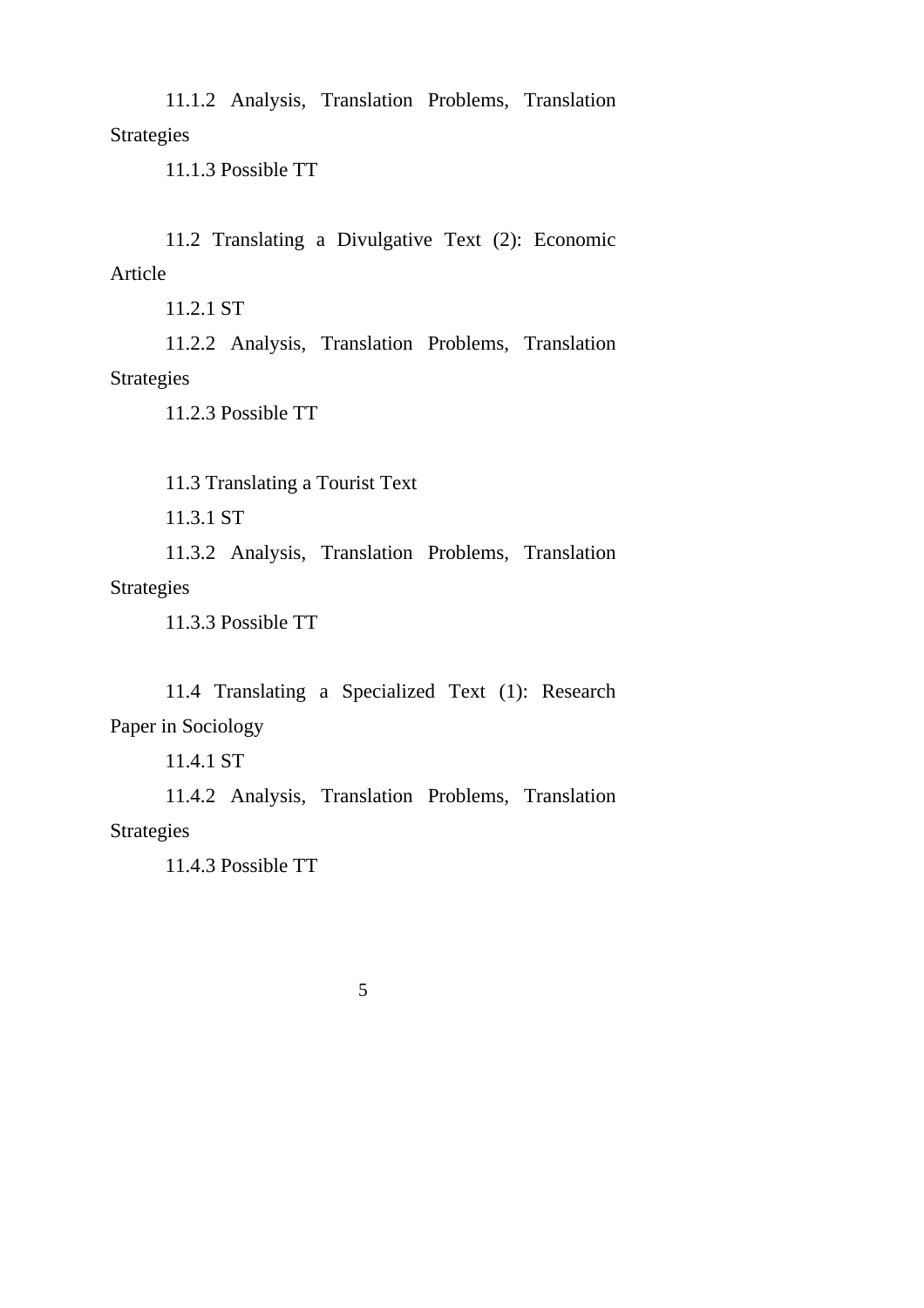11.1.2 Analysis, Translation Problems, Translation Strategies

11.1.3 Possible TT

11.2 Translating a Divulgative Text (2): Economic Article

11.2.1 ST

11.2.2 Analysis, Translation Problems, Translation Strategies

11.2.3 Possible TT

11.3 Translating a Tourist Text

11.3.1 ST

11.3.2 Analysis, Translation Problems, Translation Strategies

11.3.3 Possible TT

11.4 Translating a Specialized Text (1): Research Paper in Sociology

11.4.1 ST

11.4.2 Analysis, Translation Problems, Translation Strategies

11.4.3 Possible TT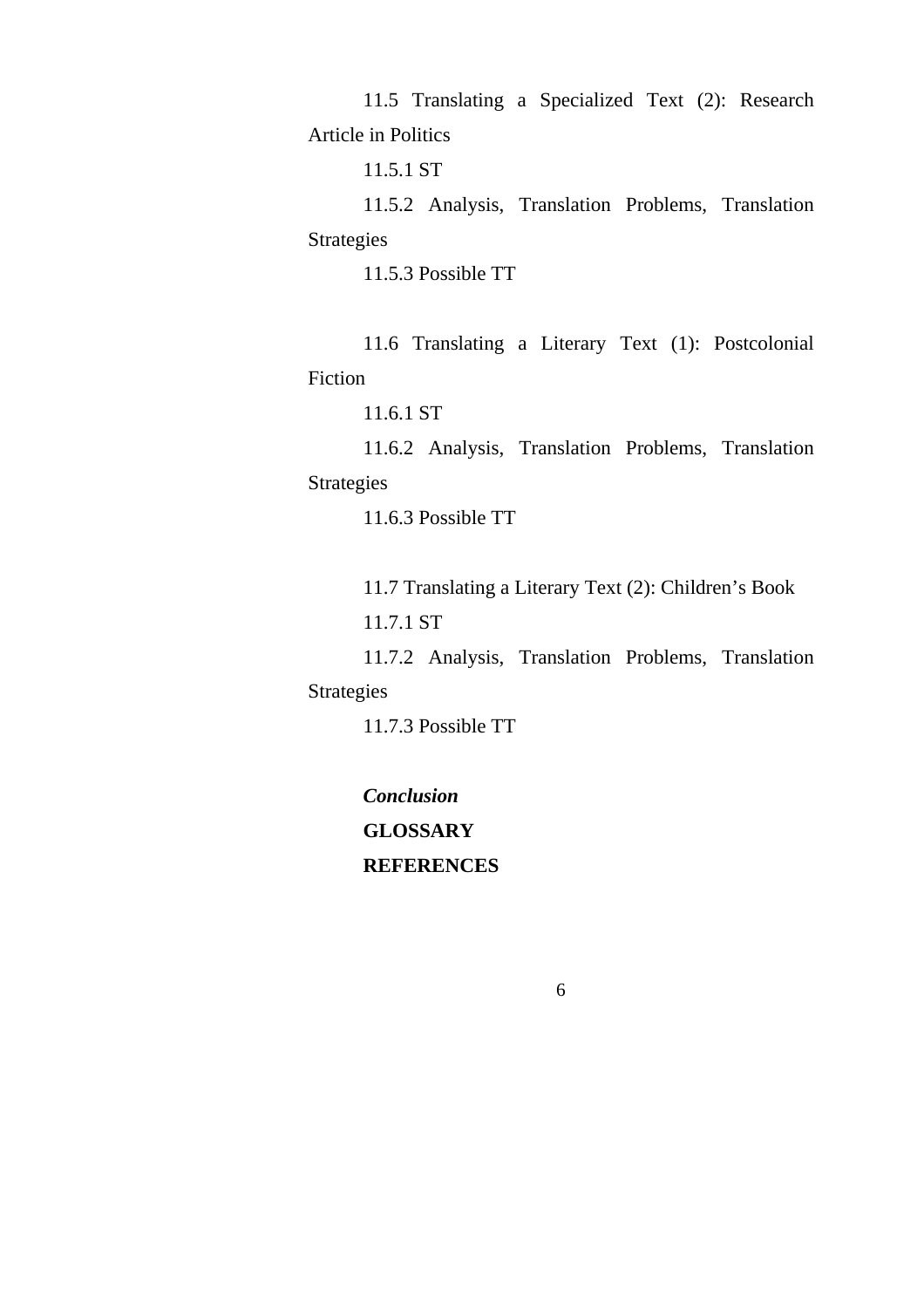11.5 Translating a Specialized Text (2): Research Article in Politics

11.5.1 ST

11.5.2 Analysis, Translation Problems, Translation Strategies

11.5.3 Possible TT

11.6 Translating a Literary Text (1): Postcolonial Fiction

11.6.1 ST

11.6.2 Analysis, Translation Problems, Translation Strategies

11.6.3 Possible TT

11.7 Translating a Literary Text (2): Children's Book

11.7.1 ST

11.7.2 Analysis, Translation Problems, Translation Strategies

11.7.3 Possible TT

*Conclusion* **GLOSSARY REFERENCES**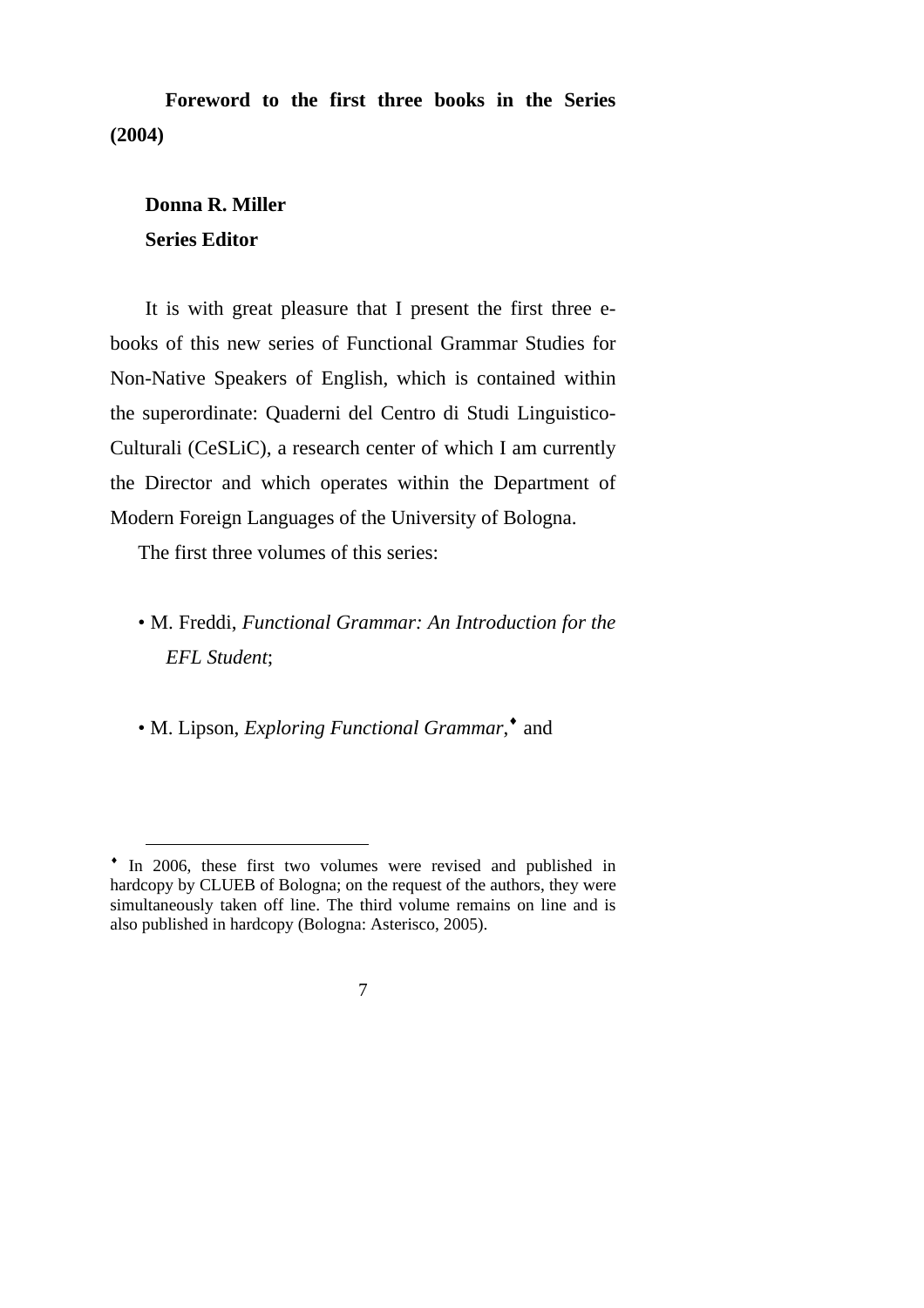**Foreword to the first three books in the Series (2004)** 

## **Donna R. Miller Series Editor**

 $\overline{a}$ 

It is with great pleasure that I present the first three ebooks of this new series of Functional Grammar Studies for Non-Native Speakers of English, which is contained within the superordinate: Quaderni del Centro di Studi Linguistico-Culturali (CeSLiC), a research center of which I am currently the Director and which operates within the Department of Modern Foreign Languages of the University of Bologna.

The first three volumes of this series:

• M. Freddi, *Functional Grammar: An Introduction for the EFL Student*;

• M. Lipson, *Exploring Functional Grammar*,<sup>•</sup> and

<sup>♦</sup> In 2006, these first two volumes were revised and published in hardcopy by CLUEB of Bologna; on the request of the authors, they were simultaneously taken off line. The third volume remains on line and is also published in hardcopy (Bologna: Asterisco, 2005).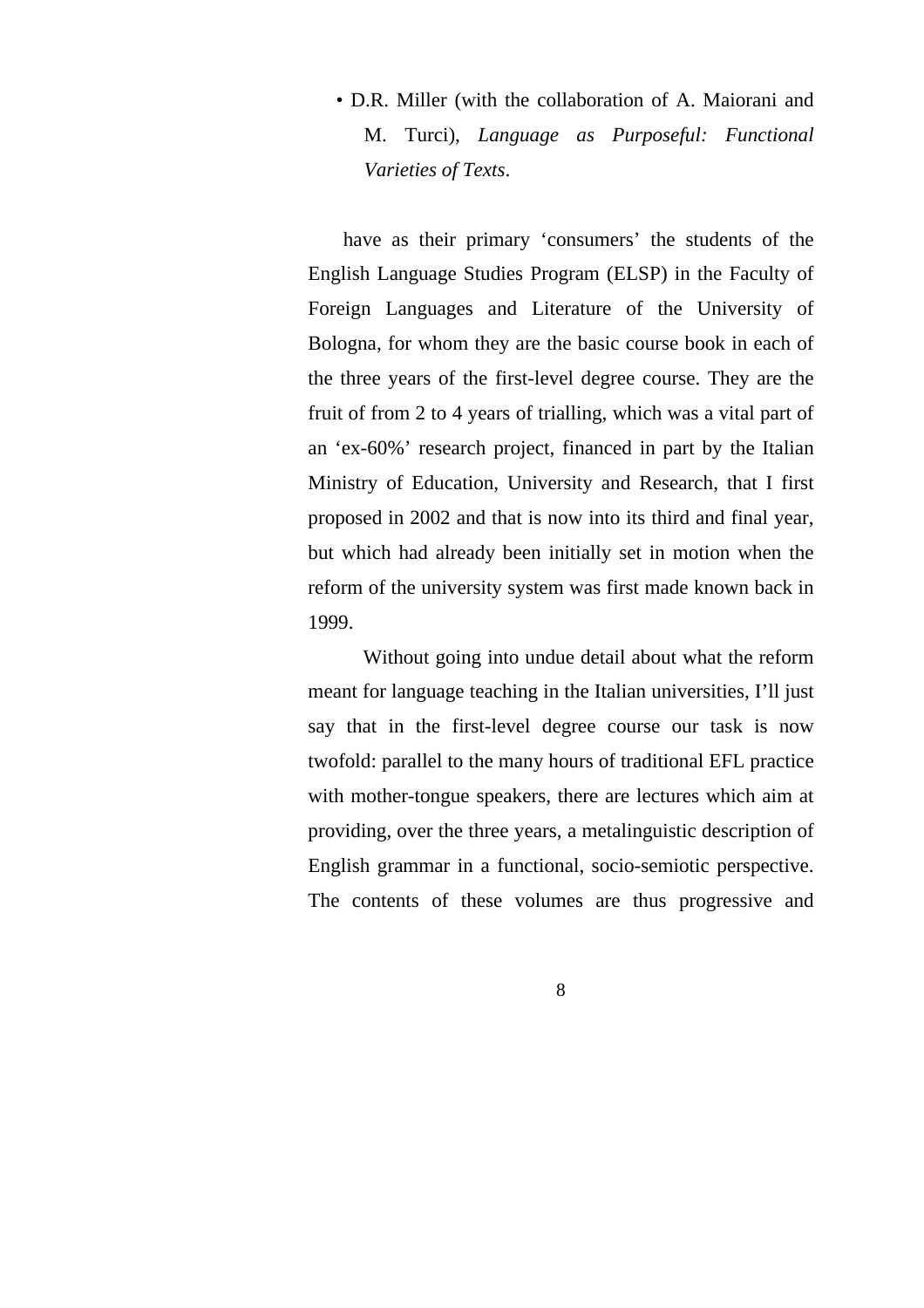• D.R. Miller (with the collaboration of A. Maiorani and M. Turci), *Language as Purposeful: Functional Varieties of Texts*.

have as their primary 'consumers' the students of the English Language Studies Program (ELSP) in the Faculty of Foreign Languages and Literature of the University of Bologna, for whom they are the basic course book in each of the three years of the first-level degree course. They are the fruit of from 2 to 4 years of trialling, which was a vital part of an 'ex-60%' research project, financed in part by the Italian Ministry of Education, University and Research, that I first proposed in 2002 and that is now into its third and final year, but which had already been initially set in motion when the reform of the university system was first made known back in 1999.

Without going into undue detail about what the reform meant for language teaching in the Italian universities, I'll just say that in the first-level degree course our task is now twofold: parallel to the many hours of traditional EFL practice with mother-tongue speakers, there are lectures which aim at providing, over the three years, a metalinguistic description of English grammar in a functional, socio-semiotic perspective. The contents of these volumes are thus progressive and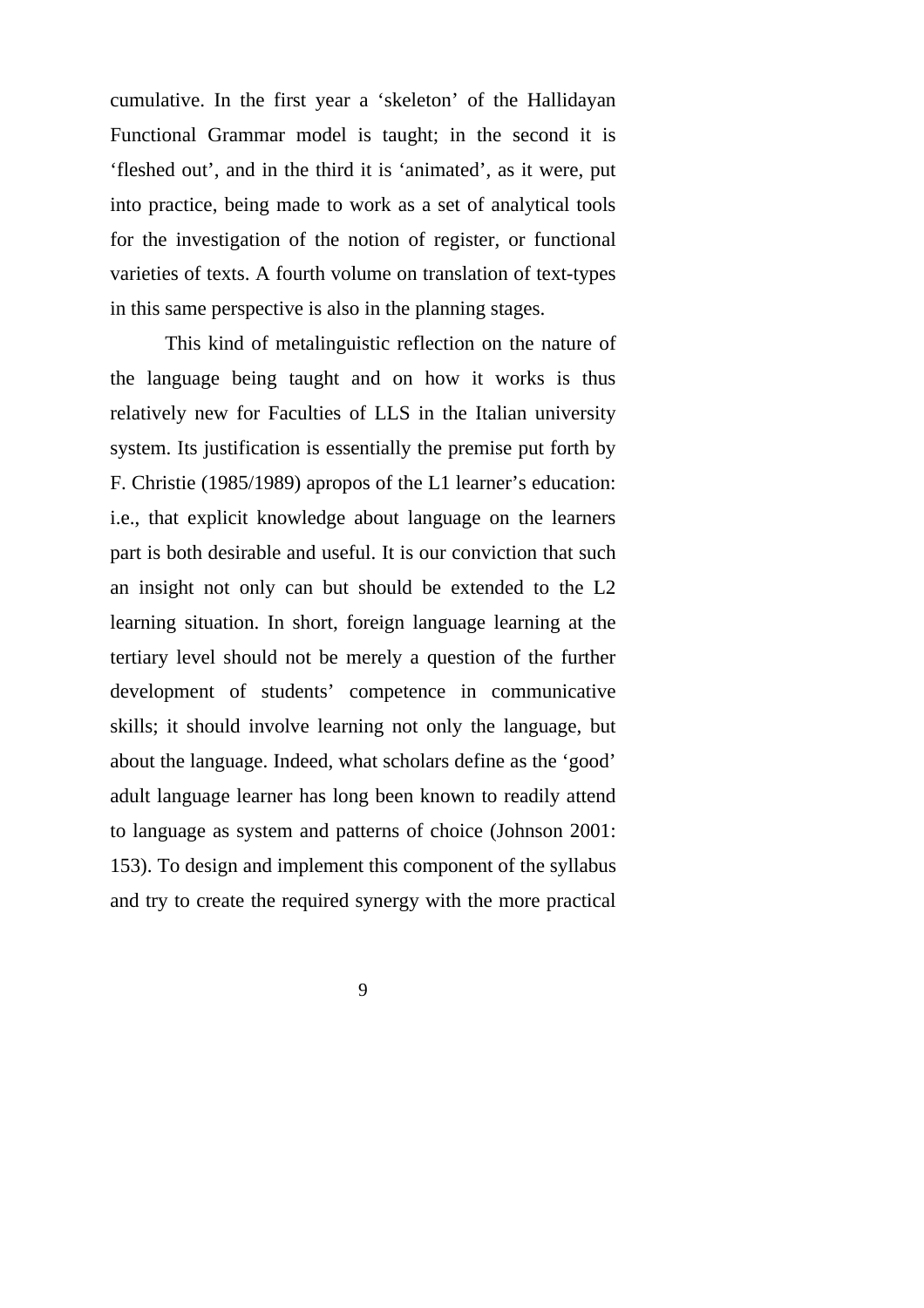cumulative. In the first year a 'skeleton' of the Hallidayan Functional Grammar model is taught; in the second it is 'fleshed out', and in the third it is 'animated', as it were, put into practice, being made to work as a set of analytical tools for the investigation of the notion of register, or functional varieties of texts. A fourth volume on translation of text-types in this same perspective is also in the planning stages.

This kind of metalinguistic reflection on the nature of the language being taught and on how it works is thus relatively new for Faculties of LLS in the Italian university system. Its justification is essentially the premise put forth by F. Christie (1985/1989) apropos of the L1 learner's education: i.e., that explicit knowledge about language on the learners part is both desirable and useful. It is our conviction that such an insight not only can but should be extended to the L2 learning situation. In short, foreign language learning at the tertiary level should not be merely a question of the further development of students' competence in communicative skills; it should involve learning not only the language, but about the language. Indeed, what scholars define as the 'good' adult language learner has long been known to readily attend to language as system and patterns of choice (Johnson 2001: 153). To design and implement this component of the syllabus and try to create the required synergy with the more practical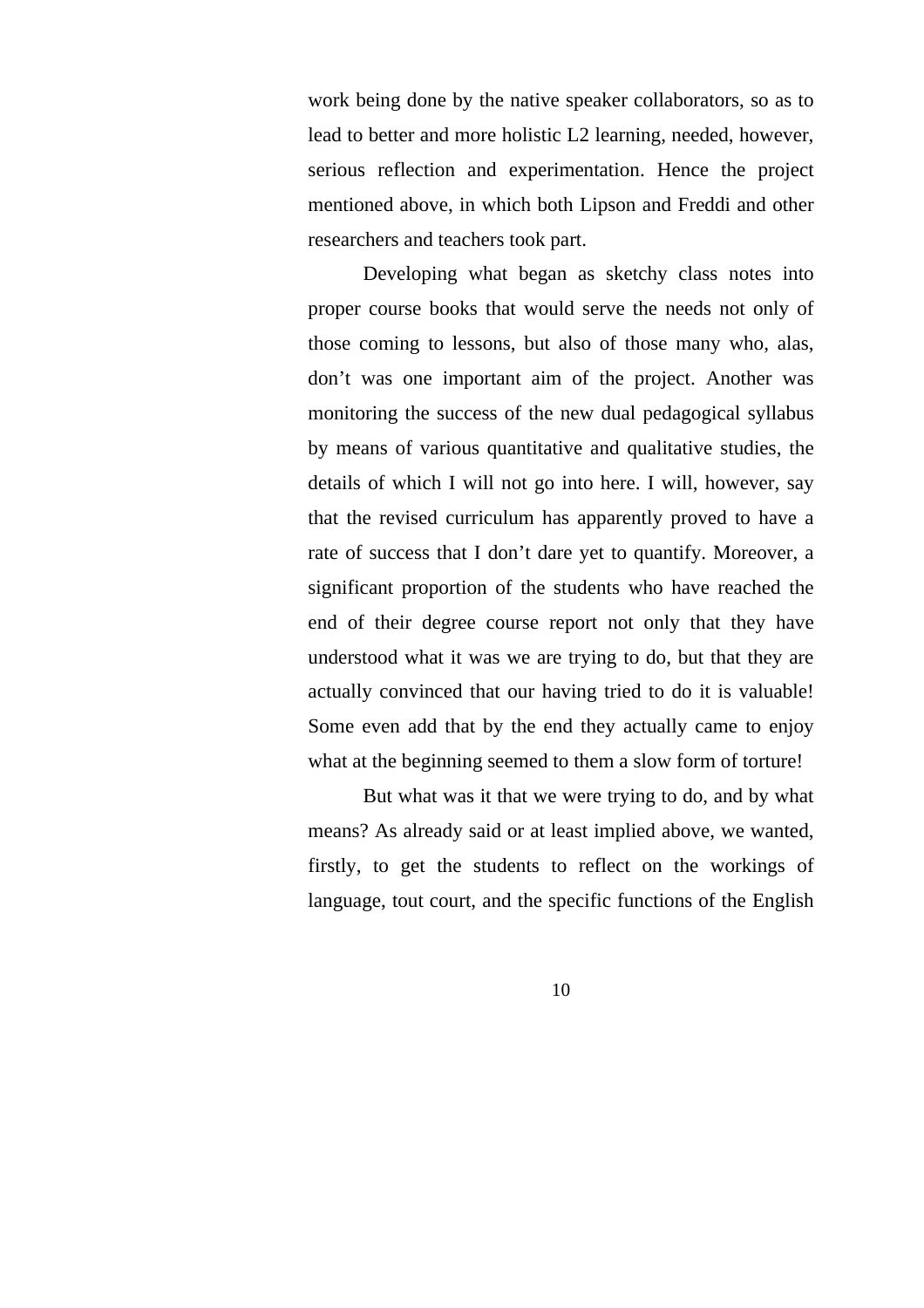work being done by the native speaker collaborators, so as to lead to better and more holistic L2 learning, needed, however, serious reflection and experimentation. Hence the project mentioned above, in which both Lipson and Freddi and other researchers and teachers took part.

Developing what began as sketchy class notes into proper course books that would serve the needs not only of those coming to lessons, but also of those many who, alas, don't was one important aim of the project. Another was monitoring the success of the new dual pedagogical syllabus by means of various quantitative and qualitative studies, the details of which I will not go into here. I will, however, say that the revised curriculum has apparently proved to have a rate of success that I don't dare yet to quantify. Moreover, a significant proportion of the students who have reached the end of their degree course report not only that they have understood what it was we are trying to do, but that they are actually convinced that our having tried to do it is valuable! Some even add that by the end they actually came to enjoy what at the beginning seemed to them a slow form of torture!

But what was it that we were trying to do, and by what means? As already said or at least implied above, we wanted, firstly, to get the students to reflect on the workings of language, tout court, and the specific functions of the English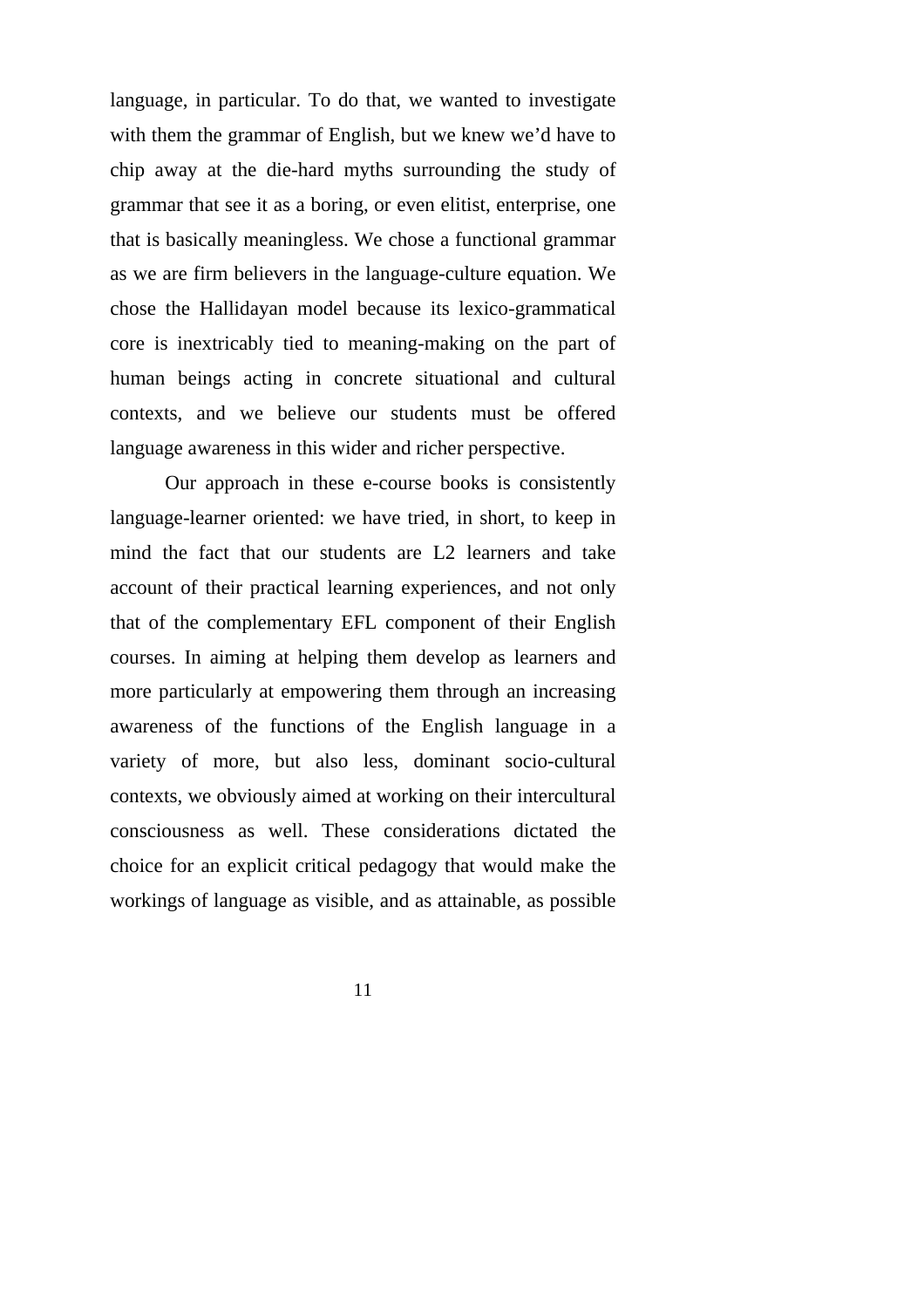language, in particular. To do that, we wanted to investigate with them the grammar of English, but we knew we'd have to chip away at the die-hard myths surrounding the study of grammar that see it as a boring, or even elitist, enterprise, one that is basically meaningless. We chose a functional grammar as we are firm believers in the language-culture equation. We chose the Hallidayan model because its lexico-grammatical core is inextricably tied to meaning-making on the part of human beings acting in concrete situational and cultural contexts, and we believe our students must be offered language awareness in this wider and richer perspective.

Our approach in these e-course books is consistently language-learner oriented: we have tried, in short, to keep in mind the fact that our students are L2 learners and take account of their practical learning experiences, and not only that of the complementary EFL component of their English courses. In aiming at helping them develop as learners and more particularly at empowering them through an increasing awareness of the functions of the English language in a variety of more, but also less, dominant socio-cultural contexts, we obviously aimed at working on their intercultural consciousness as well. These considerations dictated the choice for an explicit critical pedagogy that would make the workings of language as visible, and as attainable, as possible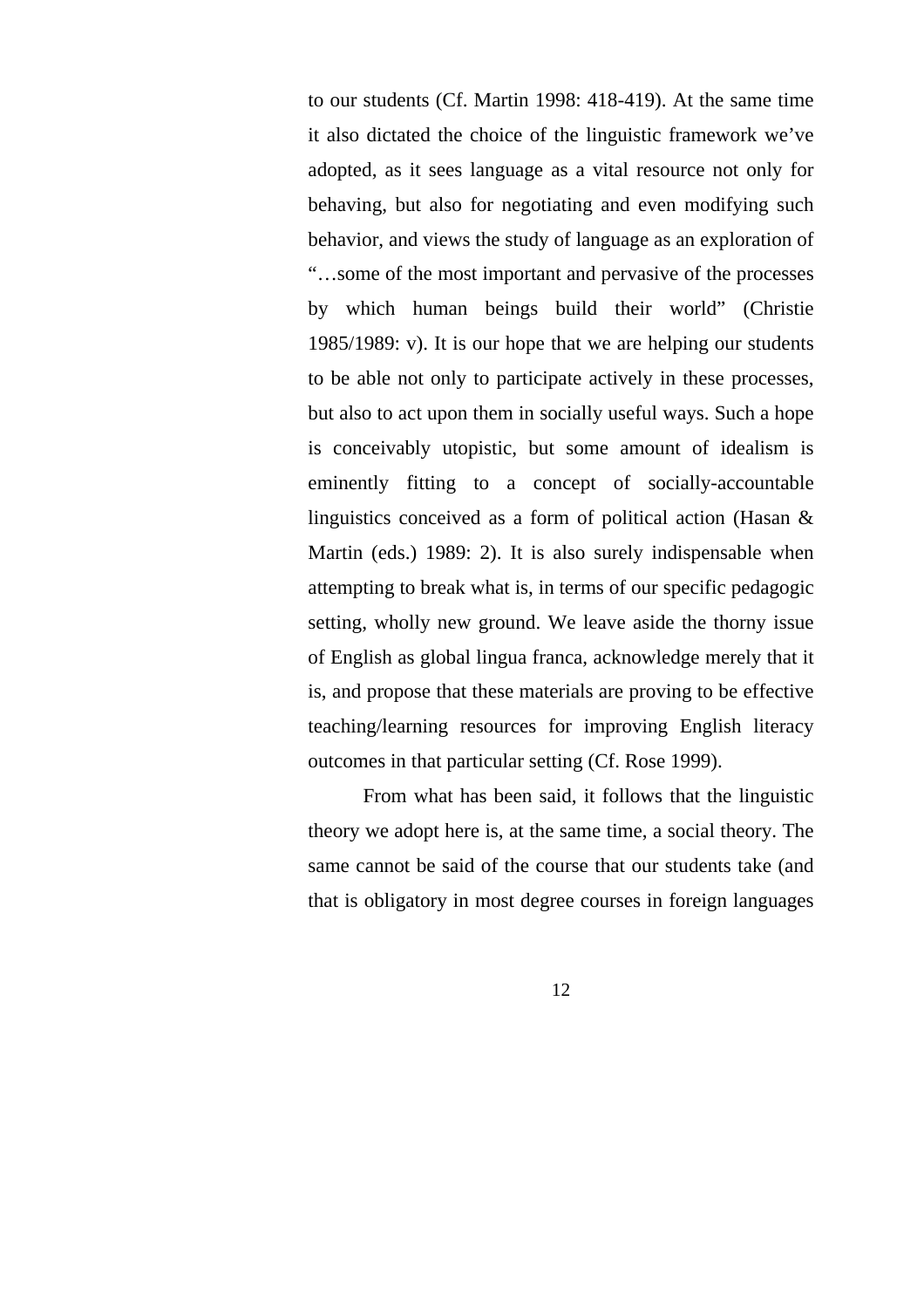to our students (Cf. Martin 1998: 418-419). At the same time it also dictated the choice of the linguistic framework we've adopted, as it sees language as a vital resource not only for behaving, but also for negotiating and even modifying such behavior, and views the study of language as an exploration of "…some of the most important and pervasive of the processes by which human beings build their world" (Christie 1985/1989: v). It is our hope that we are helping our students to be able not only to participate actively in these processes, but also to act upon them in socially useful ways. Such a hope is conceivably utopistic, but some amount of idealism is eminently fitting to a concept of socially-accountable linguistics conceived as a form of political action (Hasan & Martin (eds.) 1989: 2). It is also surely indispensable when attempting to break what is, in terms of our specific pedagogic setting, wholly new ground. We leave aside the thorny issue of English as global lingua franca, acknowledge merely that it is, and propose that these materials are proving to be effective teaching/learning resources for improving English literacy outcomes in that particular setting (Cf. Rose 1999).

From what has been said, it follows that the linguistic theory we adopt here is, at the same time, a social theory. The same cannot be said of the course that our students take (and that is obligatory in most degree courses in foreign languages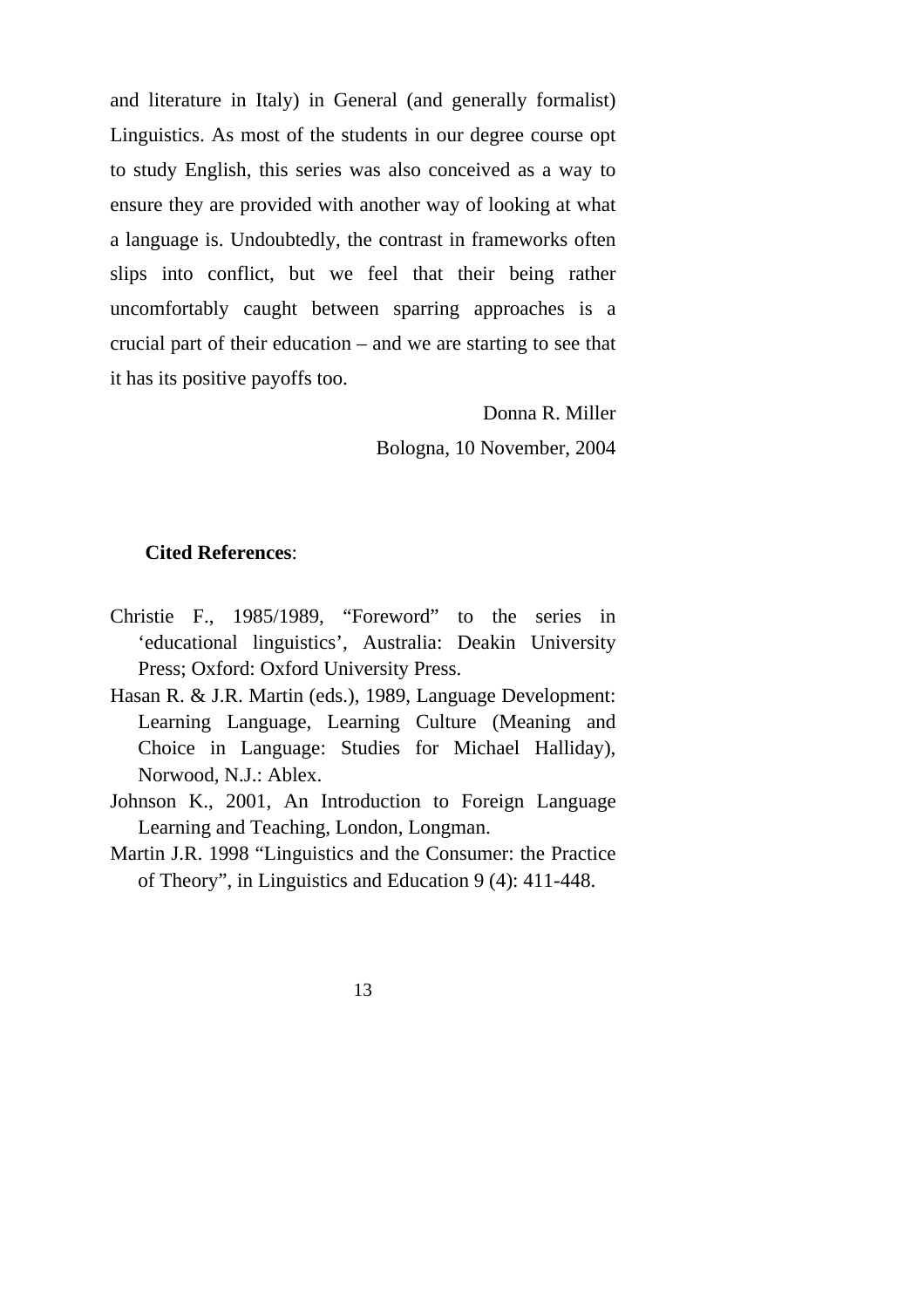and literature in Italy) in General (and generally formalist) Linguistics. As most of the students in our degree course opt to study English, this series was also conceived as a way to ensure they are provided with another way of looking at what a language is. Undoubtedly, the contrast in frameworks often slips into conflict, but we feel that their being rather uncomfortably caught between sparring approaches is a crucial part of their education – and we are starting to see that it has its positive payoffs too.

> Donna R. Miller Bologna, 10 November, 2004

#### **Cited References**:

- Christie F., 1985/1989, "Foreword" to the series in 'educational linguistics', Australia: Deakin University Press; Oxford: Oxford University Press.
- Hasan R. & J.R. Martin (eds.), 1989, Language Development: Learning Language, Learning Culture (Meaning and Choice in Language: Studies for Michael Halliday), Norwood, N.J.: Ablex.
- Johnson K., 2001, An Introduction to Foreign Language Learning and Teaching, London, Longman.
- Martin J.R. 1998 "Linguistics and the Consumer: the Practice of Theory", in Linguistics and Education 9 (4): 411-448.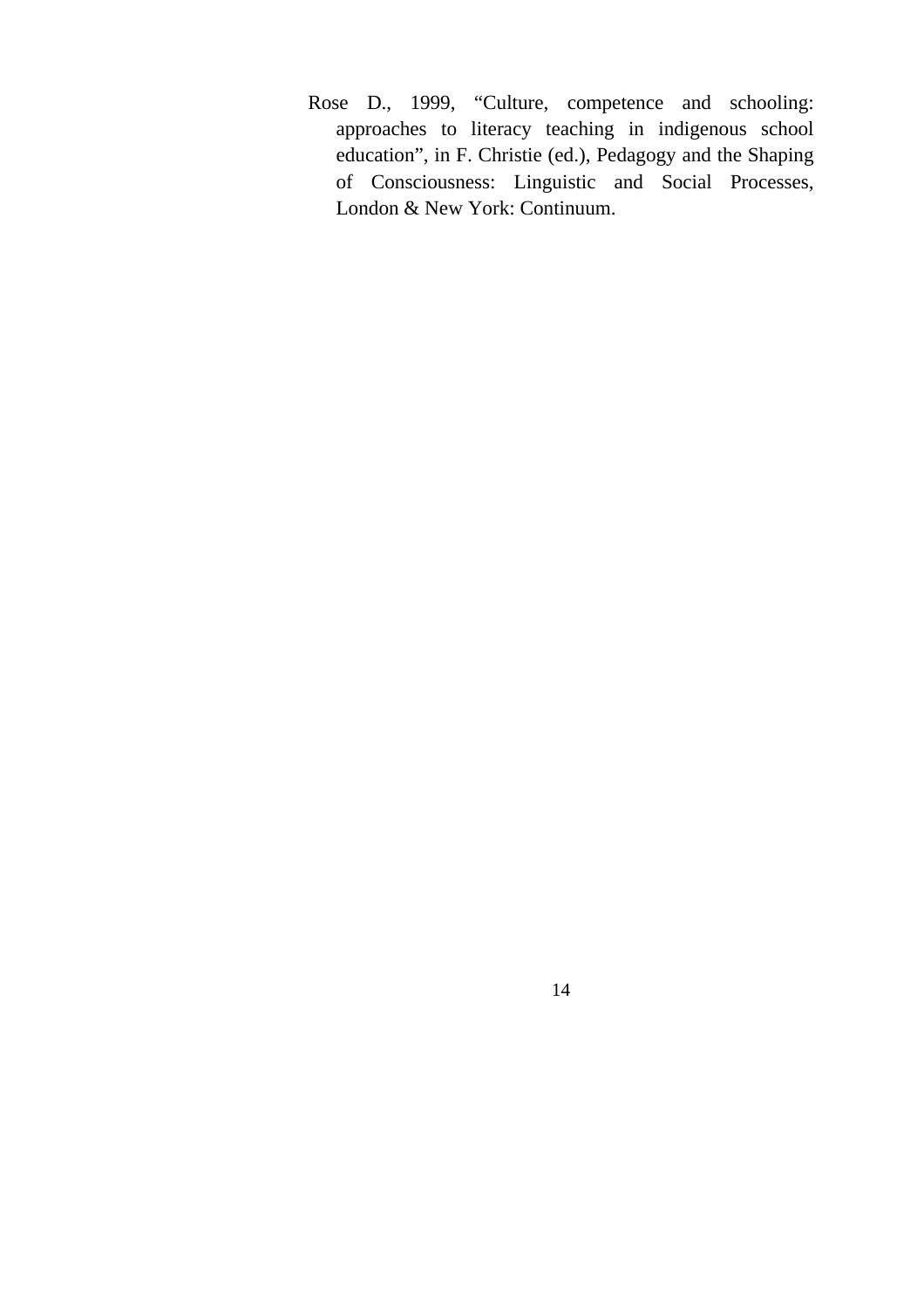Rose D., 1999, "Culture, competence and schooling: approaches to literacy teaching in indigenous school education", in F. Christie (ed.), Pedagogy and the Shaping of Consciousness: Linguistic and Social Processes, London & New York: Continuum.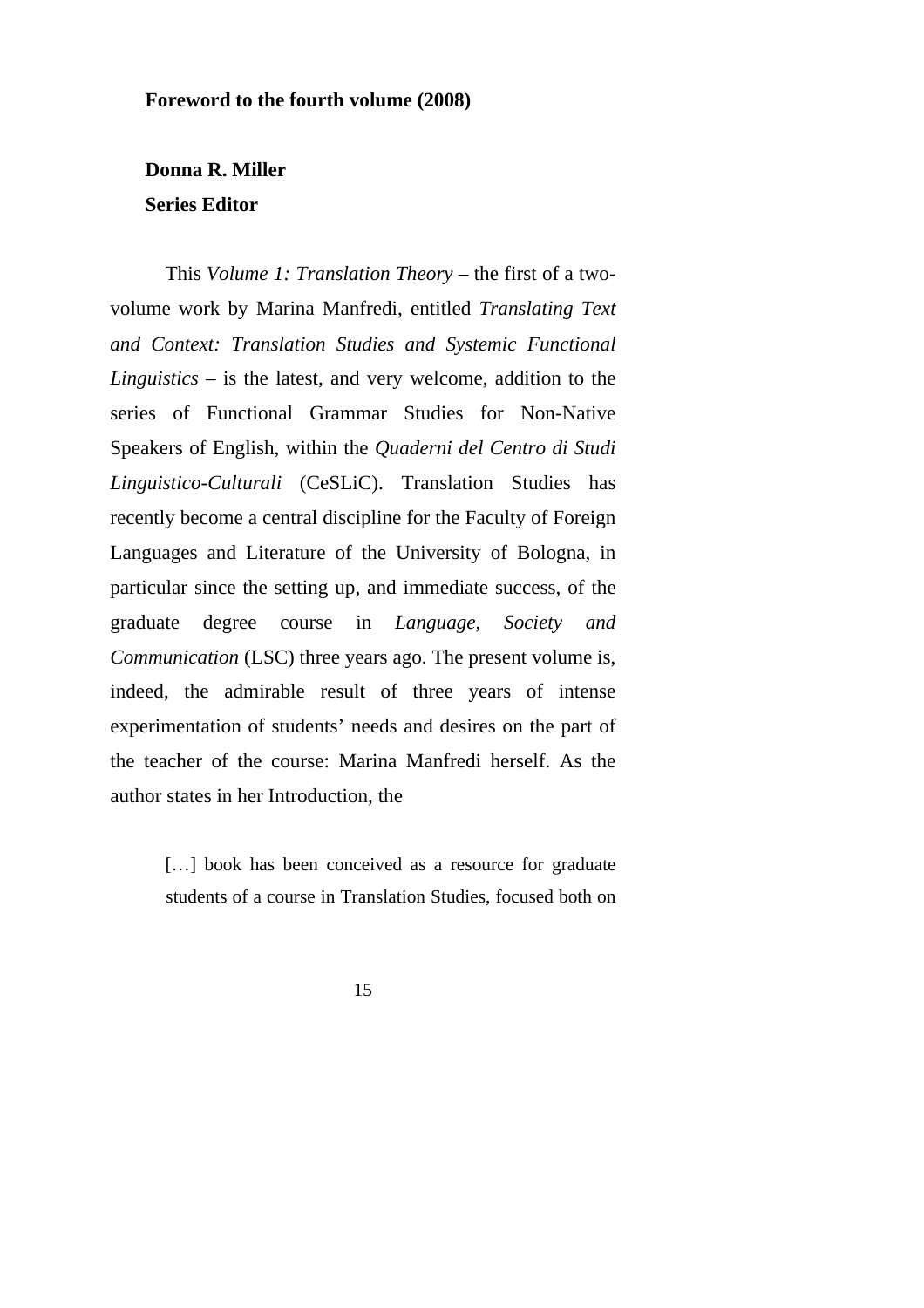#### **Foreword to the fourth volume (2008)**

## **Donna R. Miller Series Editor**

This *Volume 1: Translation Theory* – the first of a twovolume work by Marina Manfredi, entitled *Translating Text and Context: Translation Studies and Systemic Functional Linguistics* – is the latest, and very welcome, addition to the series of Functional Grammar Studies for Non-Native Speakers of English, within the *Quaderni del Centro di Studi Linguistico-Culturali* (CeSLiC). Translation Studies has recently become a central discipline for the Faculty of Foreign Languages and Literature of the University of Bologna, in particular since the setting up, and immediate success, of the graduate degree course in *Language, Society and Communication* (LSC) three years ago. The present volume is, indeed, the admirable result of three years of intense experimentation of students' needs and desires on the part of the teacher of the course: Marina Manfredi herself. As the author states in her Introduction, the

> [...] book has been conceived as a resource for graduate students of a course in Translation Studies, focused both on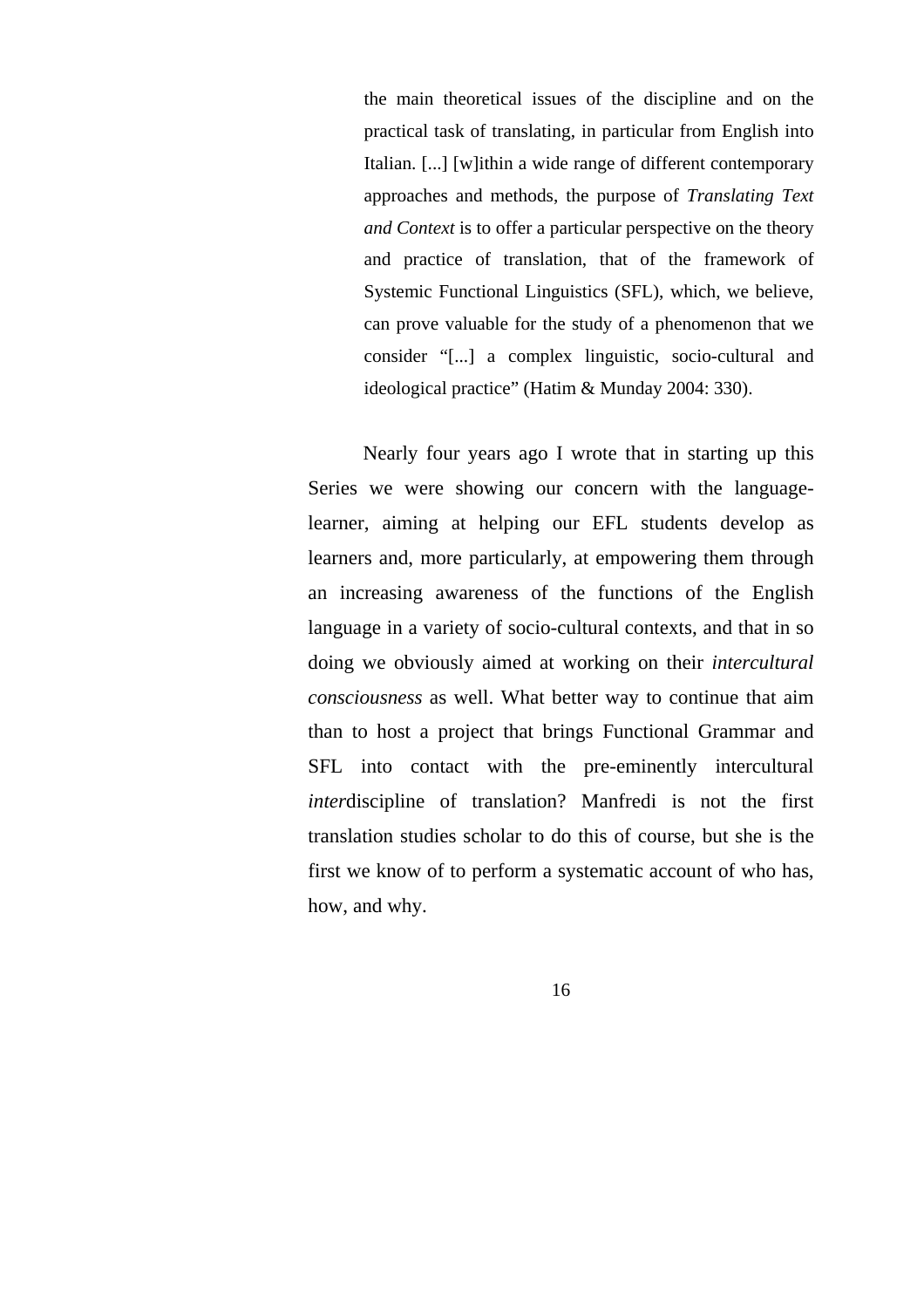the main theoretical issues of the discipline and on the practical task of translating, in particular from English into Italian. [...] [w]ithin a wide range of different contemporary approaches and methods, the purpose of *Translating Text and Context* is to offer a particular perspective on the theory and practice of translation, that of the framework of Systemic Functional Linguistics (SFL), which, we believe, can prove valuable for the study of a phenomenon that we consider "[...] a complex linguistic, socio-cultural and ideological practice" (Hatim & Munday 2004: 330).

Nearly four years ago I wrote that in starting up this Series we were showing our concern with the languagelearner, aiming at helping our EFL students develop as learners and, more particularly, at empowering them through an increasing awareness of the functions of the English language in a variety of socio-cultural contexts, and that in so doing we obviously aimed at working on their *intercultural consciousness* as well. What better way to continue that aim than to host a project that brings Functional Grammar and SFL into contact with the pre-eminently intercultural *inter*discipline of translation? Manfredi is not the first translation studies scholar to do this of course, but she is the first we know of to perform a systematic account of who has, how, and why.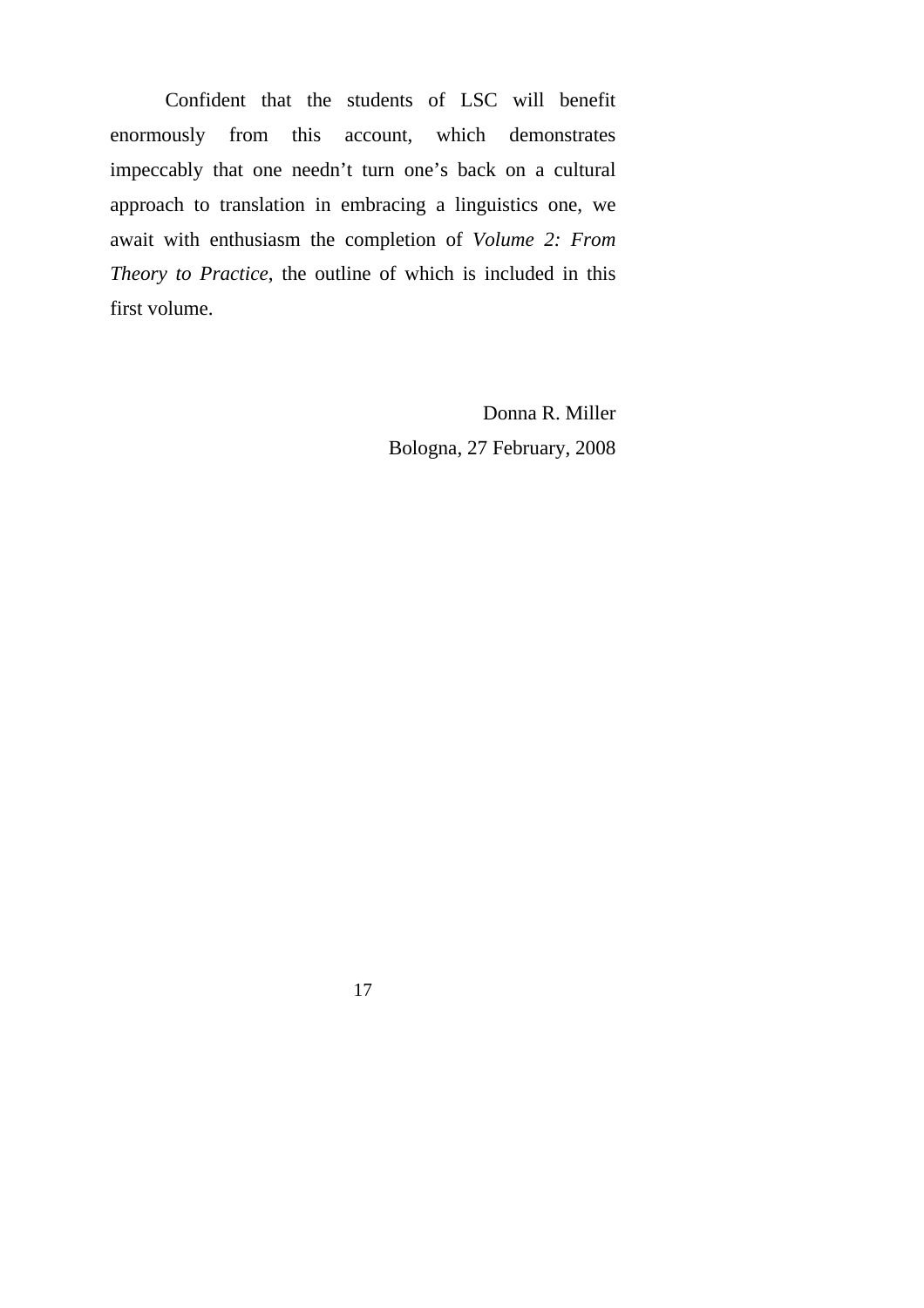Confident that the students of LSC will benefit enormously from this account, which demonstrates impeccably that one needn't turn one's back on a cultural approach to translation in embracing a linguistics one, we await with enthusiasm the completion of *Volume 2: From Theory to Practice*, the outline of which is included in this first volume.

> Donna R. Miller Bologna, 27 February, 2008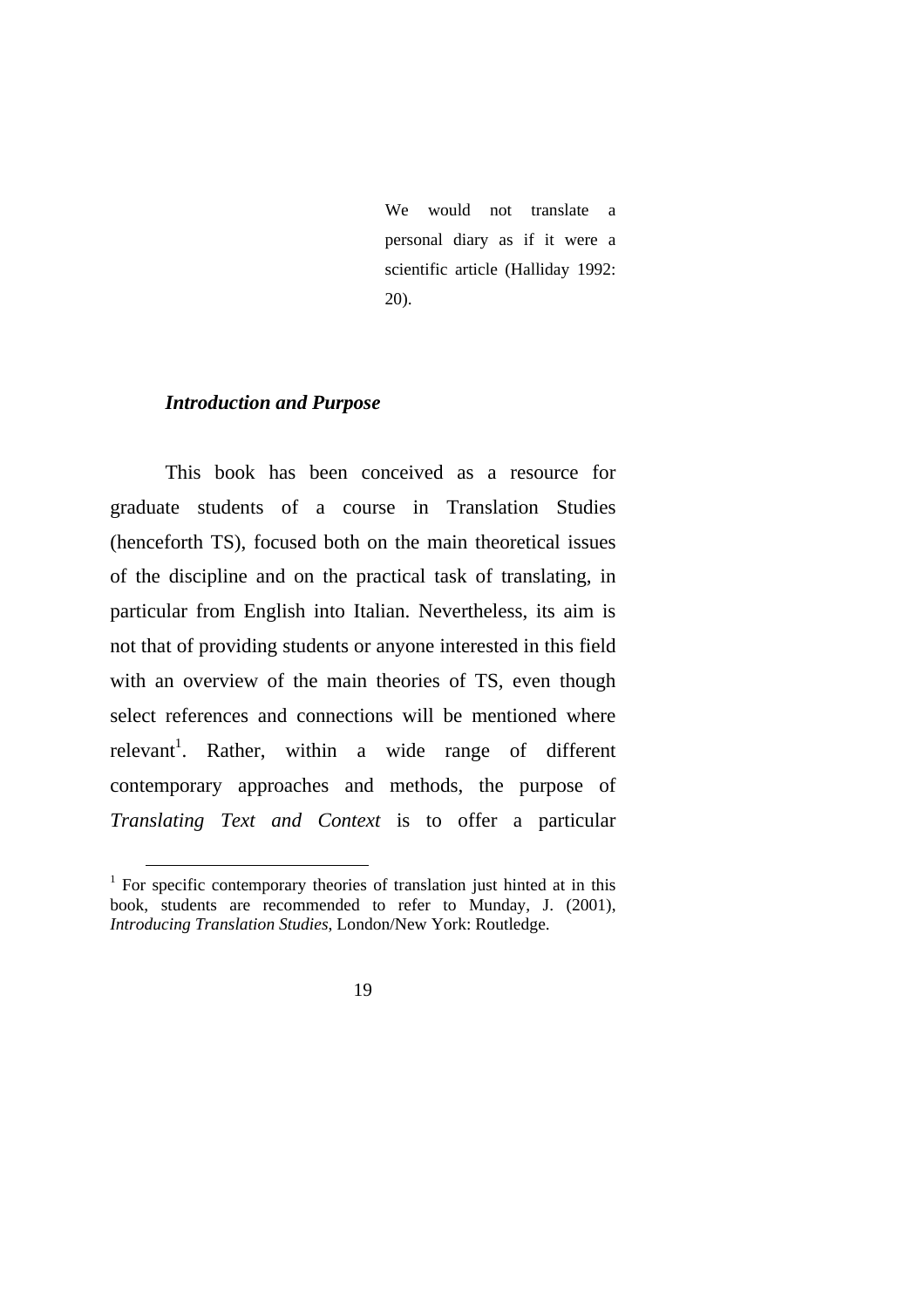We would not translate a personal diary as if it were a scientific article (Halliday 1992: 20).

#### *Introduction and Purpose*

This book has been conceived as a resource for graduate students of a course in Translation Studies (henceforth TS), focused both on the main theoretical issues of the discipline and on the practical task of translating, in particular from English into Italian. Nevertheless, its aim is not that of providing students or anyone interested in this field with an overview of the main theories of TS, even though select references and connections will be mentioned where relevant<sup>1</sup>. Rather, within a wide range of different contemporary approaches and methods, the purpose of *Translating Text and Context* is to offer a particular

<sup>&</sup>lt;sup>1</sup> For specific contemporary theories of translation just hinted at in this book, students are recommended to refer to Munday, J. (2001), *Introducing Translation Studies*, London/New York: Routledge.

<sup>19</sup>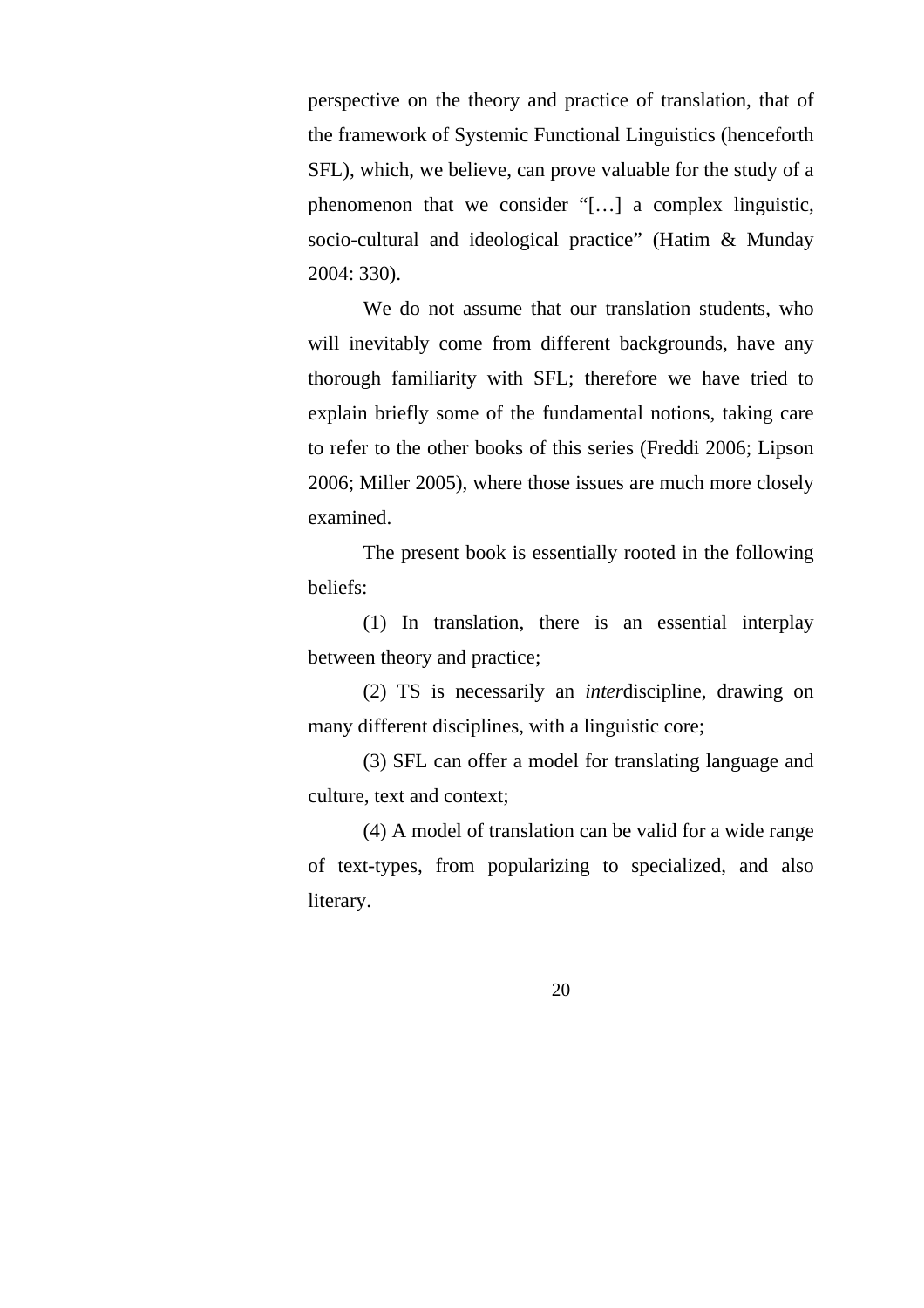perspective on the theory and practice of translation, that of the framework of Systemic Functional Linguistics (henceforth SFL), which, we believe, can prove valuable for the study of a phenomenon that we consider "[…] a complex linguistic, socio-cultural and ideological practice" (Hatim & Munday 2004: 330).

We do not assume that our translation students, who will inevitably come from different backgrounds, have any thorough familiarity with SFL; therefore we have tried to explain briefly some of the fundamental notions, taking care to refer to the other books of this series (Freddi 2006; Lipson 2006; Miller 2005), where those issues are much more closely examined.

The present book is essentially rooted in the following beliefs:

(1) In translation, there is an essential interplay between theory and practice;

(2) TS is necessarily an *inter*discipline, drawing on many different disciplines, with a linguistic core;

(3) SFL can offer a model for translating language and culture, text and context;

(4) A model of translation can be valid for a wide range of text-types, from popularizing to specialized, and also literary.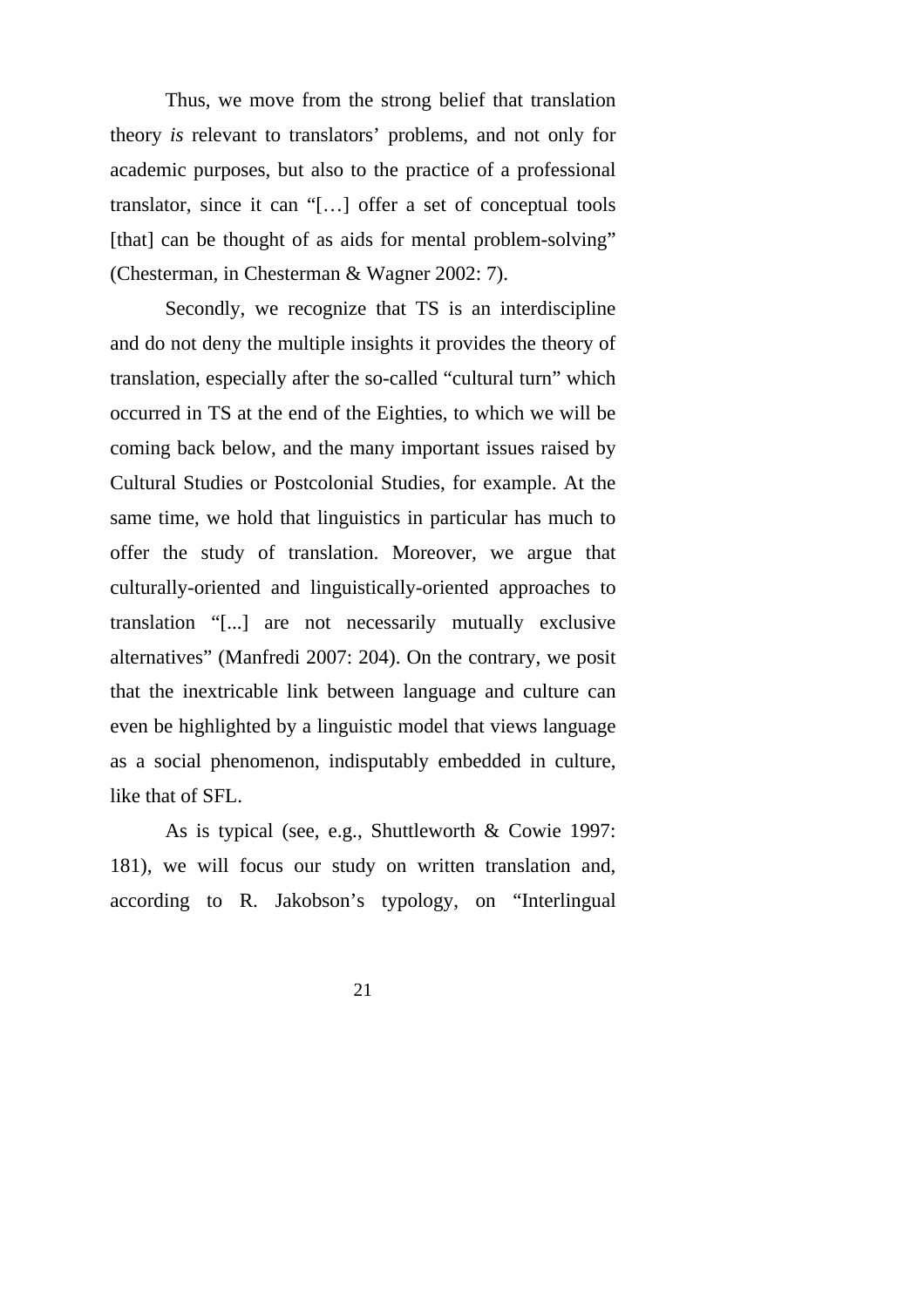Thus, we move from the strong belief that translation theory *is* relevant to translators' problems, and not only for academic purposes, but also to the practice of a professional translator, since it can "[…] offer a set of conceptual tools [that] can be thought of as aids for mental problem-solving" (Chesterman, in Chesterman & Wagner 2002: 7).

Secondly, we recognize that TS is an interdiscipline and do not deny the multiple insights it provides the theory of translation, especially after the so-called "cultural turn" which occurred in TS at the end of the Eighties, to which we will be coming back below, and the many important issues raised by Cultural Studies or Postcolonial Studies, for example. At the same time, we hold that linguistics in particular has much to offer the study of translation. Moreover, we argue that culturally-oriented and linguistically-oriented approaches to translation "[...] are not necessarily mutually exclusive alternatives" (Manfredi 2007: 204). On the contrary, we posit that the inextricable link between language and culture can even be highlighted by a linguistic model that views language as a social phenomenon, indisputably embedded in culture, like that of SFL.

As is typical (see, e.g., Shuttleworth & Cowie 1997: 181), we will focus our study on written translation and, according to R. Jakobson's typology, on "Interlingual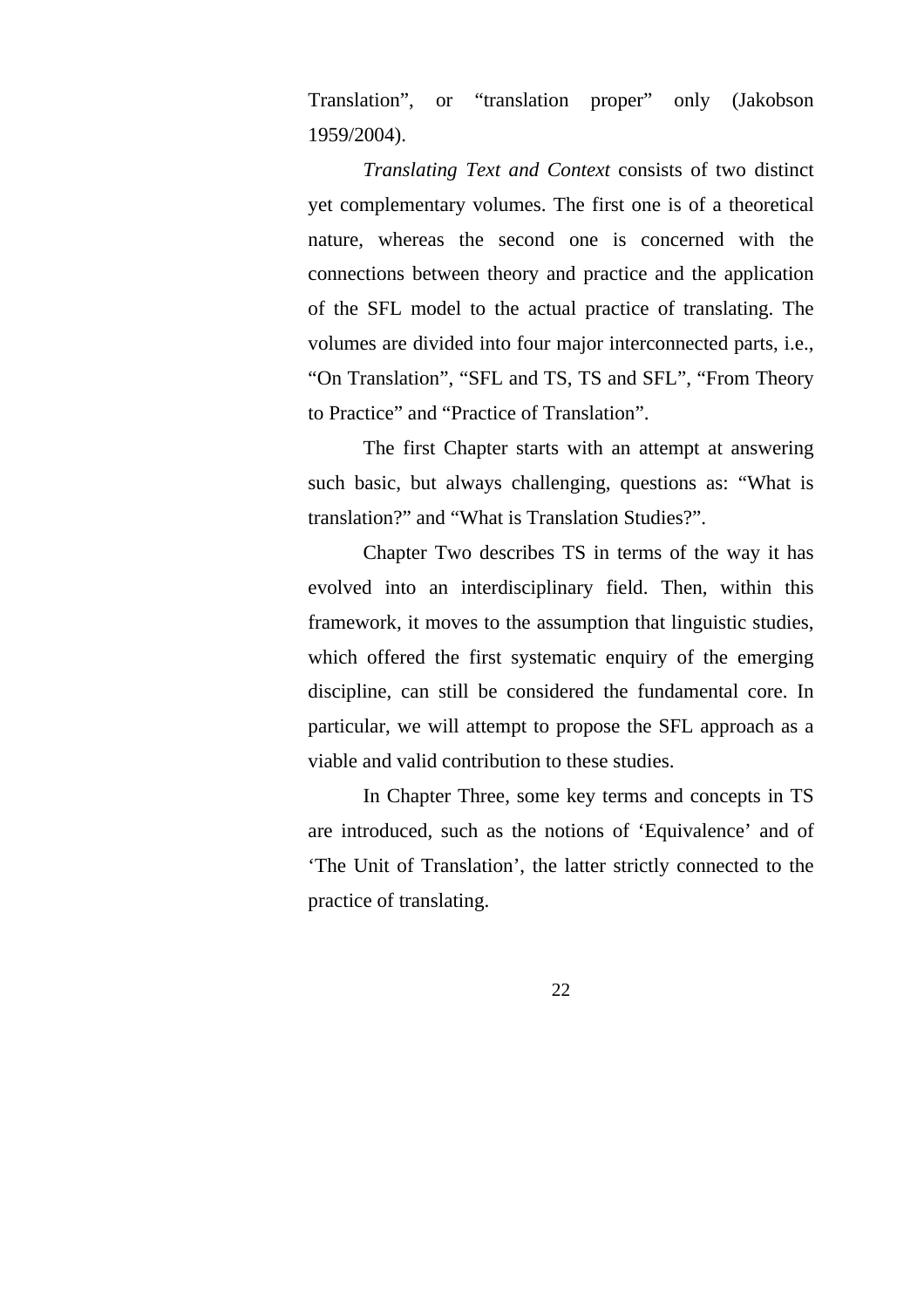Translation", or "translation proper" only (Jakobson 1959/2004).

*Translating Text and Context* consists of two distinct yet complementary volumes. The first one is of a theoretical nature, whereas the second one is concerned with the connections between theory and practice and the application of the SFL model to the actual practice of translating. The volumes are divided into four major interconnected parts, i.e., "On Translation", "SFL and TS, TS and SFL", "From Theory to Practice" and "Practice of Translation".

The first Chapter starts with an attempt at answering such basic, but always challenging, questions as: "What is translation?" and "What is Translation Studies?".

Chapter Two describes TS in terms of the way it has evolved into an interdisciplinary field. Then, within this framework, it moves to the assumption that linguistic studies, which offered the first systematic enquiry of the emerging discipline, can still be considered the fundamental core. In particular, we will attempt to propose the SFL approach as a viable and valid contribution to these studies.

In Chapter Three, some key terms and concepts in TS are introduced, such as the notions of 'Equivalence' and of 'The Unit of Translation', the latter strictly connected to the practice of translating.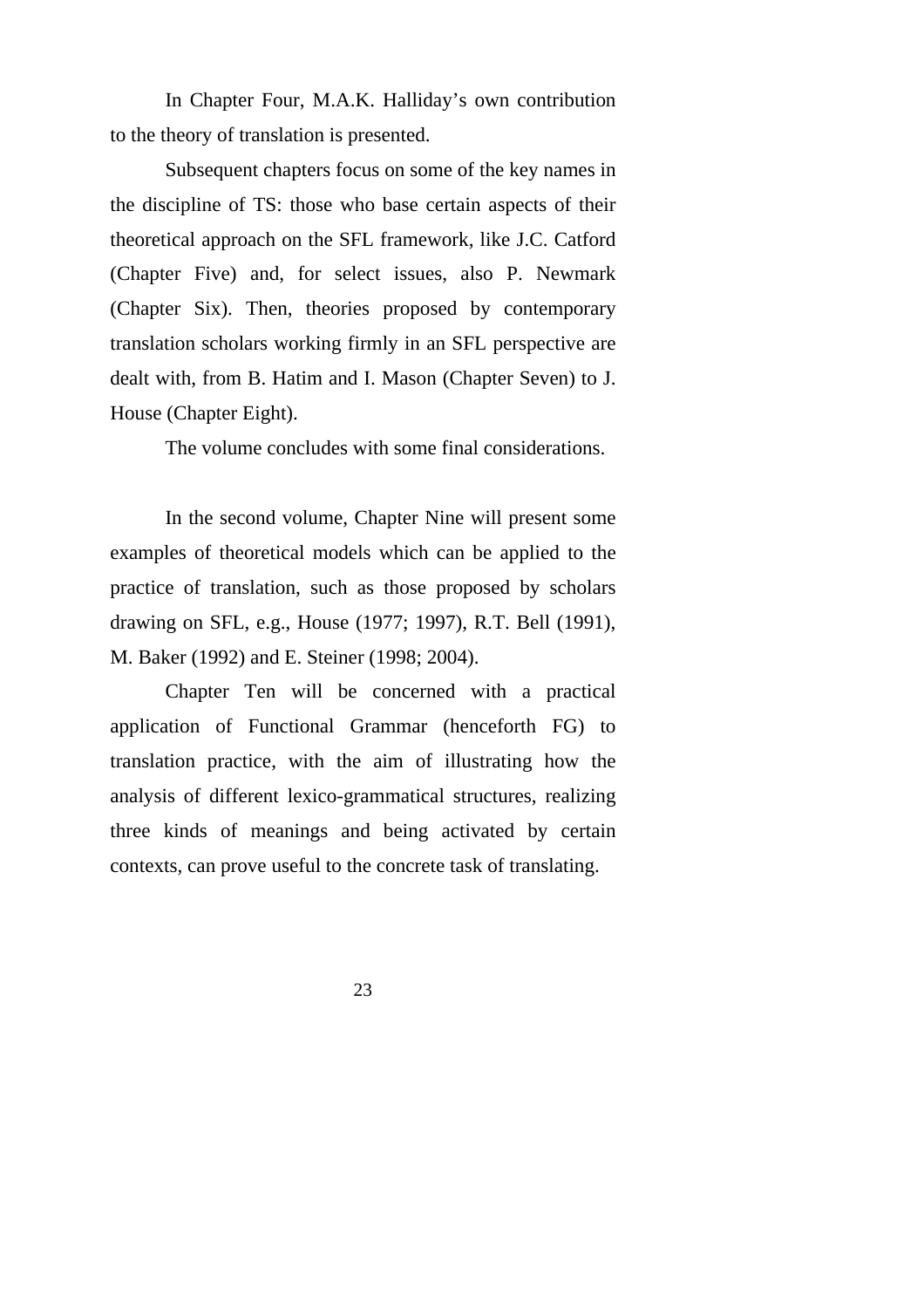In Chapter Four, M.A.K. Halliday's own contribution to the theory of translation is presented.

Subsequent chapters focus on some of the key names in the discipline of TS: those who base certain aspects of their theoretical approach on the SFL framework, like J.C. Catford (Chapter Five) and, for select issues, also P. Newmark (Chapter Six). Then, theories proposed by contemporary translation scholars working firmly in an SFL perspective are dealt with, from B. Hatim and I. Mason (Chapter Seven) to J. House (Chapter Eight).

The volume concludes with some final considerations.

In the second volume, Chapter Nine will present some examples of theoretical models which can be applied to the practice of translation, such as those proposed by scholars drawing on SFL, e.g., House (1977; 1997), R.T. Bell (1991), M. Baker (1992) and E. Steiner (1998; 2004).

Chapter Ten will be concerned with a practical application of Functional Grammar (henceforth FG) to translation practice, with the aim of illustrating how the analysis of different lexico-grammatical structures, realizing three kinds of meanings and being activated by certain contexts, can prove useful to the concrete task of translating.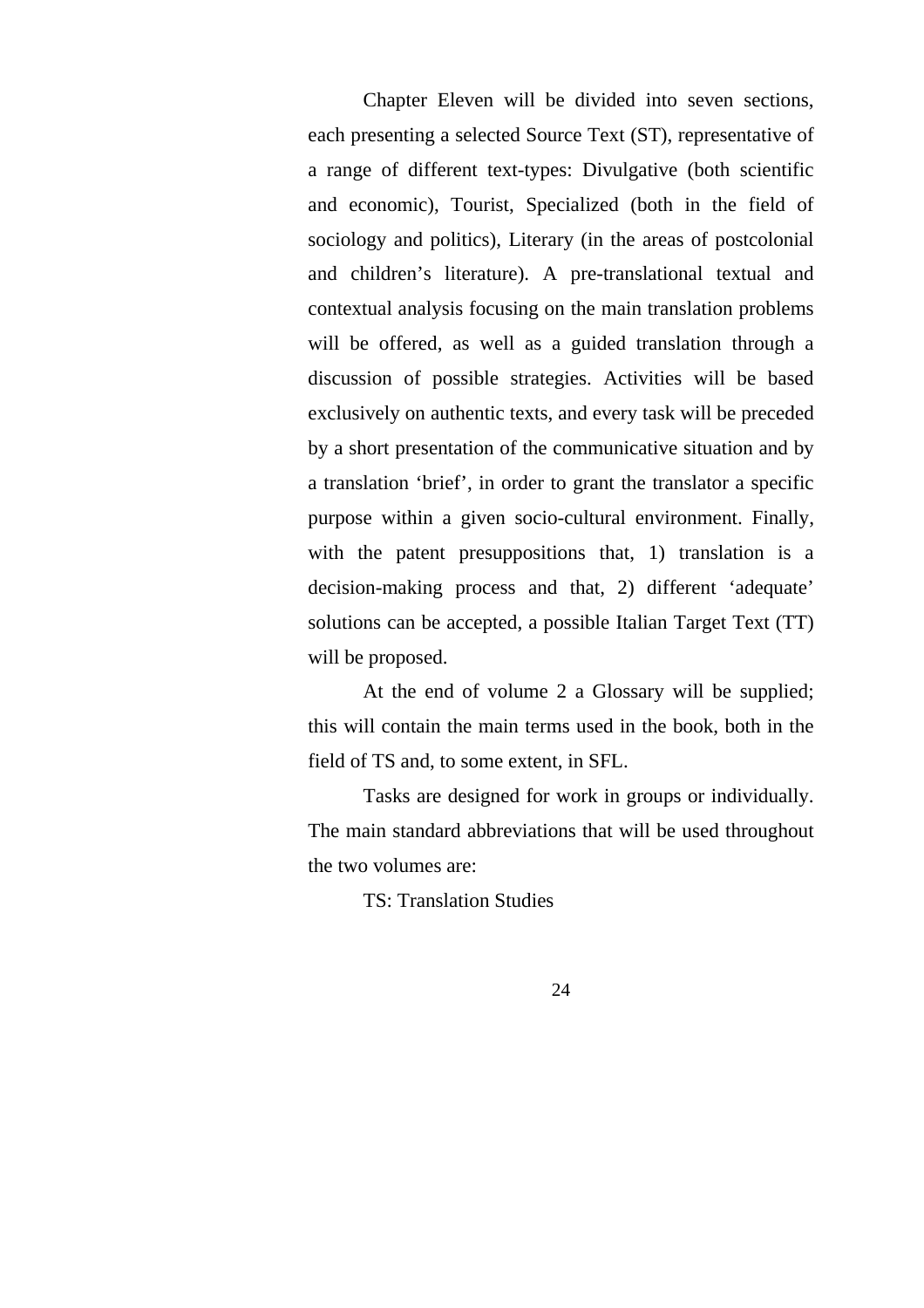Chapter Eleven will be divided into seven sections, each presenting a selected Source Text (ST), representative of a range of different text-types: Divulgative (both scientific and economic), Tourist, Specialized (both in the field of sociology and politics), Literary (in the areas of postcolonial and children's literature). A pre-translational textual and contextual analysis focusing on the main translation problems will be offered, as well as a guided translation through a discussion of possible strategies. Activities will be based exclusively on authentic texts, and every task will be preceded by a short presentation of the communicative situation and by a translation 'brief', in order to grant the translator a specific purpose within a given socio-cultural environment. Finally, with the patent presuppositions that, 1) translation is a decision-making process and that, 2) different 'adequate' solutions can be accepted, a possible Italian Target Text (TT) will be proposed.

At the end of volume 2 a Glossary will be supplied; this will contain the main terms used in the book, both in the field of TS and, to some extent, in SFL.

Tasks are designed for work in groups or individually. The main standard abbreviations that will be used throughout the two volumes are:

TS: Translation Studies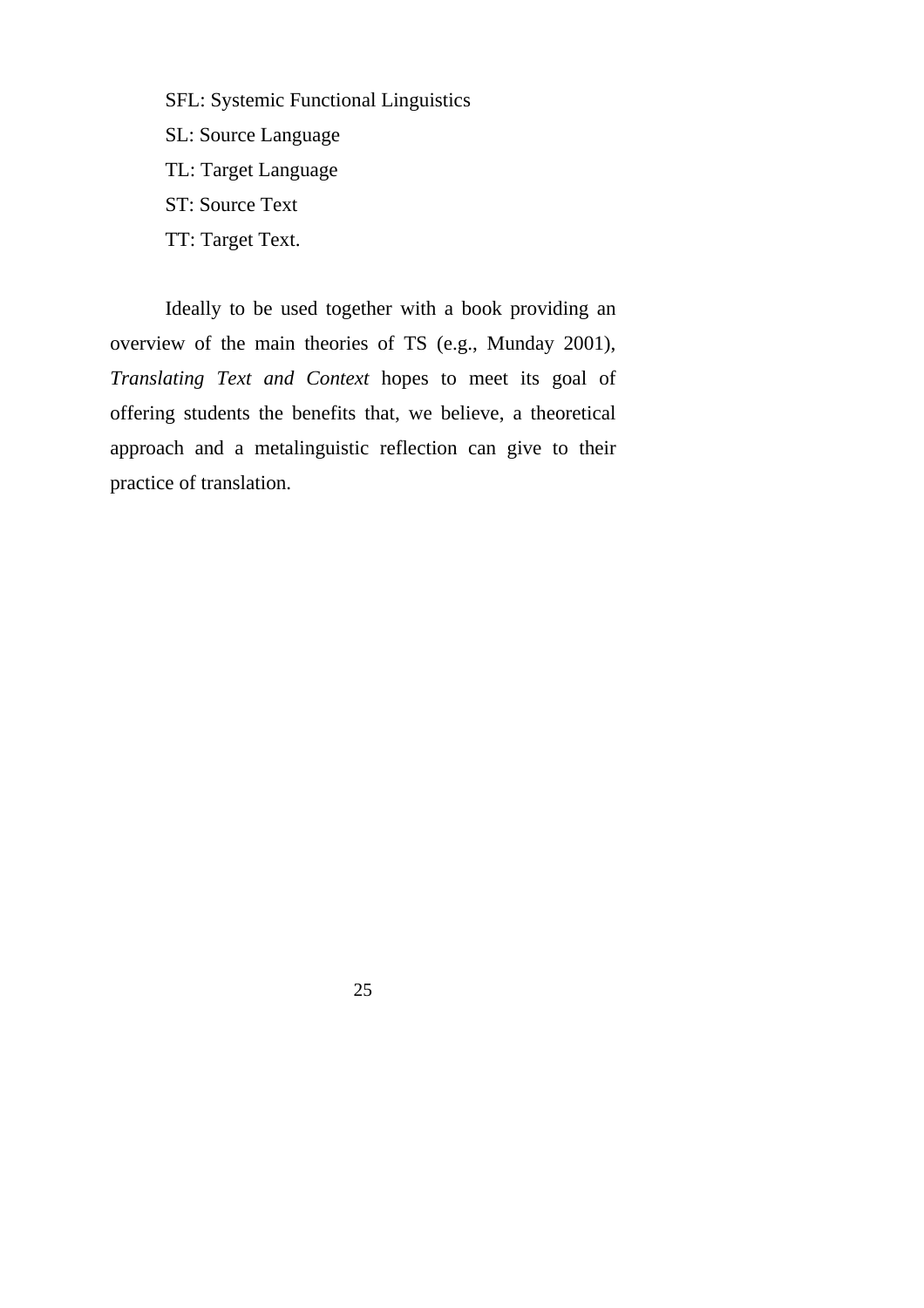SFL: Systemic Functional Linguistics SL: Source Language TL: Target Language ST: Source Text TT: Target Text.

Ideally to be used together with a book providing an overview of the main theories of TS (e.g., Munday 2001), *Translating Text and Context* hopes to meet its goal of offering students the benefits that, we believe, a theoretical approach and a metalinguistic reflection can give to their practice of translation.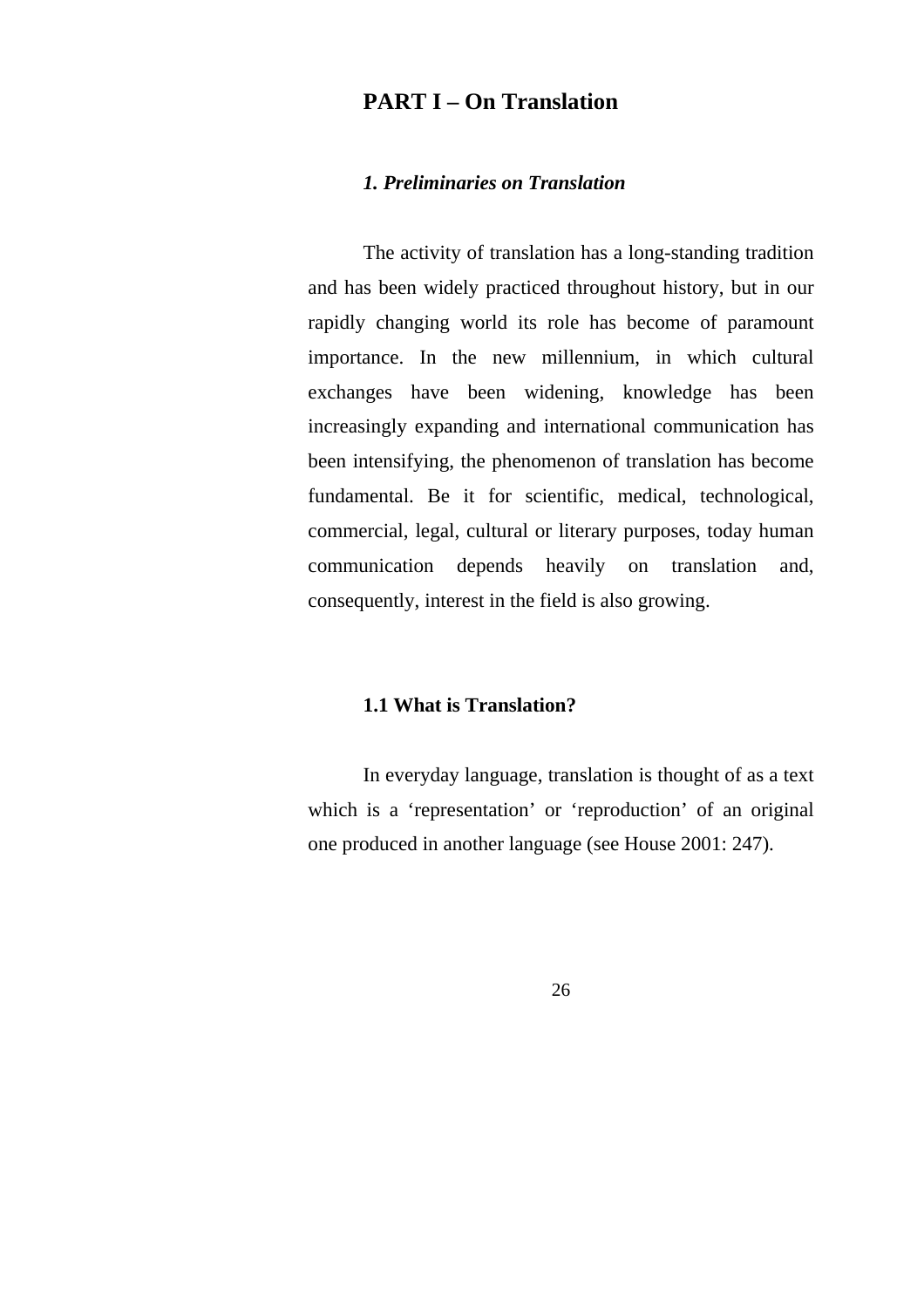## **PART I – On Translation**

#### *1. Preliminaries on Translation*

The activity of translation has a long-standing tradition and has been widely practiced throughout history, but in our rapidly changing world its role has become of paramount importance. In the new millennium, in which cultural exchanges have been widening, knowledge has been increasingly expanding and international communication has been intensifying, the phenomenon of translation has become fundamental. Be it for scientific, medical, technological, commercial, legal, cultural or literary purposes, today human communication depends heavily on translation and, consequently, interest in the field is also growing.

#### **1.1 What is Translation?**

In everyday language, translation is thought of as a text which is a 'representation' or 'reproduction' of an original one produced in another language (see House 2001: 247).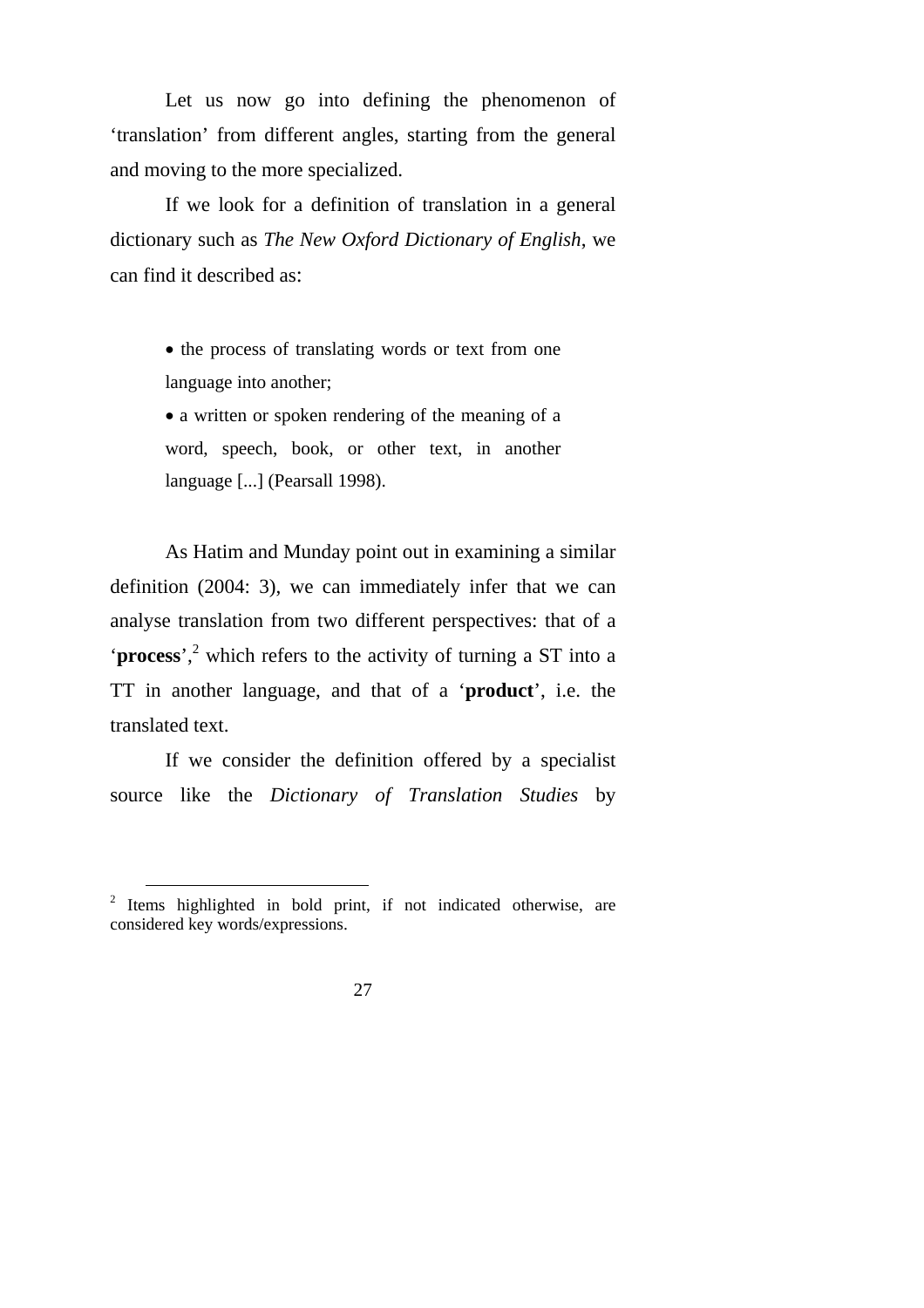Let us now go into defining the phenomenon of 'translation' from different angles, starting from the general and moving to the more specialized.

If we look for a definition of translation in a general dictionary such as *The New Oxford Dictionary of English*, we can find it described as:

> • the process of translating words or text from one language into another;

> • a written or spoken rendering of the meaning of a word, speech, book, or other text, in another language [...] (Pearsall 1998).

As Hatim and Munday point out in examining a similar definition (2004: 3), we can immediately infer that we can analyse translation from two different perspectives: that of a '**process**',<sup>2</sup> which refers to the activity of turning a ST into a TT in another language, and that of a '**product**', i.e. the translated text.

If we consider the definition offered by a specialist source like the *Dictionary of Translation Studies* by

<sup>&</sup>lt;sup>2</sup> Items highlighted in bold print, if not indicated otherwise, are considered key words/expressions.

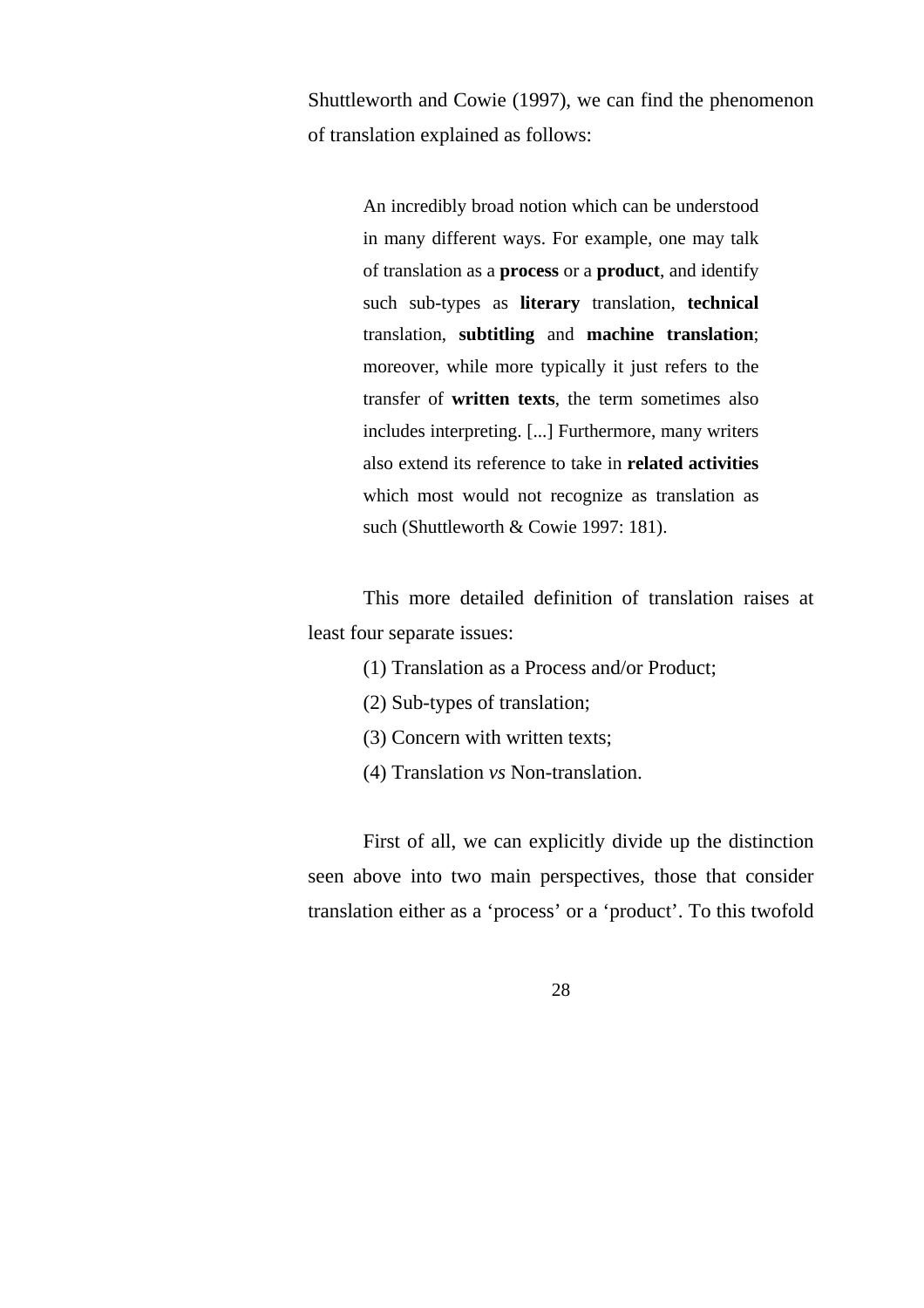Shuttleworth and Cowie (1997), we can find the phenomenon of translation explained as follows:

> An incredibly broad notion which can be understood in many different ways. For example, one may talk of translation as a **process** or a **product**, and identify such sub-types as **literary** translation, **technical** translation, **subtitling** and **machine translation**; moreover, while more typically it just refers to the transfer of **written texts**, the term sometimes also includes interpreting. [...] Furthermore, many writers also extend its reference to take in **related activities** which most would not recognize as translation as such (Shuttleworth & Cowie 1997: 181).

This more detailed definition of translation raises at least four separate issues:

- (1) Translation as a Process and/or Product;
- (2) Sub-types of translation;
- (3) Concern with written texts;
- (4) Translation *vs* Non-translation.

First of all, we can explicitly divide up the distinction seen above into two main perspectives, those that consider translation either as a 'process' or a 'product'. To this twofold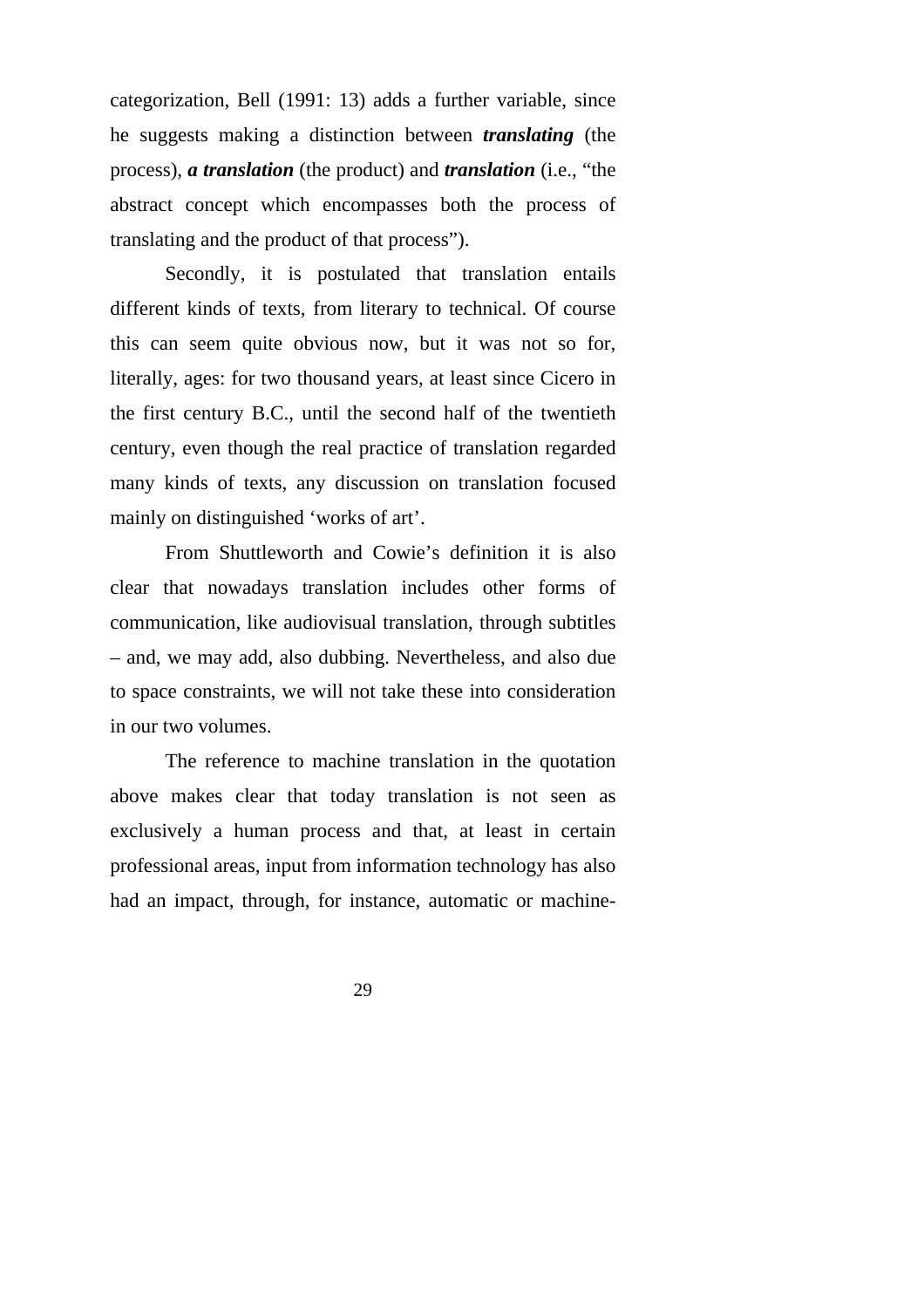categorization, Bell (1991: 13) adds a further variable, since he suggests making a distinction between *translating* (the process), *a translation* (the product) and *translation* (i.e., "the abstract concept which encompasses both the process of translating and the product of that process").

Secondly, it is postulated that translation entails different kinds of texts, from literary to technical. Of course this can seem quite obvious now, but it was not so for, literally, ages: for two thousand years, at least since Cicero in the first century B.C., until the second half of the twentieth century, even though the real practice of translation regarded many kinds of texts, any discussion on translation focused mainly on distinguished 'works of art'.

From Shuttleworth and Cowie's definition it is also clear that nowadays translation includes other forms of communication, like audiovisual translation, through subtitles – and, we may add, also dubbing. Nevertheless, and also due to space constraints, we will not take these into consideration in our two volumes.

The reference to machine translation in the quotation above makes clear that today translation is not seen as exclusively a human process and that, at least in certain professional areas, input from information technology has also had an impact, through, for instance, automatic or machine-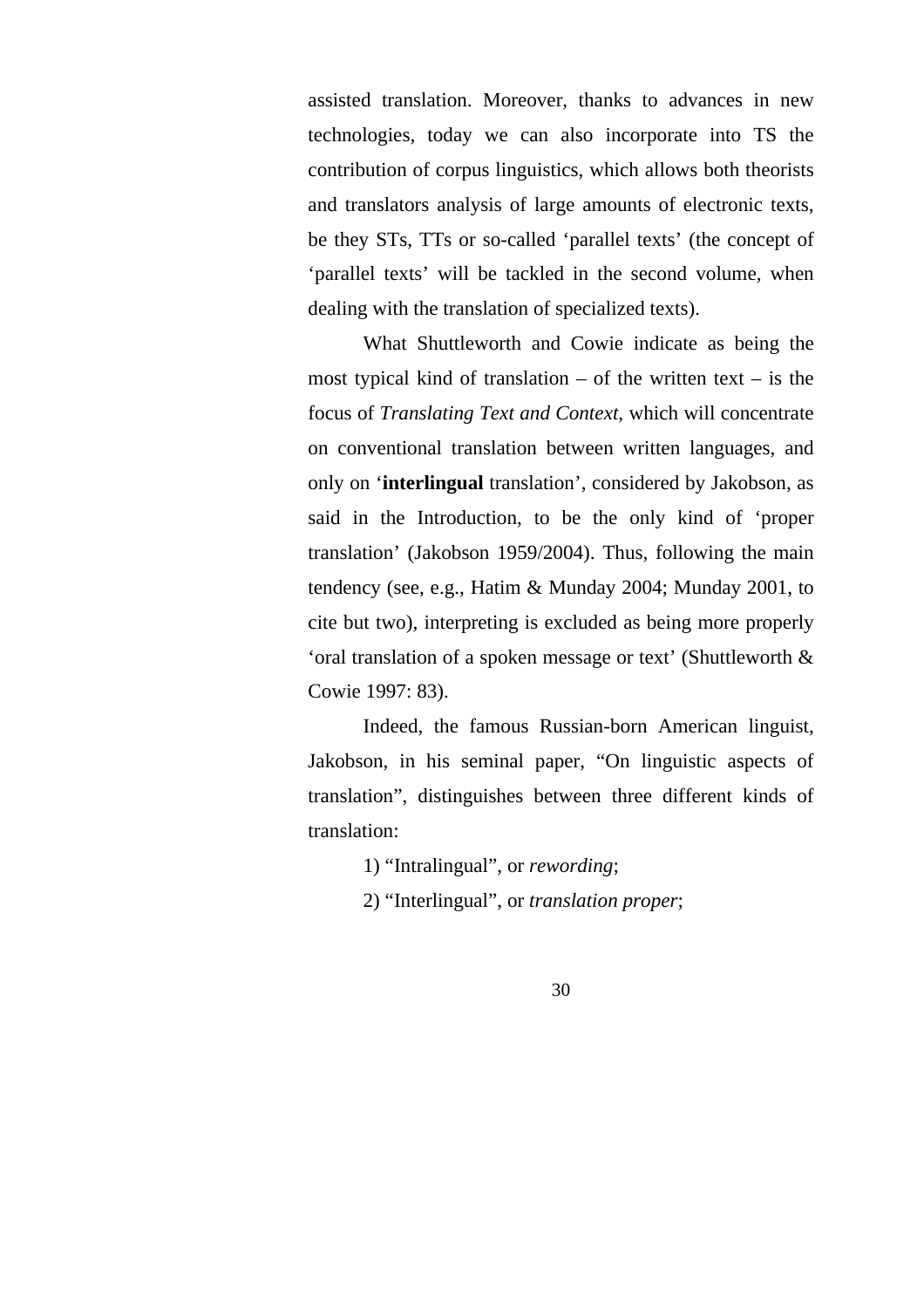assisted translation. Moreover, thanks to advances in new technologies, today we can also incorporate into TS the contribution of corpus linguistics, which allows both theorists and translators analysis of large amounts of electronic texts, be they STs, TTs or so-called 'parallel texts' (the concept of 'parallel texts' will be tackled in the second volume, when dealing with the translation of specialized texts).

What Shuttleworth and Cowie indicate as being the most typical kind of translation  $-$  of the written text  $-$  is the focus of *Translating Text and Context*, which will concentrate on conventional translation between written languages, and only on '**interlingual** translation', considered by Jakobson, as said in the Introduction, to be the only kind of 'proper translation' (Jakobson 1959/2004). Thus, following the main tendency (see, e.g., Hatim & Munday 2004; Munday 2001, to cite but two), interpreting is excluded as being more properly 'oral translation of a spoken message or text' (Shuttleworth & Cowie 1997: 83).

Indeed, the famous Russian-born American linguist, Jakobson, in his seminal paper, "On linguistic aspects of translation", distinguishes between three different kinds of translation:

1) "Intralingual", or *rewording*;

2) "Interlingual", or *translation proper*;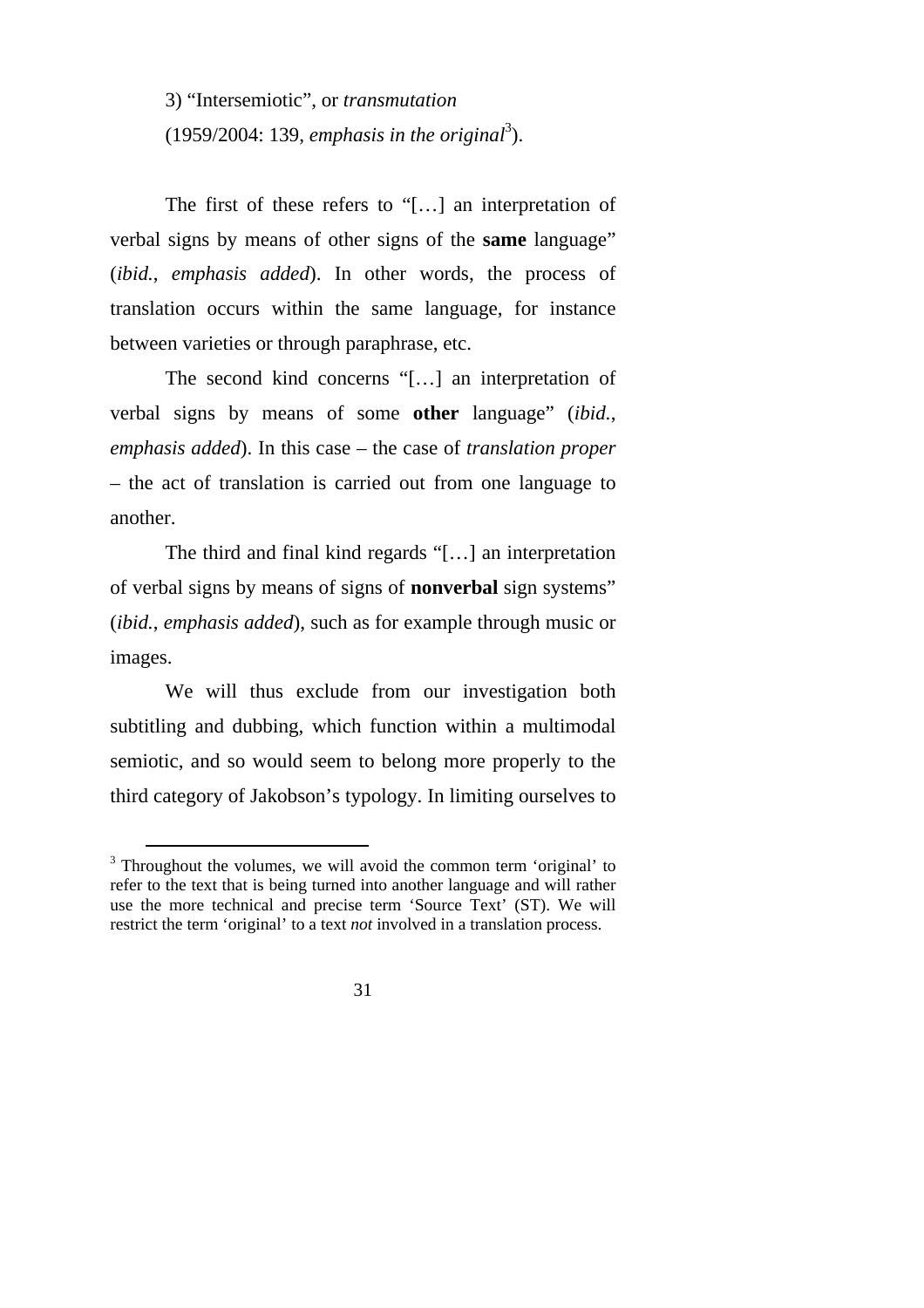3) "Intersemiotic", or *transmutation*   $(1959/2004: 139,$  *emphasis in the original*<sup>3</sup>).

The first of these refers to "[…] an interpretation of verbal signs by means of other signs of the **same** language" (*ibid.*, *emphasis added*). In other words, the process of translation occurs within the same language, for instance between varieties or through paraphrase, etc.

The second kind concerns "[…] an interpretation of verbal signs by means of some **other** language" (*ibid.*, *emphasis added*). In this case – the case of *translation proper* – the act of translation is carried out from one language to another.

The third and final kind regards "[…] an interpretation of verbal signs by means of signs of **nonverbal** sign systems" (*ibid.*, *emphasis added*), such as for example through music or images.

We will thus exclude from our investigation both subtitling and dubbing, which function within a multimodal semiotic, and so would seem to belong more properly to the third category of Jakobson's typology. In limiting ourselves to

<sup>&</sup>lt;sup>3</sup> Throughout the volumes, we will avoid the common term 'original' to refer to the text that is being turned into another language and will rather use the more technical and precise term 'Source Text' (ST). We will restrict the term 'original' to a text *not* involved in a translation process.

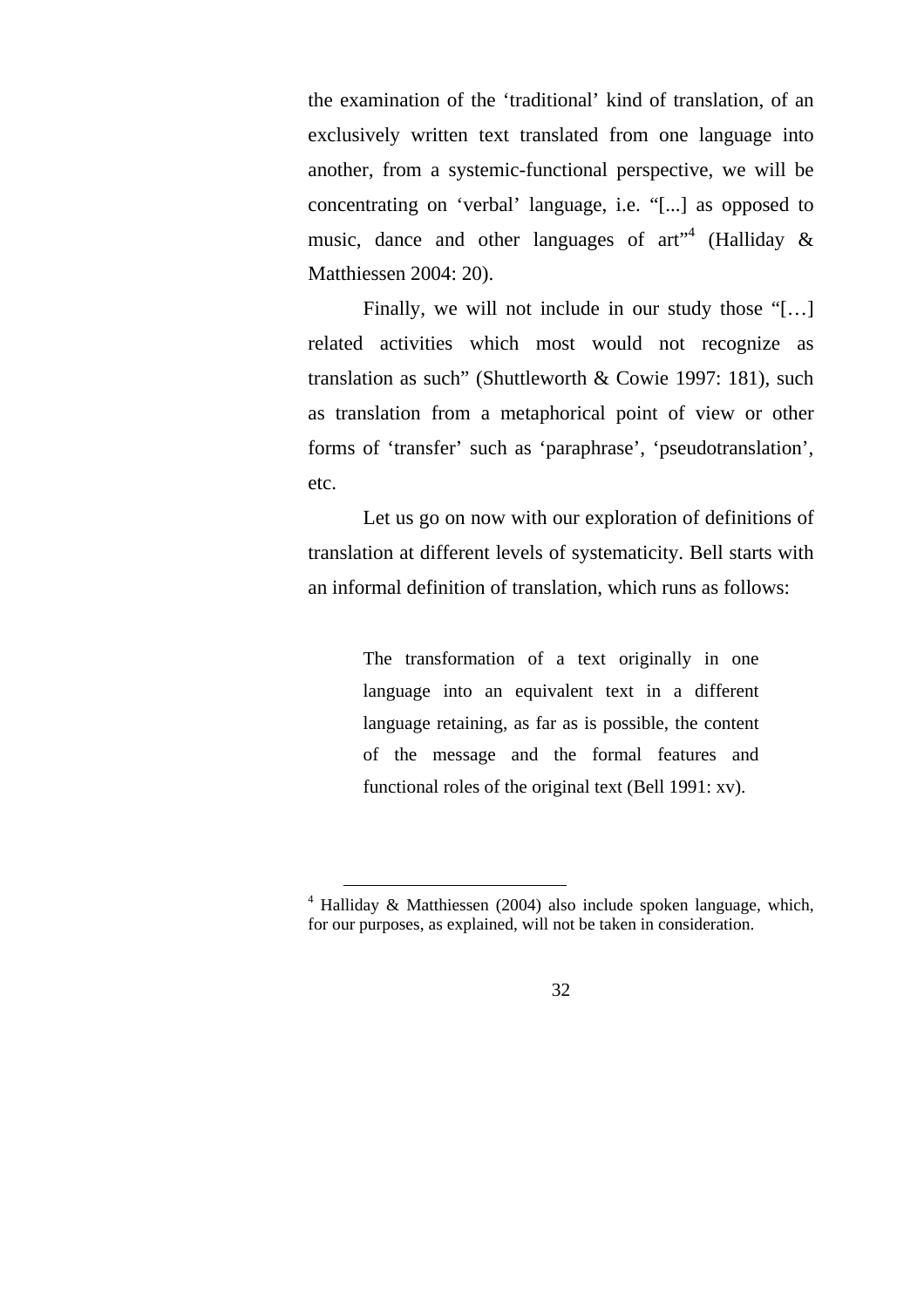the examination of the 'traditional' kind of translation, of an exclusively written text translated from one language into another, from a systemic-functional perspective, we will be concentrating on 'verbal' language, i.e. "[...] as opposed to music, dance and other languages of art<sup>"4</sup> (Halliday  $\&$ Matthiessen 2004: 20).

Finally, we will not include in our study those "[…] related activities which most would not recognize as translation as such" (Shuttleworth & Cowie 1997: 181), such as translation from a metaphorical point of view or other forms of 'transfer' such as 'paraphrase', 'pseudotranslation', etc.

Let us go on now with our exploration of definitions of translation at different levels of systematicity. Bell starts with an informal definition of translation, which runs as follows:

> The transformation of a text originally in one language into an equivalent text in a different language retaining, as far as is possible, the content of the message and the formal features and functional roles of the original text (Bell 1991: xv).

 <sup>4</sup> Halliday & Matthiessen (2004) also include spoken language, which, for our purposes, as explained, will not be taken in consideration.

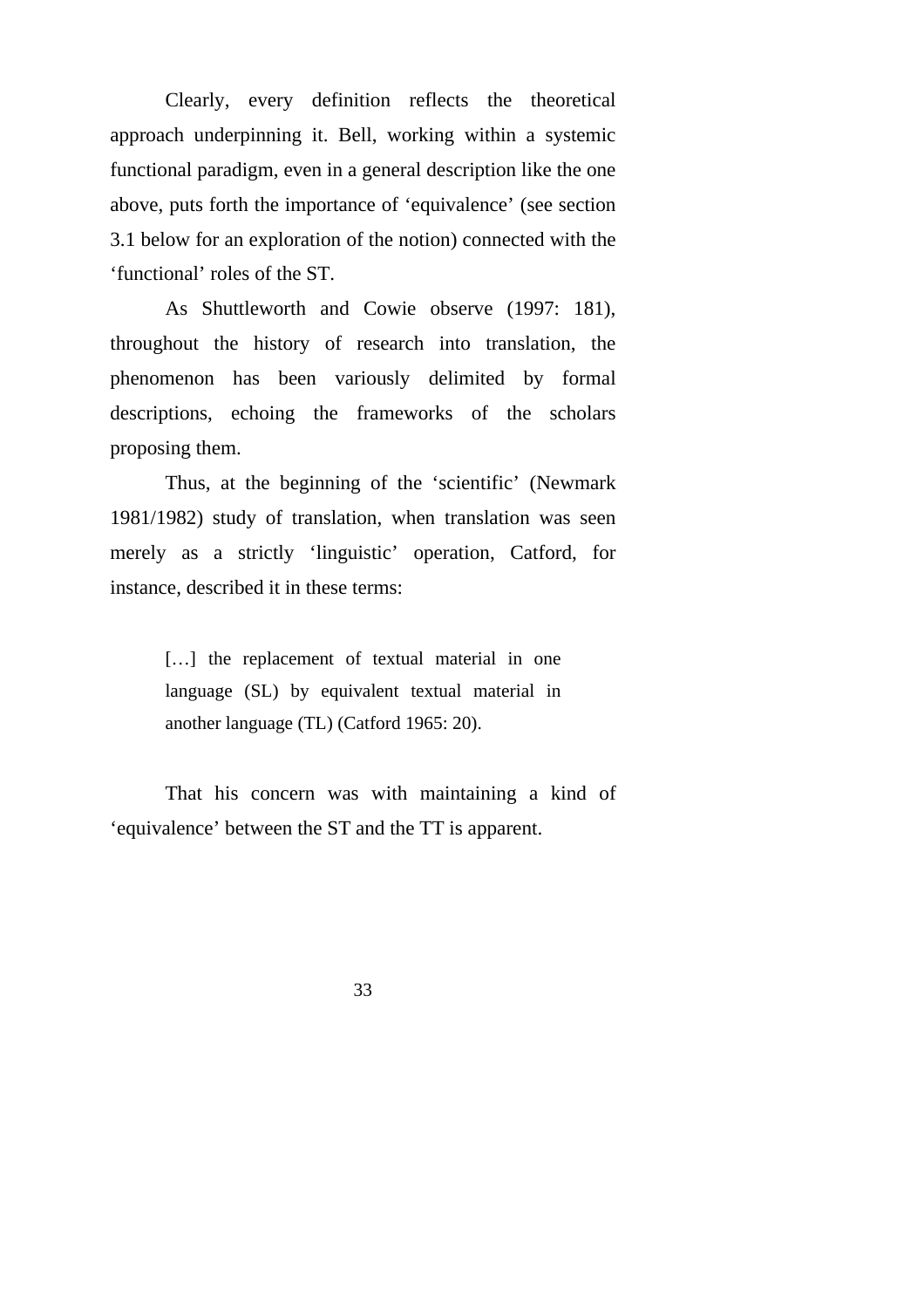Clearly, every definition reflects the theoretical approach underpinning it. Bell, working within a systemic functional paradigm, even in a general description like the one above, puts forth the importance of 'equivalence' (see section 3.1 below for an exploration of the notion) connected with the 'functional' roles of the ST.

As Shuttleworth and Cowie observe (1997: 181), throughout the history of research into translation, the phenomenon has been variously delimited by formal descriptions, echoing the frameworks of the scholars proposing them.

Thus, at the beginning of the 'scientific' (Newmark 1981/1982) study of translation, when translation was seen merely as a strictly 'linguistic' operation, Catford, for instance, described it in these terms:

> [...] the replacement of textual material in one language (SL) by equivalent textual material in another language (TL) (Catford 1965: 20).

That his concern was with maintaining a kind of 'equivalence' between the ST and the TT is apparent.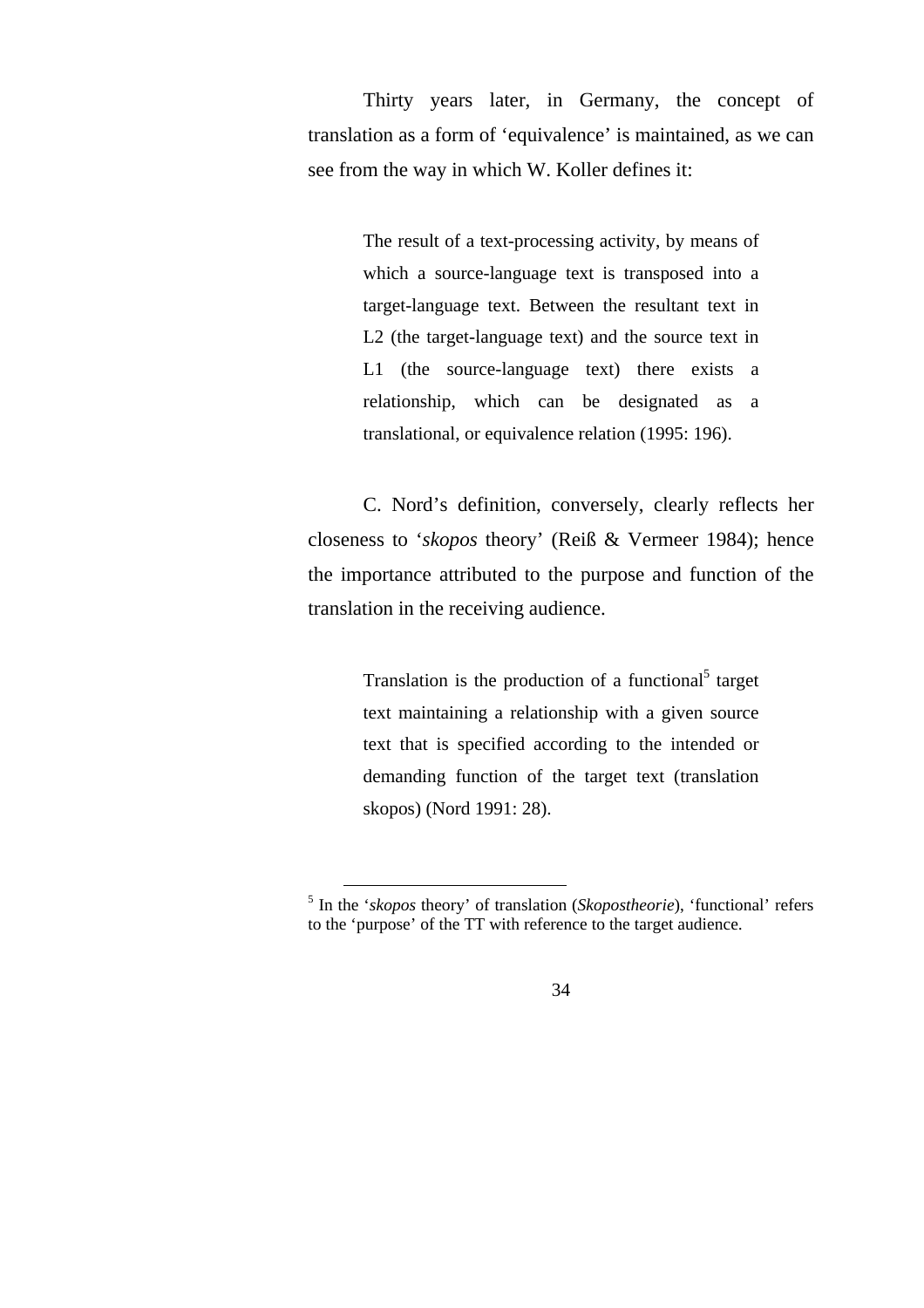Thirty years later, in Germany, the concept of translation as a form of 'equivalence' is maintained, as we can see from the way in which W. Koller defines it:

> The result of a text-processing activity, by means of which a source-language text is transposed into a target-language text. Between the resultant text in L2 (the target-language text) and the source text in L1 (the source-language text) there exists a relationship, which can be designated as a translational, or equivalence relation (1995: 196).

C. Nord's definition, conversely, clearly reflects her closeness to '*skopos* theory' (Reiß & Vermeer 1984); hence the importance attributed to the purpose and function of the translation in the receiving audience.

> Translation is the production of a functional<sup>5</sup> target text maintaining a relationship with a given source text that is specified according to the intended or demanding function of the target text (translation skopos) (Nord 1991: 28).

 <sup>5</sup> In the '*skopos* theory' of translation (*Skopostheorie*), 'functional' refers to the 'purpose' of the TT with reference to the target audience.

<sup>34</sup>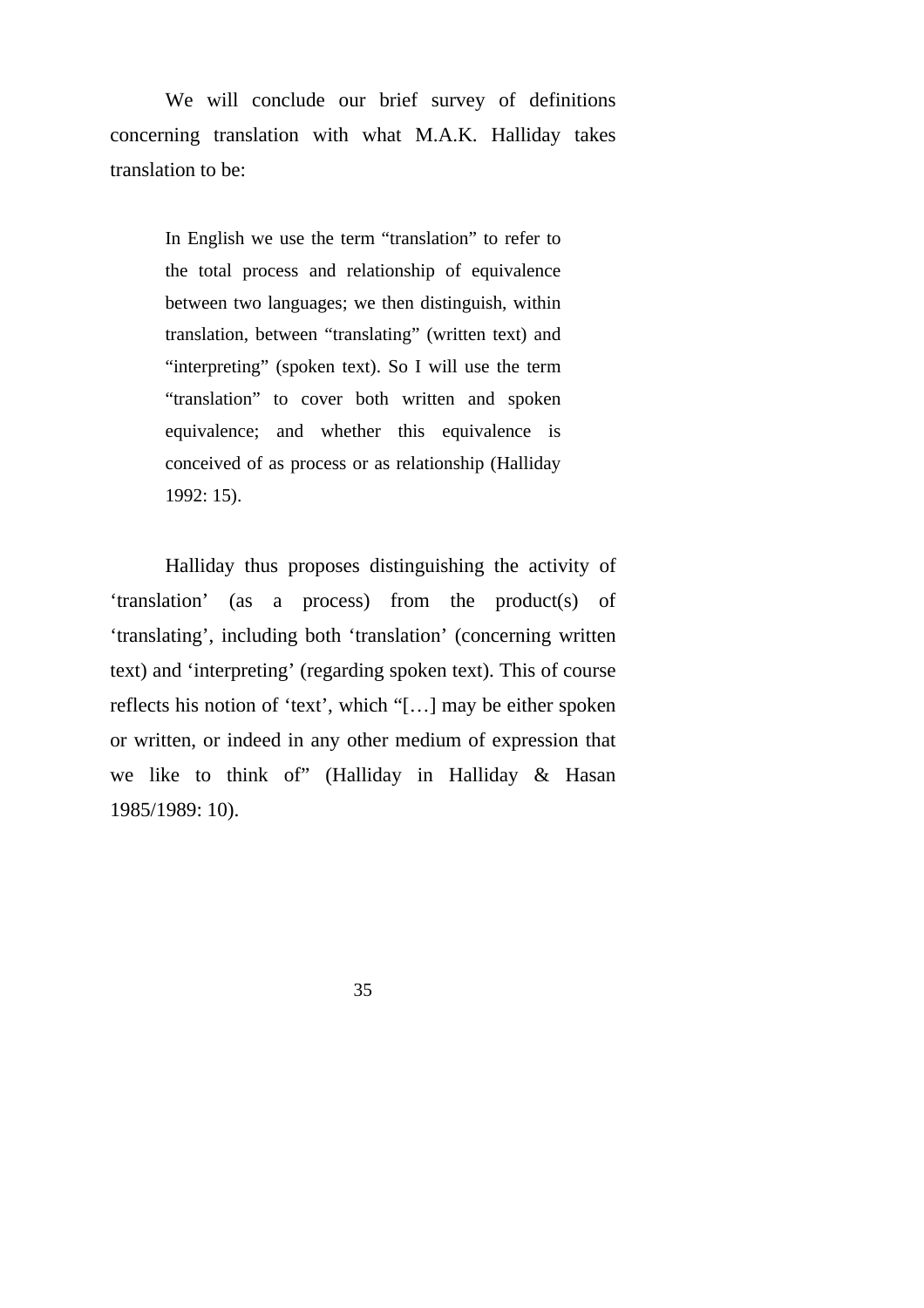We will conclude our brief survey of definitions concerning translation with what M.A.K. Halliday takes translation to be:

> In English we use the term "translation" to refer to the total process and relationship of equivalence between two languages; we then distinguish, within translation, between "translating" (written text) and "interpreting" (spoken text). So I will use the term "translation" to cover both written and spoken equivalence; and whether this equivalence is conceived of as process or as relationship (Halliday 1992: 15).

Halliday thus proposes distinguishing the activity of 'translation' (as a process) from the product(s) of 'translating', including both 'translation' (concerning written text) and 'interpreting' (regarding spoken text). This of course reflects his notion of 'text', which "[…] may be either spoken or written, or indeed in any other medium of expression that we like to think of" (Halliday in Halliday & Hasan 1985/1989: 10).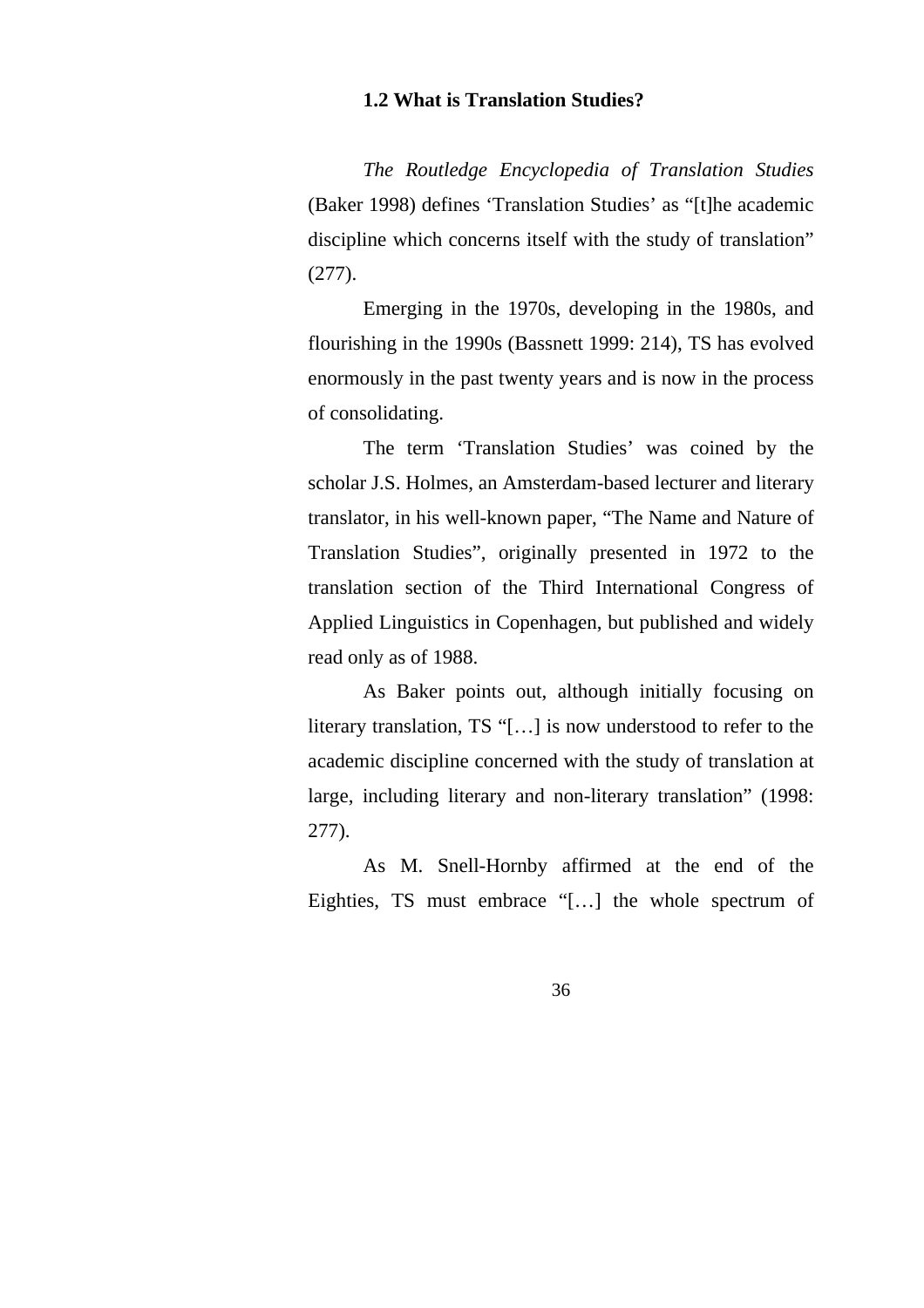### **1.2 What is Translation Studies?**

*The Routledge Encyclopedia of Translation Studies* (Baker 1998) defines 'Translation Studies' as "[t]he academic discipline which concerns itself with the study of translation" (277).

Emerging in the 1970s, developing in the 1980s, and flourishing in the 1990s (Bassnett 1999: 214), TS has evolved enormously in the past twenty years and is now in the process of consolidating.

The term 'Translation Studies' was coined by the scholar J.S. Holmes, an Amsterdam-based lecturer and literary translator, in his well-known paper, "The Name and Nature of Translation Studies", originally presented in 1972 to the translation section of the Third International Congress of Applied Linguistics in Copenhagen, but published and widely read only as of 1988.

As Baker points out, although initially focusing on literary translation, TS "[…] is now understood to refer to the academic discipline concerned with the study of translation at large, including literary and non-literary translation" (1998: 277).

As M. Snell-Hornby affirmed at the end of the Eighties, TS must embrace "[…] the whole spectrum of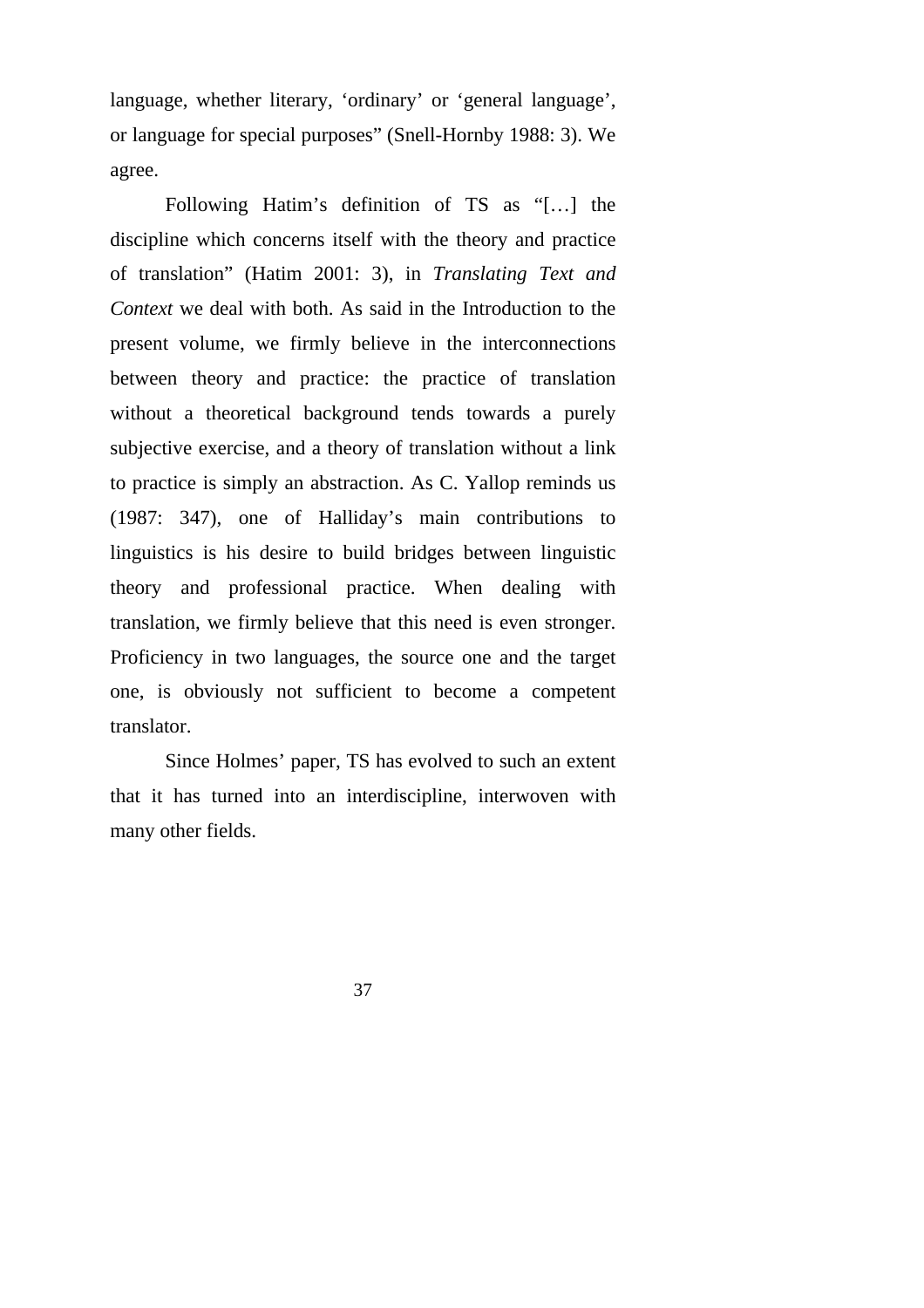language, whether literary, 'ordinary' or 'general language', or language for special purposes" (Snell-Hornby 1988: 3). We agree.

Following Hatim's definition of TS as "[…] the discipline which concerns itself with the theory and practice of translation" (Hatim 2001: 3), in *Translating Text and Context* we deal with both. As said in the Introduction to the present volume, we firmly believe in the interconnections between theory and practice: the practice of translation without a theoretical background tends towards a purely subjective exercise, and a theory of translation without a link to practice is simply an abstraction. As C. Yallop reminds us (1987: 347), one of Halliday's main contributions to linguistics is his desire to build bridges between linguistic theory and professional practice. When dealing with translation, we firmly believe that this need is even stronger. Proficiency in two languages, the source one and the target one, is obviously not sufficient to become a competent translator.

Since Holmes' paper, TS has evolved to such an extent that it has turned into an interdiscipline, interwoven with many other fields.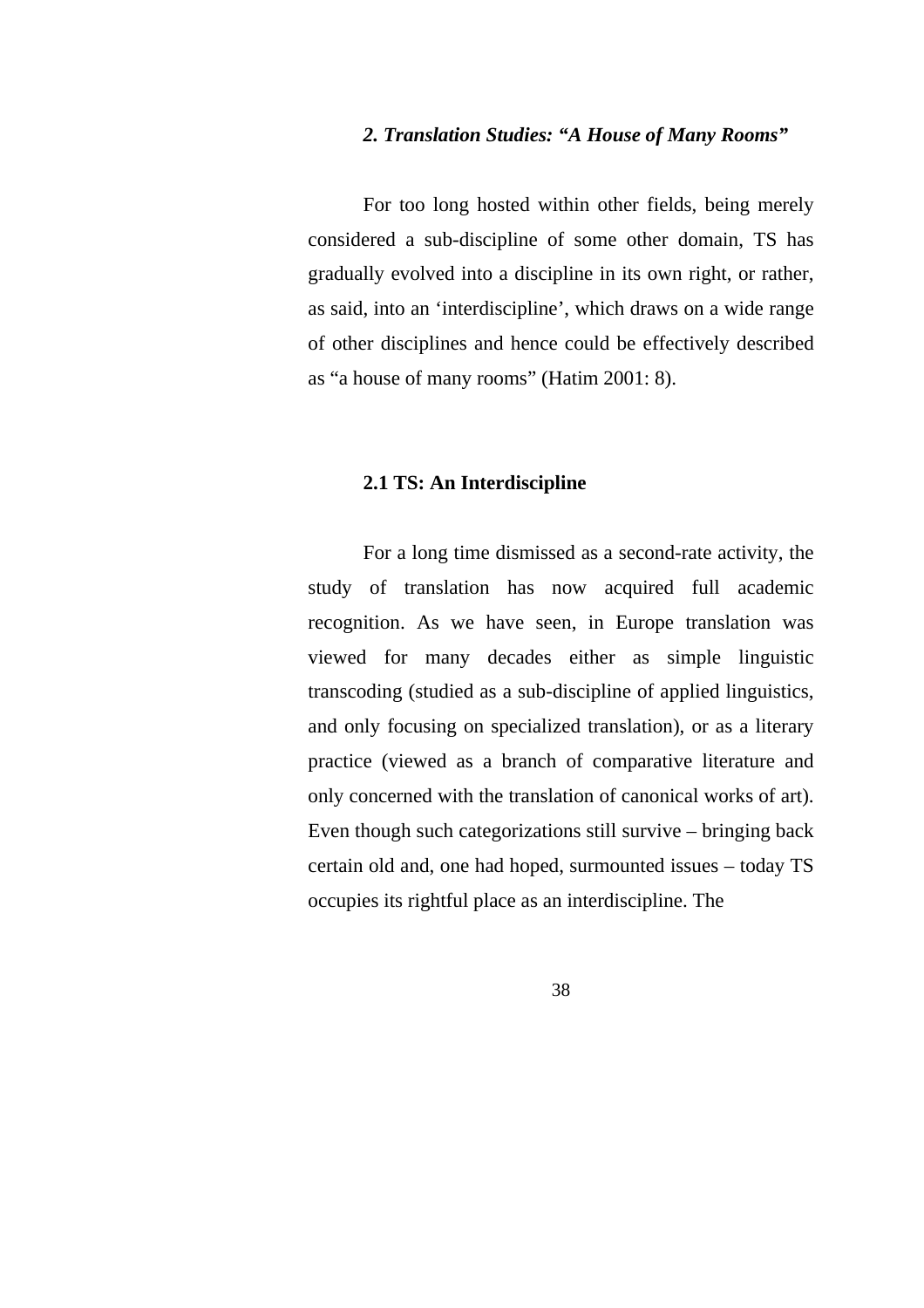#### *2. Translation Studies: "A House of Many Rooms"*

For too long hosted within other fields, being merely considered a sub-discipline of some other domain, TS has gradually evolved into a discipline in its own right, or rather, as said, into an 'interdiscipline', which draws on a wide range of other disciplines and hence could be effectively described as "a house of many rooms" (Hatim 2001: 8).

### **2.1 TS: An Interdiscipline**

For a long time dismissed as a second-rate activity, the study of translation has now acquired full academic recognition. As we have seen, in Europe translation was viewed for many decades either as simple linguistic transcoding (studied as a sub-discipline of applied linguistics, and only focusing on specialized translation), or as a literary practice (viewed as a branch of comparative literature and only concerned with the translation of canonical works of art). Even though such categorizations still survive – bringing back certain old and, one had hoped, surmounted issues – today TS occupies its rightful place as an interdiscipline. The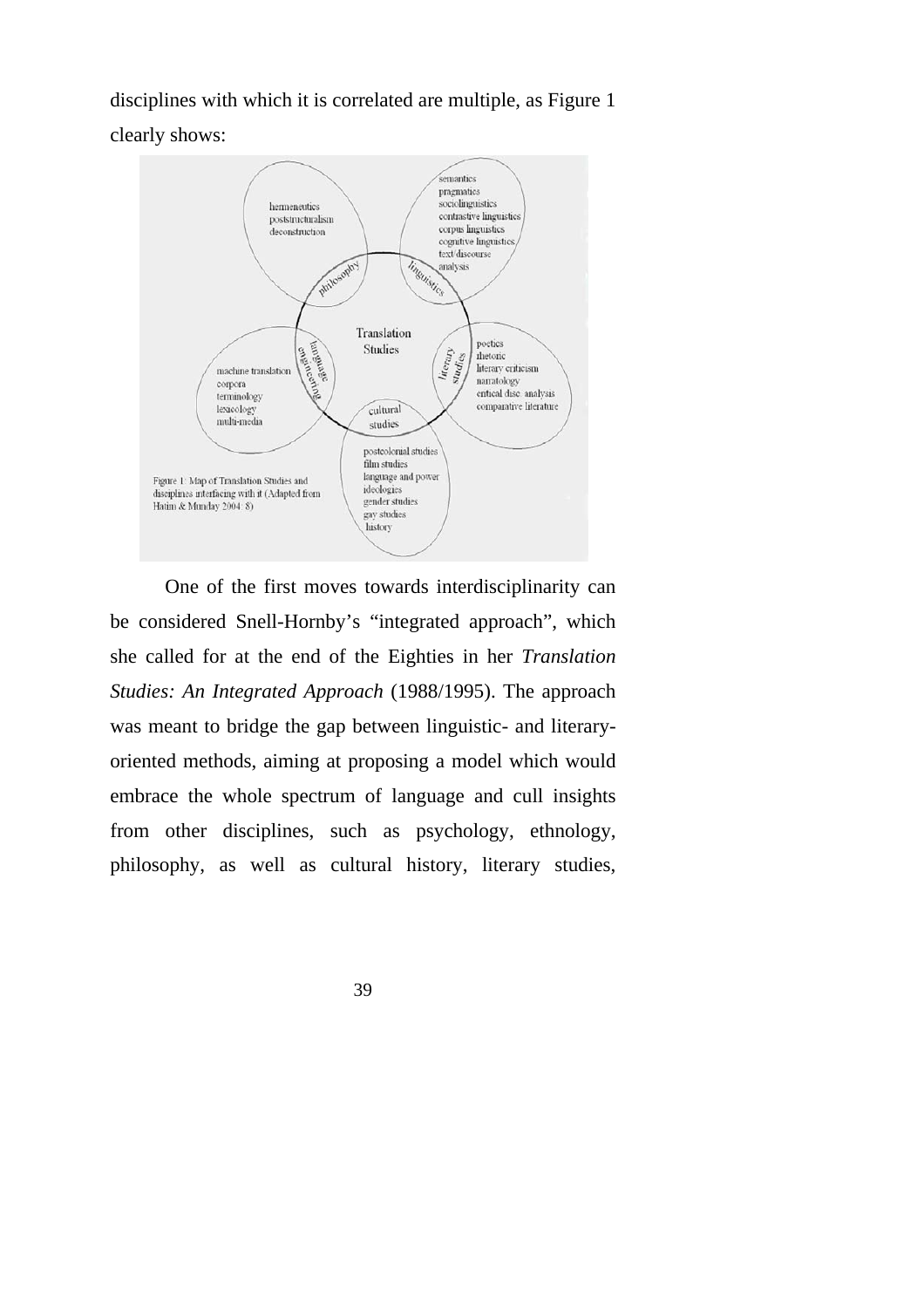disciplines with which it is correlated are multiple, as Figure 1 clearly shows:



One of the first moves towards interdisciplinarity can be considered Snell-Hornby's "integrated approach", which she called for at the end of the Eighties in her *Translation Studies: An Integrated Approach* (1988/1995). The approach was meant to bridge the gap between linguistic- and literaryoriented methods, aiming at proposing a model which would embrace the whole spectrum of language and cull insights from other disciplines, such as psychology, ethnology, philosophy, as well as cultural history, literary studies,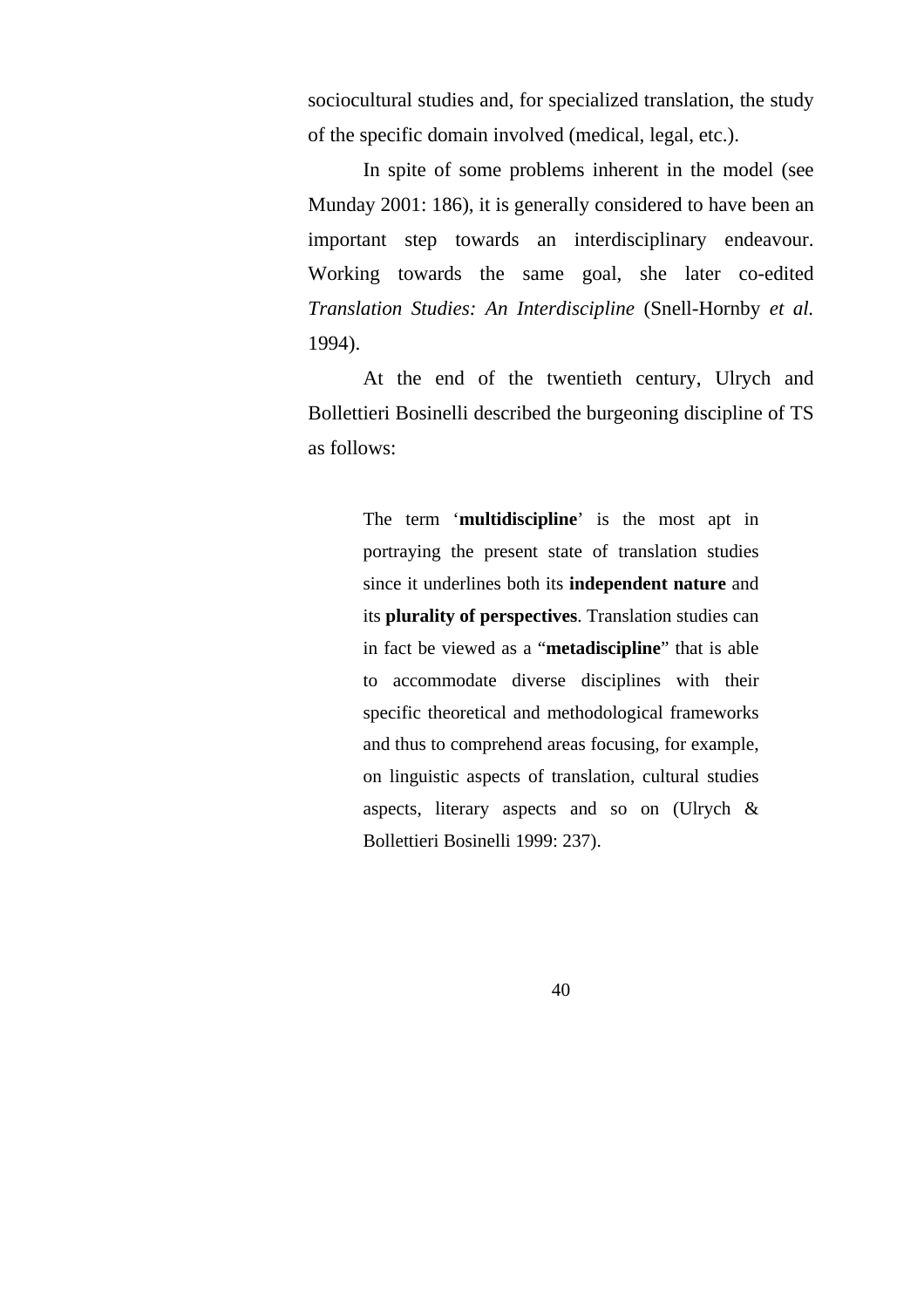sociocultural studies and, for specialized translation, the study of the specific domain involved (medical, legal, etc.).

In spite of some problems inherent in the model (see Munday 2001: 186), it is generally considered to have been an important step towards an interdisciplinary endeavour. Working towards the same goal, she later co-edited *Translation Studies: An Interdiscipline* (Snell-Hornby *et al.* 1994).

At the end of the twentieth century, Ulrych and Bollettieri Bosinelli described the burgeoning discipline of TS as follows:

> The term '**multidiscipline**' is the most apt in portraying the present state of translation studies since it underlines both its **independent nature** and its **plurality of perspectives**. Translation studies can in fact be viewed as a "**metadiscipline**" that is able to accommodate diverse disciplines with their specific theoretical and methodological frameworks and thus to comprehend areas focusing, for example, on linguistic aspects of translation, cultural studies aspects, literary aspects and so on (Ulrych & Bollettieri Bosinelli 1999: 237).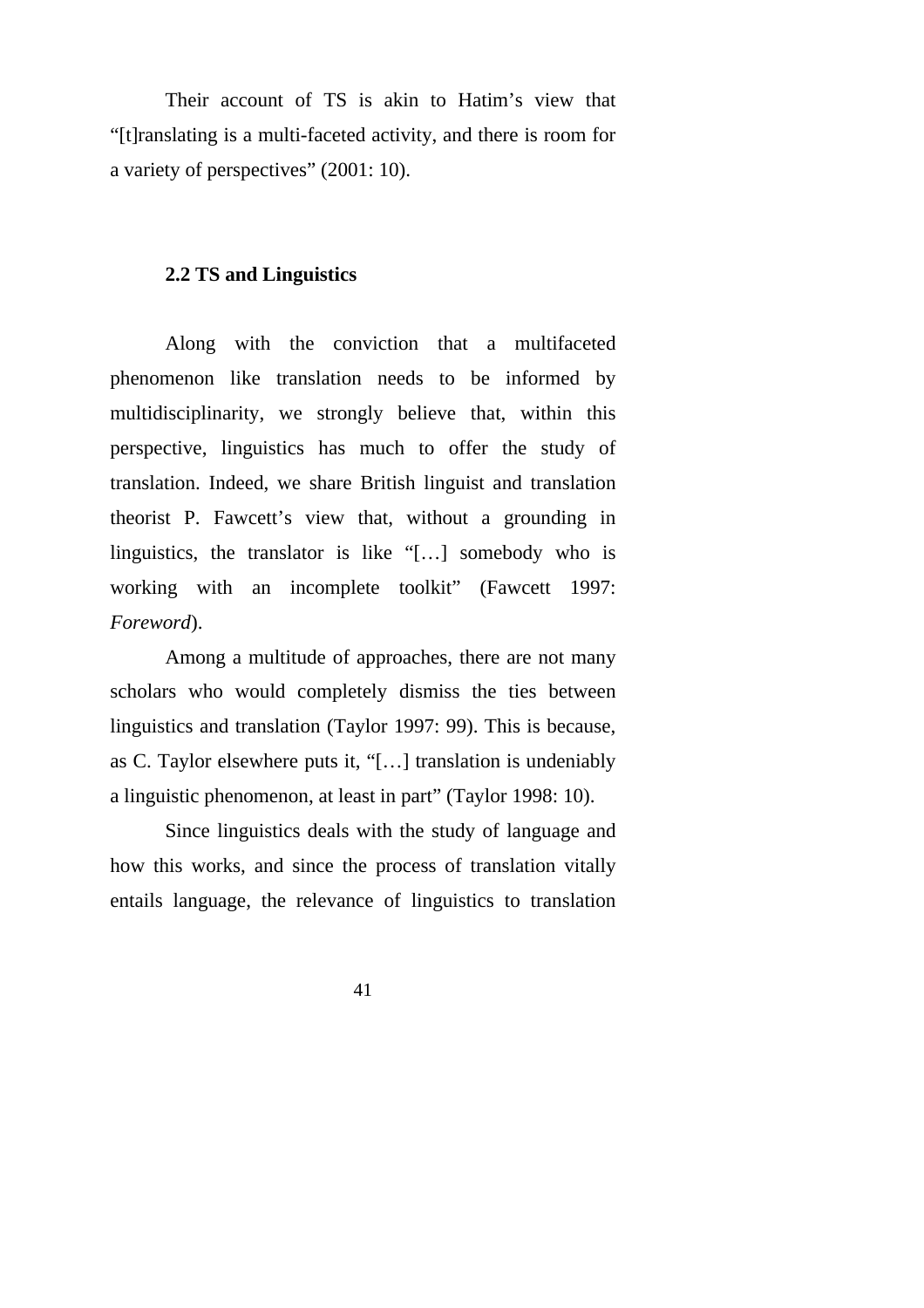Their account of TS is akin to Hatim's view that "[t]ranslating is a multi-faceted activity, and there is room for a variety of perspectives" (2001: 10).

### **2.2 TS and Linguistics**

Along with the conviction that a multifaceted phenomenon like translation needs to be informed by multidisciplinarity, we strongly believe that, within this perspective, linguistics has much to offer the study of translation. Indeed, we share British linguist and translation theorist P. Fawcett's view that, without a grounding in linguistics, the translator is like "[…] somebody who is working with an incomplete toolkit" (Fawcett 1997: *Foreword*).

Among a multitude of approaches, there are not many scholars who would completely dismiss the ties between linguistics and translation (Taylor 1997: 99). This is because, as C. Taylor elsewhere puts it, "[…] translation is undeniably a linguistic phenomenon, at least in part" (Taylor 1998: 10).

Since linguistics deals with the study of language and how this works, and since the process of translation vitally entails language, the relevance of linguistics to translation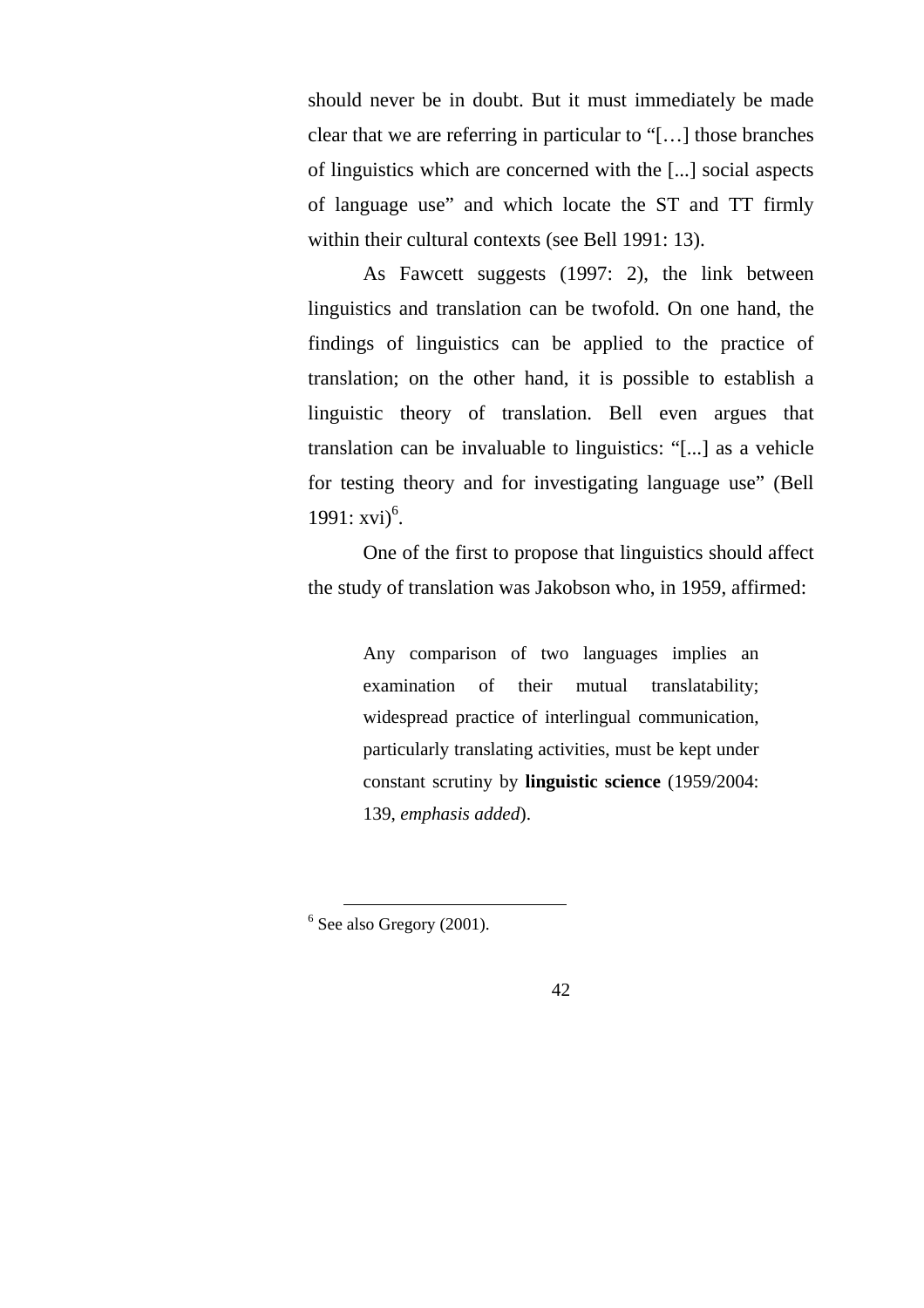should never be in doubt. But it must immediately be made clear that we are referring in particular to "[…] those branches of linguistics which are concerned with the [...] social aspects of language use" and which locate the ST and TT firmly within their cultural contexts (see Bell 1991: 13).

As Fawcett suggests (1997: 2), the link between linguistics and translation can be twofold. On one hand, the findings of linguistics can be applied to the practice of translation; on the other hand, it is possible to establish a linguistic theory of translation. Bell even argues that translation can be invaluable to linguistics: "[...] as a vehicle for testing theory and for investigating language use" (Bell 1991:  $xvi)^6$ .

One of the first to propose that linguistics should affect the study of translation was Jakobson who, in 1959, affirmed:

> Any comparison of two languages implies an examination of their mutual translatability; widespread practice of interlingual communication, particularly translating activities, must be kept under constant scrutiny by **linguistic science** (1959/2004: 139, *emphasis added*).

 <sup>6</sup> See also Gregory (2001).

<sup>42</sup>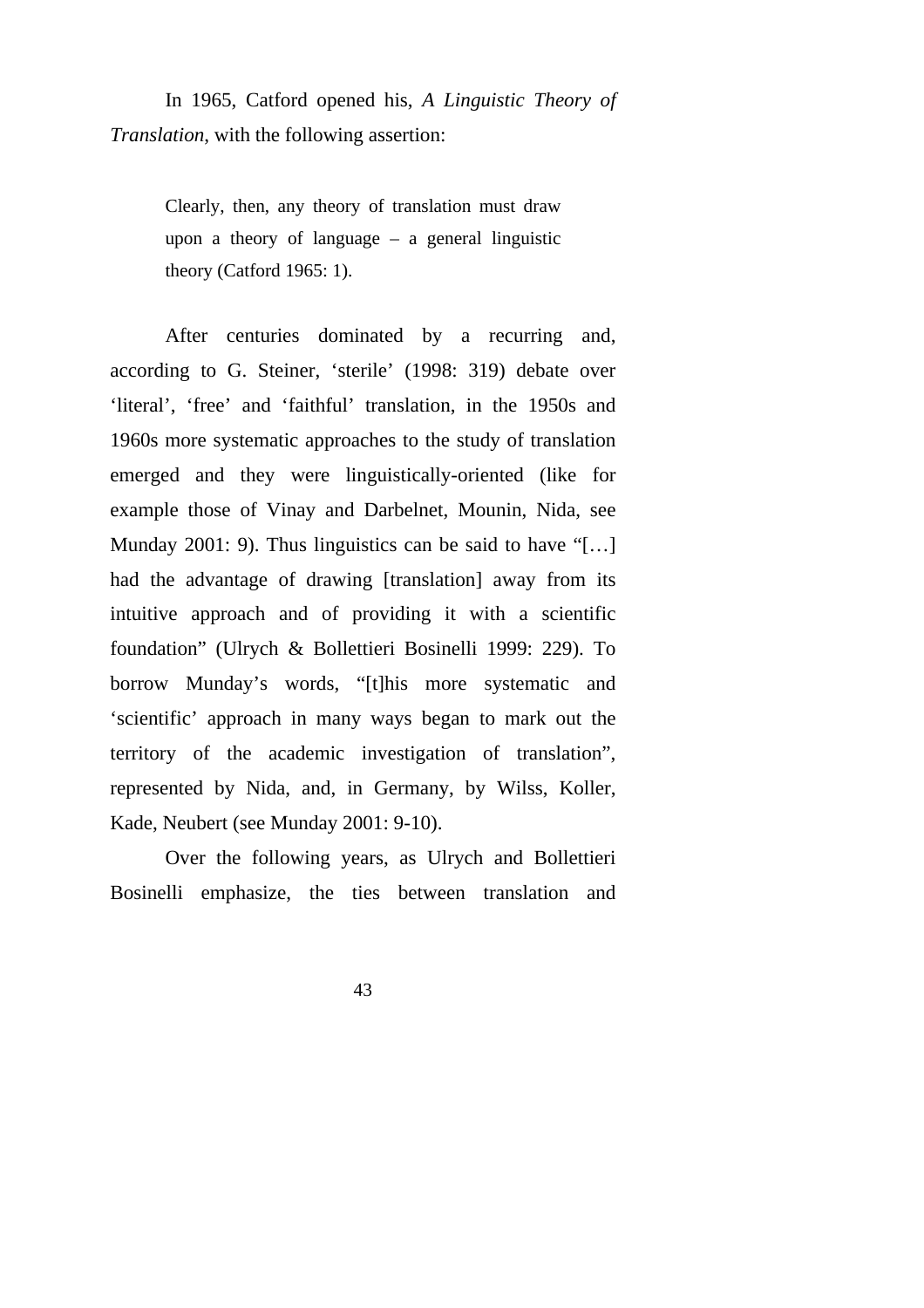In 1965, Catford opened his, *A Linguistic Theory of Translation*, with the following assertion:

> Clearly, then, any theory of translation must draw upon a theory of language  $-$  a general linguistic theory (Catford 1965: 1).

After centuries dominated by a recurring and, according to G. Steiner, 'sterile' (1998: 319) debate over 'literal', 'free' and 'faithful' translation, in the 1950s and 1960s more systematic approaches to the study of translation emerged and they were linguistically-oriented (like for example those of Vinay and Darbelnet, Mounin, Nida, see Munday 2001: 9). Thus linguistics can be said to have "[...] had the advantage of drawing [translation] away from its intuitive approach and of providing it with a scientific foundation" (Ulrych & Bollettieri Bosinelli 1999: 229). To borrow Munday's words, "[t]his more systematic and 'scientific' approach in many ways began to mark out the territory of the academic investigation of translation", represented by Nida, and, in Germany, by Wilss, Koller, Kade, Neubert (see Munday 2001: 9-10).

Over the following years, as Ulrych and Bollettieri Bosinelli emphasize, the ties between translation and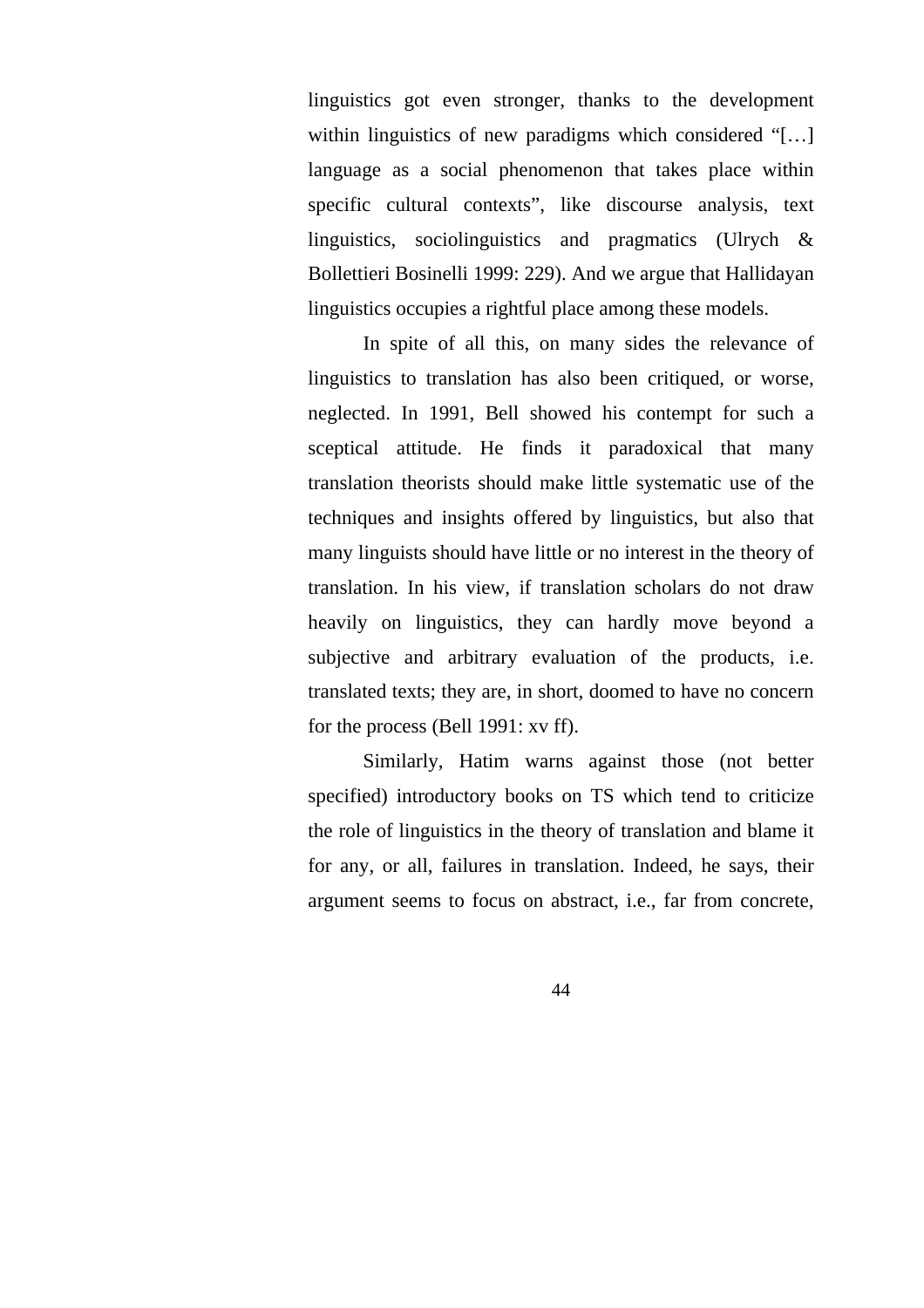linguistics got even stronger, thanks to the development within linguistics of new paradigms which considered "[...] language as a social phenomenon that takes place within specific cultural contexts", like discourse analysis, text linguistics, sociolinguistics and pragmatics (Ulrych & Bollettieri Bosinelli 1999: 229). And we argue that Hallidayan linguistics occupies a rightful place among these models.

In spite of all this, on many sides the relevance of linguistics to translation has also been critiqued, or worse, neglected. In 1991, Bell showed his contempt for such a sceptical attitude. He finds it paradoxical that many translation theorists should make little systematic use of the techniques and insights offered by linguistics, but also that many linguists should have little or no interest in the theory of translation. In his view, if translation scholars do not draw heavily on linguistics, they can hardly move beyond a subjective and arbitrary evaluation of the products, i.e. translated texts; they are, in short, doomed to have no concern for the process (Bell 1991: xv ff).

Similarly, Hatim warns against those (not better specified) introductory books on TS which tend to criticize the role of linguistics in the theory of translation and blame it for any, or all, failures in translation. Indeed, he says, their argument seems to focus on abstract, i.e., far from concrete,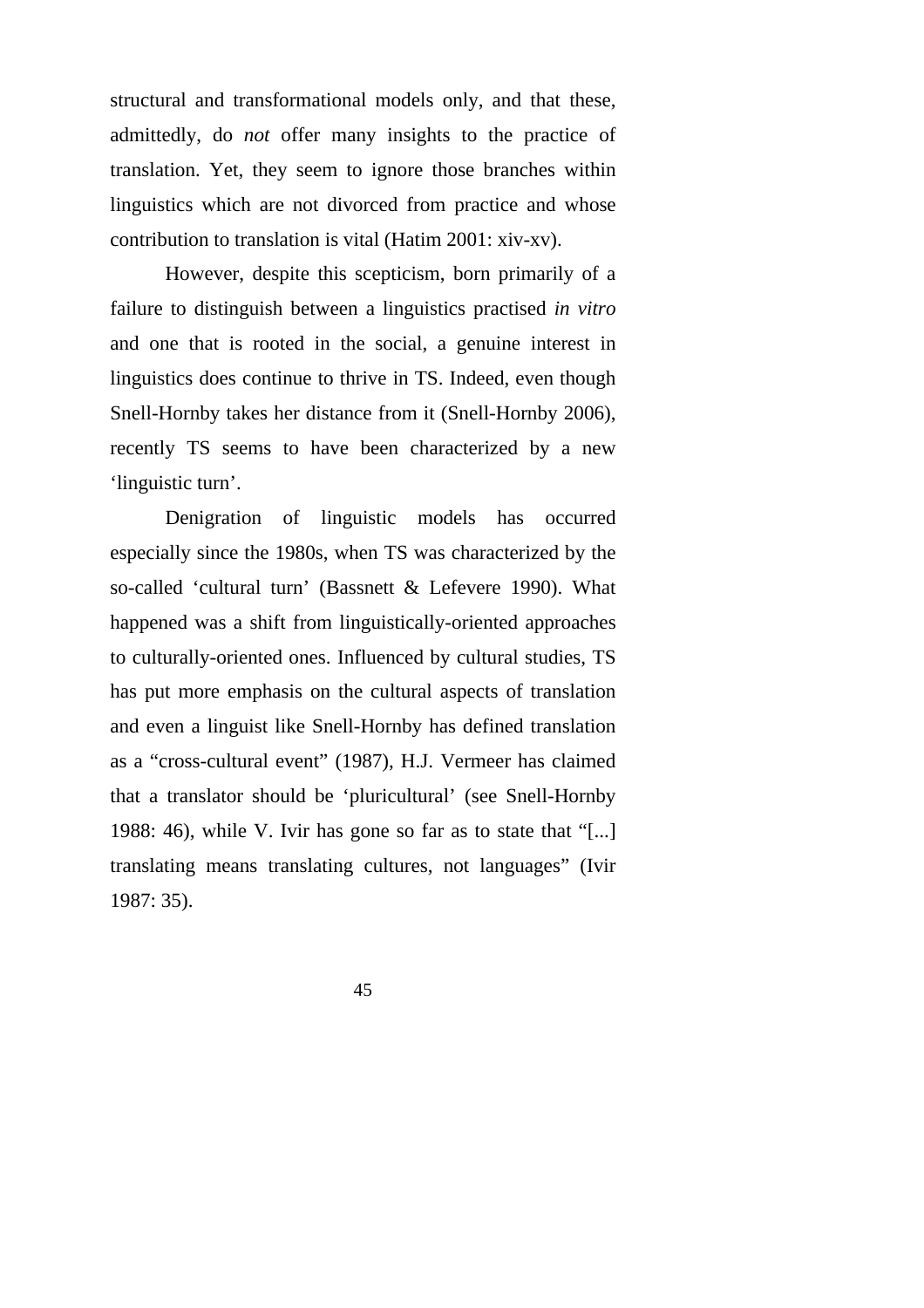structural and transformational models only, and that these, admittedly, do *not* offer many insights to the practice of translation. Yet, they seem to ignore those branches within linguistics which are not divorced from practice and whose contribution to translation is vital (Hatim 2001: xiv-xv).

However, despite this scepticism, born primarily of a failure to distinguish between a linguistics practised *in vitro* and one that is rooted in the social, a genuine interest in linguistics does continue to thrive in TS. Indeed, even though Snell-Hornby takes her distance from it (Snell-Hornby 2006), recently TS seems to have been characterized by a new 'linguistic turn'.

Denigration of linguistic models has occurred especially since the 1980s, when TS was characterized by the so-called 'cultural turn' (Bassnett & Lefevere 1990). What happened was a shift from linguistically-oriented approaches to culturally-oriented ones. Influenced by cultural studies, TS has put more emphasis on the cultural aspects of translation and even a linguist like Snell-Hornby has defined translation as a "cross-cultural event" (1987), H.J. Vermeer has claimed that a translator should be 'pluricultural' (see Snell-Hornby 1988: 46), while V. Ivir has gone so far as to state that "[...] translating means translating cultures, not languages" (Ivir 1987: 35).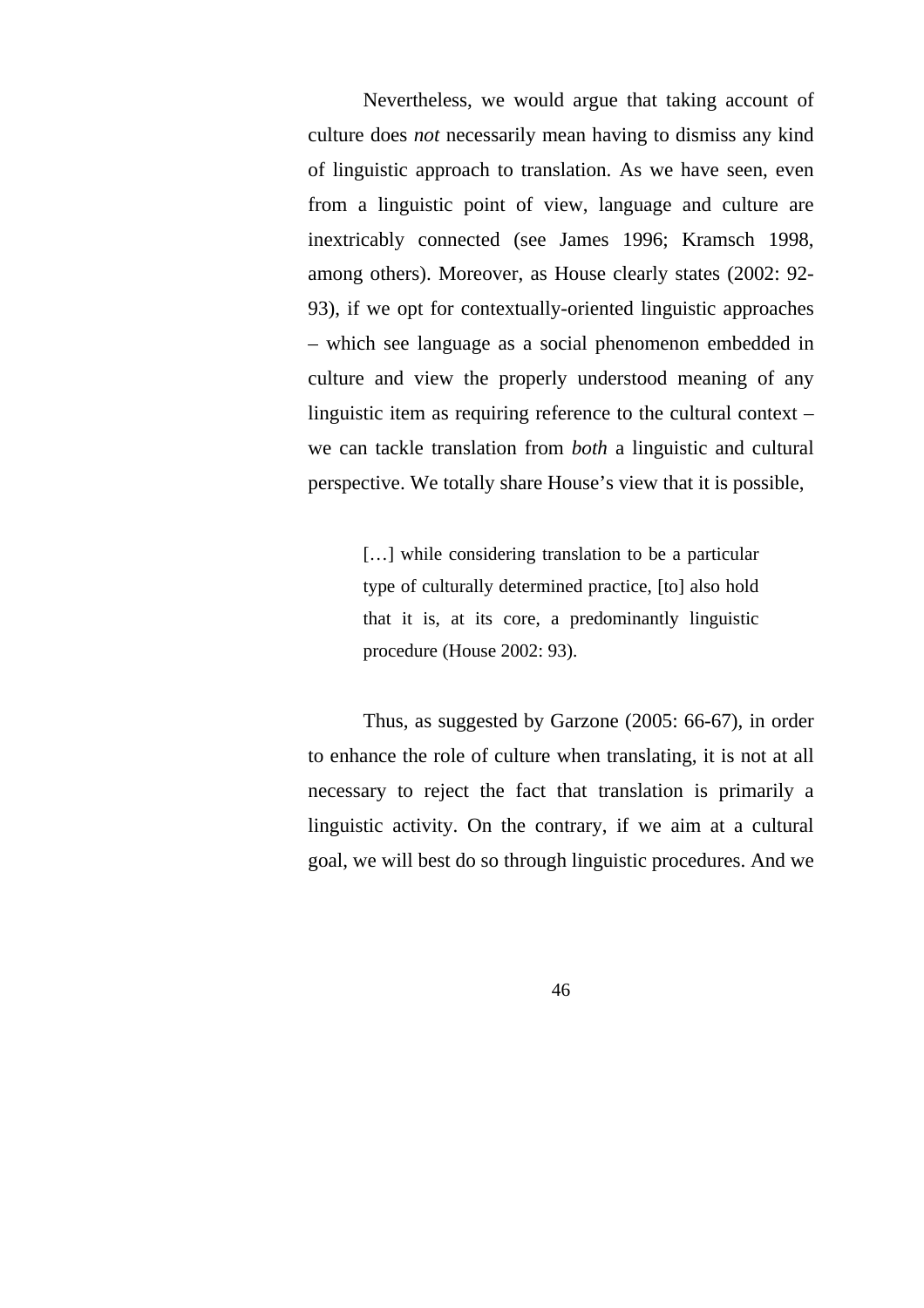Nevertheless, we would argue that taking account of culture does *not* necessarily mean having to dismiss any kind of linguistic approach to translation. As we have seen, even from a linguistic point of view, language and culture are inextricably connected (see James 1996; Kramsch 1998, among others). Moreover, as House clearly states (2002: 92- 93), if we opt for contextually-oriented linguistic approaches – which see language as a social phenomenon embedded in culture and view the properly understood meaning of any linguistic item as requiring reference to the cultural context – we can tackle translation from *both* a linguistic and cultural perspective. We totally share House's view that it is possible,

> [...] while considering translation to be a particular type of culturally determined practice, [to] also hold that it is, at its core, a predominantly linguistic procedure (House 2002: 93).

Thus, as suggested by Garzone (2005: 66-67), in order to enhance the role of culture when translating, it is not at all necessary to reject the fact that translation is primarily a linguistic activity. On the contrary, if we aim at a cultural goal, we will best do so through linguistic procedures. And we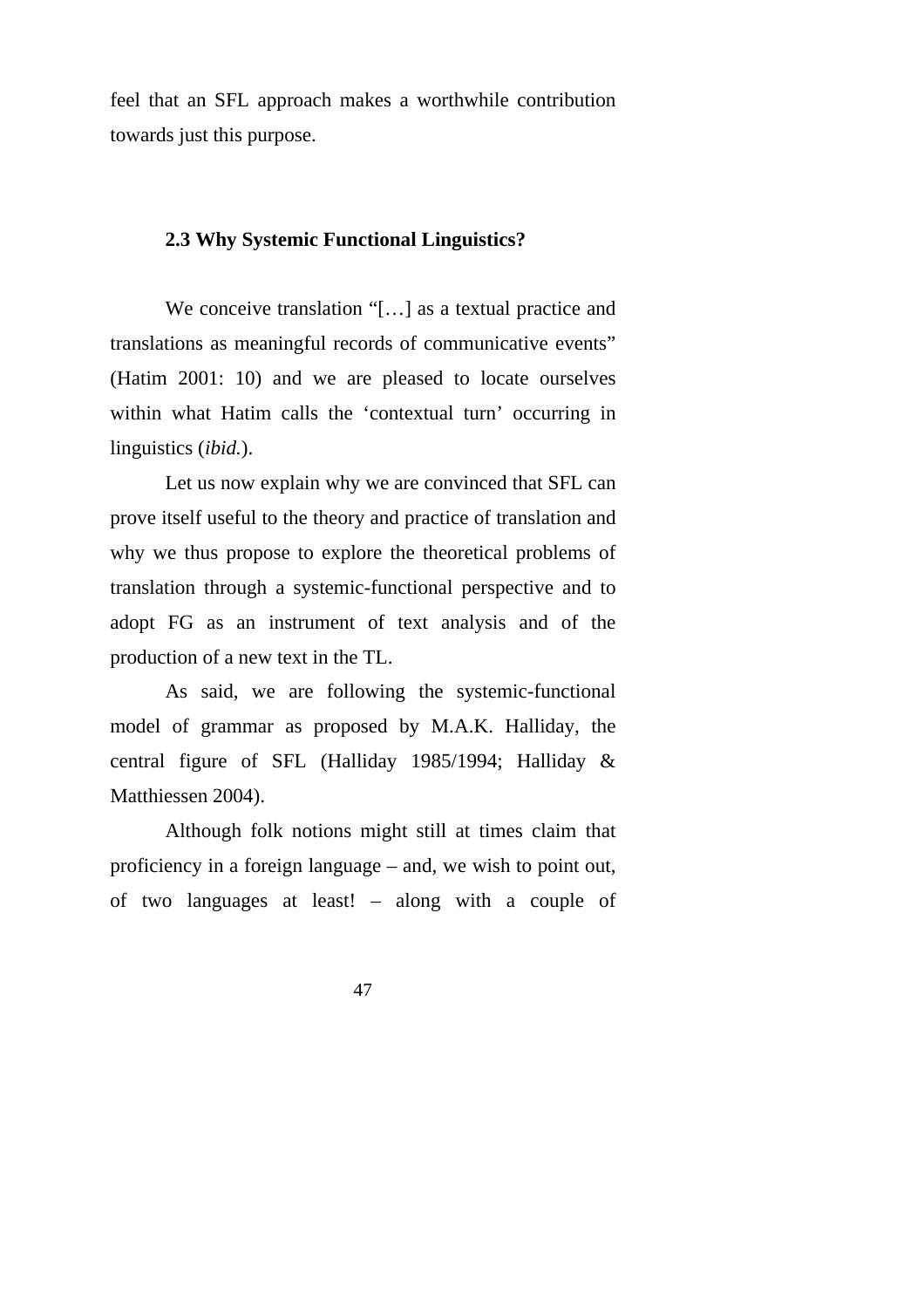feel that an SFL approach makes a worthwhile contribution towards just this purpose.

# **2.3 Why Systemic Functional Linguistics?**

We conceive translation "[...] as a textual practice and translations as meaningful records of communicative events" (Hatim 2001: 10) and we are pleased to locate ourselves within what Hatim calls the 'contextual turn' occurring in linguistics (*ibid.*).

Let us now explain why we are convinced that SFL can prove itself useful to the theory and practice of translation and why we thus propose to explore the theoretical problems of translation through a systemic-functional perspective and to adopt FG as an instrument of text analysis and of the production of a new text in the TL.

As said, we are following the systemic-functional model of grammar as proposed by M.A.K. Halliday, the central figure of SFL (Halliday 1985/1994; Halliday & Matthiessen 2004).

Although folk notions might still at times claim that proficiency in a foreign language – and, we wish to point out, of two languages at least! – along with a couple of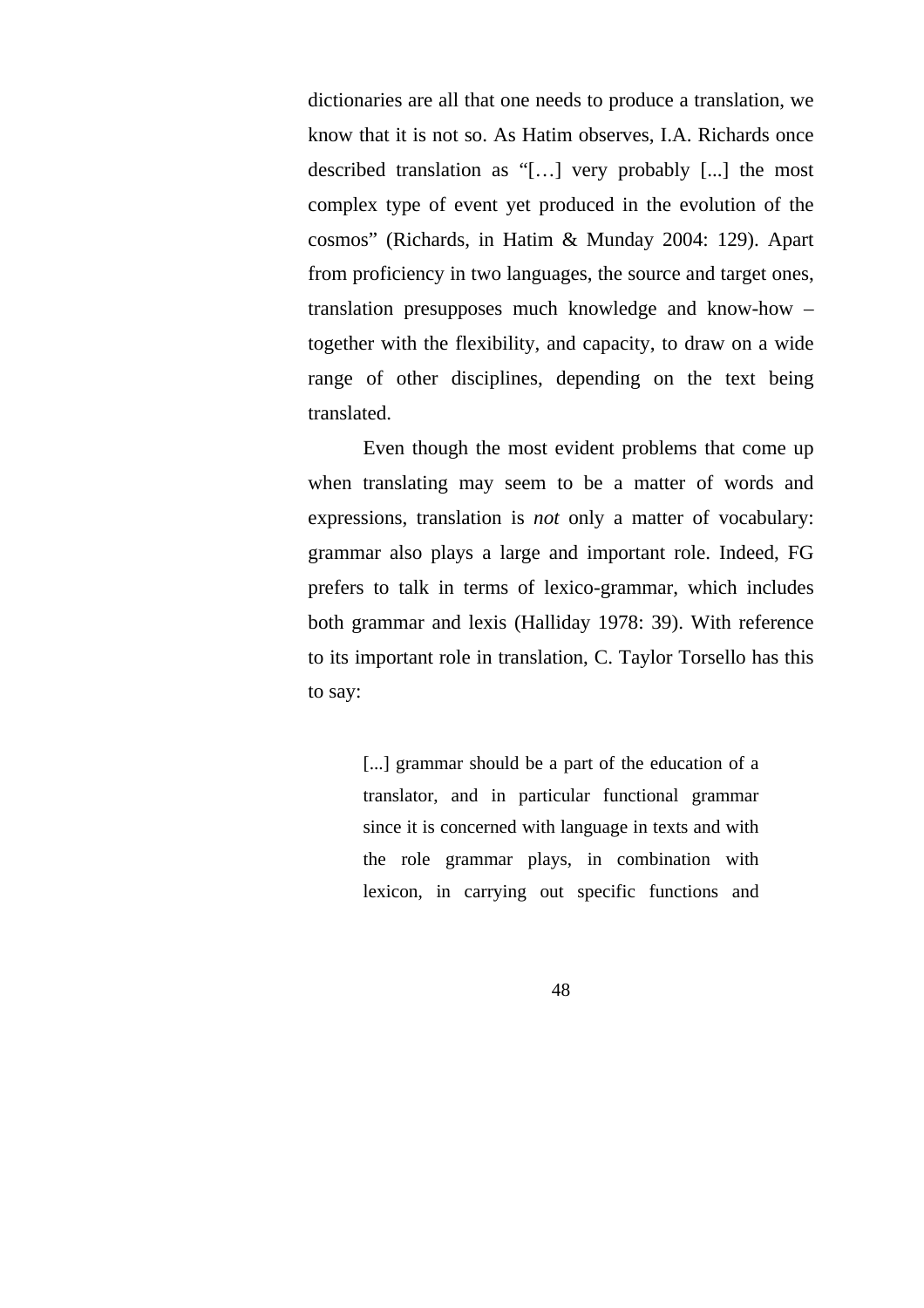dictionaries are all that one needs to produce a translation, we know that it is not so. As Hatim observes, I.A. Richards once described translation as "[…] very probably [...] the most complex type of event yet produced in the evolution of the cosmos" (Richards, in Hatim & Munday 2004: 129). Apart from proficiency in two languages, the source and target ones, translation presupposes much knowledge and know-how – together with the flexibility, and capacity, to draw on a wide range of other disciplines, depending on the text being translated.

Even though the most evident problems that come up when translating may seem to be a matter of words and expressions, translation is *not* only a matter of vocabulary: grammar also plays a large and important role. Indeed, FG prefers to talk in terms of lexico-grammar, which includes both grammar and lexis (Halliday 1978: 39). With reference to its important role in translation, C. Taylor Torsello has this to say:

> [...] grammar should be a part of the education of a translator, and in particular functional grammar since it is concerned with language in texts and with the role grammar plays, in combination with lexicon, in carrying out specific functions and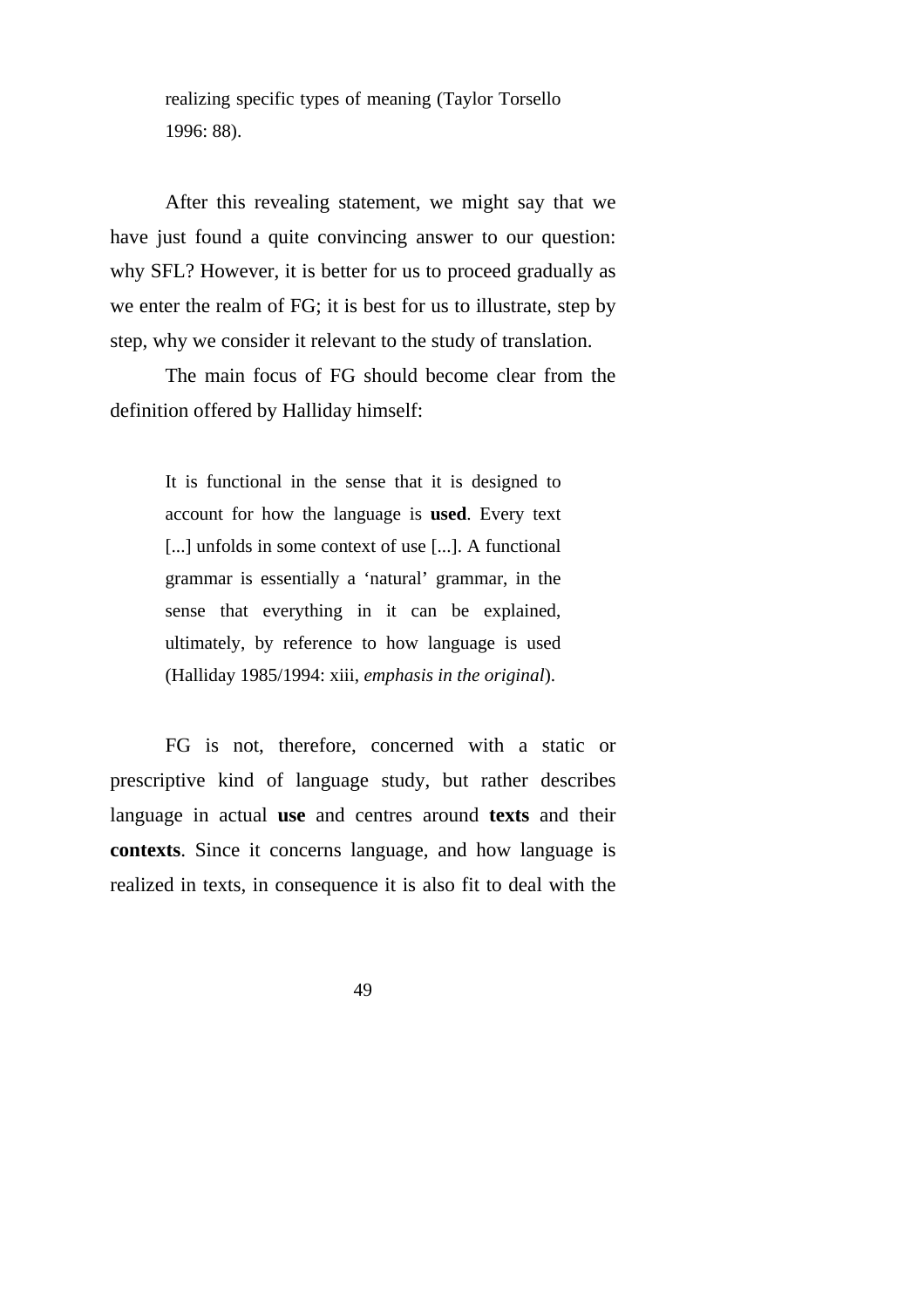realizing specific types of meaning (Taylor Torsello 1996: 88).

After this revealing statement, we might say that we have just found a quite convincing answer to our question: why SFL? However, it is better for us to proceed gradually as we enter the realm of FG; it is best for us to illustrate, step by step, why we consider it relevant to the study of translation.

The main focus of FG should become clear from the definition offered by Halliday himself:

> It is functional in the sense that it is designed to account for how the language is **used**. Every text [...] unfolds in some context of use [...]. A functional grammar is essentially a 'natural' grammar, in the sense that everything in it can be explained, ultimately, by reference to how language is used (Halliday 1985/1994: xiii, *emphasis in the original*).

FG is not, therefore, concerned with a static or prescriptive kind of language study, but rather describes language in actual **use** and centres around **texts** and their **contexts**. Since it concerns language, and how language is realized in texts, in consequence it is also fit to deal with the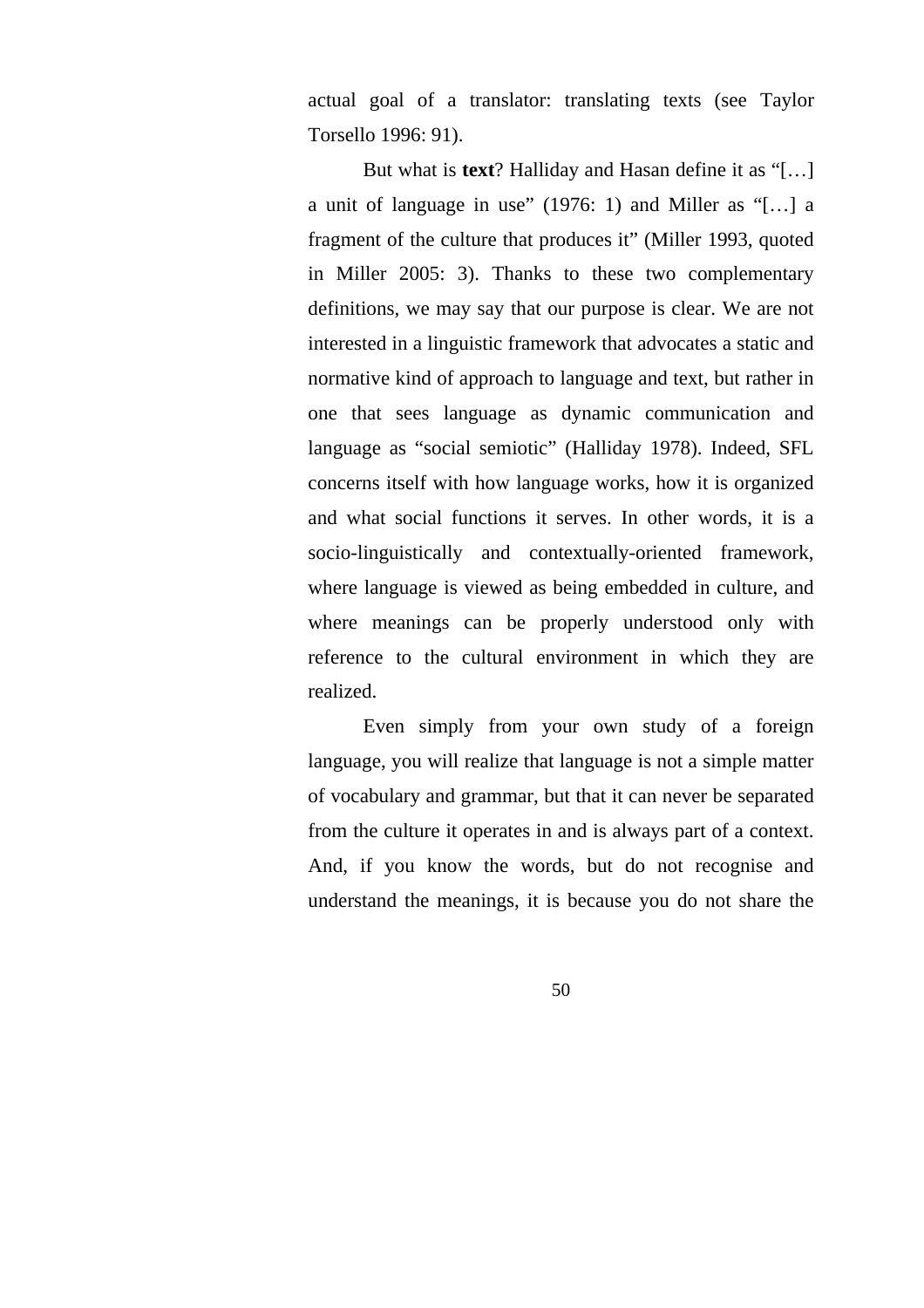actual goal of a translator: translating texts (see Taylor Torsello 1996: 91).

But what is **text**? Halliday and Hasan define it as "[…] a unit of language in use" (1976: 1) and Miller as "[…] a fragment of the culture that produces it" (Miller 1993, quoted in Miller 2005: 3). Thanks to these two complementary definitions, we may say that our purpose is clear. We are not interested in a linguistic framework that advocates a static and normative kind of approach to language and text, but rather in one that sees language as dynamic communication and language as "social semiotic" (Halliday 1978). Indeed, SFL concerns itself with how language works, how it is organized and what social functions it serves. In other words, it is a socio-linguistically and contextually-oriented framework, where language is viewed as being embedded in culture, and where meanings can be properly understood only with reference to the cultural environment in which they are realized.

Even simply from your own study of a foreign language, you will realize that language is not a simple matter of vocabulary and grammar, but that it can never be separated from the culture it operates in and is always part of a context. And, if you know the words, but do not recognise and understand the meanings, it is because you do not share the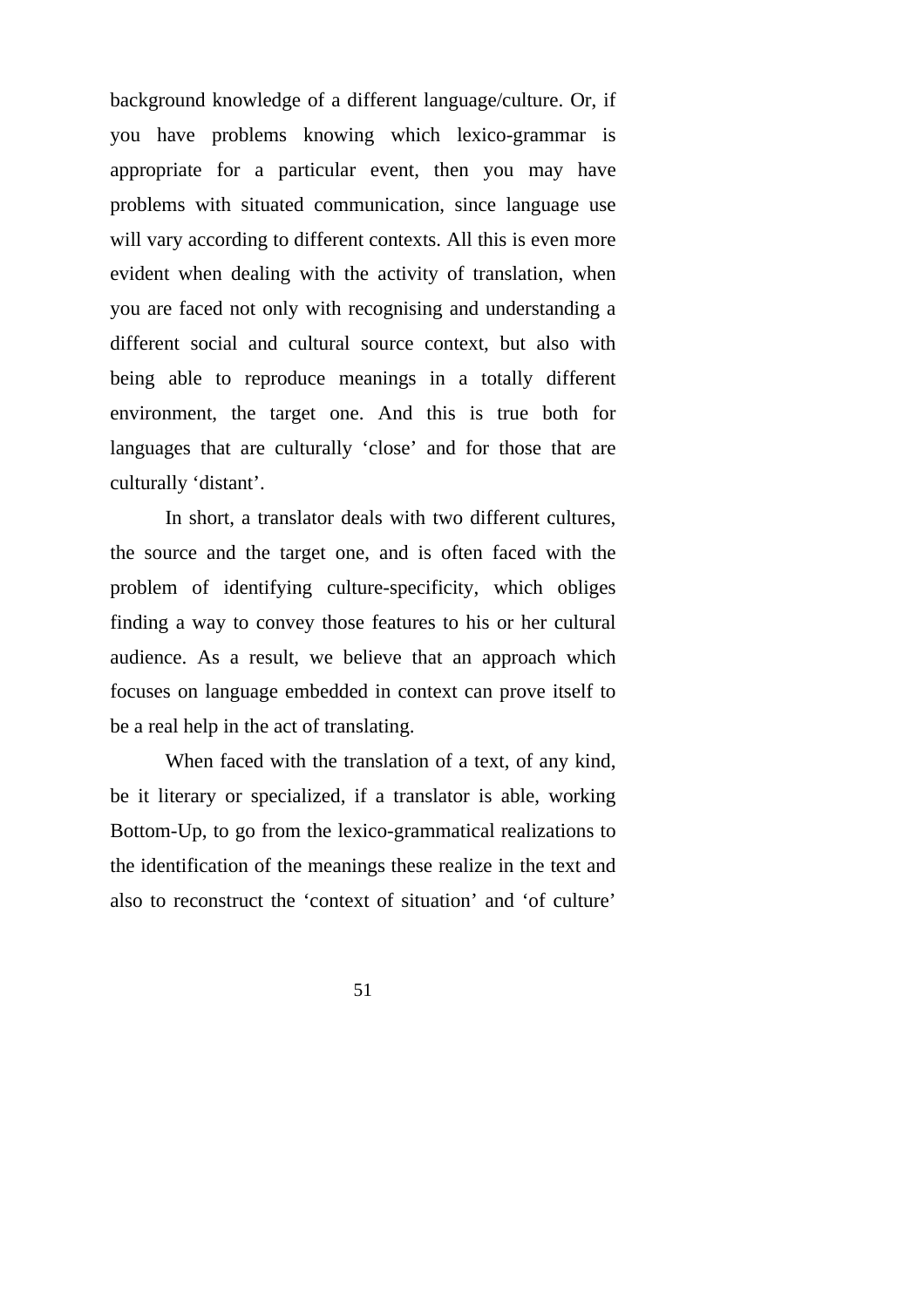background knowledge of a different language/culture. Or, if you have problems knowing which lexico-grammar is appropriate for a particular event, then you may have problems with situated communication, since language use will vary according to different contexts. All this is even more evident when dealing with the activity of translation, when you are faced not only with recognising and understanding a different social and cultural source context, but also with being able to reproduce meanings in a totally different environment, the target one. And this is true both for languages that are culturally 'close' and for those that are culturally 'distant'.

In short, a translator deals with two different cultures, the source and the target one, and is often faced with the problem of identifying culture-specificity, which obliges finding a way to convey those features to his or her cultural audience. As a result, we believe that an approach which focuses on language embedded in context can prove itself to be a real help in the act of translating.

When faced with the translation of a text, of any kind, be it literary or specialized, if a translator is able, working Bottom-Up, to go from the lexico-grammatical realizations to the identification of the meanings these realize in the text and also to reconstruct the 'context of situation' and 'of culture'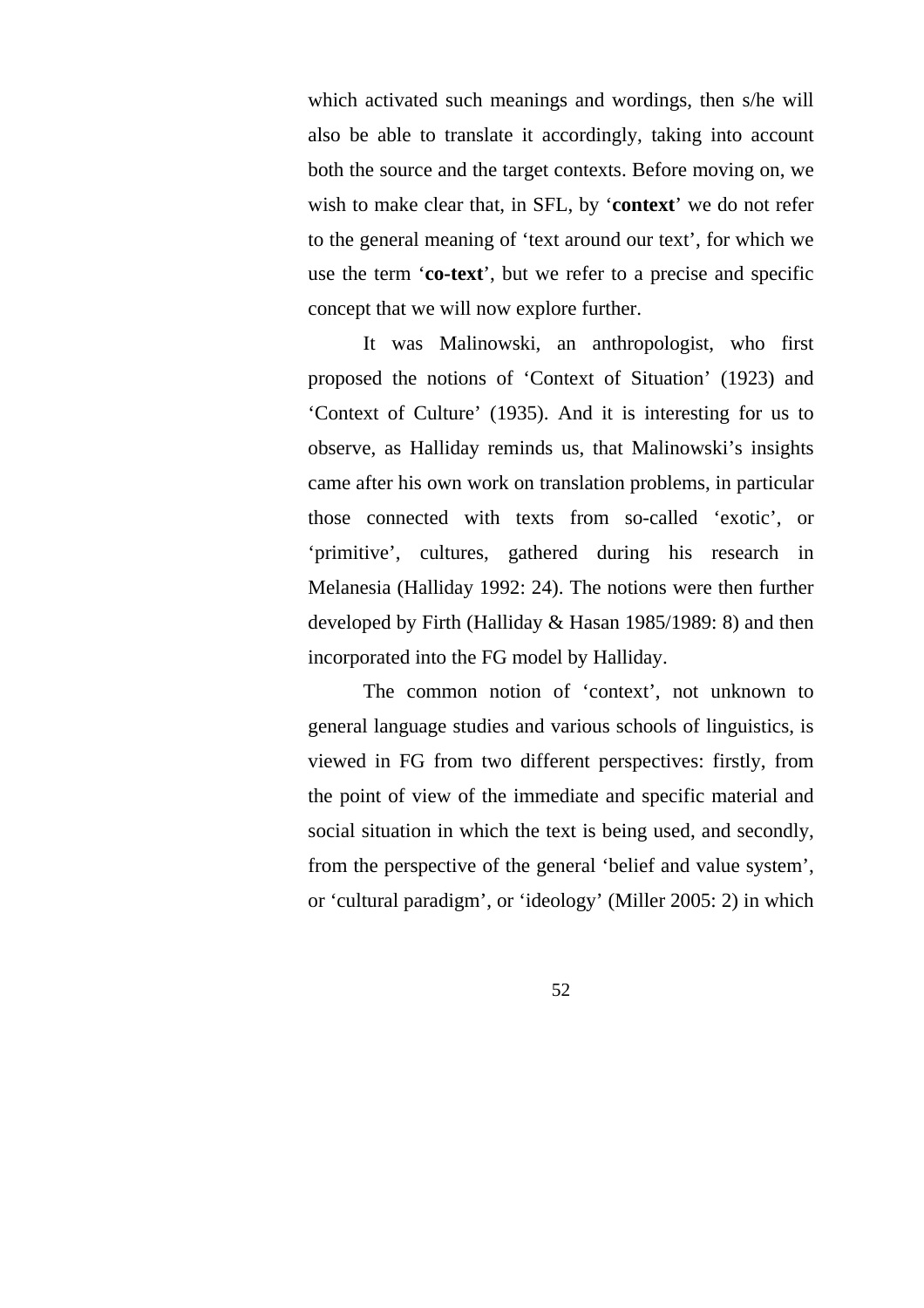which activated such meanings and wordings, then s/he will also be able to translate it accordingly, taking into account both the source and the target contexts. Before moving on, we wish to make clear that, in SFL, by '**context**' we do not refer to the general meaning of 'text around our text', for which we use the term '**co-text**', but we refer to a precise and specific concept that we will now explore further.

It was Malinowski, an anthropologist, who first proposed the notions of 'Context of Situation' (1923) and 'Context of Culture' (1935). And it is interesting for us to observe, as Halliday reminds us, that Malinowski's insights came after his own work on translation problems, in particular those connected with texts from so-called 'exotic', or 'primitive', cultures, gathered during his research in Melanesia (Halliday 1992: 24). The notions were then further developed by Firth (Halliday & Hasan 1985/1989: 8) and then incorporated into the FG model by Halliday.

The common notion of 'context', not unknown to general language studies and various schools of linguistics, is viewed in FG from two different perspectives: firstly, from the point of view of the immediate and specific material and social situation in which the text is being used, and secondly, from the perspective of the general 'belief and value system', or 'cultural paradigm', or 'ideology' (Miller 2005: 2) in which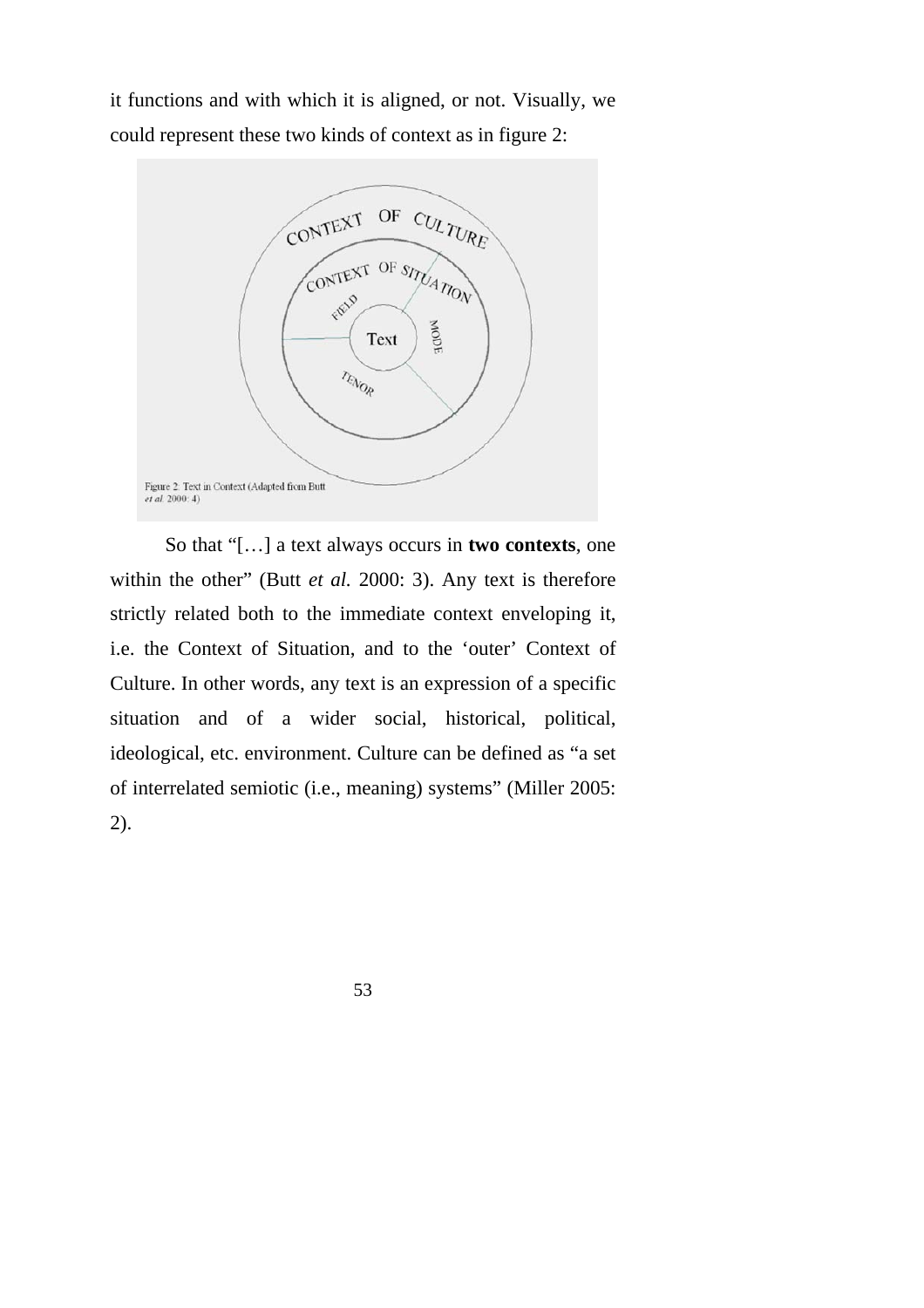it functions and with which it is aligned, or not. Visually, we could represent these two kinds of context as in figure 2:



So that "[…] a text always occurs in **two contexts**, one within the other" (Butt *et al.* 2000: 3). Any text is therefore strictly related both to the immediate context enveloping it, i.e. the Context of Situation, and to the 'outer' Context of Culture. In other words, any text is an expression of a specific situation and of a wider social, historical, political, ideological, etc. environment. Culture can be defined as "a set of interrelated semiotic (i.e., meaning) systems" (Miller 2005: 2).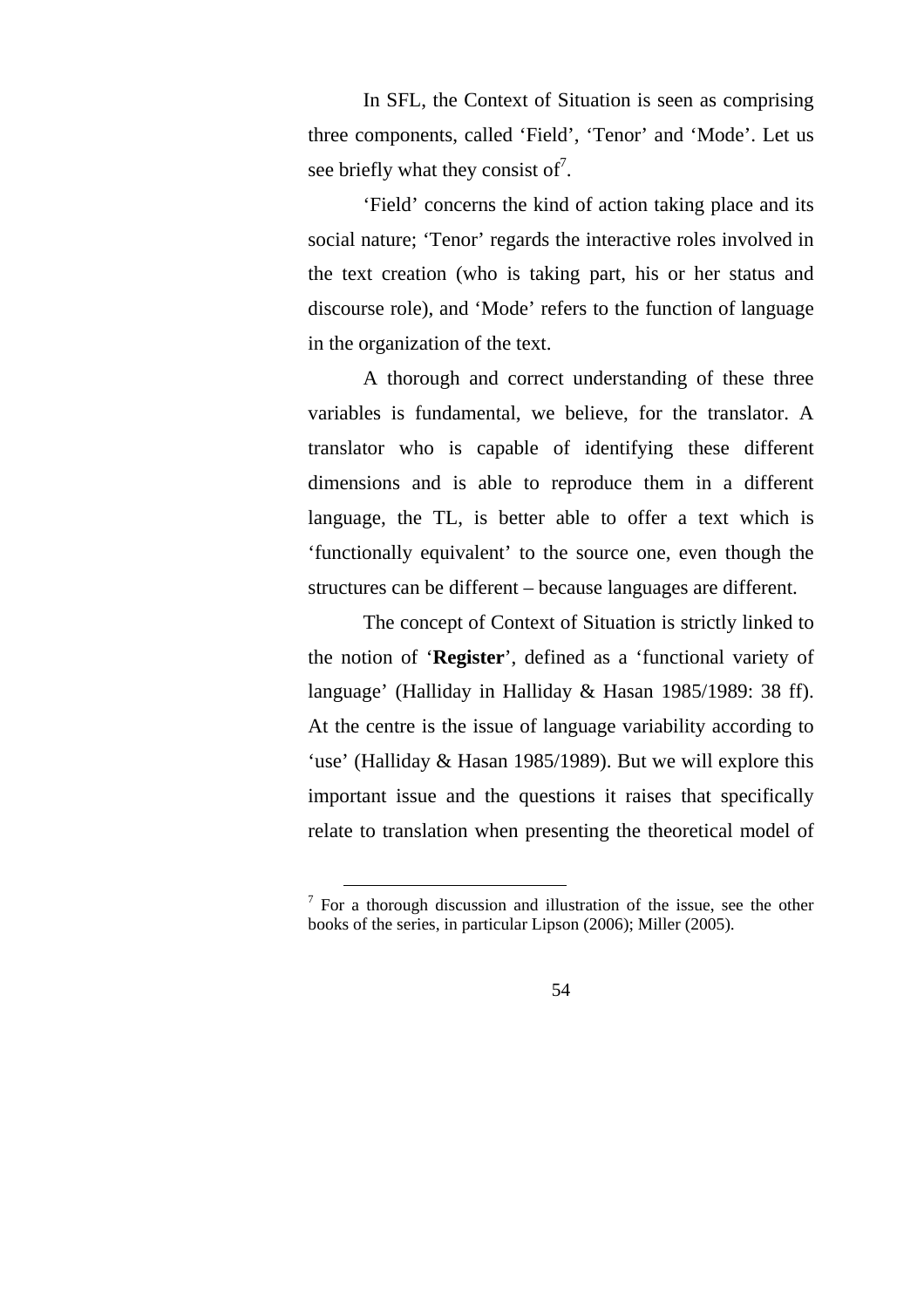In SFL, the Context of Situation is seen as comprising three components, called 'Field', 'Tenor' and 'Mode'. Let us see briefly what they consist of<sup>7</sup>.

'Field' concerns the kind of action taking place and its social nature; 'Tenor' regards the interactive roles involved in the text creation (who is taking part, his or her status and discourse role), and 'Mode' refers to the function of language in the organization of the text.

A thorough and correct understanding of these three variables is fundamental, we believe, for the translator. A translator who is capable of identifying these different dimensions and is able to reproduce them in a different language, the TL, is better able to offer a text which is 'functionally equivalent' to the source one, even though the structures can be different – because languages are different.

The concept of Context of Situation is strictly linked to the notion of '**Register**', defined as a 'functional variety of language' (Halliday in Halliday & Hasan 1985/1989: 38 ff). At the centre is the issue of language variability according to 'use' (Halliday & Hasan 1985/1989). But we will explore this important issue and the questions it raises that specifically relate to translation when presenting the theoretical model of

<sup>&</sup>lt;sup>7</sup> For a thorough discussion and illustration of the issue, see the other books of the series, in particular Lipson (2006); Miller (2005).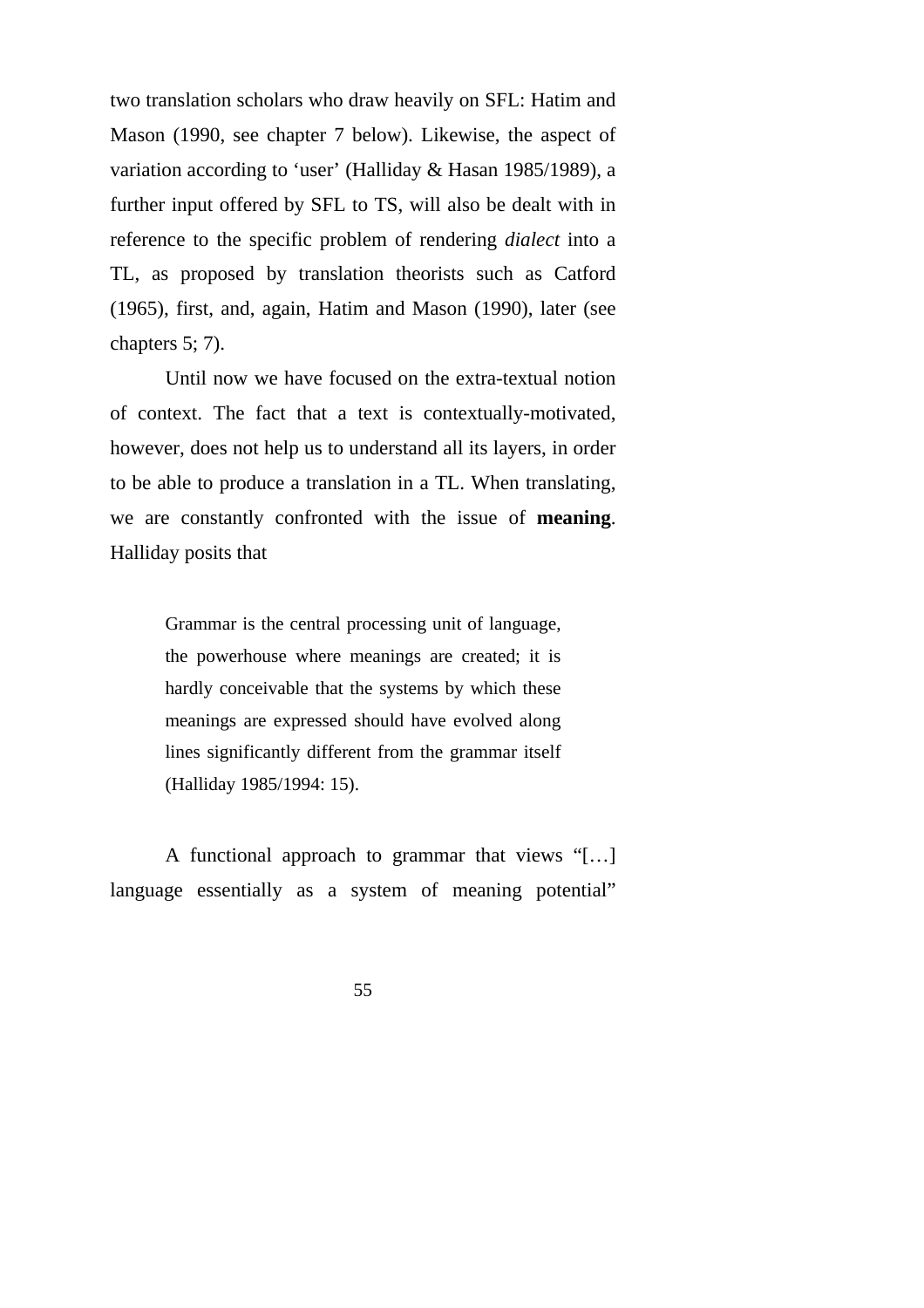two translation scholars who draw heavily on SFL: Hatim and Mason (1990, see chapter 7 below). Likewise, the aspect of variation according to 'user' (Halliday & Hasan 1985/1989), a further input offered by SFL to TS, will also be dealt with in reference to the specific problem of rendering *dialect* into a TL, as proposed by translation theorists such as Catford (1965), first, and, again, Hatim and Mason (1990), later (see chapters 5; 7).

Until now we have focused on the extra-textual notion of context. The fact that a text is contextually-motivated, however, does not help us to understand all its layers, in order to be able to produce a translation in a TL. When translating, we are constantly confronted with the issue of **meaning**. Halliday posits that

> Grammar is the central processing unit of language, the powerhouse where meanings are created; it is hardly conceivable that the systems by which these meanings are expressed should have evolved along lines significantly different from the grammar itself (Halliday 1985/1994: 15).

A functional approach to grammar that views "[…] language essentially as a system of meaning potential"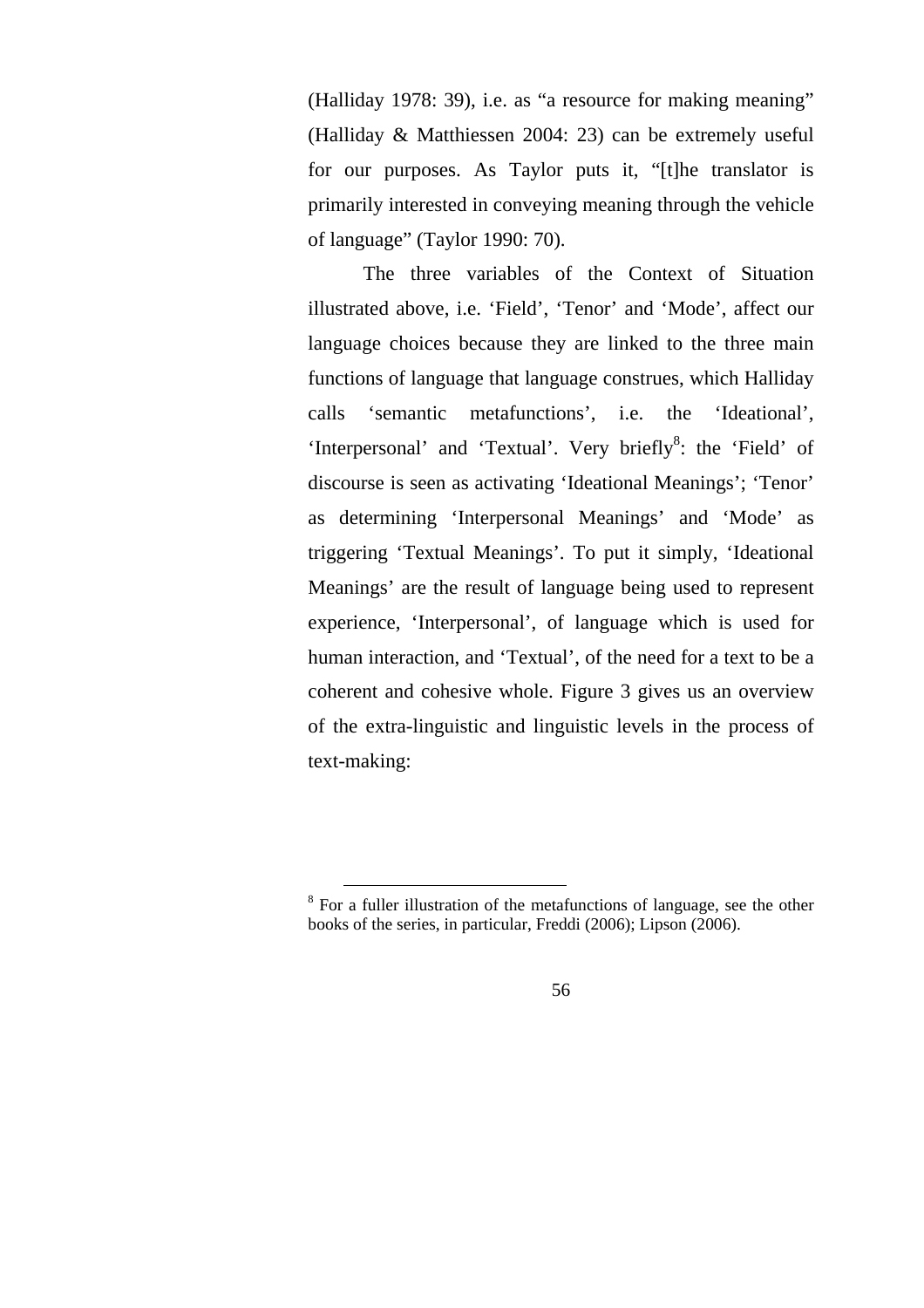(Halliday 1978: 39), i.e. as "a resource for making meaning" (Halliday & Matthiessen 2004: 23) can be extremely useful for our purposes. As Taylor puts it, "[t]he translator is primarily interested in conveying meaning through the vehicle of language" (Taylor 1990: 70).

The three variables of the Context of Situation illustrated above, i.e. 'Field', 'Tenor' and 'Mode', affect our language choices because they are linked to the three main functions of language that language construes, which Halliday calls 'semantic metafunctions', i.e. the 'Ideational', 'Interpersonal' and 'Textual'. Very briefly<sup>8</sup>: the 'Field' of discourse is seen as activating 'Ideational Meanings'; 'Tenor' as determining 'Interpersonal Meanings' and 'Mode' as triggering 'Textual Meanings'. To put it simply, 'Ideational Meanings' are the result of language being used to represent experience, 'Interpersonal', of language which is used for human interaction, and 'Textual', of the need for a text to be a coherent and cohesive whole. Figure 3 gives us an overview of the extra-linguistic and linguistic levels in the process of text-making:

<sup>&</sup>lt;sup>8</sup> For a fuller illustration of the metafunctions of language, see the other books of the series, in particular, Freddi (2006); Lipson (2006).

<sup>56</sup>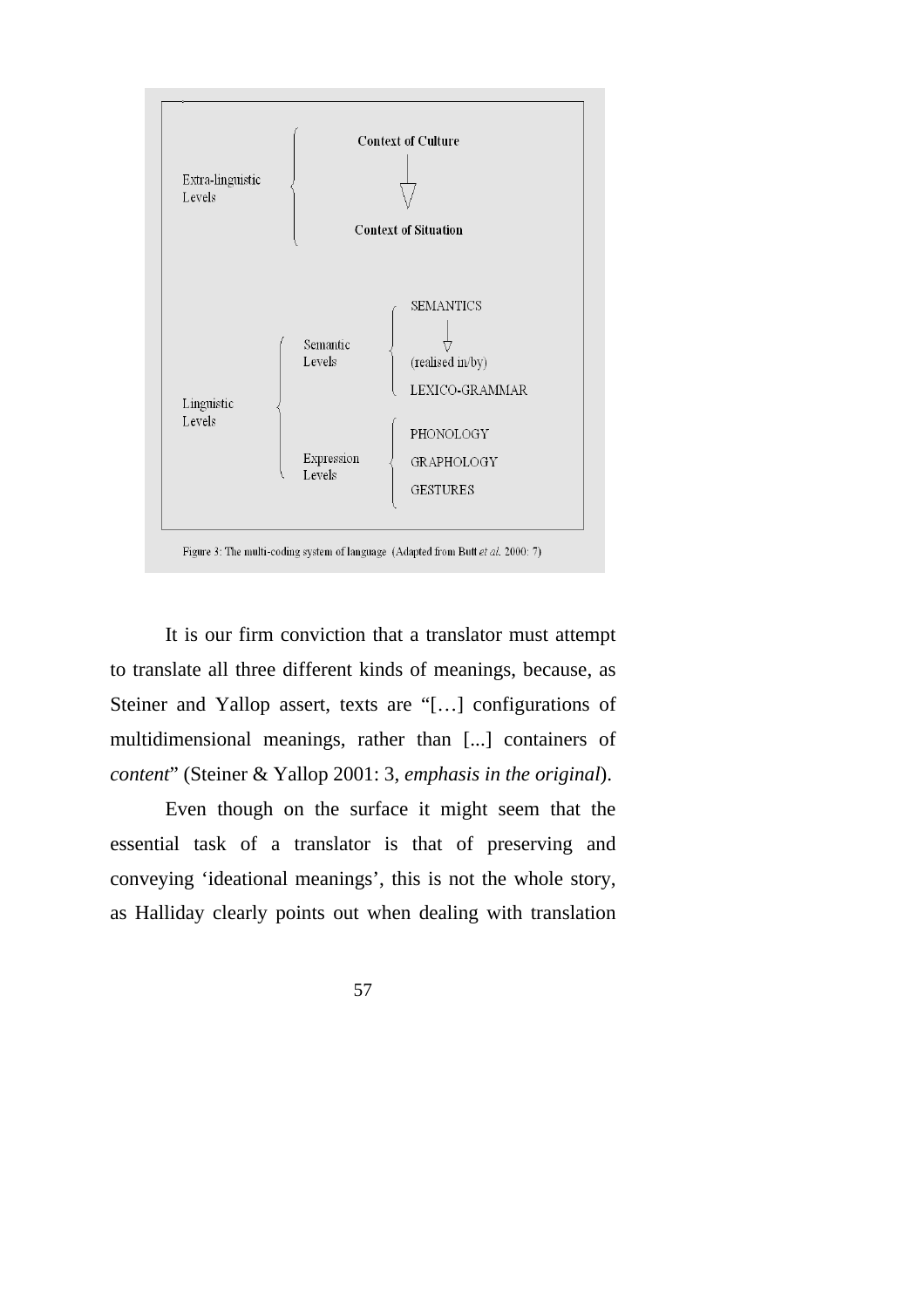

It is our firm conviction that a translator must attempt to translate all three different kinds of meanings, because, as Steiner and Yallop assert, texts are "[…] configurations of multidimensional meanings, rather than [...] containers of *content*" (Steiner & Yallop 2001: 3, *emphasis in the original*).

Even though on the surface it might seem that the essential task of a translator is that of preserving and conveying 'ideational meanings', this is not the whole story, as Halliday clearly points out when dealing with translation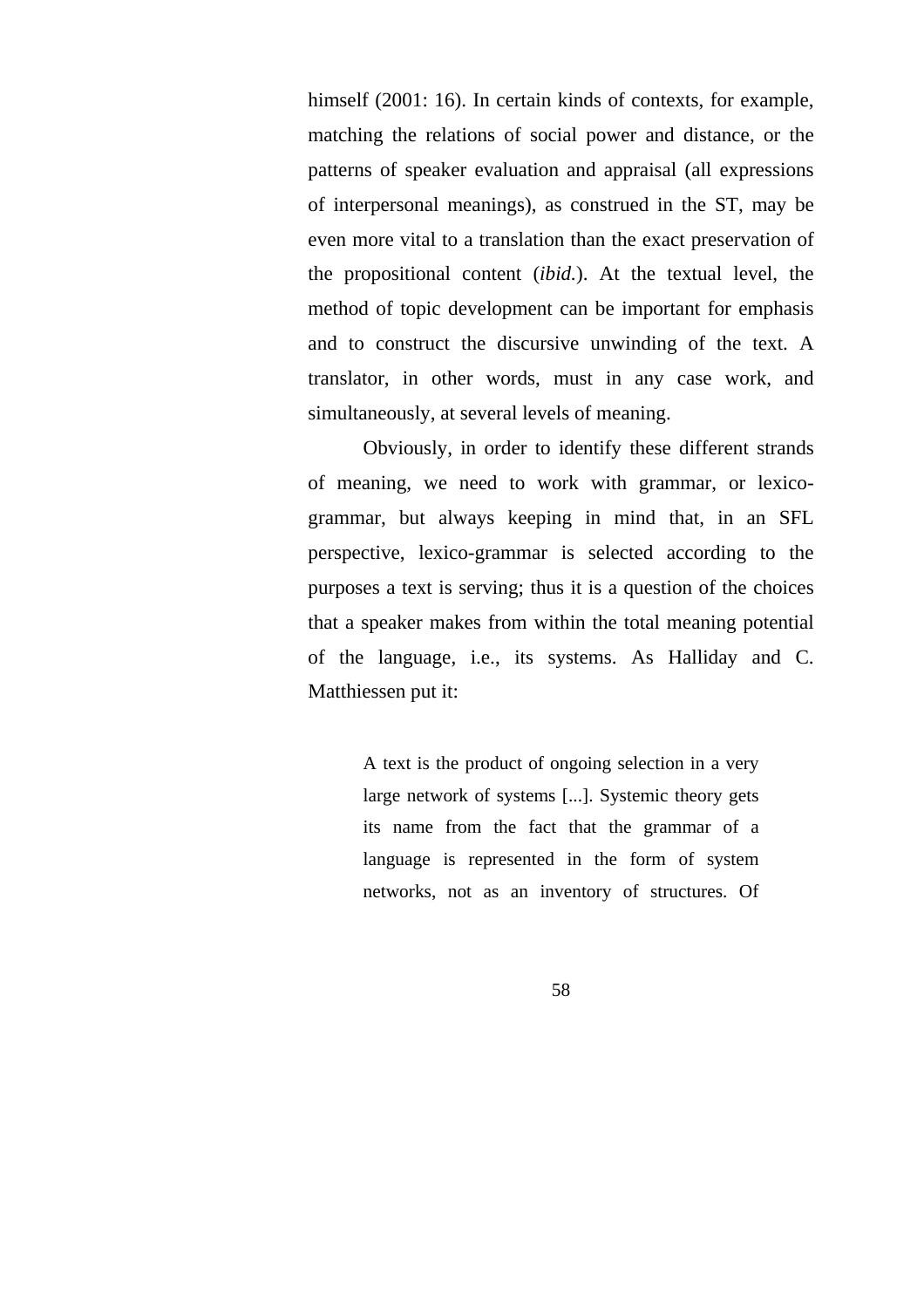himself (2001: 16). In certain kinds of contexts, for example, matching the relations of social power and distance, or the patterns of speaker evaluation and appraisal (all expressions of interpersonal meanings), as construed in the ST, may be even more vital to a translation than the exact preservation of the propositional content (*ibid.*). At the textual level, the method of topic development can be important for emphasis and to construct the discursive unwinding of the text. A translator, in other words, must in any case work, and simultaneously, at several levels of meaning.

Obviously, in order to identify these different strands of meaning, we need to work with grammar, or lexicogrammar, but always keeping in mind that, in an SFL perspective, lexico-grammar is selected according to the purposes a text is serving; thus it is a question of the choices that a speaker makes from within the total meaning potential of the language, i.e., its systems. As Halliday and C. Matthiessen put it:

> A text is the product of ongoing selection in a very large network of systems [...]. Systemic theory gets its name from the fact that the grammar of a language is represented in the form of system networks, not as an inventory of structures. Of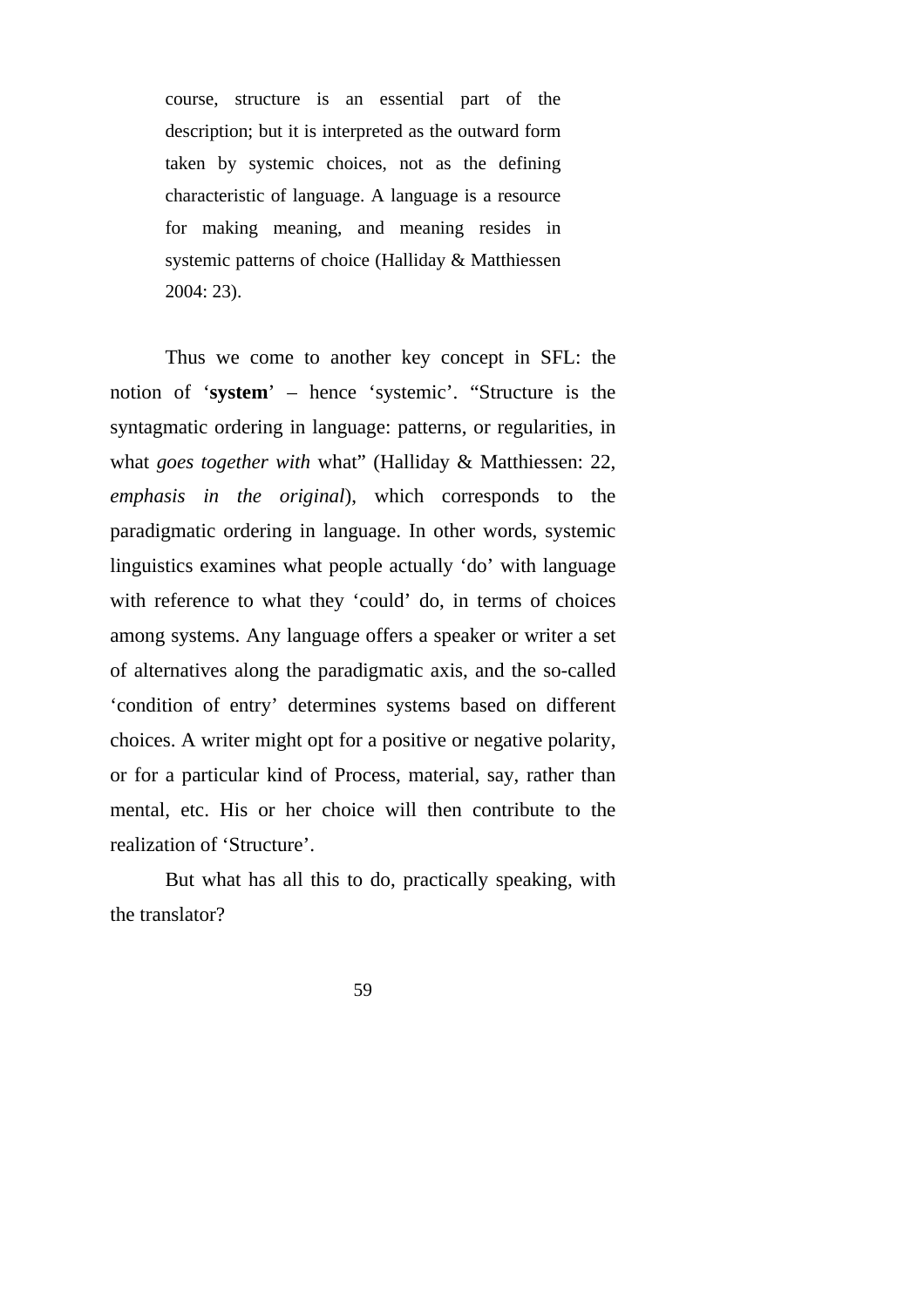course, structure is an essential part of the description; but it is interpreted as the outward form taken by systemic choices, not as the defining characteristic of language. A language is a resource for making meaning, and meaning resides in systemic patterns of choice (Halliday & Matthiessen 2004: 23).

Thus we come to another key concept in SFL: the notion of '**system**' – hence 'systemic'. "Structure is the syntagmatic ordering in language: patterns, or regularities, in what *goes together with* what" (Halliday & Matthiessen: 22, *emphasis in the original*), which corresponds to the paradigmatic ordering in language. In other words, systemic linguistics examines what people actually 'do' with language with reference to what they 'could' do, in terms of choices among systems. Any language offers a speaker or writer a set of alternatives along the paradigmatic axis, and the so-called 'condition of entry' determines systems based on different choices. A writer might opt for a positive or negative polarity, or for a particular kind of Process, material, say, rather than mental, etc. His or her choice will then contribute to the realization of 'Structure'.

But what has all this to do, practically speaking, with the translator?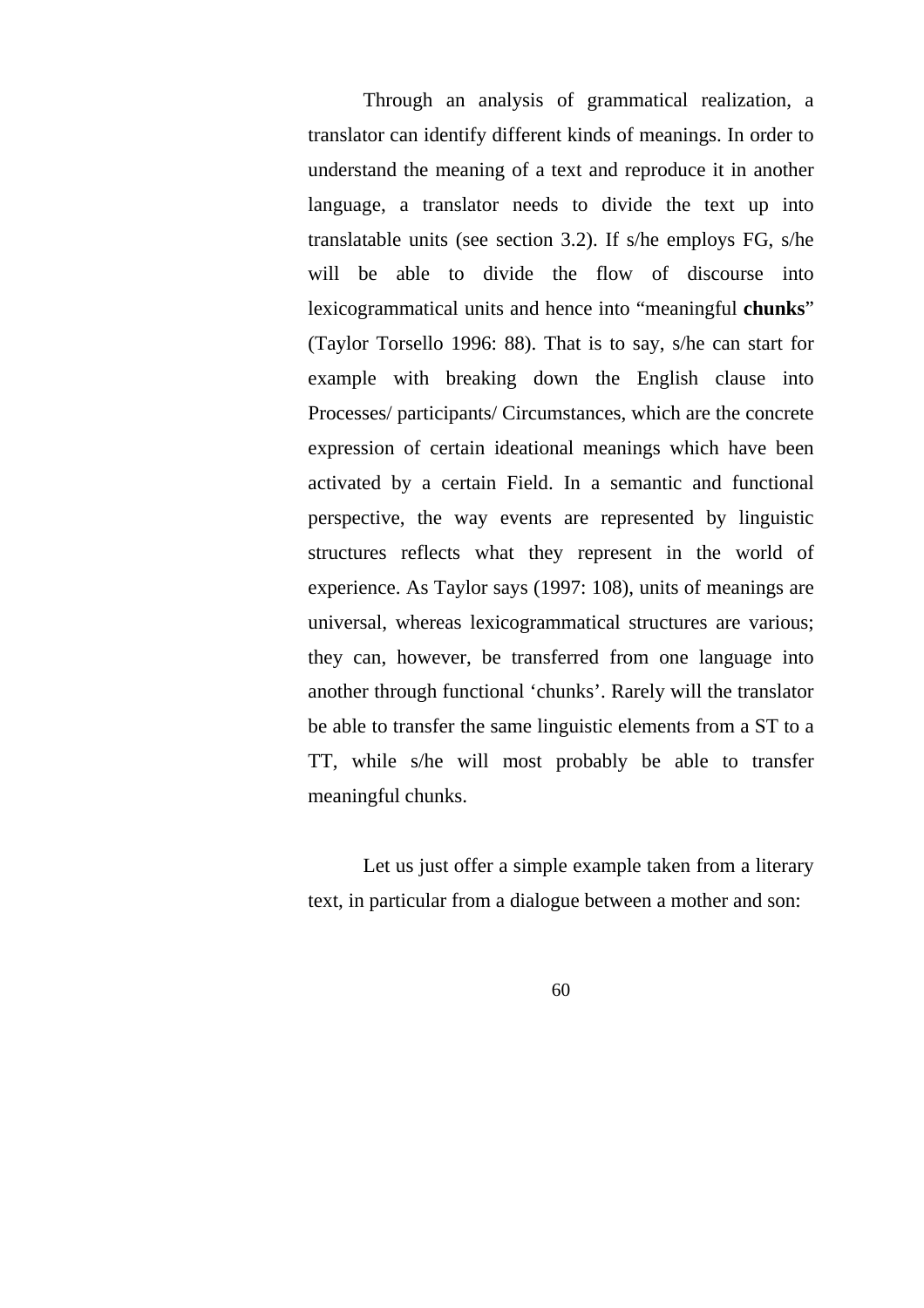Through an analysis of grammatical realization, a translator can identify different kinds of meanings. In order to understand the meaning of a text and reproduce it in another language, a translator needs to divide the text up into translatable units (see section 3.2). If s/he employs FG, s/he will be able to divide the flow of discourse into lexicogrammatical units and hence into "meaningful **chunks**" (Taylor Torsello 1996: 88). That is to say, s/he can start for example with breaking down the English clause into Processes/ participants/ Circumstances, which are the concrete expression of certain ideational meanings which have been activated by a certain Field. In a semantic and functional perspective, the way events are represented by linguistic structures reflects what they represent in the world of experience. As Taylor says (1997: 108), units of meanings are universal, whereas lexicogrammatical structures are various; they can, however, be transferred from one language into another through functional 'chunks'. Rarely will the translator be able to transfer the same linguistic elements from a ST to a TT, while s/he will most probably be able to transfer meaningful chunks.

Let us just offer a simple example taken from a literary text, in particular from a dialogue between a mother and son: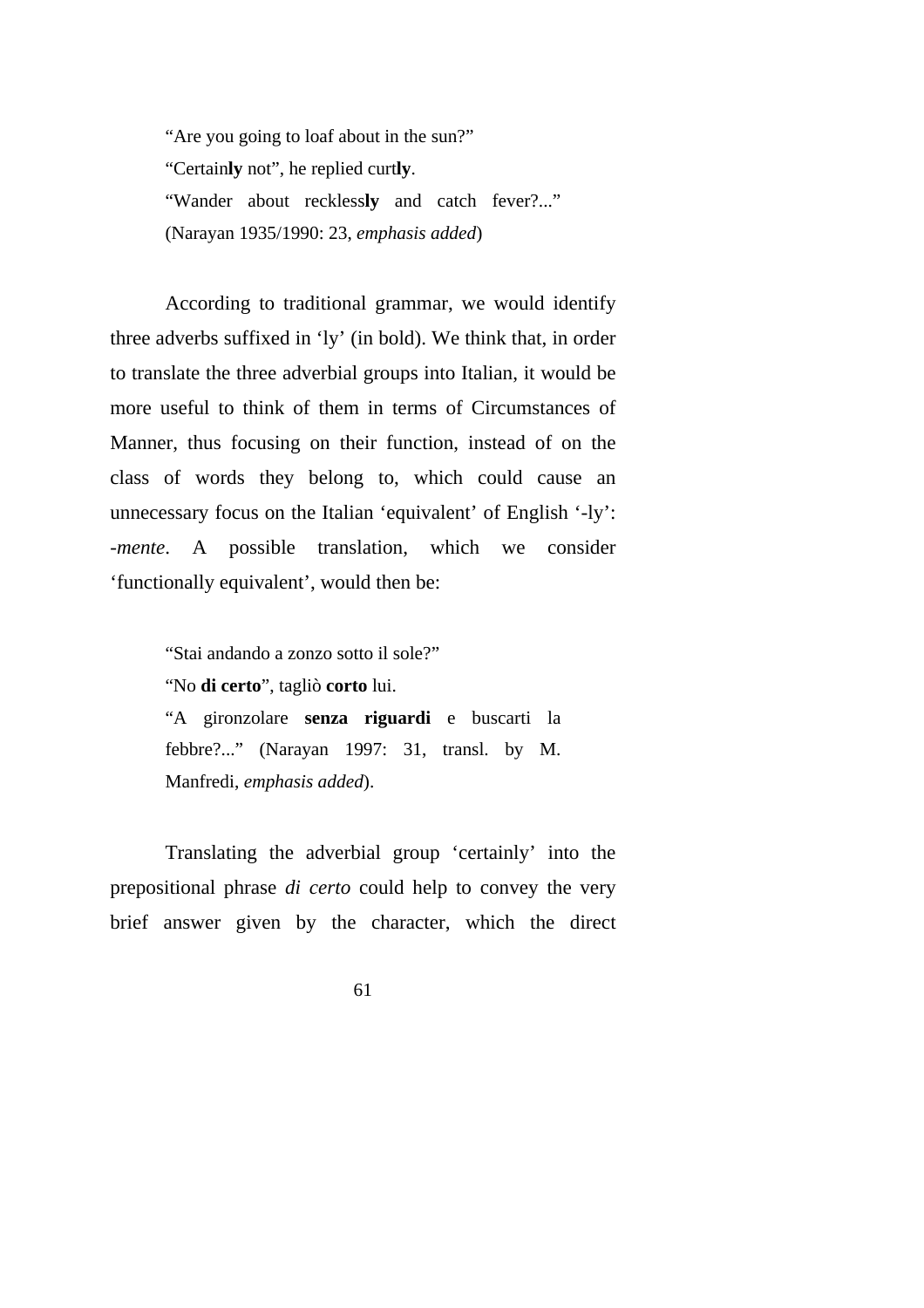"Are you going to loaf about in the sun?" "Certain**ly** not", he replied curt**ly**. "Wander about reckless**ly** and catch fever?..." (Narayan 1935/1990: 23, *emphasis added*)

According to traditional grammar, we would identify three adverbs suffixed in 'ly' (in bold). We think that, in order to translate the three adverbial groups into Italian, it would be more useful to think of them in terms of Circumstances of Manner, thus focusing on their function, instead of on the class of words they belong to, which could cause an unnecessary focus on the Italian 'equivalent' of English '-ly': *-mente*. A possible translation, which we consider 'functionally equivalent', would then be:

> "Stai andando a zonzo sotto il sole?" "No **di certo**", tagliò **corto** lui. "A gironzolare **senza riguardi** e buscarti la febbre?..." (Narayan 1997: 31, transl. by M. Manfredi, *emphasis added*).

Translating the adverbial group 'certainly' into the prepositional phrase *di certo* could help to convey the very brief answer given by the character, which the direct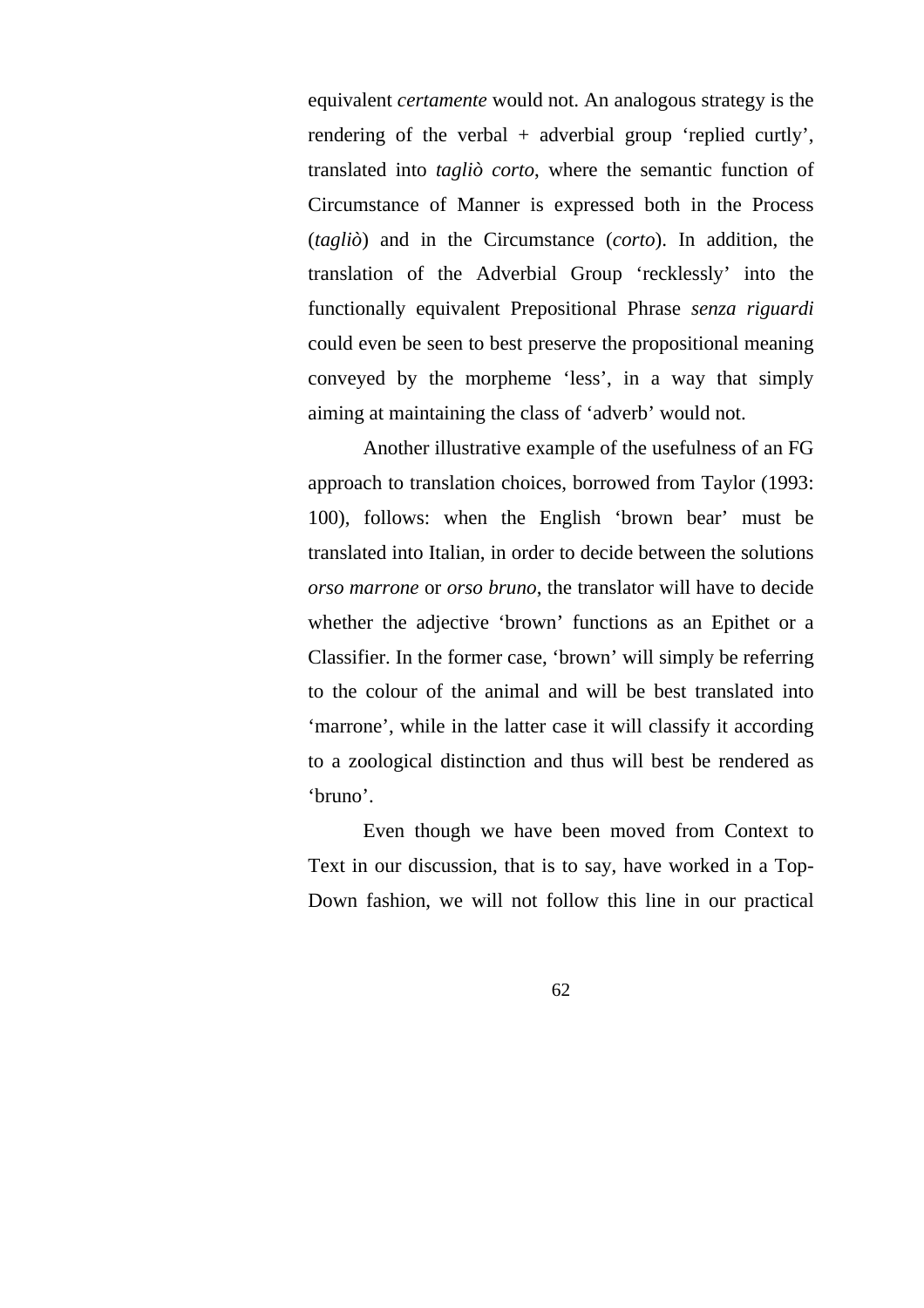equivalent *certamente* would not. An analogous strategy is the rendering of the verbal  $+$  adverbial group 'replied curtly', translated into *tagliò corto*, where the semantic function of Circumstance of Manner is expressed both in the Process (*tagliò*) and in the Circumstance (*corto*). In addition, the translation of the Adverbial Group 'recklessly' into the functionally equivalent Prepositional Phrase *senza riguardi* could even be seen to best preserve the propositional meaning conveyed by the morpheme 'less', in a way that simply aiming at maintaining the class of 'adverb' would not.

Another illustrative example of the usefulness of an FG approach to translation choices, borrowed from Taylor (1993: 100), follows: when the English 'brown bear' must be translated into Italian, in order to decide between the solutions *orso marrone* or *orso bruno*, the translator will have to decide whether the adjective 'brown' functions as an Epithet or a Classifier. In the former case, 'brown' will simply be referring to the colour of the animal and will be best translated into 'marrone', while in the latter case it will classify it according to a zoological distinction and thus will best be rendered as 'bruno'.

Even though we have been moved from Context to Text in our discussion, that is to say, have worked in a Top-Down fashion, we will not follow this line in our practical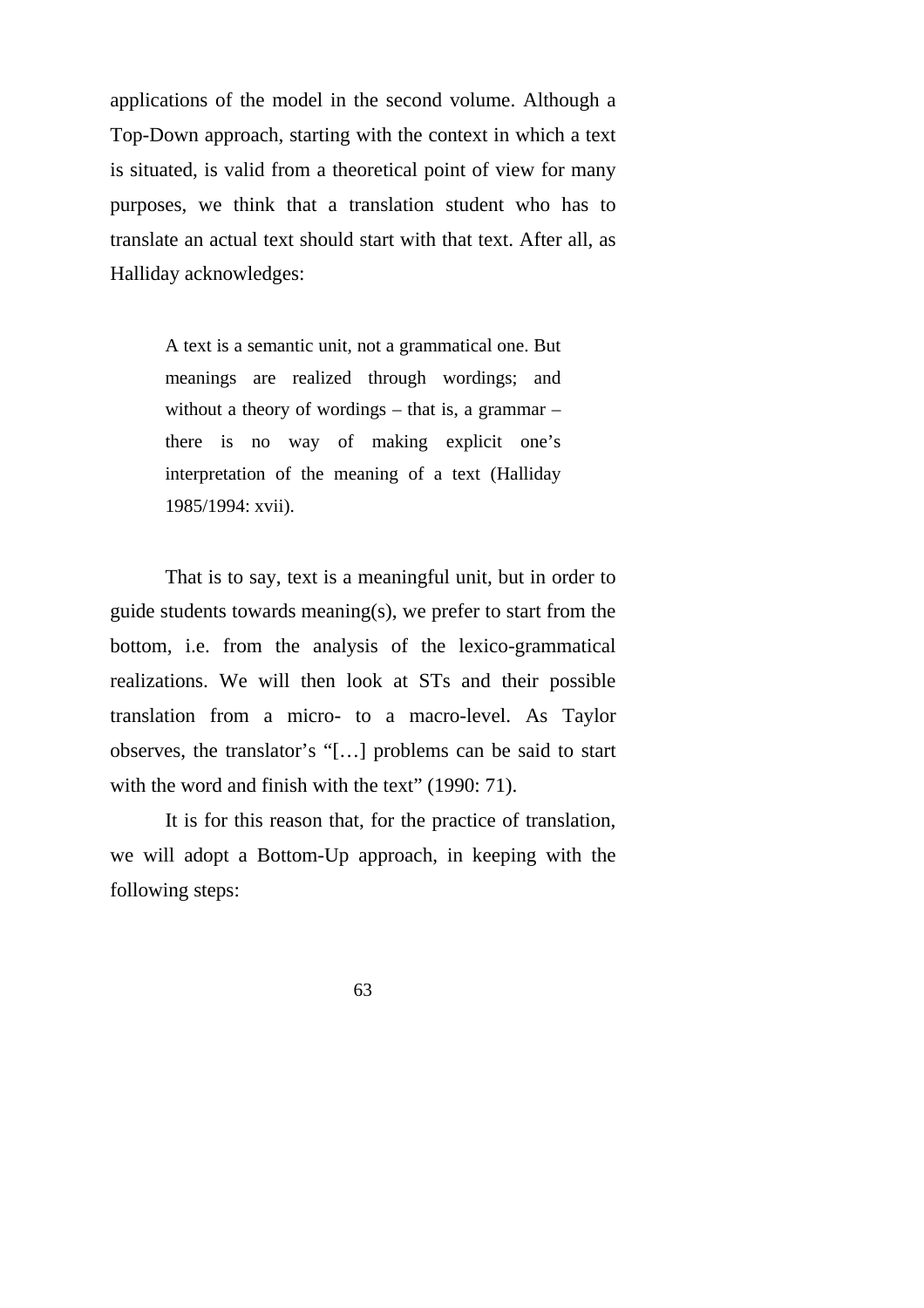applications of the model in the second volume. Although a Top-Down approach, starting with the context in which a text is situated, is valid from a theoretical point of view for many purposes, we think that a translation student who has to translate an actual text should start with that text. After all, as Halliday acknowledges:

> A text is a semantic unit, not a grammatical one. But meanings are realized through wordings; and without a theory of wordings – that is, a grammar – there is no way of making explicit one's interpretation of the meaning of a text (Halliday 1985/1994: xvii).

That is to say, text is a meaningful unit, but in order to guide students towards meaning(s), we prefer to start from the bottom, i.e. from the analysis of the lexico-grammatical realizations. We will then look at STs and their possible translation from a micro- to a macro-level. As Taylor observes, the translator's "[…] problems can be said to start with the word and finish with the text" (1990: 71).

It is for this reason that, for the practice of translation, we will adopt a Bottom-Up approach, in keeping with the following steps: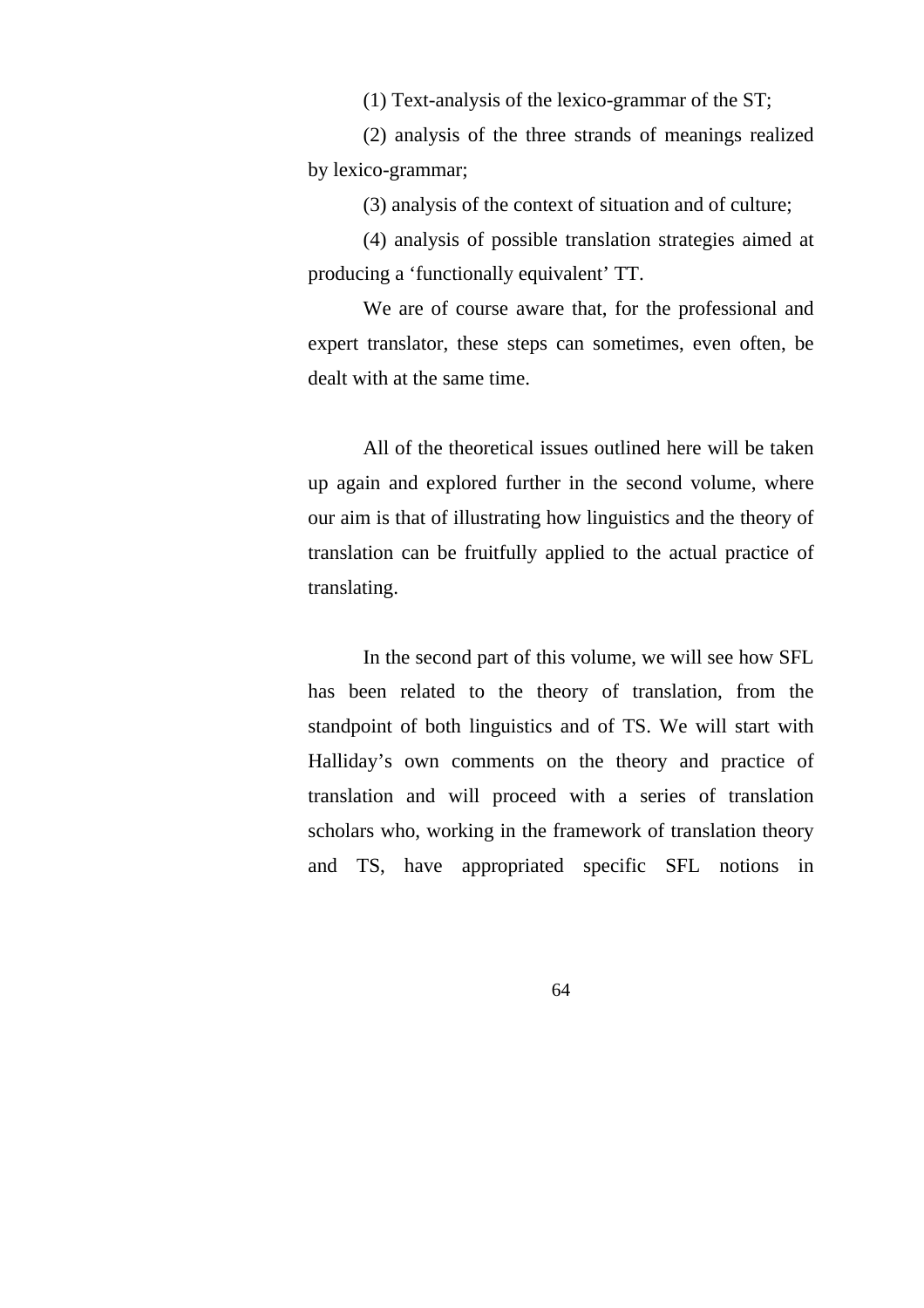(1) Text-analysis of the lexico-grammar of the ST;

(2) analysis of the three strands of meanings realized by lexico-grammar;

(3) analysis of the context of situation and of culture;

(4) analysis of possible translation strategies aimed at producing a 'functionally equivalent' TT.

We are of course aware that, for the professional and expert translator, these steps can sometimes, even often, be dealt with at the same time.

All of the theoretical issues outlined here will be taken up again and explored further in the second volume, where our aim is that of illustrating how linguistics and the theory of translation can be fruitfully applied to the actual practice of translating.

In the second part of this volume, we will see how SFL has been related to the theory of translation, from the standpoint of both linguistics and of TS. We will start with Halliday's own comments on the theory and practice of translation and will proceed with a series of translation scholars who, working in the framework of translation theory and TS, have appropriated specific SFL notions in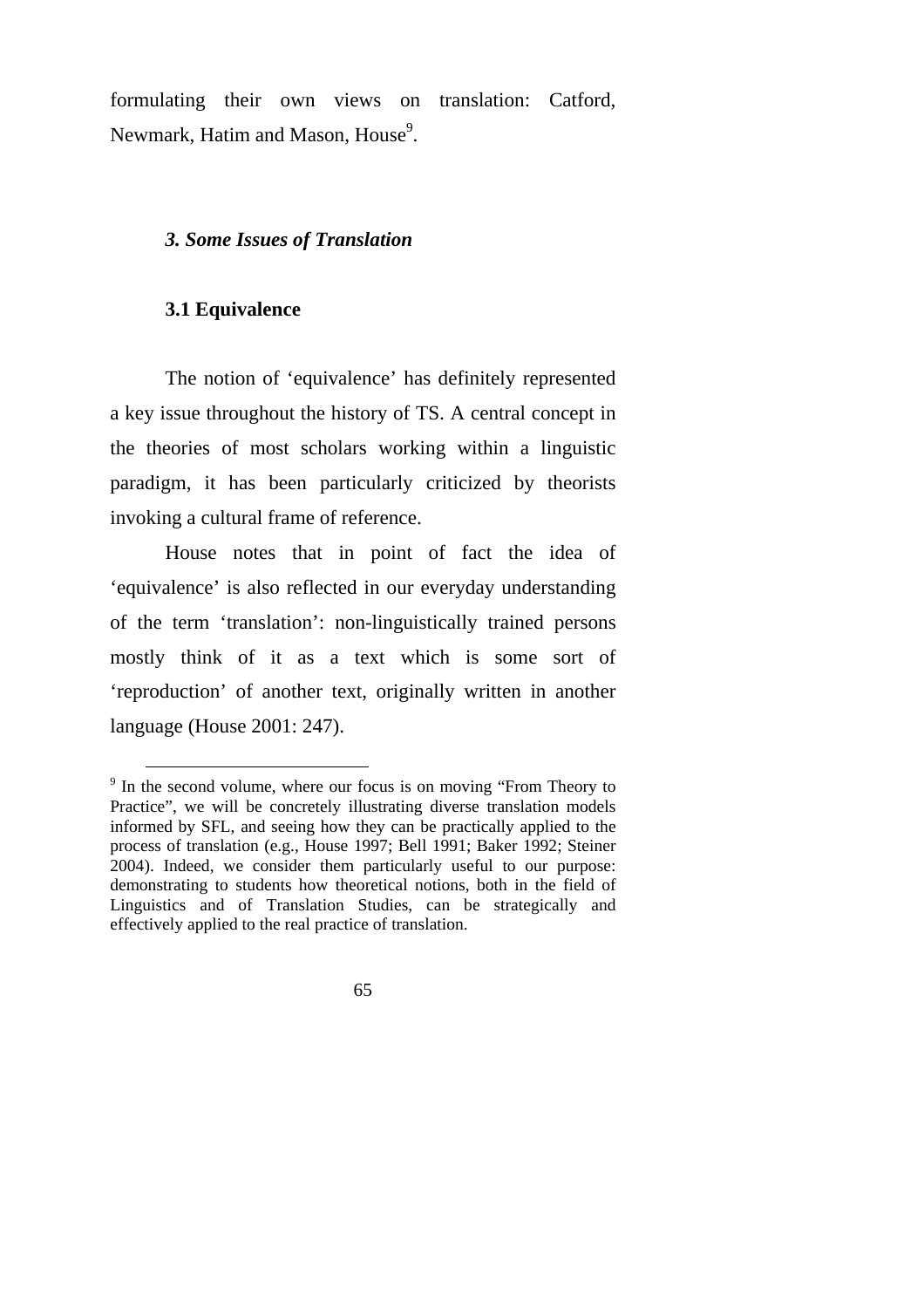formulating their own views on translation: Catford, Newmark, Hatim and Mason, House<sup>9</sup>.

# *3. Some Issues of Translation*

## **3.1 Equivalence**

The notion of 'equivalence' has definitely represented a key issue throughout the history of TS. A central concept in the theories of most scholars working within a linguistic paradigm, it has been particularly criticized by theorists invoking a cultural frame of reference.

House notes that in point of fact the idea of 'equivalence' is also reflected in our everyday understanding of the term 'translation': non-linguistically trained persons mostly think of it as a text which is some sort of 'reproduction' of another text, originally written in another language (House 2001: 247).

<sup>&</sup>lt;sup>9</sup> In the second volume, where our focus is on moving "From Theory to Practice", we will be concretely illustrating diverse translation models informed by SFL, and seeing how they can be practically applied to the process of translation (e.g., House 1997; Bell 1991; Baker 1992; Steiner 2004). Indeed, we consider them particularly useful to our purpose: demonstrating to students how theoretical notions, both in the field of Linguistics and of Translation Studies, can be strategically and effectively applied to the real practice of translation.

<sup>65</sup>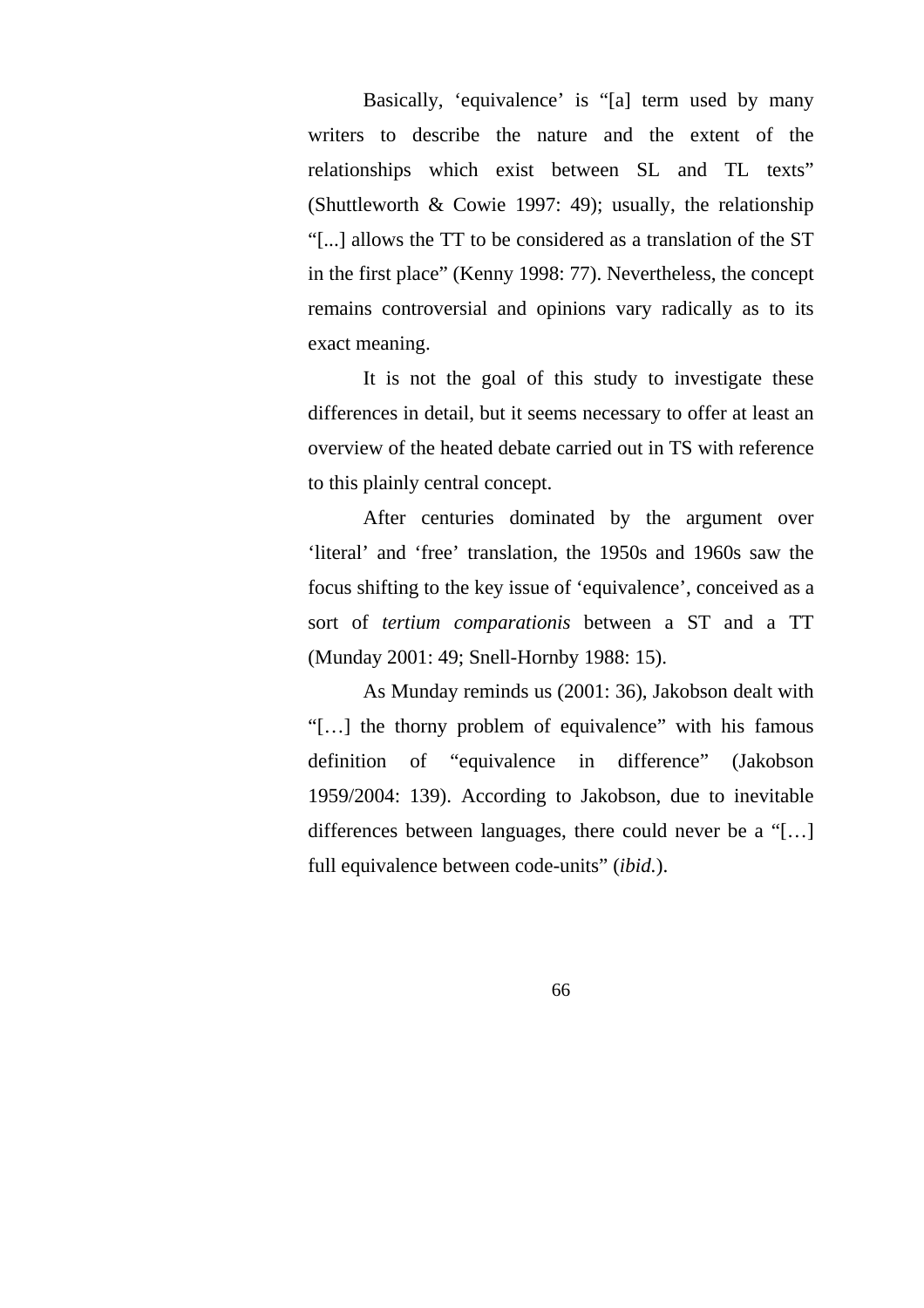Basically, 'equivalence' is "[a] term used by many writers to describe the nature and the extent of the relationships which exist between SL and TL texts" (Shuttleworth  $&$  Cowie 1997: 49); usually, the relationship "[...] allows the TT to be considered as a translation of the ST in the first place" (Kenny 1998: 77). Nevertheless, the concept remains controversial and opinions vary radically as to its exact meaning.

It is not the goal of this study to investigate these differences in detail, but it seems necessary to offer at least an overview of the heated debate carried out in TS with reference to this plainly central concept.

After centuries dominated by the argument over 'literal' and 'free' translation, the 1950s and 1960s saw the focus shifting to the key issue of 'equivalence', conceived as a sort of *tertium comparationis* between a ST and a TT (Munday 2001: 49; Snell-Hornby 1988: 15).

As Munday reminds us (2001: 36), Jakobson dealt with "[…] the thorny problem of equivalence" with his famous definition of "equivalence in difference" (Jakobson 1959/2004: 139). According to Jakobson, due to inevitable differences between languages, there could never be a "[…] full equivalence between code-units" (*ibid.*).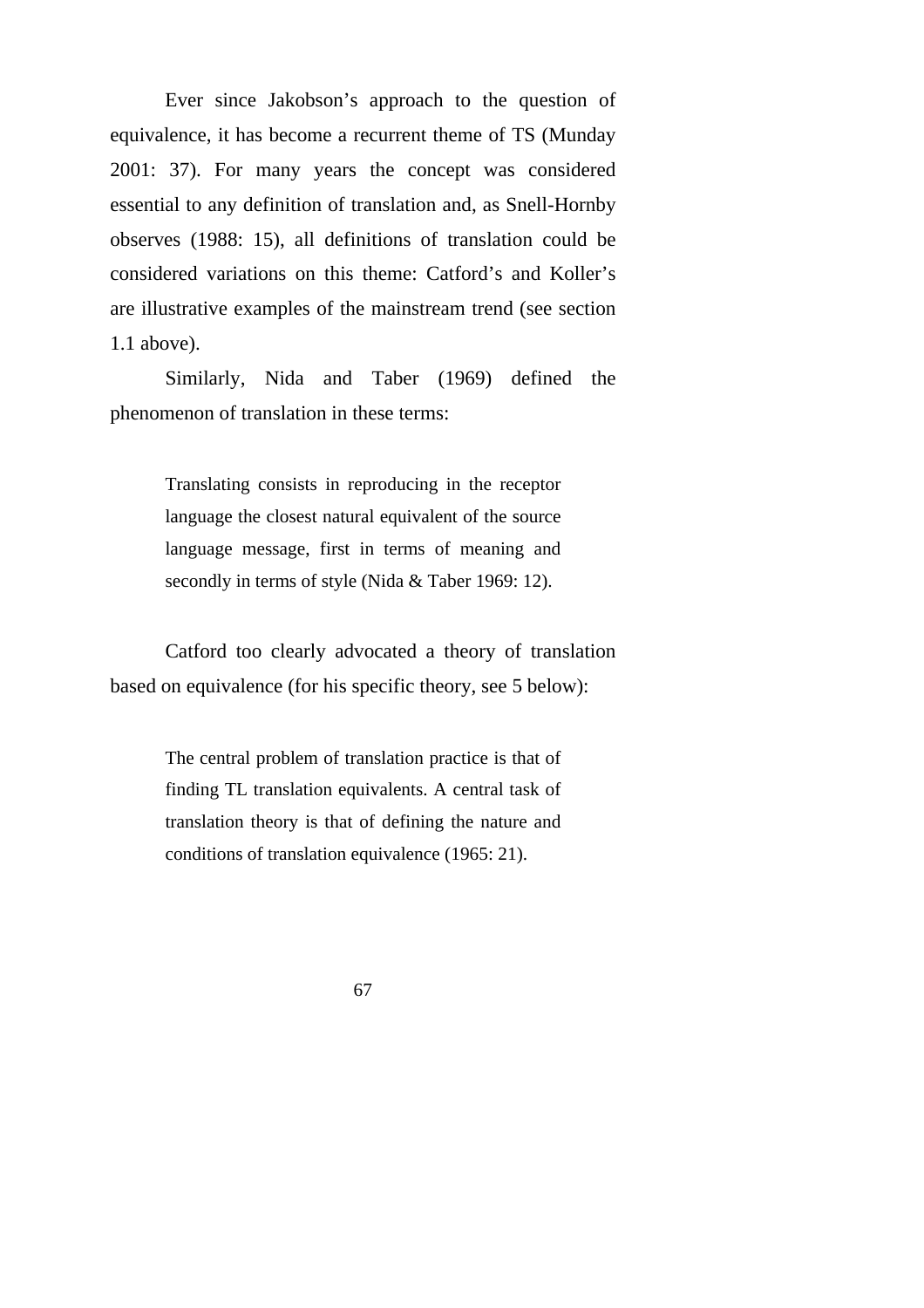Ever since Jakobson's approach to the question of equivalence, it has become a recurrent theme of TS (Munday 2001: 37). For many years the concept was considered essential to any definition of translation and, as Snell-Hornby observes (1988: 15), all definitions of translation could be considered variations on this theme: Catford's and Koller's are illustrative examples of the mainstream trend (see section 1.1 above).

Similarly, Nida and Taber (1969) defined the phenomenon of translation in these terms:

> Translating consists in reproducing in the receptor language the closest natural equivalent of the source language message, first in terms of meaning and secondly in terms of style (Nida & Taber 1969: 12).

Catford too clearly advocated a theory of translation based on equivalence (for his specific theory, see 5 below):

> The central problem of translation practice is that of finding TL translation equivalents. A central task of translation theory is that of defining the nature and conditions of translation equivalence (1965: 21).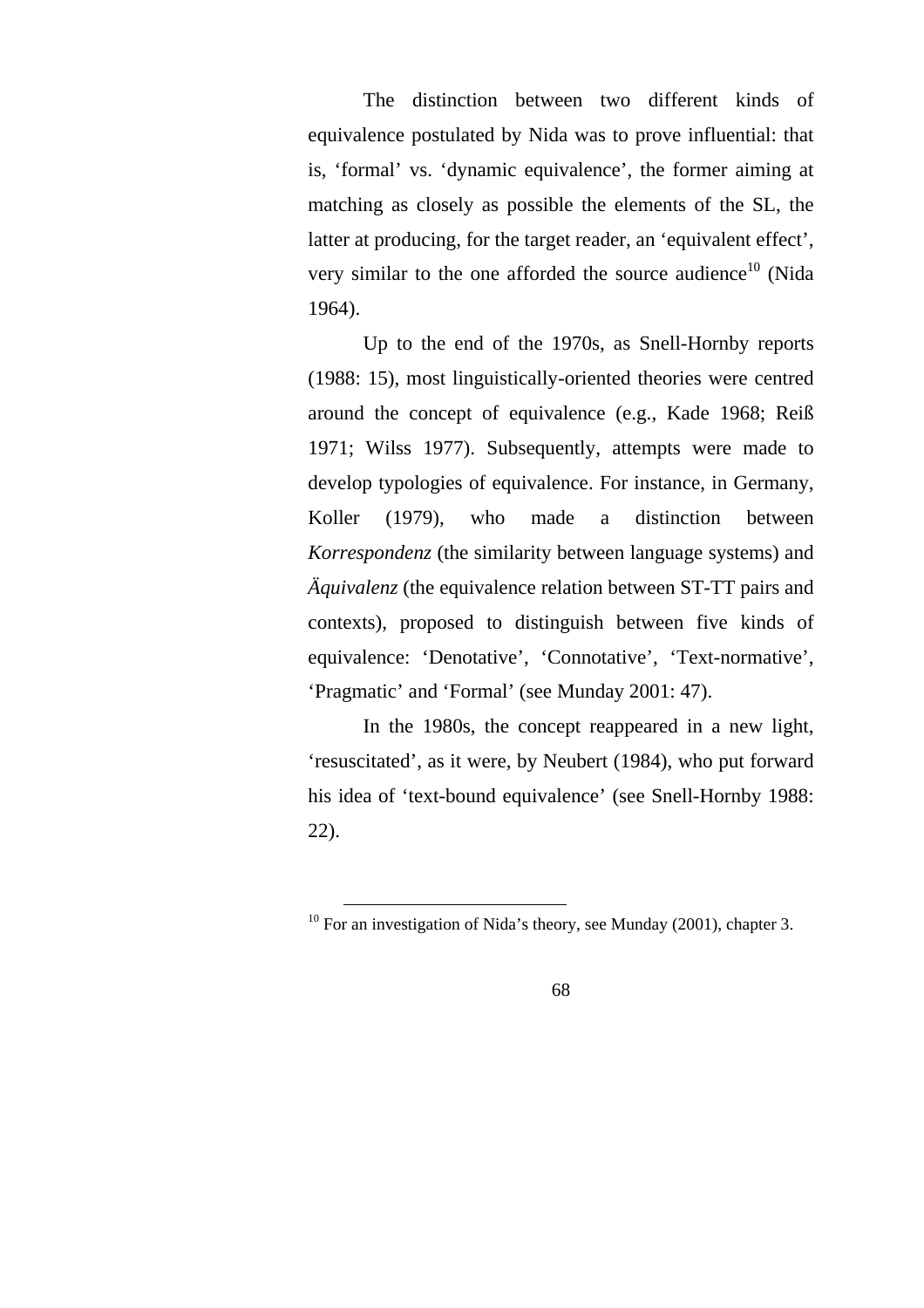The distinction between two different kinds of equivalence postulated by Nida was to prove influential: that is, 'formal' vs. 'dynamic equivalence', the former aiming at matching as closely as possible the elements of the SL, the latter at producing, for the target reader, an 'equivalent effect', very similar to the one afforded the source audience<sup>10</sup> (Nida) 1964).

Up to the end of the 1970s, as Snell-Hornby reports (1988: 15), most linguistically-oriented theories were centred around the concept of equivalence (e.g., Kade 1968; Reiß 1971; Wilss 1977). Subsequently, attempts were made to develop typologies of equivalence. For instance, in Germany, Koller (1979), who made a distinction between *Korrespondenz* (the similarity between language systems) and *Äquivalenz* (the equivalence relation between ST-TT pairs and contexts), proposed to distinguish between five kinds of equivalence: 'Denotative', 'Connotative', 'Text-normative', 'Pragmatic' and 'Formal' (see Munday 2001: 47).

In the 1980s, the concept reappeared in a new light, 'resuscitated', as it were, by Neubert (1984), who put forward his idea of 'text-bound equivalence' (see Snell-Hornby 1988: 22).

<sup>&</sup>lt;sup>10</sup> For an investigation of Nida's theory, see Munday (2001), chapter 3.

<sup>68</sup>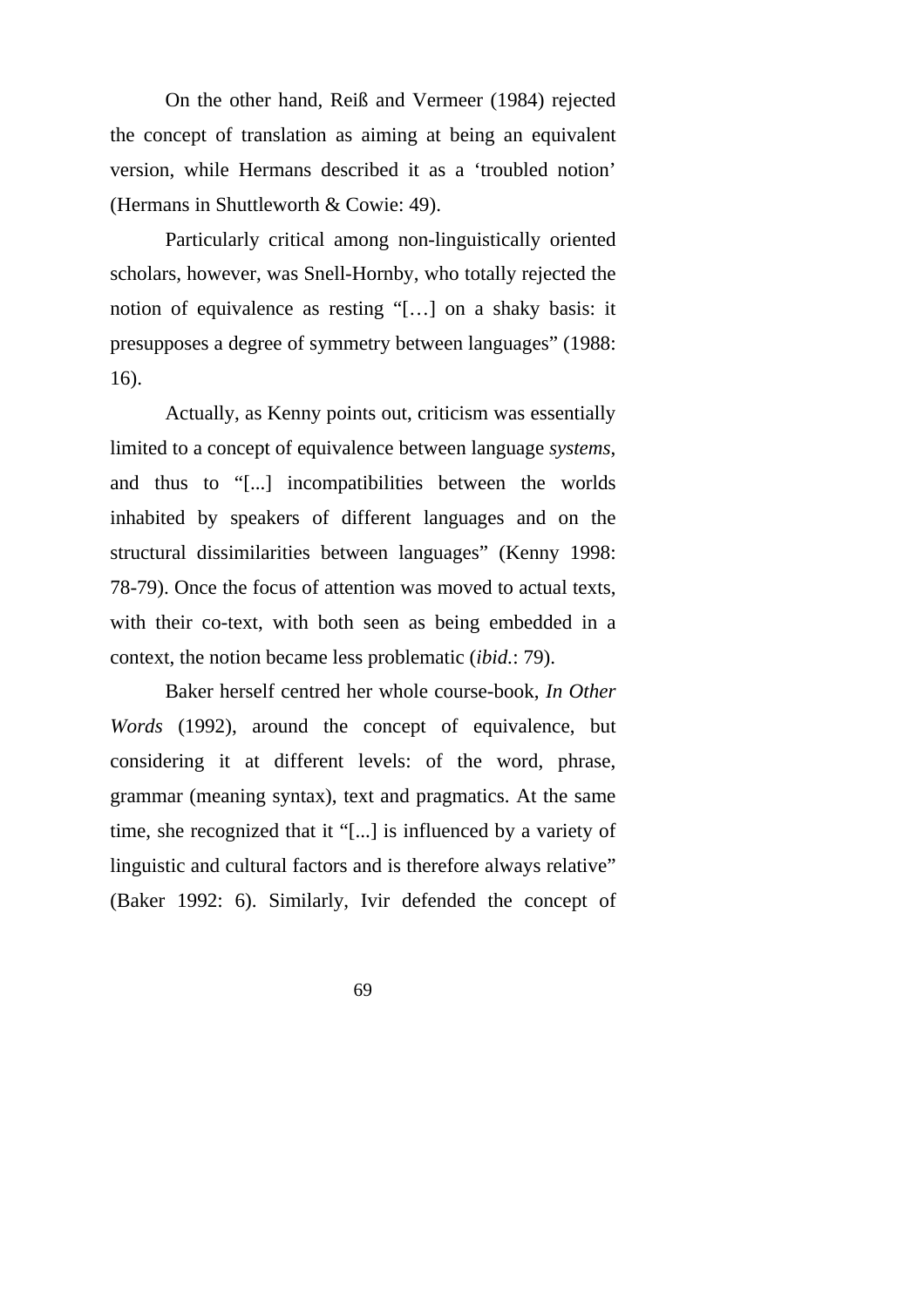On the other hand, Reiß and Vermeer (1984) rejected the concept of translation as aiming at being an equivalent version, while Hermans described it as a 'troubled notion' (Hermans in Shuttleworth & Cowie: 49).

Particularly critical among non-linguistically oriented scholars, however, was Snell-Hornby, who totally rejected the notion of equivalence as resting "[…] on a shaky basis: it presupposes a degree of symmetry between languages" (1988: 16).

Actually, as Kenny points out, criticism was essentially limited to a concept of equivalence between language *systems*, and thus to "[...] incompatibilities between the worlds inhabited by speakers of different languages and on the structural dissimilarities between languages" (Kenny 1998: 78-79). Once the focus of attention was moved to actual texts, with their co-text, with both seen as being embedded in a context, the notion became less problematic (*ibid.*: 79).

Baker herself centred her whole course-book, *In Other Words* (1992), around the concept of equivalence, but considering it at different levels: of the word, phrase, grammar (meaning syntax), text and pragmatics. At the same time, she recognized that it "[...] is influenced by a variety of linguistic and cultural factors and is therefore always relative" (Baker 1992: 6). Similarly, Ivir defended the concept of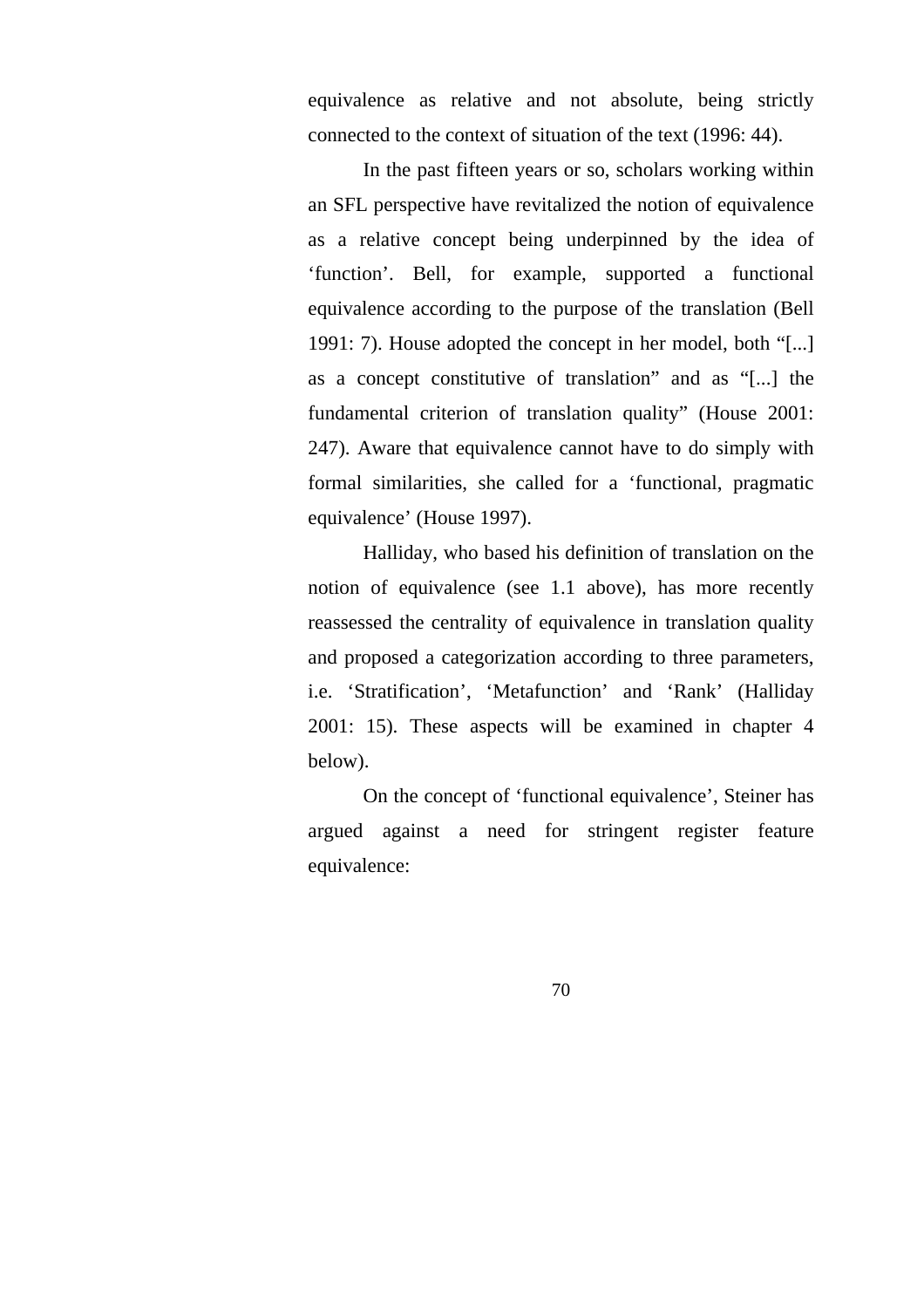equivalence as relative and not absolute, being strictly connected to the context of situation of the text (1996: 44).

In the past fifteen years or so, scholars working within an SFL perspective have revitalized the notion of equivalence as a relative concept being underpinned by the idea of 'function'. Bell, for example, supported a functional equivalence according to the purpose of the translation (Bell 1991: 7). House adopted the concept in her model, both "[...] as a concept constitutive of translation" and as "[...] the fundamental criterion of translation quality" (House 2001: 247). Aware that equivalence cannot have to do simply with formal similarities, she called for a 'functional, pragmatic equivalence' (House 1997).

Halliday, who based his definition of translation on the notion of equivalence (see 1.1 above), has more recently reassessed the centrality of equivalence in translation quality and proposed a categorization according to three parameters, i.e. 'Stratification', 'Metafunction' and 'Rank' (Halliday 2001: 15). These aspects will be examined in chapter 4 below).

On the concept of 'functional equivalence', Steiner has argued against a need for stringent register feature equivalence: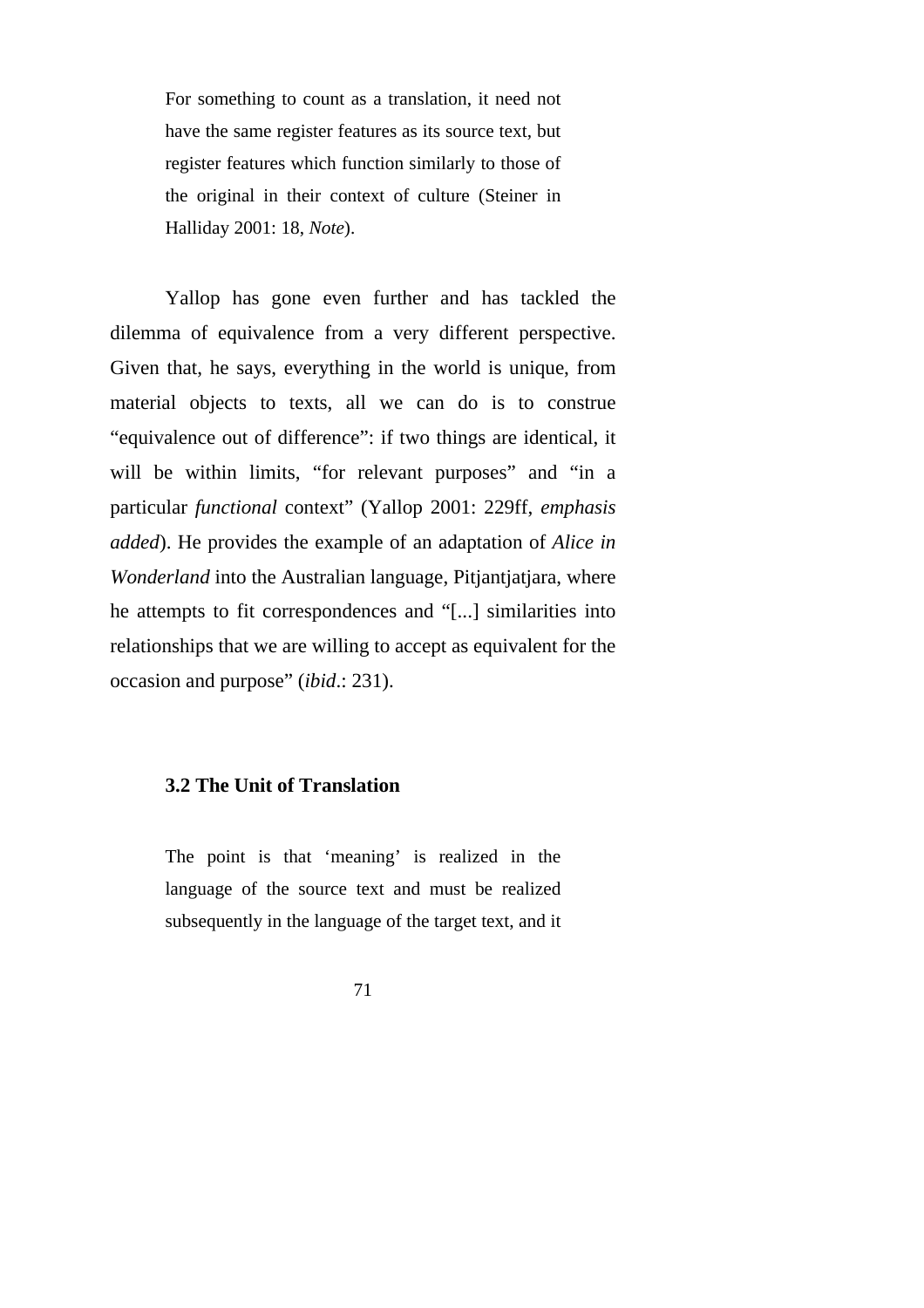For something to count as a translation, it need not have the same register features as its source text, but register features which function similarly to those of the original in their context of culture (Steiner in Halliday 2001: 18, *Note*).

Yallop has gone even further and has tackled the dilemma of equivalence from a very different perspective. Given that, he says, everything in the world is unique, from material objects to texts, all we can do is to construe "equivalence out of difference": if two things are identical, it will be within limits, "for relevant purposes" and "in a particular *functional* context" (Yallop 2001: 229ff, *emphasis added*). He provides the example of an adaptation of *Alice in Wonderland* into the Australian language, Pitjantjatjara, where he attempts to fit correspondences and "[...] similarities into relationships that we are willing to accept as equivalent for the occasion and purpose" (*ibid*.: 231).

#### **3.2 The Unit of Translation**

The point is that 'meaning' is realized in the language of the source text and must be realized subsequently in the language of the target text, and it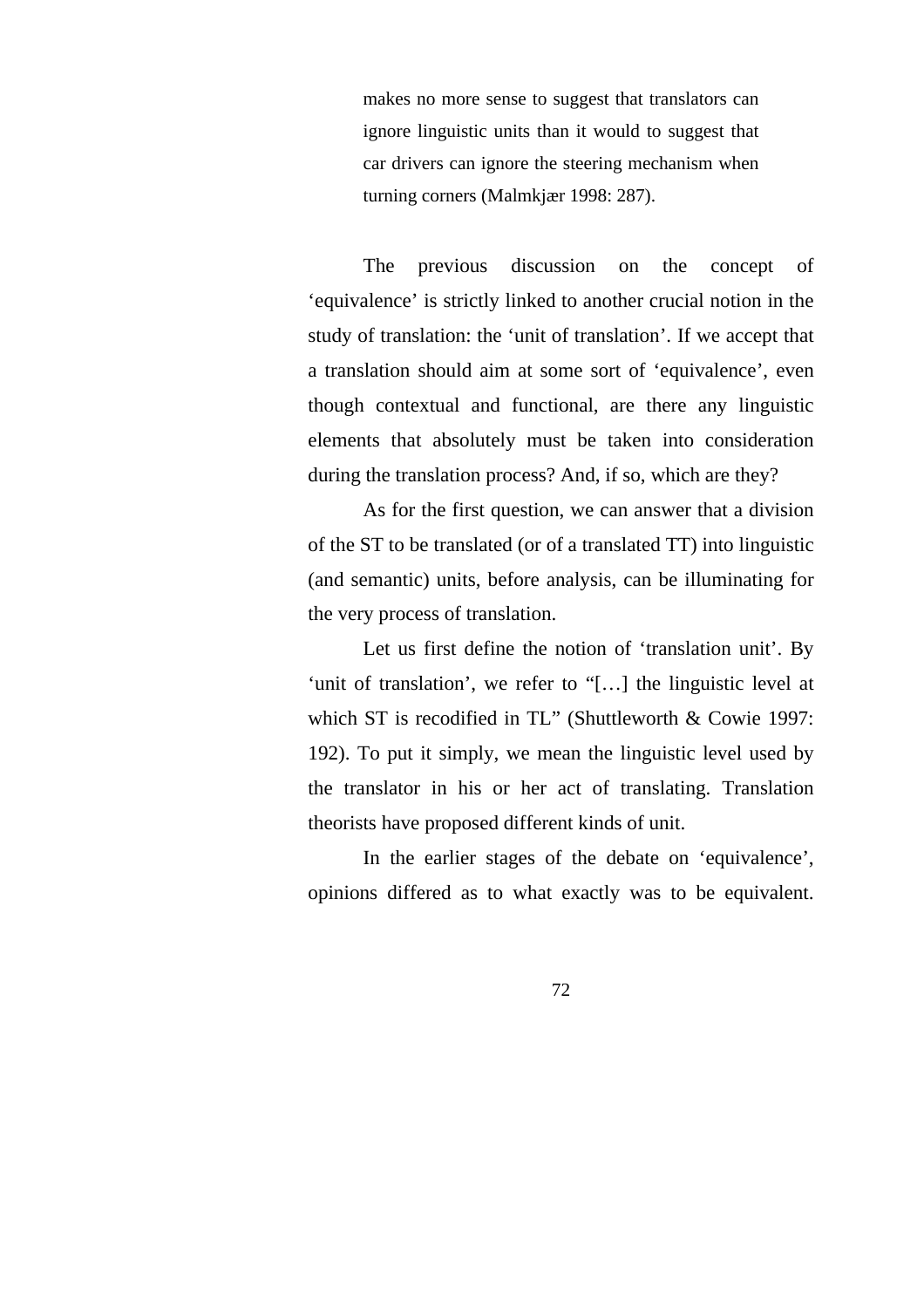makes no more sense to suggest that translators can ignore linguistic units than it would to suggest that car drivers can ignore the steering mechanism when turning corners (Malmkjær 1998: 287).

The previous discussion on the concept of 'equivalence' is strictly linked to another crucial notion in the study of translation: the 'unit of translation'. If we accept that a translation should aim at some sort of 'equivalence', even though contextual and functional, are there any linguistic elements that absolutely must be taken into consideration during the translation process? And, if so, which are they?

As for the first question, we can answer that a division of the ST to be translated (or of a translated TT) into linguistic (and semantic) units, before analysis, can be illuminating for the very process of translation.

Let us first define the notion of 'translation unit'. By 'unit of translation', we refer to "[…] the linguistic level at which ST is recodified in TL" (Shuttleworth & Cowie 1997: 192). To put it simply, we mean the linguistic level used by the translator in his or her act of translating. Translation theorists have proposed different kinds of unit.

In the earlier stages of the debate on 'equivalence', opinions differed as to what exactly was to be equivalent.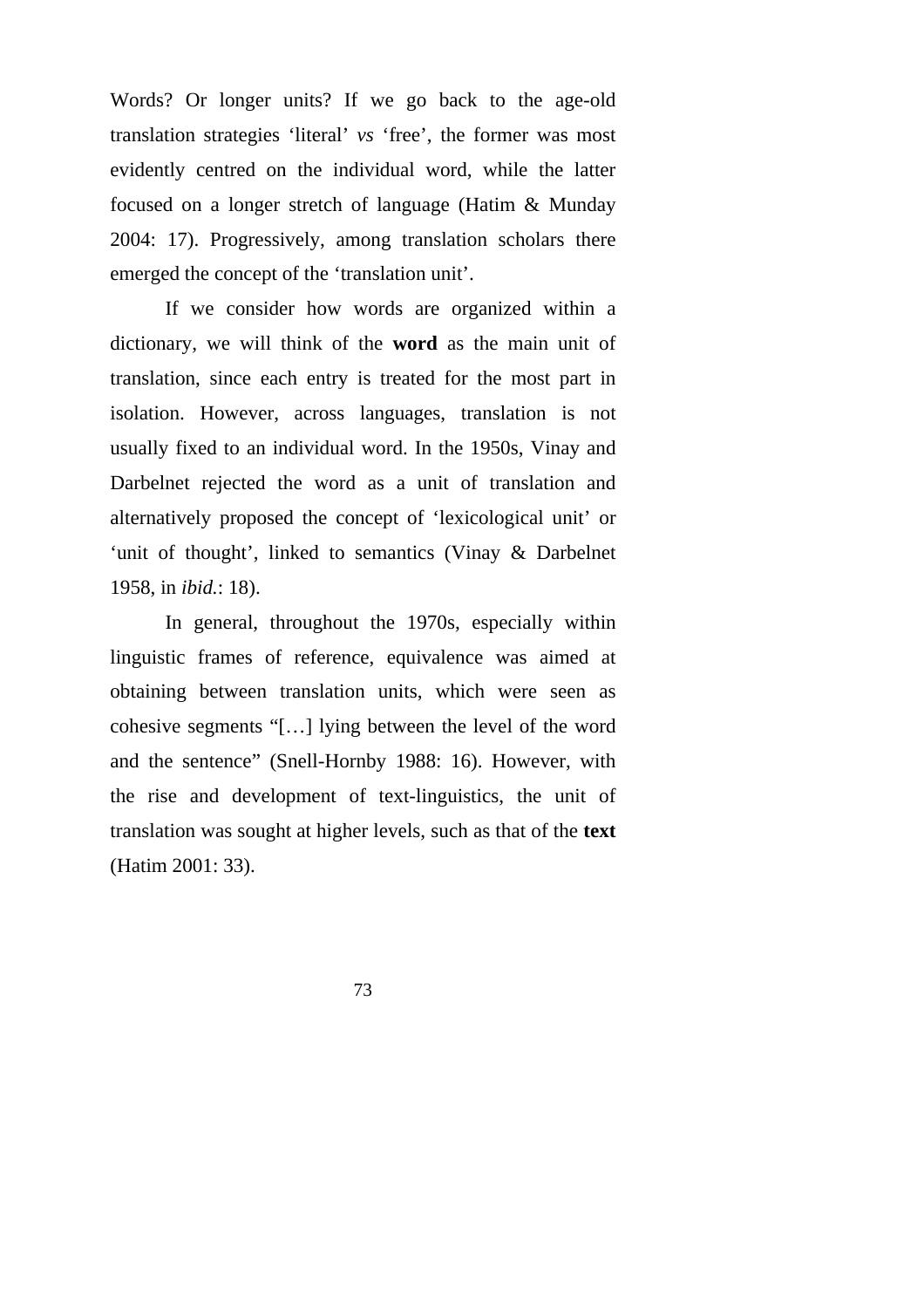Words? Or longer units? If we go back to the age-old translation strategies 'literal' *vs* 'free', the former was most evidently centred on the individual word, while the latter focused on a longer stretch of language (Hatim & Munday 2004: 17). Progressively, among translation scholars there emerged the concept of the 'translation unit'.

If we consider how words are organized within a dictionary, we will think of the **word** as the main unit of translation, since each entry is treated for the most part in isolation. However, across languages, translation is not usually fixed to an individual word. In the 1950s, Vinay and Darbelnet rejected the word as a unit of translation and alternatively proposed the concept of 'lexicological unit' or 'unit of thought', linked to semantics (Vinay & Darbelnet 1958, in *ibid.*: 18).

In general, throughout the 1970s, especially within linguistic frames of reference, equivalence was aimed at obtaining between translation units, which were seen as cohesive segments "[…] lying between the level of the word and the sentence" (Snell-Hornby 1988: 16). However, with the rise and development of text-linguistics, the unit of translation was sought at higher levels, such as that of the **text**  (Hatim 2001: 33).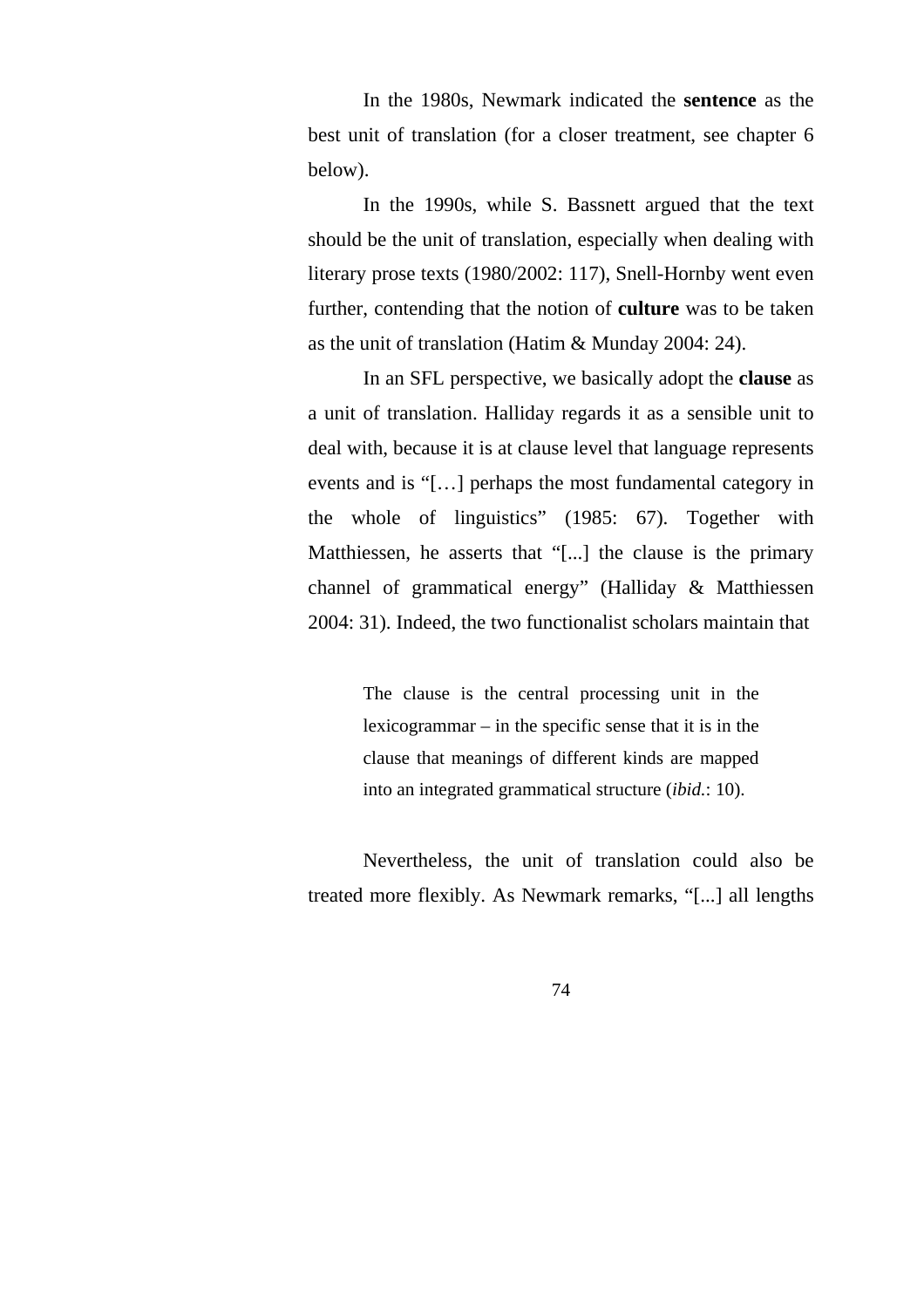In the 1980s, Newmark indicated the **sentence** as the best unit of translation (for a closer treatment, see chapter 6 below).

In the 1990s, while S. Bassnett argued that the text should be the unit of translation, especially when dealing with literary prose texts (1980/2002: 117), Snell-Hornby went even further, contending that the notion of **culture** was to be taken as the unit of translation (Hatim & Munday 2004: 24).

In an SFL perspective, we basically adopt the **clause** as a unit of translation. Halliday regards it as a sensible unit to deal with, because it is at clause level that language represents events and is "[…] perhaps the most fundamental category in the whole of linguistics" (1985: 67). Together with Matthiessen, he asserts that "[...] the clause is the primary channel of grammatical energy" (Halliday & Matthiessen 2004: 31). Indeed, the two functionalist scholars maintain that

> The clause is the central processing unit in the lexicogrammar – in the specific sense that it is in the clause that meanings of different kinds are mapped into an integrated grammatical structure (*ibid.*: 10).

Nevertheless, the unit of translation could also be treated more flexibly. As Newmark remarks, "[...] all lengths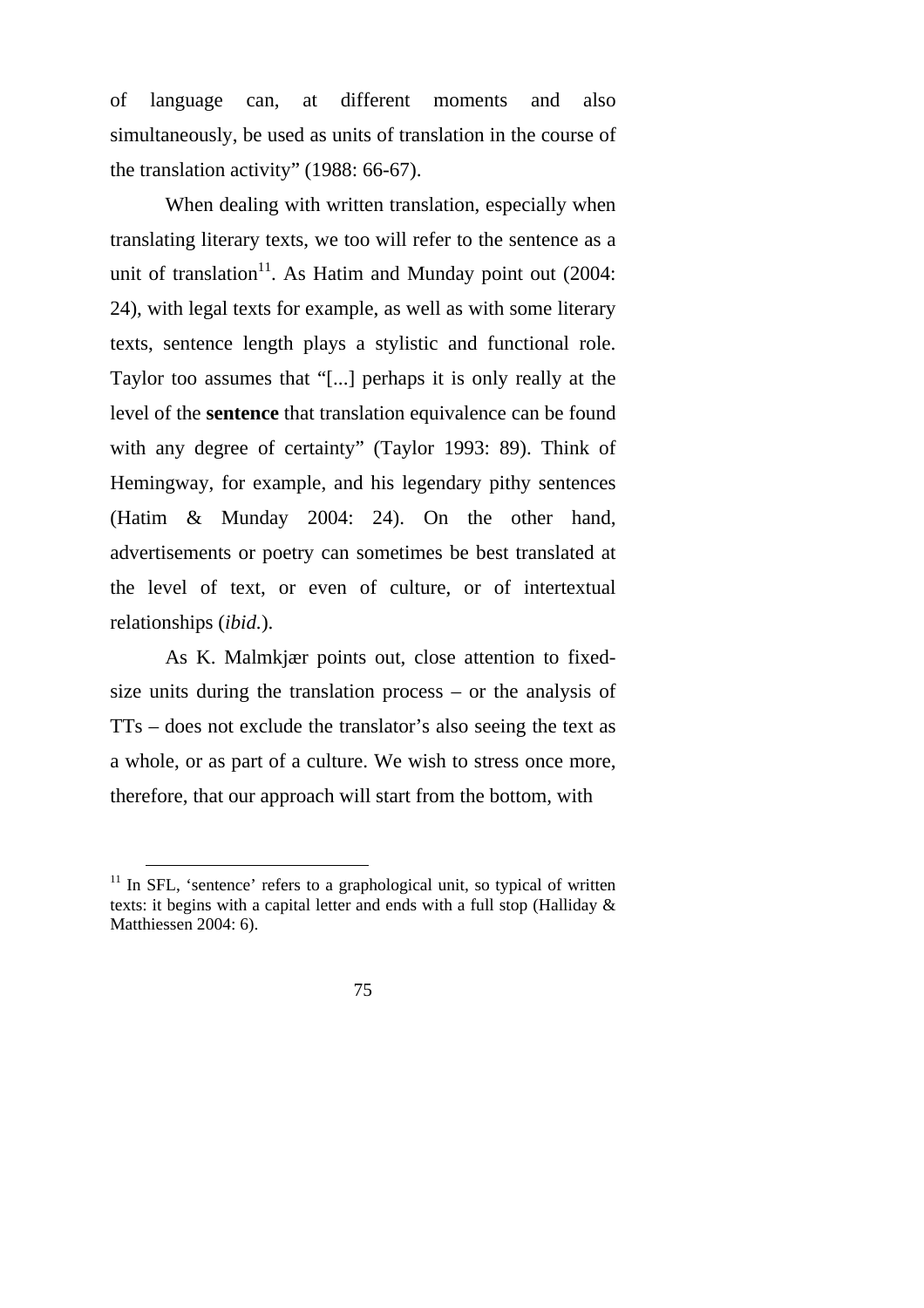of language can, at different moments and also simultaneously, be used as units of translation in the course of the translation activity" (1988: 66-67).

When dealing with written translation, especially when translating literary texts, we too will refer to the sentence as a unit of translation<sup>11</sup>. As Hatim and Munday point out  $(2004)$ : 24), with legal texts for example, as well as with some literary texts, sentence length plays a stylistic and functional role. Taylor too assumes that "[...] perhaps it is only really at the level of the **sentence** that translation equivalence can be found with any degree of certainty" (Taylor 1993: 89). Think of Hemingway, for example, and his legendary pithy sentences (Hatim & Munday 2004: 24). On the other hand, advertisements or poetry can sometimes be best translated at the level of text, or even of culture, or of intertextual relationships (*ibid.*).

As K. Malmkjær points out, close attention to fixedsize units during the translation process – or the analysis of TTs – does not exclude the translator's also seeing the text as a whole, or as part of a culture. We wish to stress once more, therefore, that our approach will start from the bottom, with

 $11$  In SFL, 'sentence' refers to a graphological unit, so typical of written texts: it begins with a capital letter and ends with a full stop (Halliday & Matthiessen 2004: 6).

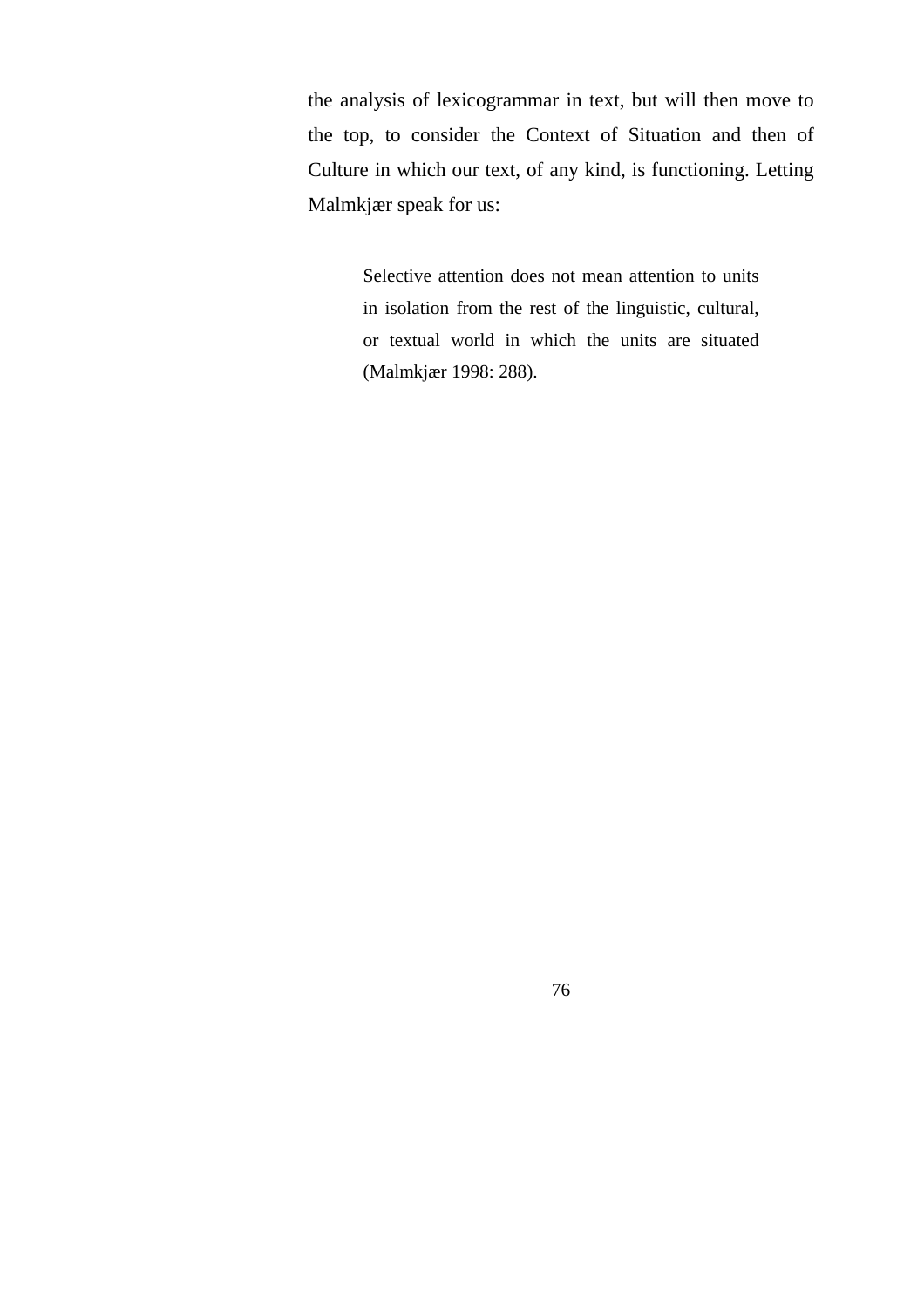the analysis of lexicogrammar in text, but will then move to the top, to consider the Context of Situation and then of Culture in which our text, of any kind, is functioning. Letting Malmkjær speak for us:

> Selective attention does not mean attention to units in isolation from the rest of the linguistic, cultural, or textual world in which the units are situated (Malmkjær 1998: 288).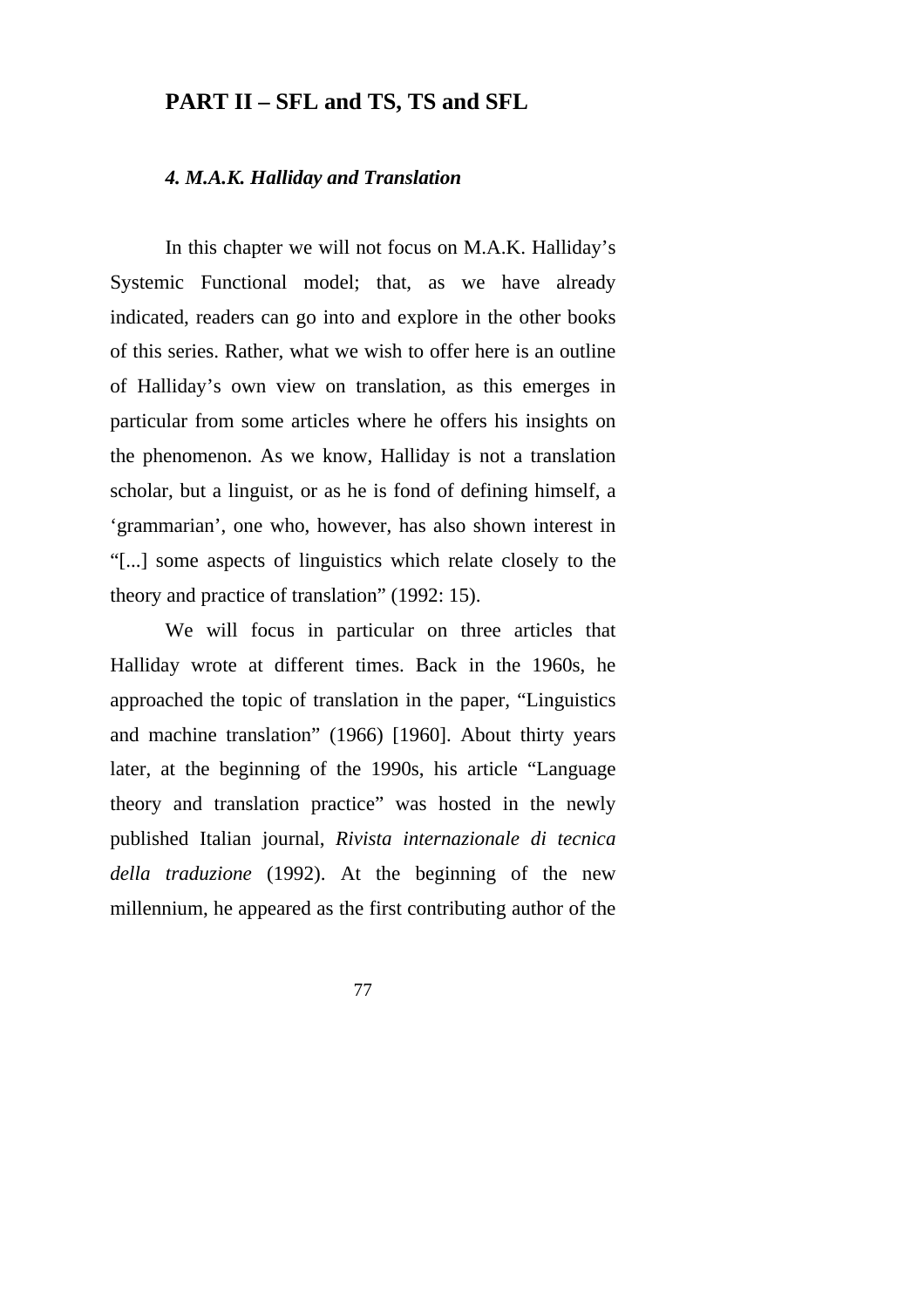## **PART II – SFL and TS, TS and SFL**

#### *4. M.A.K. Halliday and Translation*

In this chapter we will not focus on M.A.K. Halliday's Systemic Functional model; that, as we have already indicated, readers can go into and explore in the other books of this series. Rather, what we wish to offer here is an outline of Halliday's own view on translation, as this emerges in particular from some articles where he offers his insights on the phenomenon. As we know, Halliday is not a translation scholar, but a linguist, or as he is fond of defining himself, a 'grammarian', one who, however, has also shown interest in "[...] some aspects of linguistics which relate closely to the theory and practice of translation" (1992: 15).

We will focus in particular on three articles that Halliday wrote at different times. Back in the 1960s, he approached the topic of translation in the paper, "Linguistics and machine translation" (1966) [1960]. About thirty years later, at the beginning of the 1990s, his article "Language theory and translation practice" was hosted in the newly published Italian journal, *Rivista internazionale di tecnica della traduzione* (1992). At the beginning of the new millennium, he appeared as the first contributing author of the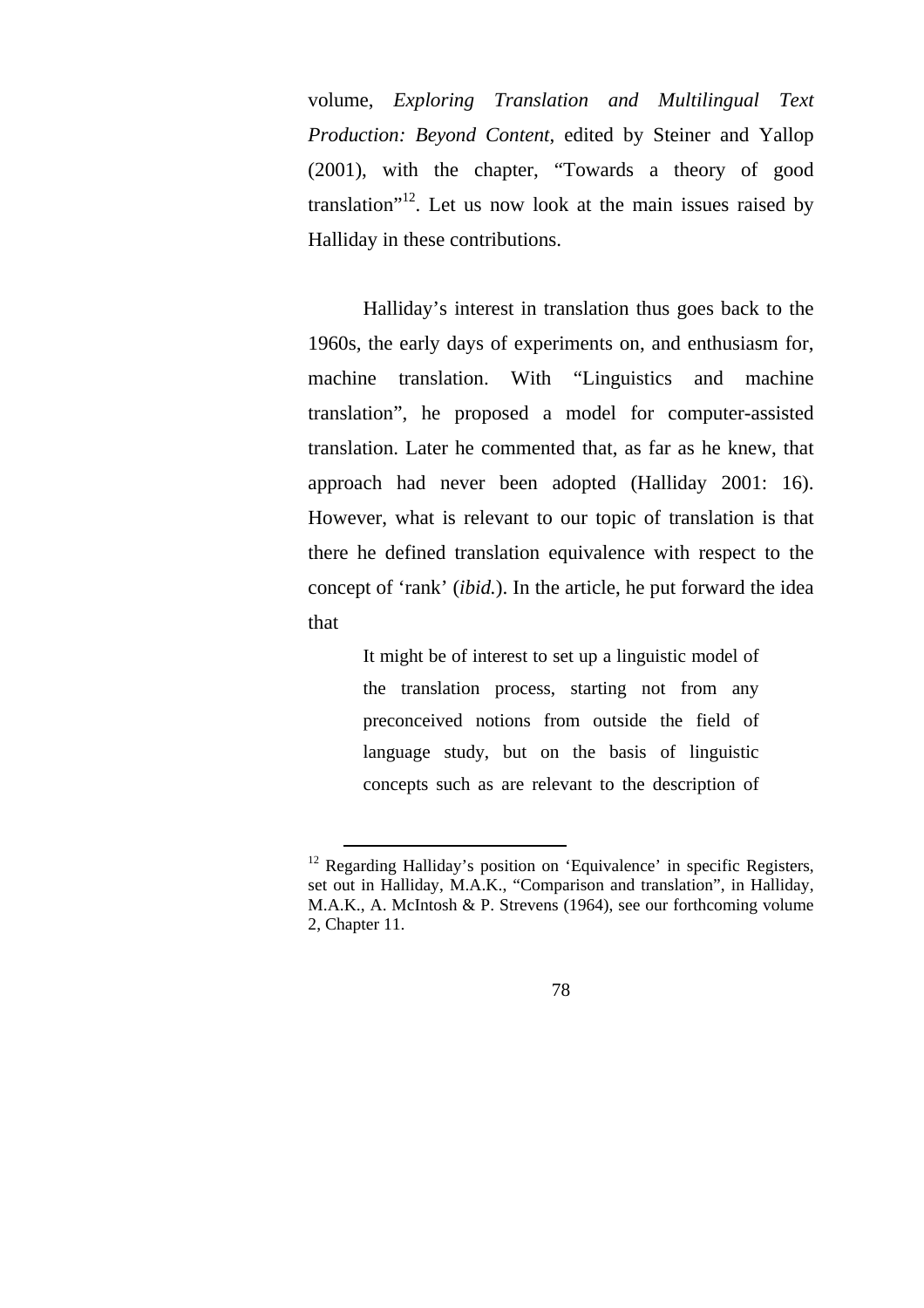volume, *Exploring Translation and Multilingual Text Production: Beyond Content*, edited by Steiner and Yallop (2001), with the chapter, "Towards a theory of good translation<sup> $12$ </sup>. Let us now look at the main issues raised by Halliday in these contributions.

Halliday's interest in translation thus goes back to the 1960s, the early days of experiments on, and enthusiasm for, machine translation. With "Linguistics and machine translation", he proposed a model for computer-assisted translation. Later he commented that, as far as he knew, that approach had never been adopted (Halliday 2001: 16). However, what is relevant to our topic of translation is that there he defined translation equivalence with respect to the concept of 'rank' (*ibid.*). In the article, he put forward the idea that

> It might be of interest to set up a linguistic model of the translation process, starting not from any preconceived notions from outside the field of language study, but on the basis of linguistic concepts such as are relevant to the description of

<sup>&</sup>lt;sup>12</sup> Regarding Halliday's position on 'Equivalence' in specific Registers, set out in Halliday, M.A.K., "Comparison and translation", in Halliday, M.A.K., A. McIntosh & P. Strevens (1964), see our forthcoming volume 2, Chapter 11.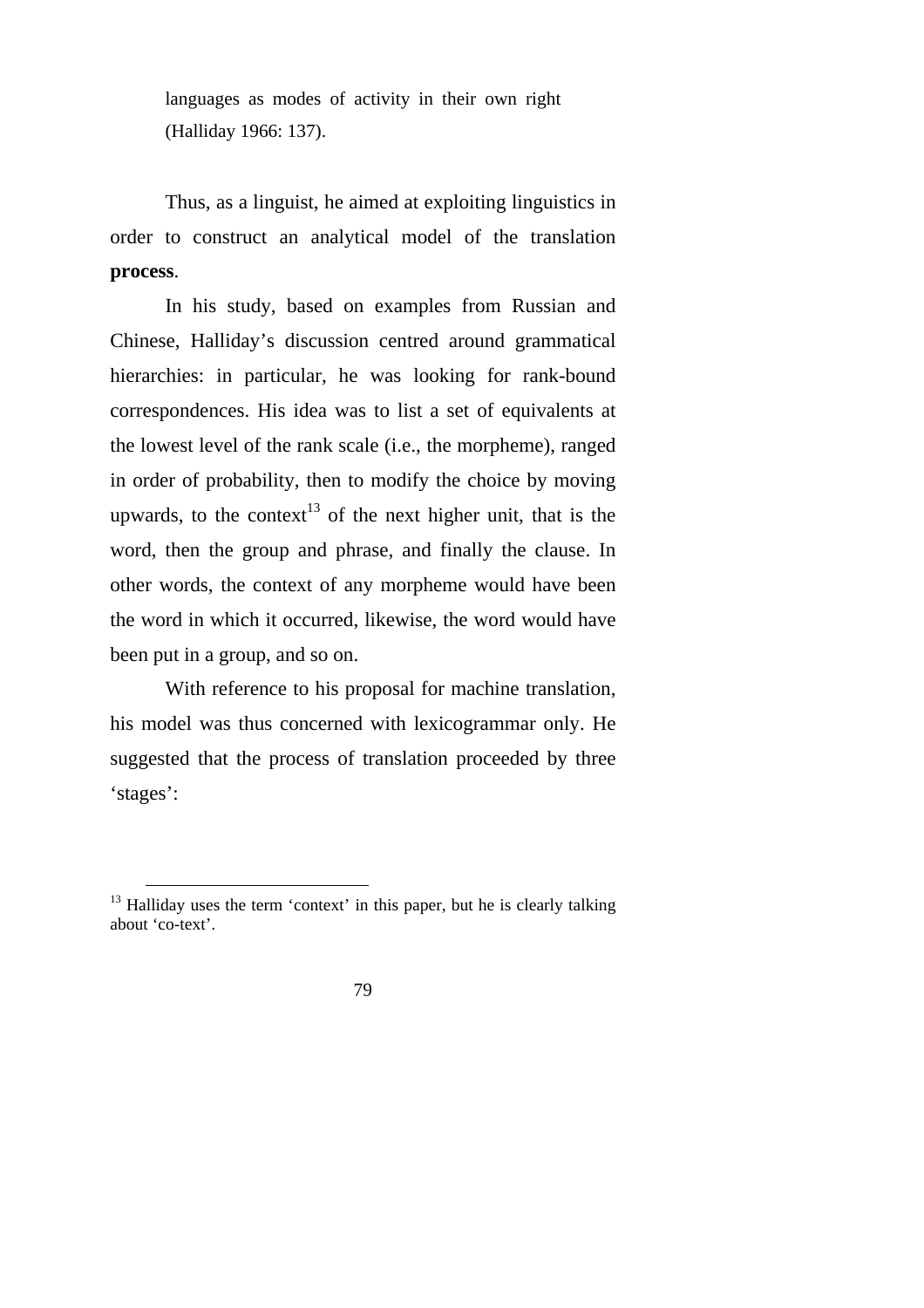languages as modes of activity in their own right (Halliday 1966: 137).

Thus, as a linguist, he aimed at exploiting linguistics in order to construct an analytical model of the translation **process**.

In his study, based on examples from Russian and Chinese, Halliday's discussion centred around grammatical hierarchies: in particular, he was looking for rank-bound correspondences. His idea was to list a set of equivalents at the lowest level of the rank scale (i.e., the morpheme), ranged in order of probability, then to modify the choice by moving upwards, to the context<sup>13</sup> of the next higher unit, that is the word, then the group and phrase, and finally the clause. In other words, the context of any morpheme would have been the word in which it occurred, likewise, the word would have been put in a group, and so on.

With reference to his proposal for machine translation, his model was thus concerned with lexicogrammar only. He suggested that the process of translation proceeded by three 'stages':

 $13$  Halliday uses the term 'context' in this paper, but he is clearly talking about 'co-text'.

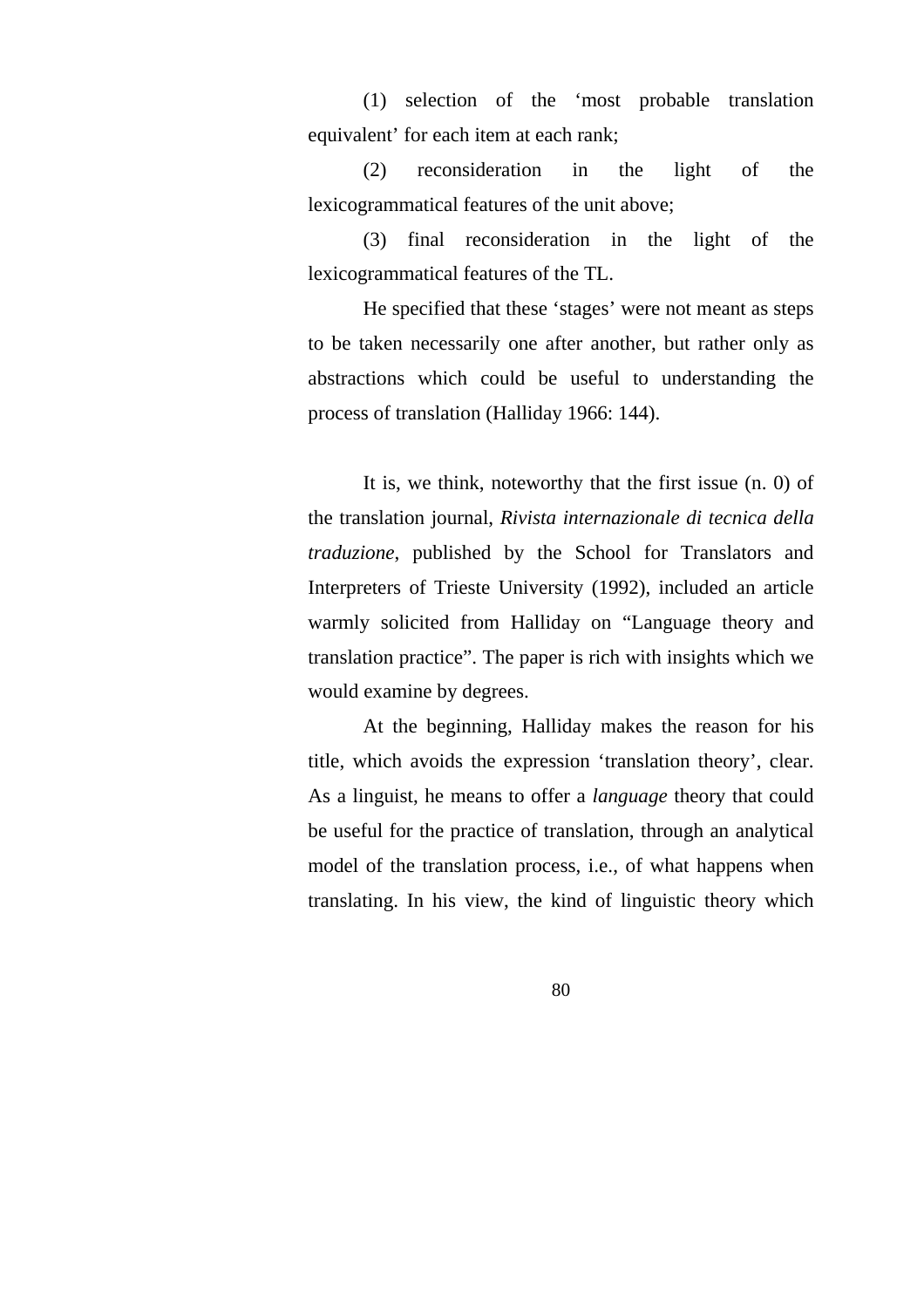(1) selection of the 'most probable translation equivalent' for each item at each rank;

(2) reconsideration in the light of the lexicogrammatical features of the unit above;

(3) final reconsideration in the light of the lexicogrammatical features of the TL.

He specified that these 'stages' were not meant as steps to be taken necessarily one after another, but rather only as abstractions which could be useful to understanding the process of translation (Halliday 1966: 144).

It is, we think, noteworthy that the first issue (n. 0) of the translation journal, *Rivista internazionale di tecnica della traduzione*, published by the School for Translators and Interpreters of Trieste University (1992), included an article warmly solicited from Halliday on "Language theory and translation practice". The paper is rich with insights which we would examine by degrees.

At the beginning, Halliday makes the reason for his title, which avoids the expression 'translation theory', clear. As a linguist, he means to offer a *language* theory that could be useful for the practice of translation, through an analytical model of the translation process, i.e., of what happens when translating. In his view, the kind of linguistic theory which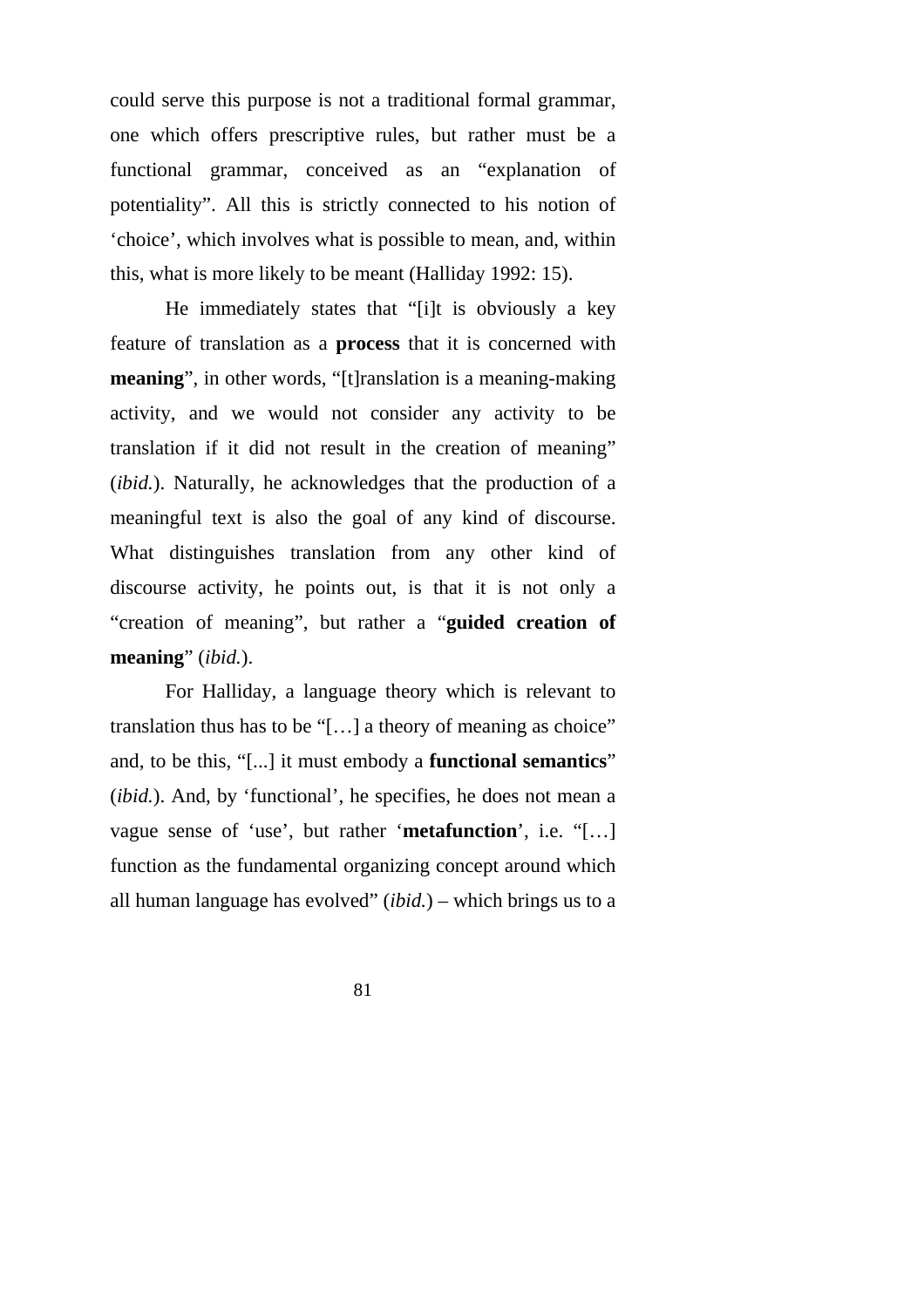could serve this purpose is not a traditional formal grammar, one which offers prescriptive rules, but rather must be a functional grammar, conceived as an "explanation of potentiality". All this is strictly connected to his notion of 'choice', which involves what is possible to mean, and, within this, what is more likely to be meant (Halliday 1992: 15).

He immediately states that "[i]t is obviously a key feature of translation as a **process** that it is concerned with **meaning**", in other words, "[t]ranslation is a meaning-making activity, and we would not consider any activity to be translation if it did not result in the creation of meaning" (*ibid.*). Naturally, he acknowledges that the production of a meaningful text is also the goal of any kind of discourse. What distinguishes translation from any other kind of discourse activity, he points out, is that it is not only a "creation of meaning", but rather a "**guided creation of meaning**" (*ibid.*).

For Halliday, a language theory which is relevant to translation thus has to be "[…] a theory of meaning as choice" and, to be this, "[...] it must embody a **functional semantics**" (*ibid.*). And, by 'functional', he specifies, he does not mean a vague sense of 'use', but rather '**metafunction**', i.e. "[…] function as the fundamental organizing concept around which all human language has evolved" (*ibid.*) – which brings us to a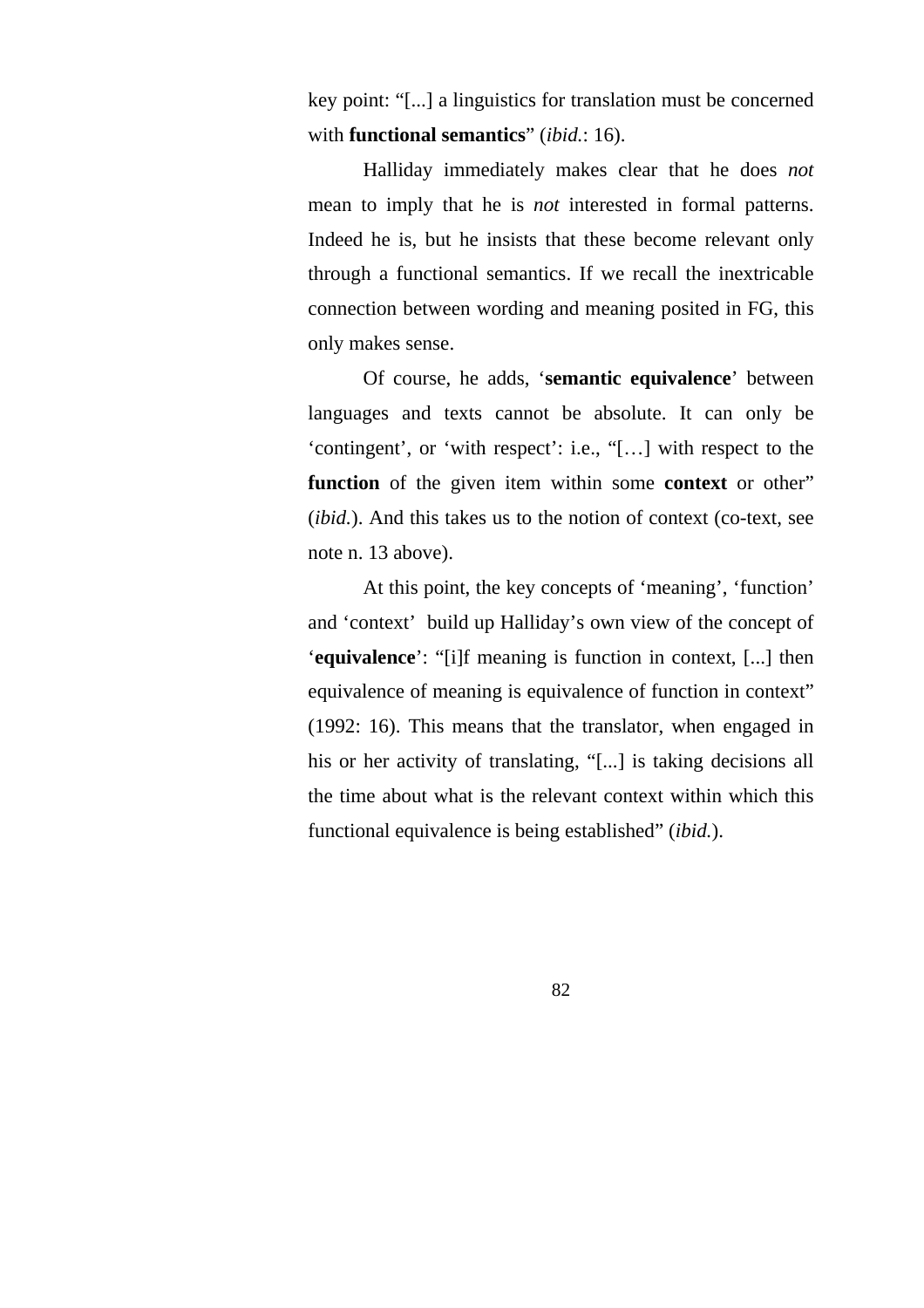key point: "[...] a linguistics for translation must be concerned with **functional semantics**" (*ibid.*: 16).

Halliday immediately makes clear that he does *not*  mean to imply that he is *not* interested in formal patterns. Indeed he is, but he insists that these become relevant only through a functional semantics. If we recall the inextricable connection between wording and meaning posited in FG, this only makes sense.

Of course, he adds, '**semantic equivalence**' between languages and texts cannot be absolute. It can only be 'contingent', or 'with respect': i.e., "[…] with respect to the **function** of the given item within some **context** or other" (*ibid.*). And this takes us to the notion of context (co-text, see note n. 13 above).

At this point, the key concepts of 'meaning', 'function' and 'context' build up Halliday's own view of the concept of '**equivalence**': "[i]f meaning is function in context, [...] then equivalence of meaning is equivalence of function in context" (1992: 16). This means that the translator, when engaged in his or her activity of translating, "[...] is taking decisions all the time about what is the relevant context within which this functional equivalence is being established" (*ibid.*).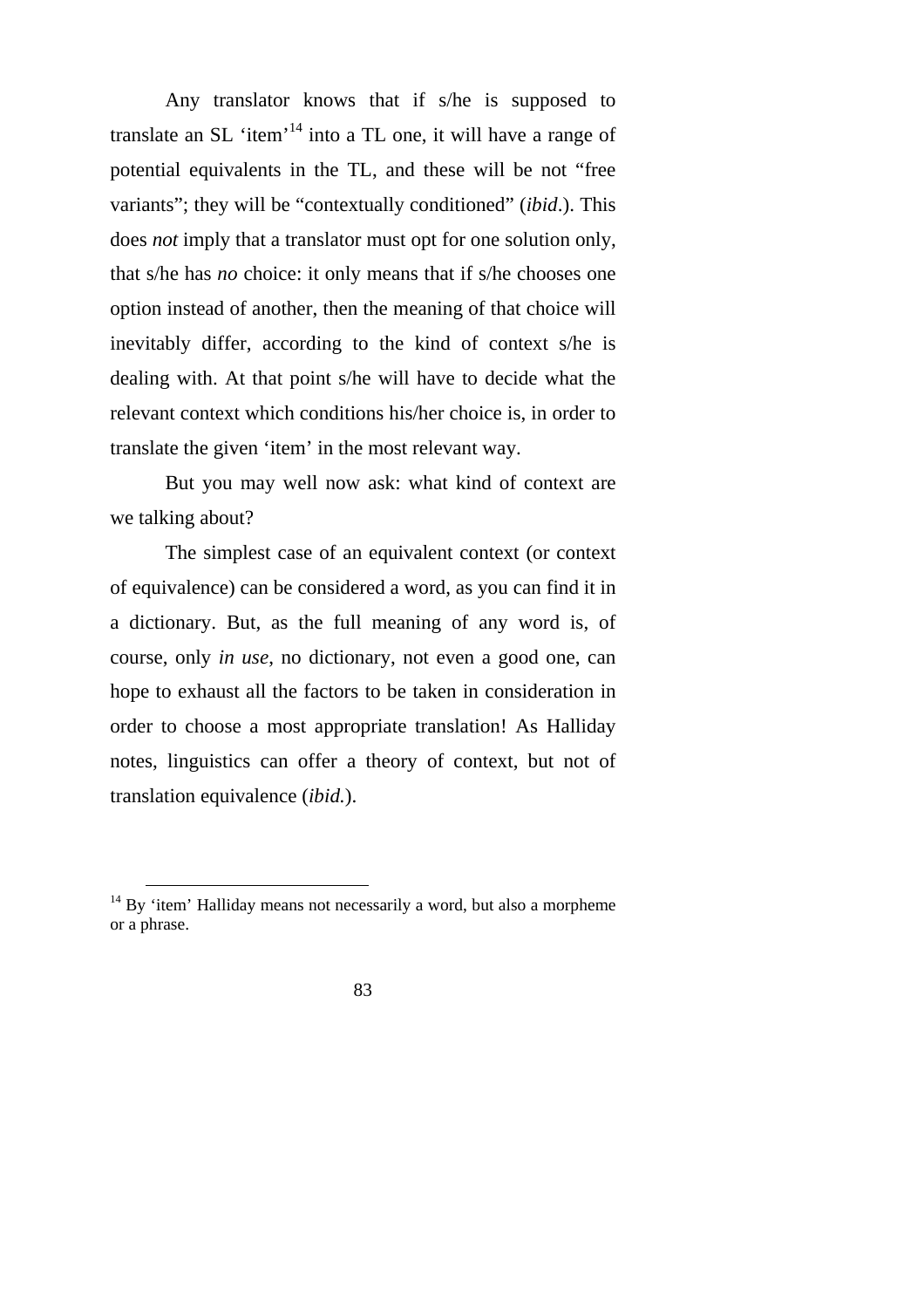Any translator knows that if s/he is supposed to translate an SL 'item'14 into a TL one, it will have a range of potential equivalents in the TL, and these will be not "free variants"; they will be "contextually conditioned" (*ibid*.). This does *not* imply that a translator must opt for one solution only, that s/he has *no* choice: it only means that if s/he chooses one option instead of another, then the meaning of that choice will inevitably differ, according to the kind of context s/he is dealing with. At that point s/he will have to decide what the relevant context which conditions his/her choice is, in order to translate the given 'item' in the most relevant way.

But you may well now ask: what kind of context are we talking about?

The simplest case of an equivalent context (or context of equivalence) can be considered a word, as you can find it in a dictionary. But, as the full meaning of any word is, of course, only *in use*, no dictionary, not even a good one, can hope to exhaust all the factors to be taken in consideration in order to choose a most appropriate translation! As Halliday notes, linguistics can offer a theory of context, but not of translation equivalence (*ibid.*).

 $14$  By 'item' Halliday means not necessarily a word, but also a morpheme or a phrase.

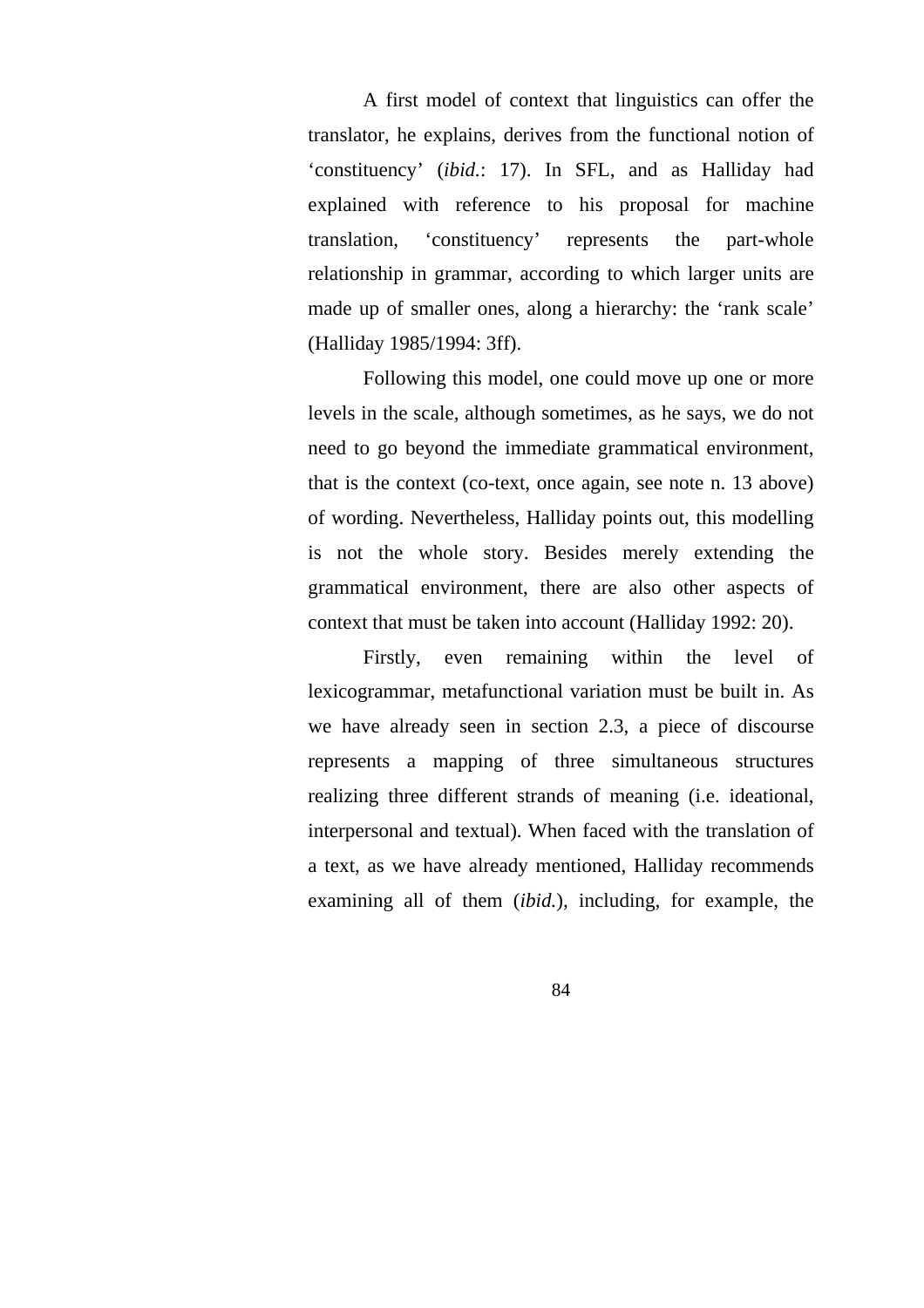A first model of context that linguistics can offer the translator, he explains, derives from the functional notion of 'constituency' (*ibid.*: 17). In SFL, and as Halliday had explained with reference to his proposal for machine translation, 'constituency' represents the part-whole relationship in grammar, according to which larger units are made up of smaller ones, along a hierarchy: the 'rank scale' (Halliday 1985/1994: 3ff).

Following this model, one could move up one or more levels in the scale, although sometimes, as he says, we do not need to go beyond the immediate grammatical environment, that is the context (co-text, once again, see note n. 13 above) of wording. Nevertheless, Halliday points out, this modelling is not the whole story. Besides merely extending the grammatical environment, there are also other aspects of context that must be taken into account (Halliday 1992: 20).

Firstly, even remaining within the level of lexicogrammar, metafunctional variation must be built in. As we have already seen in section 2.3, a piece of discourse represents a mapping of three simultaneous structures realizing three different strands of meaning (i.e. ideational, interpersonal and textual). When faced with the translation of a text, as we have already mentioned, Halliday recommends examining all of them (*ibid.*), including, for example, the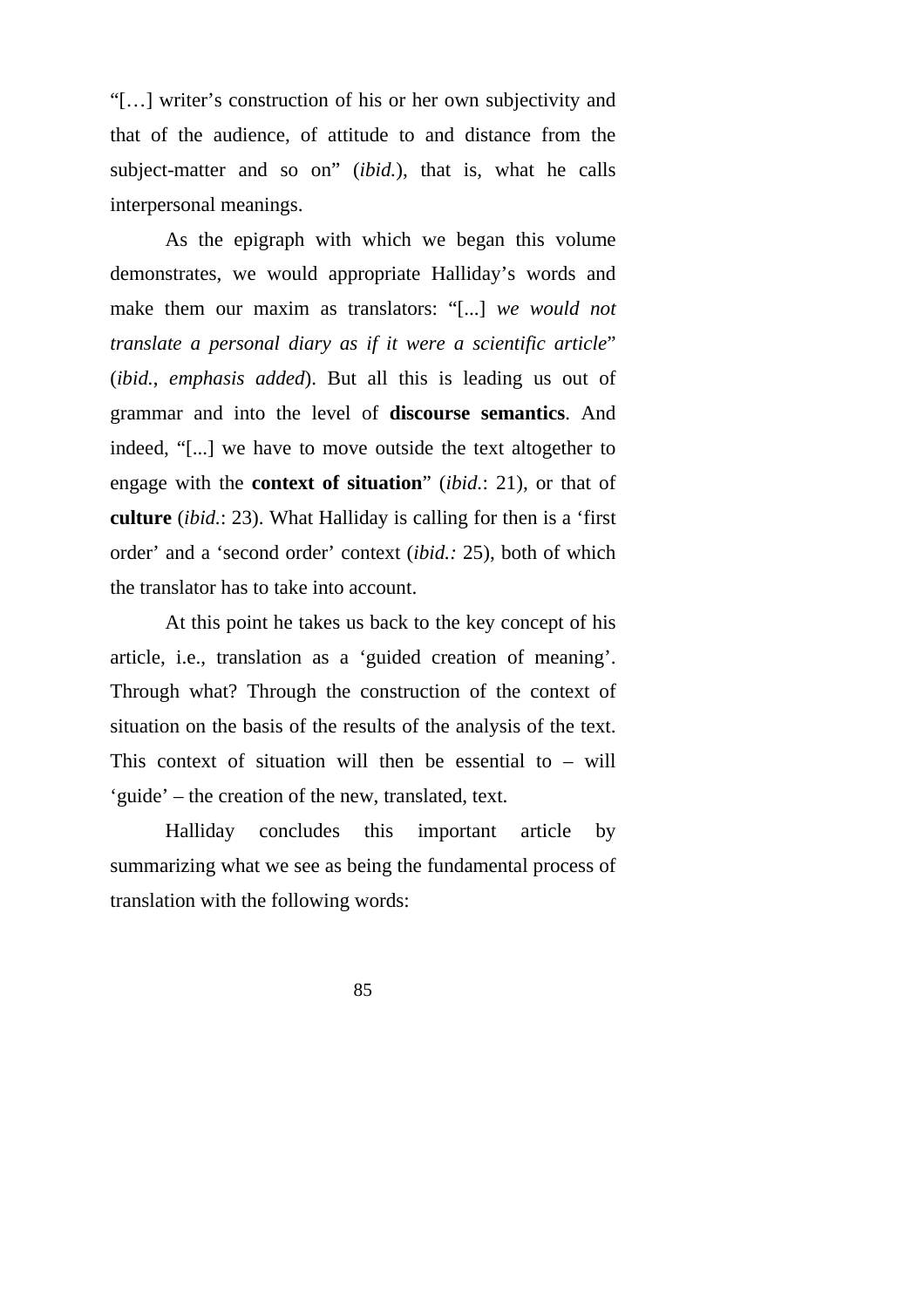"[…] writer's construction of his or her own subjectivity and that of the audience, of attitude to and distance from the subject-matter and so on" (*ibid.*), that is, what he calls interpersonal meanings.

As the epigraph with which we began this volume demonstrates, we would appropriate Halliday's words and make them our maxim as translators: "[...] *we would not translate a personal diary as if it were a scientific article*" (*ibid.*, *emphasis added*). But all this is leading us out of grammar and into the level of **discourse semantics**. And indeed, "[...] we have to move outside the text altogether to engage with the **context of situation**" (*ibid.*: 21), or that of **culture** (*ibid.*: 23). What Halliday is calling for then is a 'first order' and a 'second order' context (*ibid.:* 25), both of which the translator has to take into account.

At this point he takes us back to the key concept of his article, i.e., translation as a 'guided creation of meaning'. Through what? Through the construction of the context of situation on the basis of the results of the analysis of the text. This context of situation will then be essential to – will 'guide' – the creation of the new, translated, text.

Halliday concludes this important article by summarizing what we see as being the fundamental process of translation with the following words: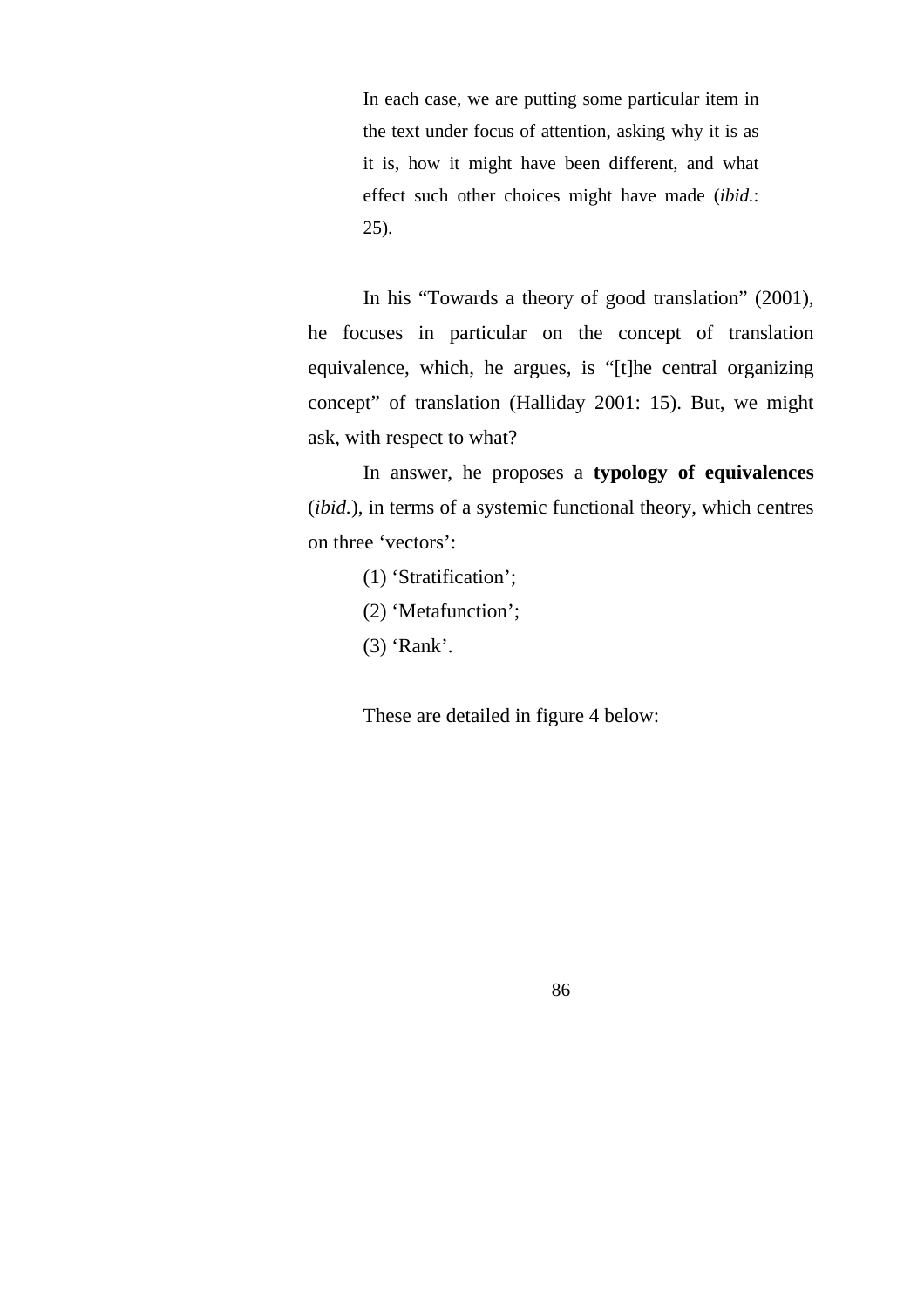In each case, we are putting some particular item in the text under focus of attention, asking why it is as it is, how it might have been different, and what effect such other choices might have made (*ibid.*: 25).

In his "Towards a theory of good translation" (2001), he focuses in particular on the concept of translation equivalence, which, he argues, is "[t]he central organizing concept" of translation (Halliday 2001: 15). But, we might ask, with respect to what?

In answer, he proposes a **typology of equivalences**  (*ibid.*), in terms of a systemic functional theory, which centres on three 'vectors':

- (1) 'Stratification';
- (2) 'Metafunction';
- (3) 'Rank'.

These are detailed in figure 4 below: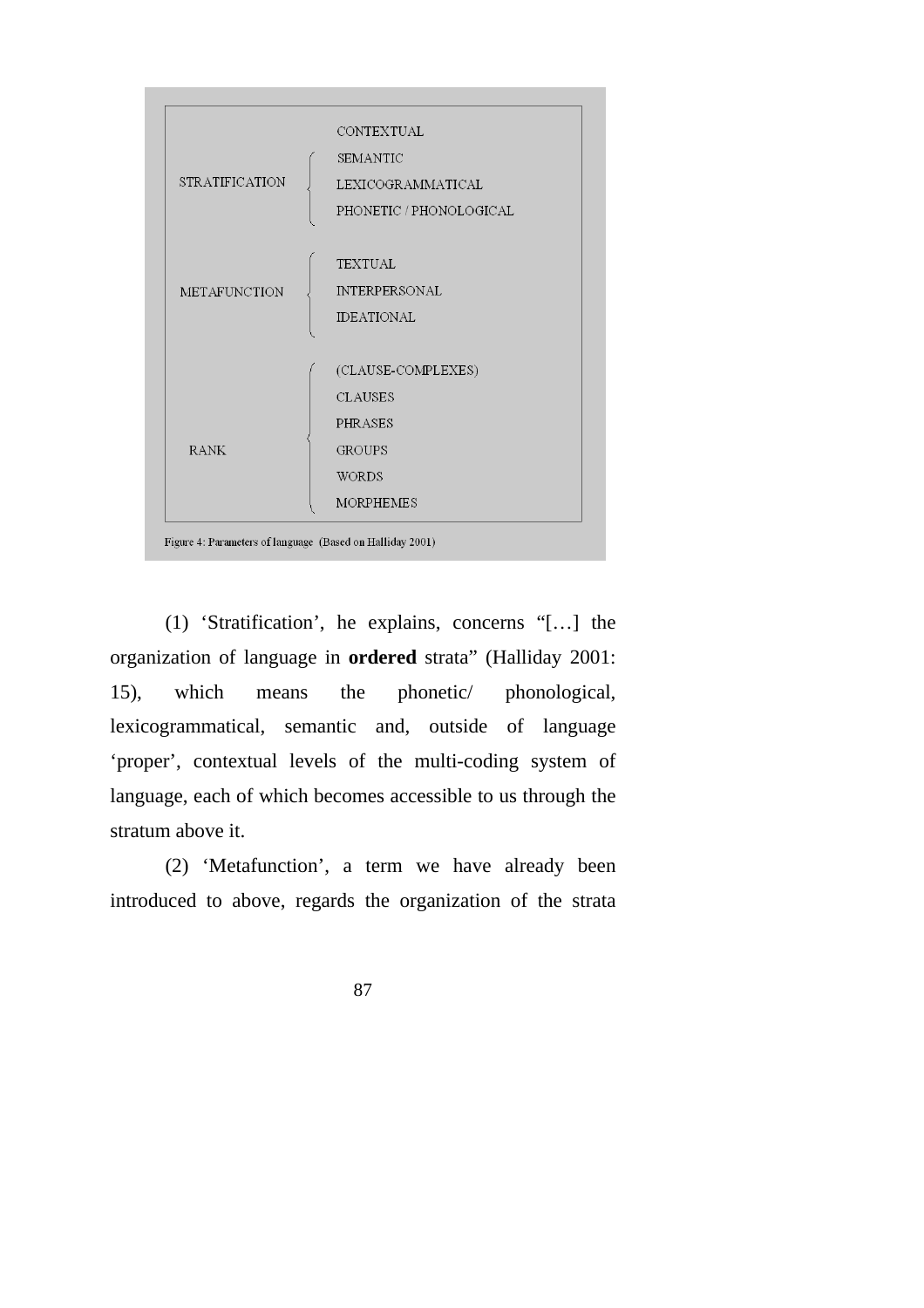

(1) 'Stratification', he explains, concerns "[…] the organization of language in **ordered** strata" (Halliday 2001: 15), which means the phonetic/ phonological, lexicogrammatical, semantic and, outside of language 'proper', contextual levels of the multi-coding system of language, each of which becomes accessible to us through the stratum above it.

(2) 'Metafunction', a term we have already been introduced to above, regards the organization of the strata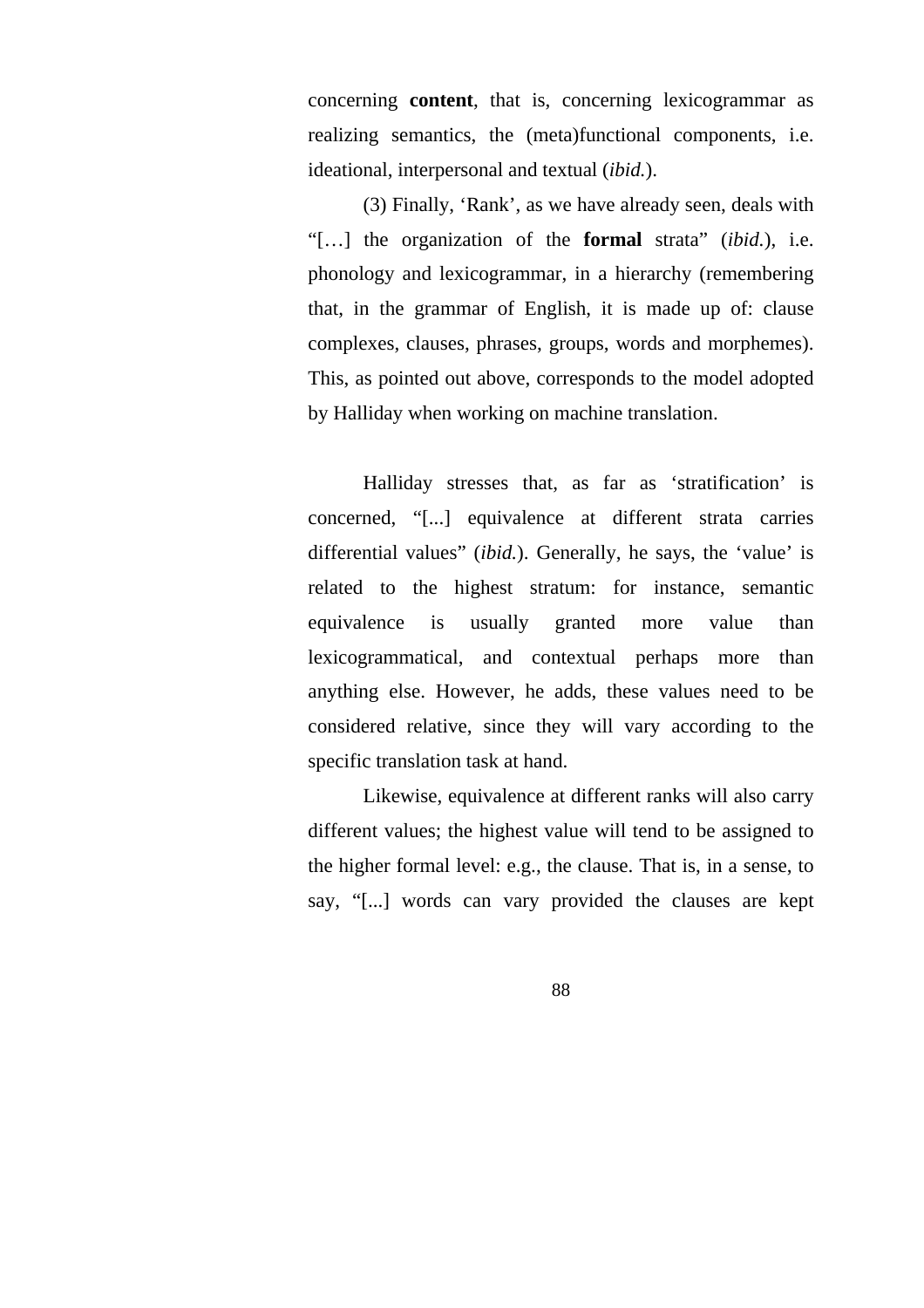concerning **content**, that is, concerning lexicogrammar as realizing semantics, the (meta)functional components, i.e. ideational, interpersonal and textual (*ibid.*).

(3) Finally, 'Rank', as we have already seen, deals with "[…] the organization of the **formal** strata" (*ibid.*), i.e. phonology and lexicogrammar, in a hierarchy (remembering that, in the grammar of English, it is made up of: clause complexes, clauses, phrases, groups, words and morphemes). This, as pointed out above, corresponds to the model adopted by Halliday when working on machine translation.

Halliday stresses that, as far as 'stratification' is concerned, "[...] equivalence at different strata carries differential values" (*ibid.*). Generally, he says, the 'value' is related to the highest stratum: for instance, semantic equivalence is usually granted more value than lexicogrammatical, and contextual perhaps more than anything else. However, he adds, these values need to be considered relative, since they will vary according to the specific translation task at hand.

Likewise, equivalence at different ranks will also carry different values; the highest value will tend to be assigned to the higher formal level: e.g., the clause. That is, in a sense, to say, "[...] words can vary provided the clauses are kept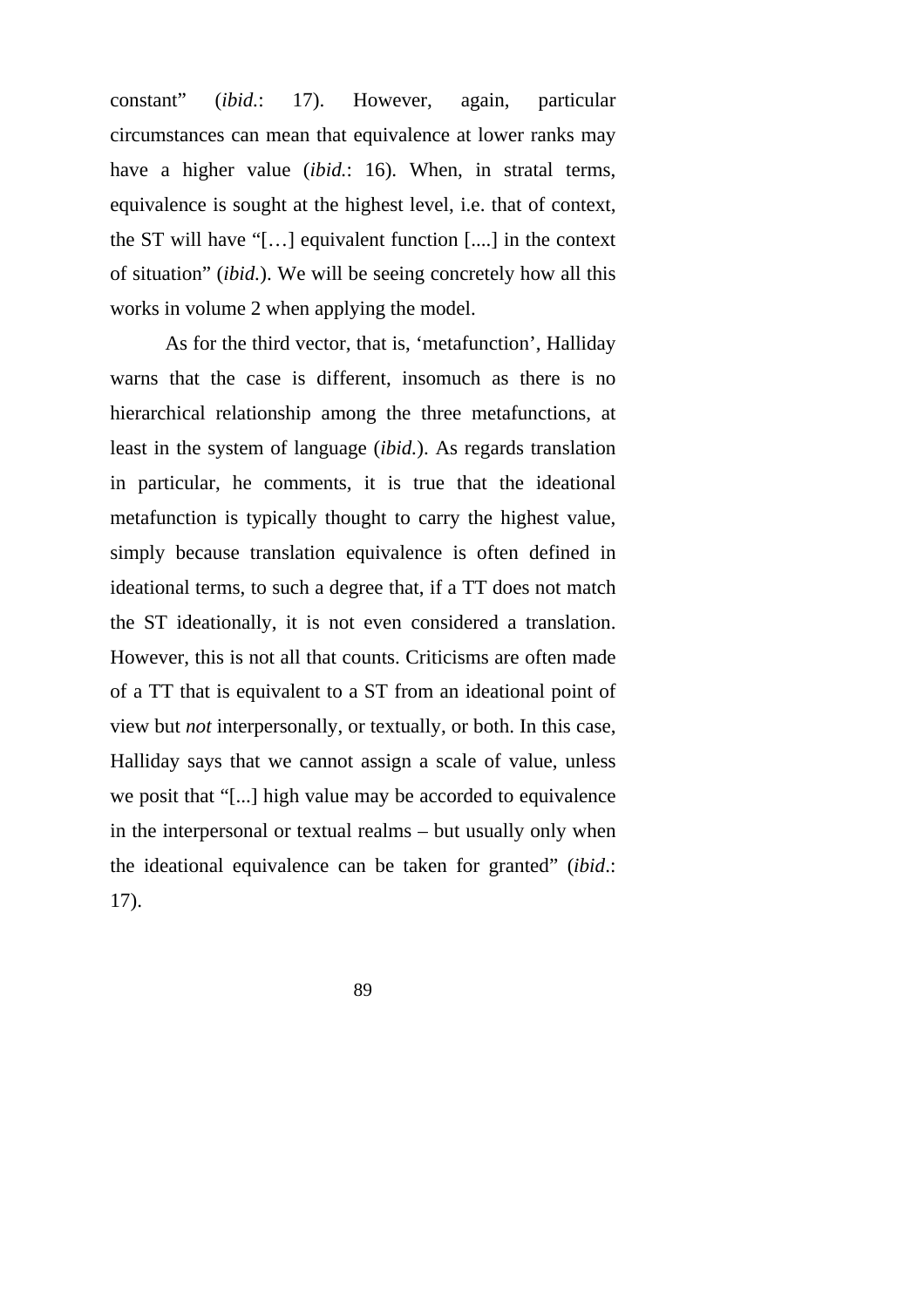constant" (*ibid.*: 17). However, again, particular circumstances can mean that equivalence at lower ranks may have a higher value *(ibid.*: 16). When, in stratal terms, equivalence is sought at the highest level, i.e. that of context, the ST will have "[…] equivalent function [....] in the context of situation" (*ibid.*). We will be seeing concretely how all this works in volume 2 when applying the model.

As for the third vector, that is, 'metafunction', Halliday warns that the case is different, insomuch as there is no hierarchical relationship among the three metafunctions, at least in the system of language (*ibid.*). As regards translation in particular, he comments, it is true that the ideational metafunction is typically thought to carry the highest value, simply because translation equivalence is often defined in ideational terms, to such a degree that, if a TT does not match the ST ideationally, it is not even considered a translation. However, this is not all that counts. Criticisms are often made of a TT that is equivalent to a ST from an ideational point of view but *not* interpersonally, or textually, or both. In this case, Halliday says that we cannot assign a scale of value, unless we posit that "[...] high value may be accorded to equivalence in the interpersonal or textual realms – but usually only when the ideational equivalence can be taken for granted" (*ibid*.: 17).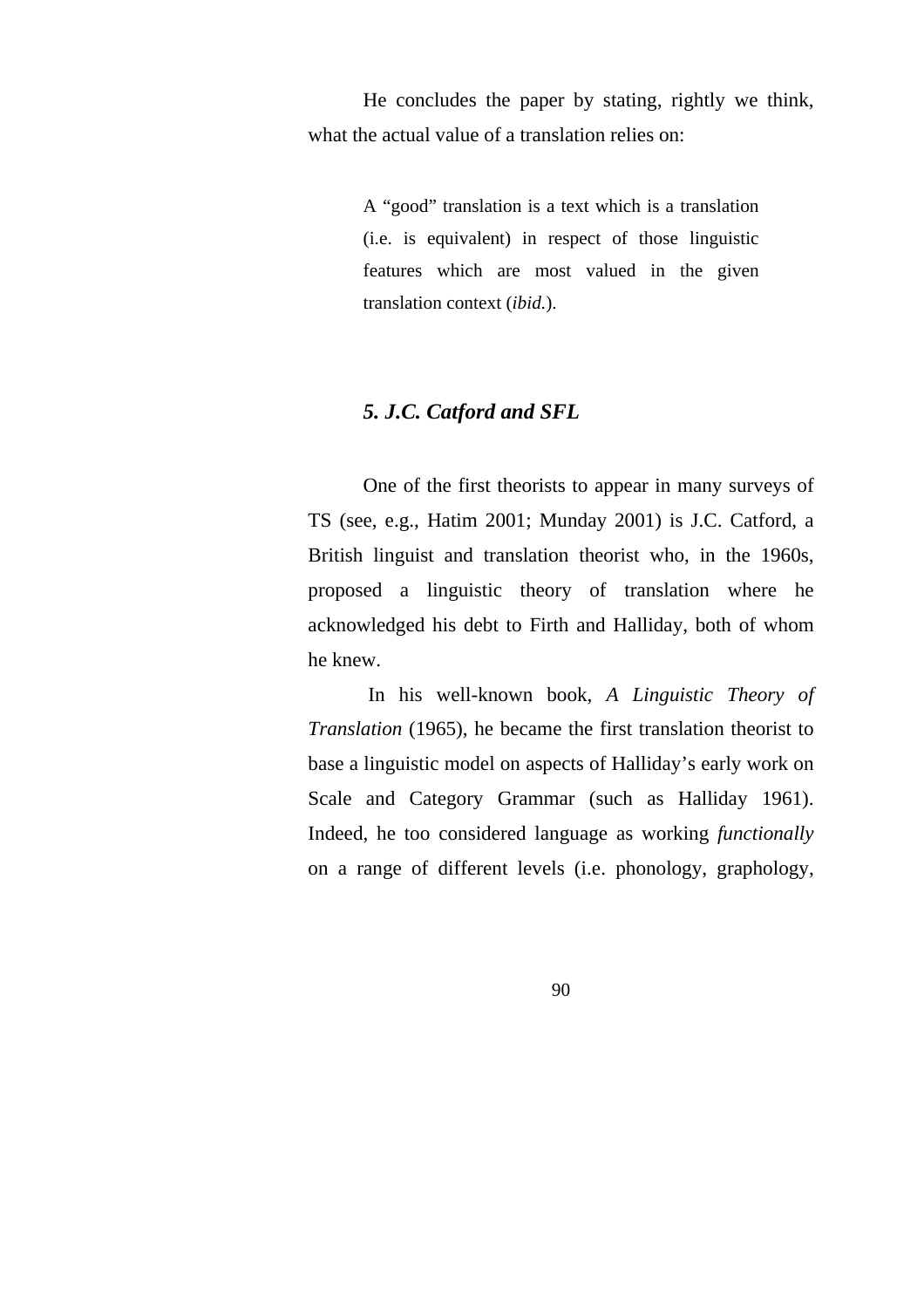He concludes the paper by stating, rightly we think, what the actual value of a translation relies on:

> A "good" translation is a text which is a translation (i.e. is equivalent) in respect of those linguistic features which are most valued in the given translation context (*ibid.*).

# *5. J.C. Catford and SFL*

One of the first theorists to appear in many surveys of TS (see, e.g., Hatim 2001; Munday 2001) is J.C. Catford, a British linguist and translation theorist who, in the 1960s, proposed a linguistic theory of translation where he acknowledged his debt to Firth and Halliday, both of whom he knew.

 In his well-known book, *A Linguistic Theory of Translation* (1965), he became the first translation theorist to base a linguistic model on aspects of Halliday's early work on Scale and Category Grammar (such as Halliday 1961). Indeed, he too considered language as working *functionally*  on a range of different levels (i.e. phonology, graphology,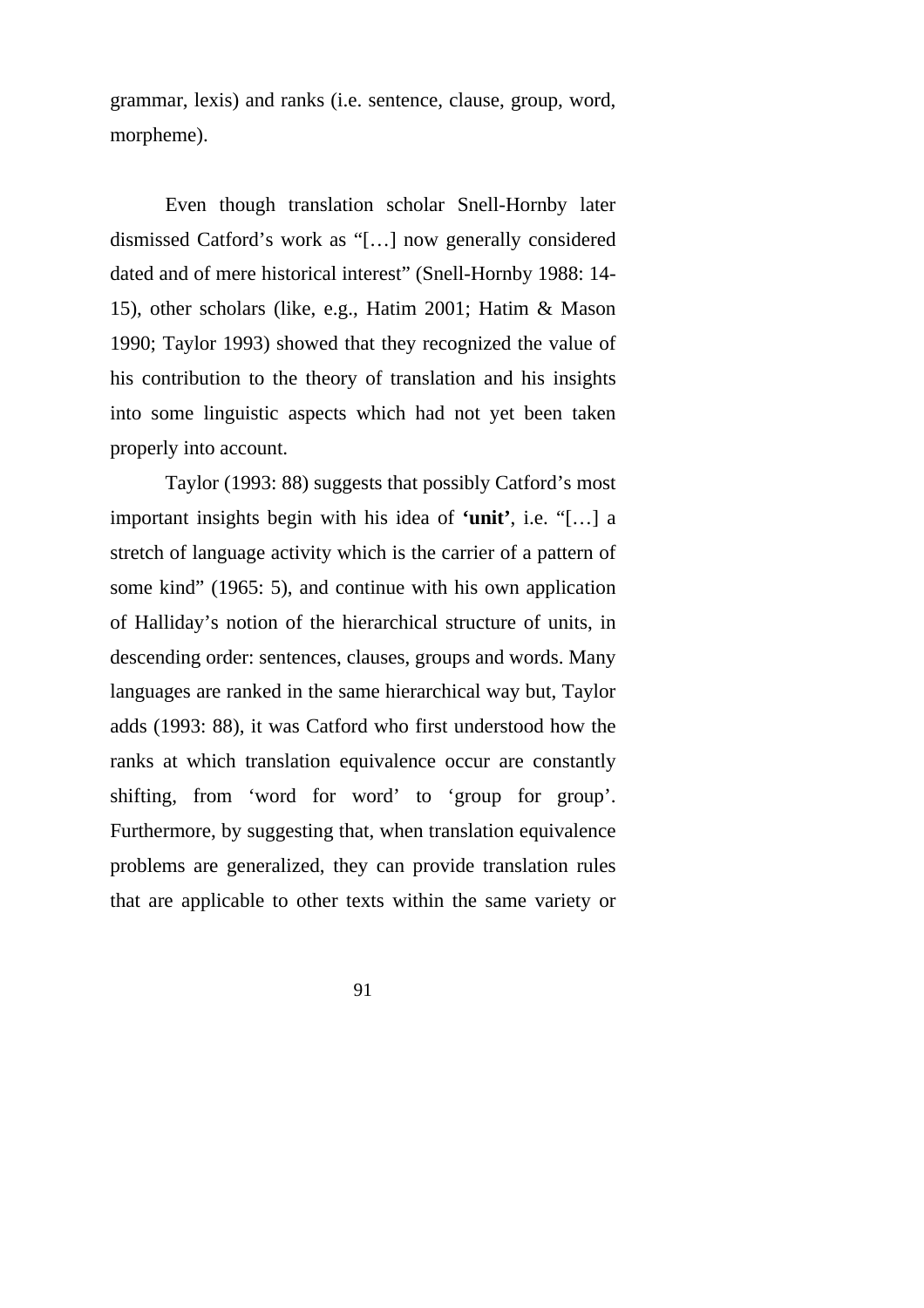grammar, lexis) and ranks (i.e. sentence, clause, group, word, morpheme).

Even though translation scholar Snell-Hornby later dismissed Catford's work as "[…] now generally considered dated and of mere historical interest" (Snell-Hornby 1988: 14- 15), other scholars (like, e.g., Hatim 2001; Hatim & Mason 1990; Taylor 1993) showed that they recognized the value of his contribution to the theory of translation and his insights into some linguistic aspects which had not yet been taken properly into account.

Taylor (1993: 88) suggests that possibly Catford's most important insights begin with his idea of **'unit'**, i.e. "[…] a stretch of language activity which is the carrier of a pattern of some kind" (1965: 5), and continue with his own application of Halliday's notion of the hierarchical structure of units, in descending order: sentences, clauses, groups and words. Many languages are ranked in the same hierarchical way but, Taylor adds (1993: 88), it was Catford who first understood how the ranks at which translation equivalence occur are constantly shifting, from 'word for word' to 'group for group'. Furthermore, by suggesting that, when translation equivalence problems are generalized, they can provide translation rules that are applicable to other texts within the same variety or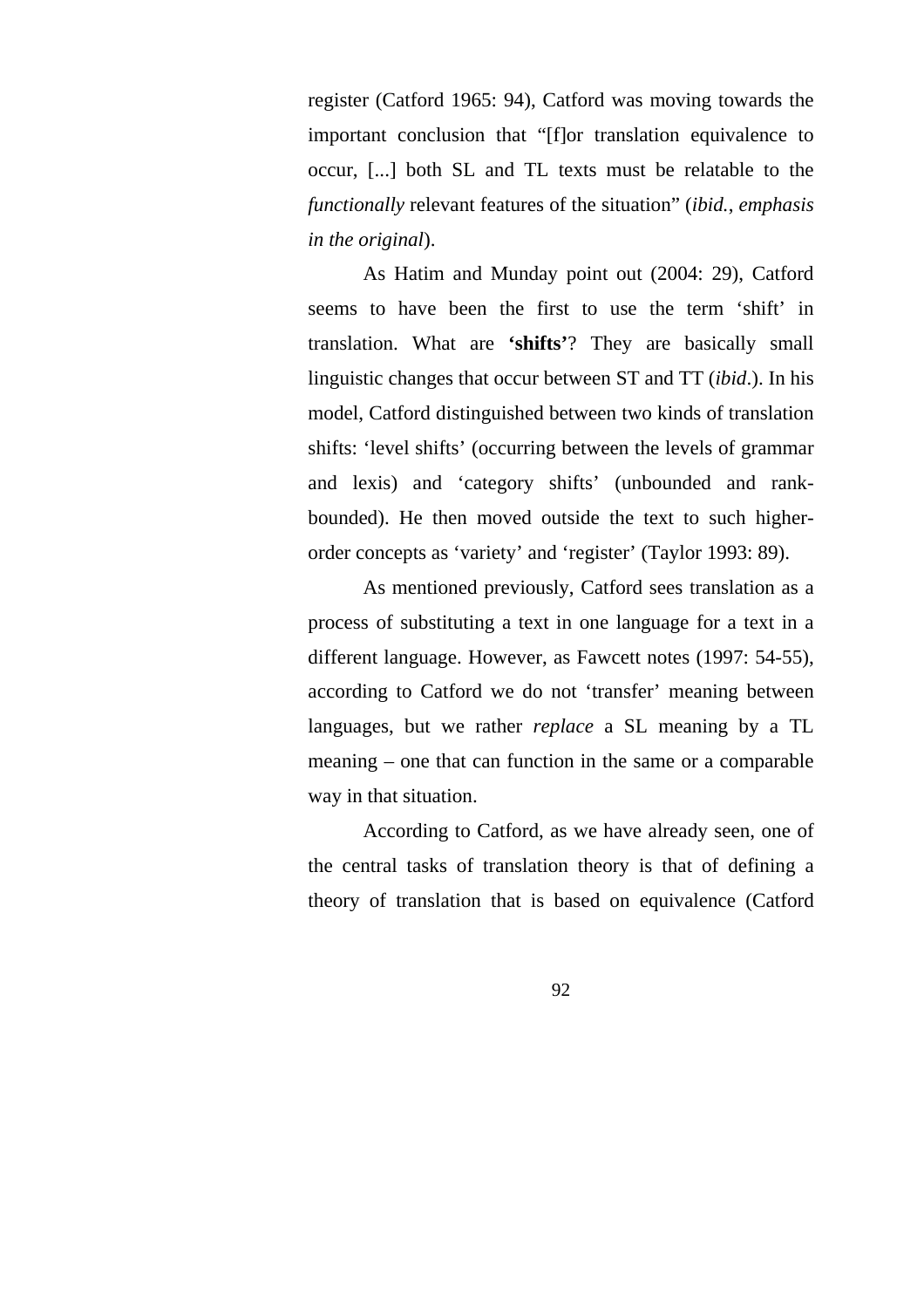register (Catford 1965: 94), Catford was moving towards the important conclusion that "[f]or translation equivalence to occur, [...] both SL and TL texts must be relatable to the *functionally* relevant features of the situation" (*ibid.*, *emphasis in the original*).

As Hatim and Munday point out (2004: 29), Catford seems to have been the first to use the term 'shift' in translation. What are **'shifts'**? They are basically small linguistic changes that occur between ST and TT (*ibid*.). In his model, Catford distinguished between two kinds of translation shifts: 'level shifts' (occurring between the levels of grammar and lexis) and 'category shifts' (unbounded and rankbounded). He then moved outside the text to such higherorder concepts as 'variety' and 'register' (Taylor 1993: 89).

As mentioned previously, Catford sees translation as a process of substituting a text in one language for a text in a different language. However, as Fawcett notes (1997: 54-55), according to Catford we do not 'transfer' meaning between languages, but we rather *replace* a SL meaning by a TL meaning – one that can function in the same or a comparable way in that situation.

According to Catford, as we have already seen, one of the central tasks of translation theory is that of defining a theory of translation that is based on equivalence (Catford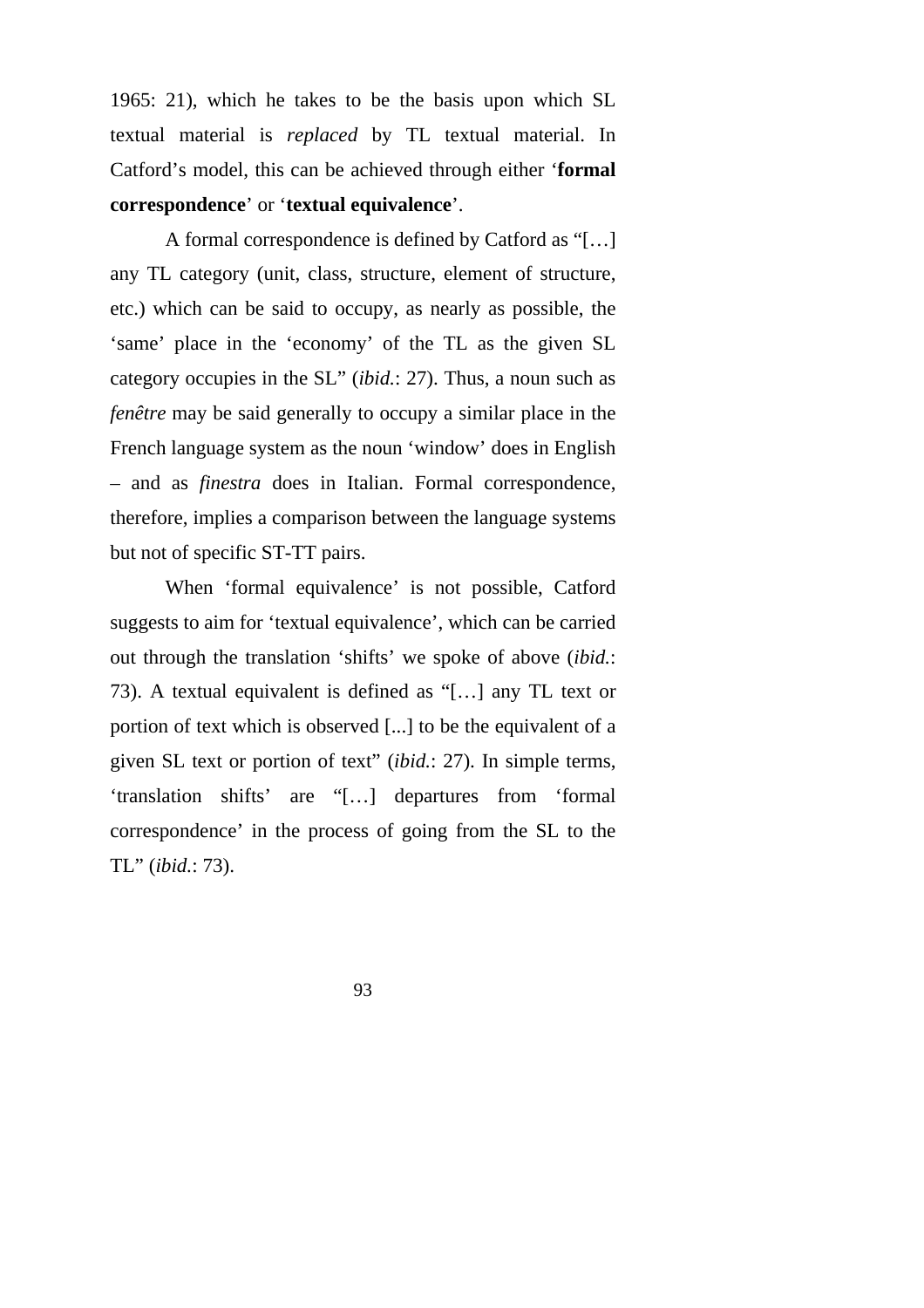1965: 21), which he takes to be the basis upon which SL textual material is *replaced* by TL textual material. In Catford's model, this can be achieved through either '**formal correspondence**' or '**textual equivalence**'.

A formal correspondence is defined by Catford as "[…] any TL category (unit, class, structure, element of structure, etc.) which can be said to occupy, as nearly as possible, the 'same' place in the 'economy' of the TL as the given SL category occupies in the SL" (*ibid.*: 27). Thus, a noun such as *fenêtre* may be said generally to occupy a similar place in the French language system as the noun 'window' does in English – and as *finestra* does in Italian. Formal correspondence, therefore, implies a comparison between the language systems but not of specific ST-TT pairs.

When 'formal equivalence' is not possible, Catford suggests to aim for 'textual equivalence', which can be carried out through the translation 'shifts' we spoke of above (*ibid.*: 73). A textual equivalent is defined as "[…] any TL text or portion of text which is observed [...] to be the equivalent of a given SL text or portion of text" (*ibid.*: 27). In simple terms, 'translation shifts' are "[…] departures from 'formal correspondence' in the process of going from the SL to the TL" (*ibid.*: 73).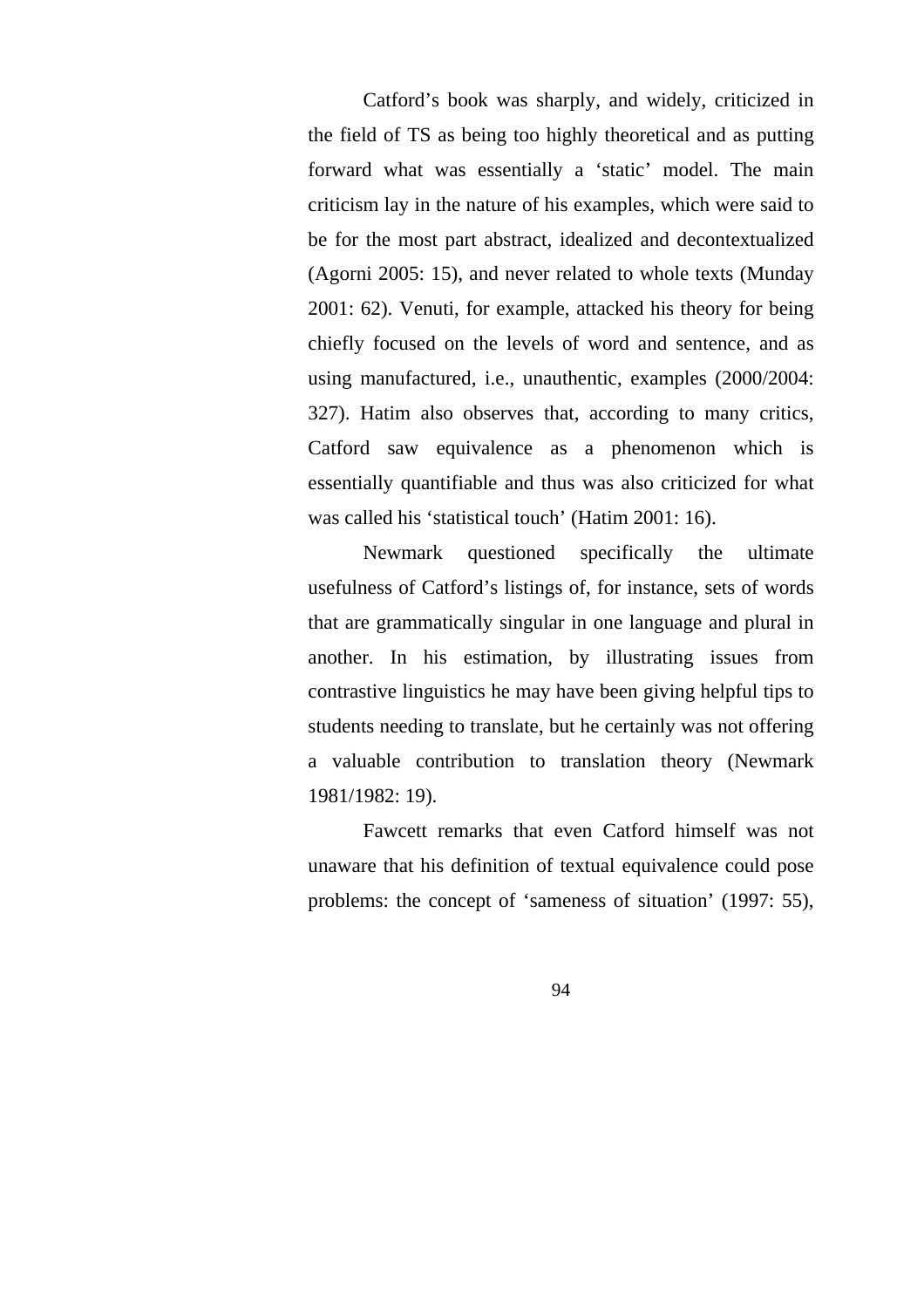Catford's book was sharply, and widely, criticized in the field of TS as being too highly theoretical and as putting forward what was essentially a 'static' model. The main criticism lay in the nature of his examples, which were said to be for the most part abstract, idealized and decontextualized (Agorni 2005: 15), and never related to whole texts (Munday 2001: 62). Venuti, for example, attacked his theory for being chiefly focused on the levels of word and sentence, and as using manufactured, i.e., unauthentic, examples (2000/2004: 327). Hatim also observes that, according to many critics, Catford saw equivalence as a phenomenon which is essentially quantifiable and thus was also criticized for what was called his 'statistical touch' (Hatim 2001: 16).

Newmark questioned specifically the ultimate usefulness of Catford's listings of, for instance, sets of words that are grammatically singular in one language and plural in another. In his estimation, by illustrating issues from contrastive linguistics he may have been giving helpful tips to students needing to translate, but he certainly was not offering a valuable contribution to translation theory (Newmark 1981/1982: 19).

Fawcett remarks that even Catford himself was not unaware that his definition of textual equivalence could pose problems: the concept of 'sameness of situation' (1997: 55),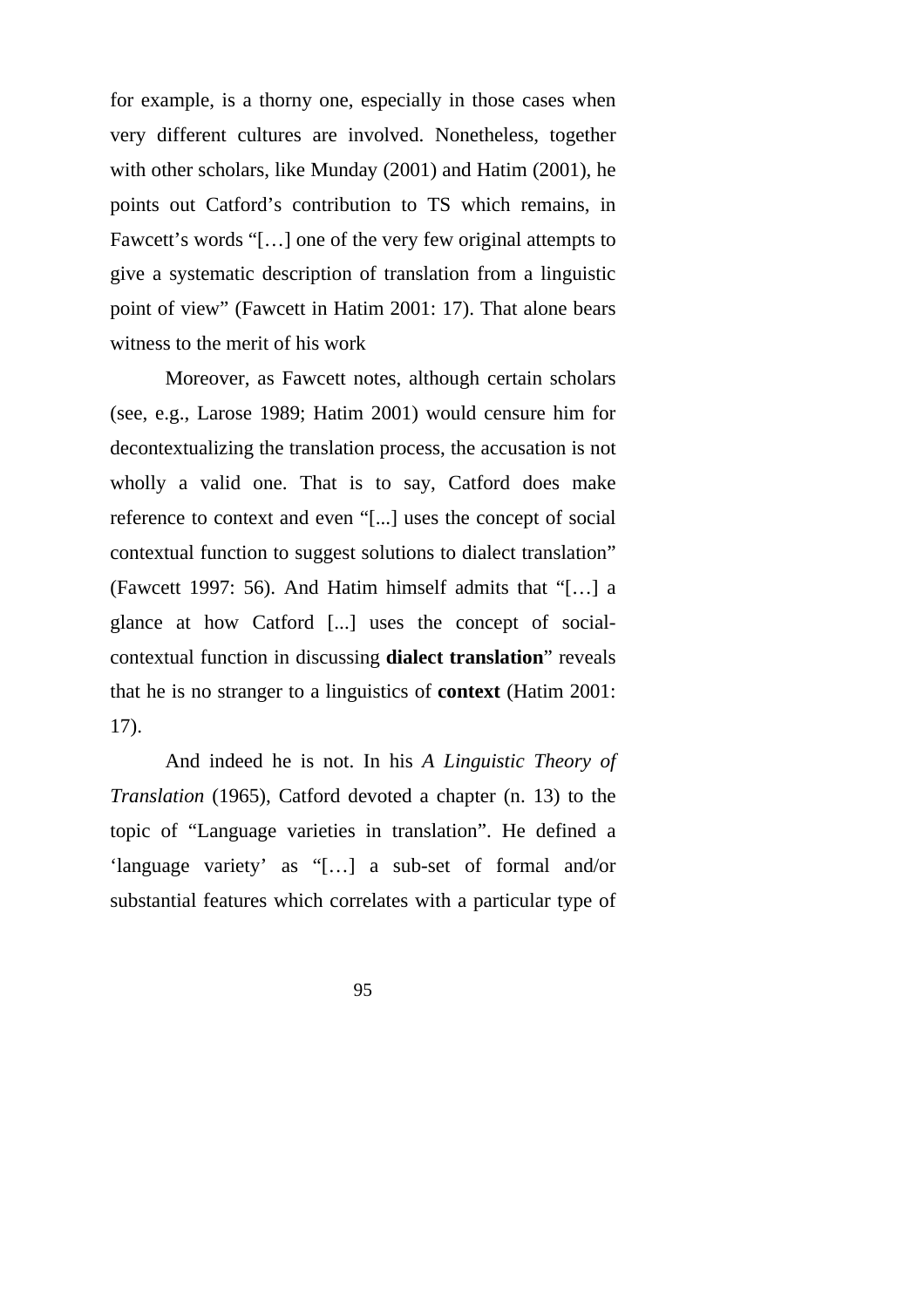for example, is a thorny one, especially in those cases when very different cultures are involved. Nonetheless, together with other scholars, like Munday (2001) and Hatim (2001), he points out Catford's contribution to TS which remains, in Fawcett's words "[…] one of the very few original attempts to give a systematic description of translation from a linguistic point of view" (Fawcett in Hatim 2001: 17). That alone bears witness to the merit of his work

Moreover, as Fawcett notes, although certain scholars (see, e.g., Larose 1989; Hatim 2001) would censure him for decontextualizing the translation process, the accusation is not wholly a valid one. That is to say, Catford does make reference to context and even "[...] uses the concept of social contextual function to suggest solutions to dialect translation" (Fawcett 1997: 56). And Hatim himself admits that "[…] a glance at how Catford [...] uses the concept of socialcontextual function in discussing **dialect translation**" reveals that he is no stranger to a linguistics of **context** (Hatim 2001: 17).

And indeed he is not. In his *A Linguistic Theory of Translation* (1965), Catford devoted a chapter (n. 13) to the topic of "Language varieties in translation". He defined a 'language variety' as "[…] a sub-set of formal and/or substantial features which correlates with a particular type of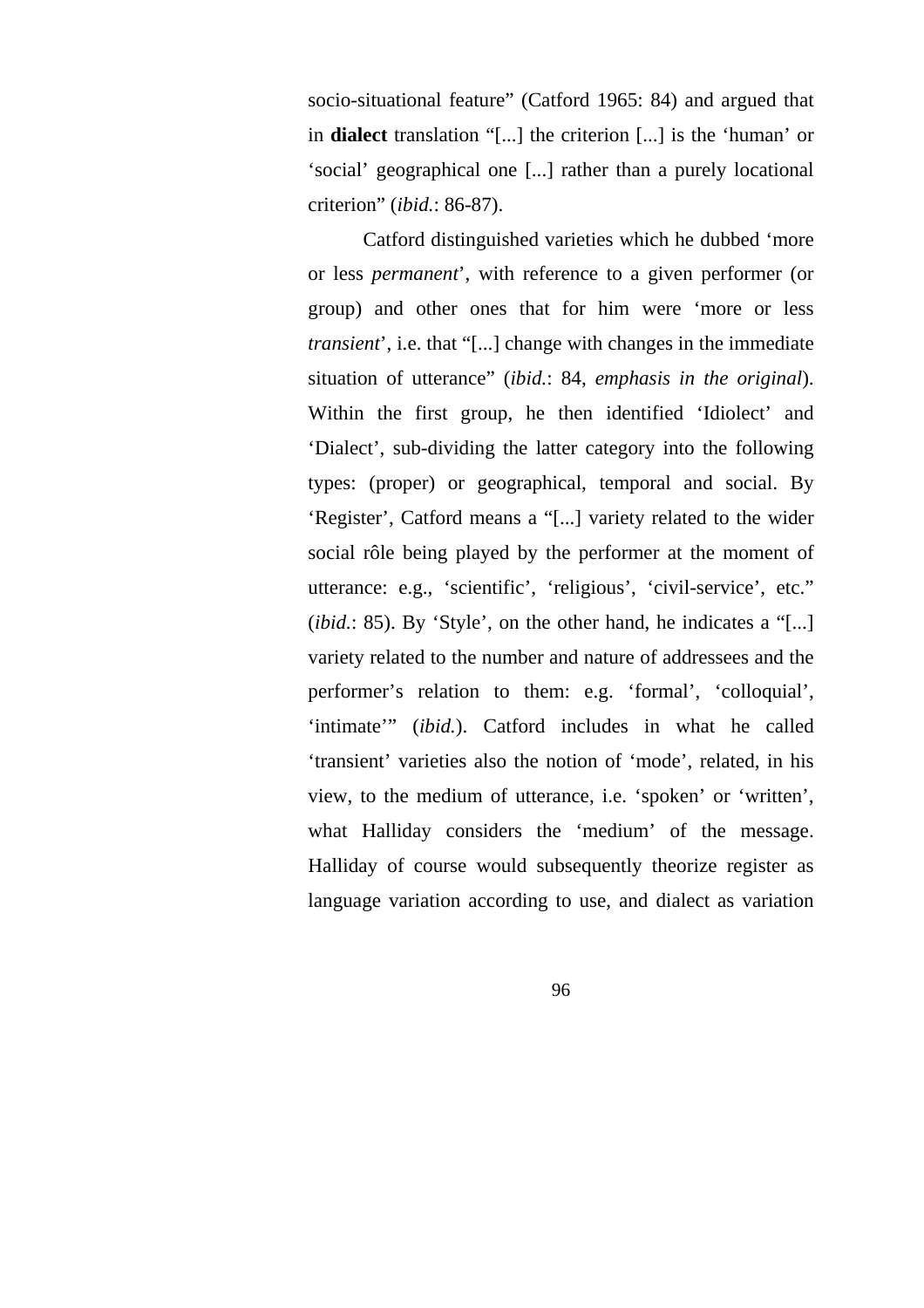socio-situational feature" (Catford 1965: 84) and argued that in **dialect** translation "[...] the criterion [...] is the 'human' or 'social' geographical one [...] rather than a purely locational criterion" (*ibid.*: 86-87).

Catford distinguished varieties which he dubbed 'more or less *permanent*', with reference to a given performer (or group) and other ones that for him were 'more or less *transient*', i.e. that "[...] change with changes in the immediate situation of utterance" (*ibid.*: 84, *emphasis in the original*). Within the first group, he then identified 'Idiolect' and 'Dialect', sub-dividing the latter category into the following types: (proper) or geographical, temporal and social. By 'Register', Catford means a "[...] variety related to the wider social rôle being played by the performer at the moment of utterance: e.g., 'scientific', 'religious', 'civil-service', etc." (*ibid.*: 85). By 'Style', on the other hand, he indicates a "[...] variety related to the number and nature of addressees and the performer's relation to them: e.g. 'formal', 'colloquial', 'intimate'" (*ibid.*). Catford includes in what he called 'transient' varieties also the notion of 'mode', related, in his view, to the medium of utterance, i.e. 'spoken' or 'written', what Halliday considers the 'medium' of the message. Halliday of course would subsequently theorize register as language variation according to use, and dialect as variation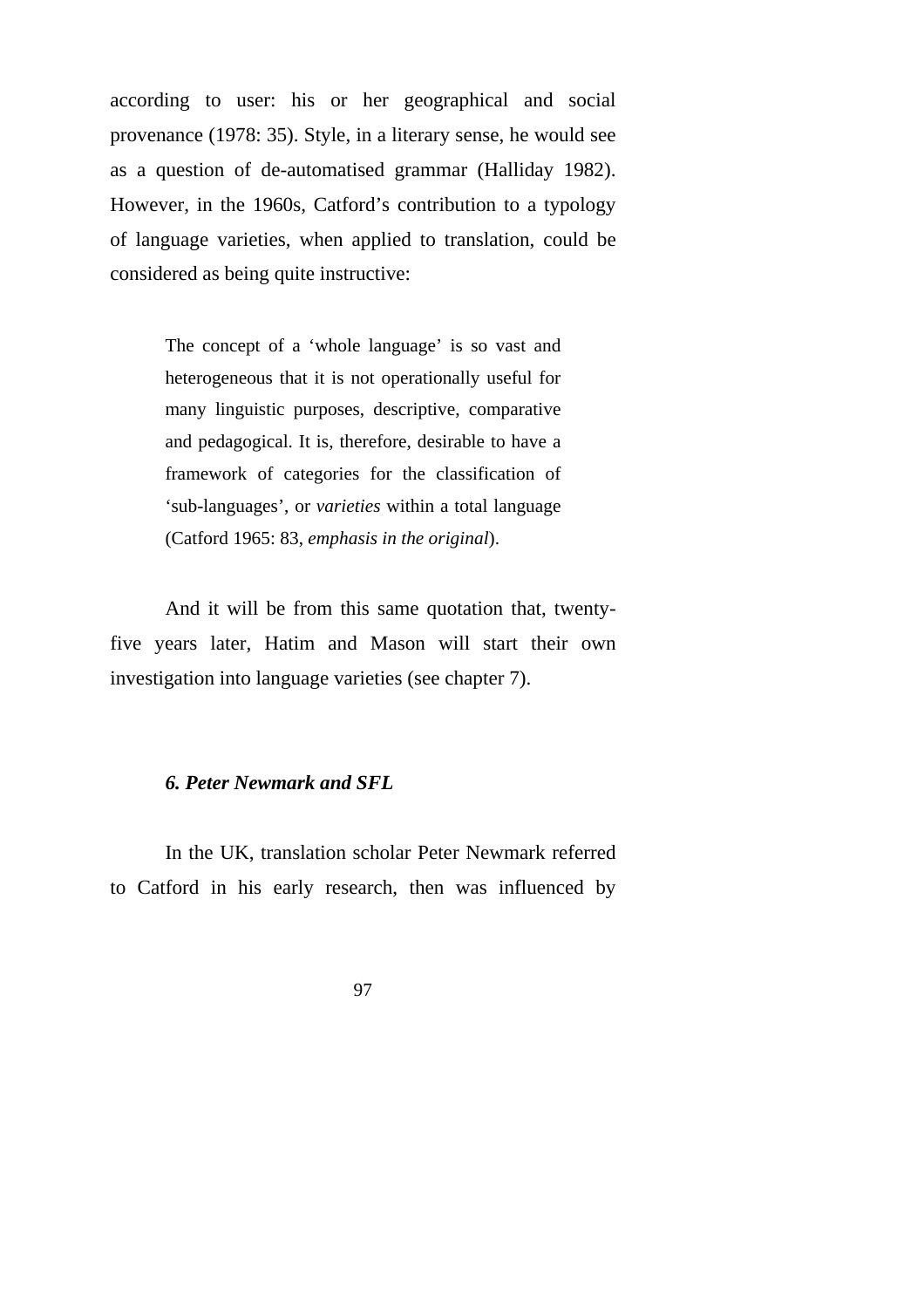according to user: his or her geographical and social provenance (1978: 35). Style, in a literary sense, he would see as a question of de-automatised grammar (Halliday 1982). However, in the 1960s, Catford's contribution to a typology of language varieties, when applied to translation, could be considered as being quite instructive:

> The concept of a 'whole language' is so vast and heterogeneous that it is not operationally useful for many linguistic purposes, descriptive, comparative and pedagogical. It is, therefore, desirable to have a framework of categories for the classification of 'sub-languages', or *varieties* within a total language (Catford 1965: 83, *emphasis in the original*).

And it will be from this same quotation that, twentyfive years later, Hatim and Mason will start their own investigation into language varieties (see chapter 7).

### *6. Peter Newmark and SFL*

In the UK, translation scholar Peter Newmark referred to Catford in his early research, then was influenced by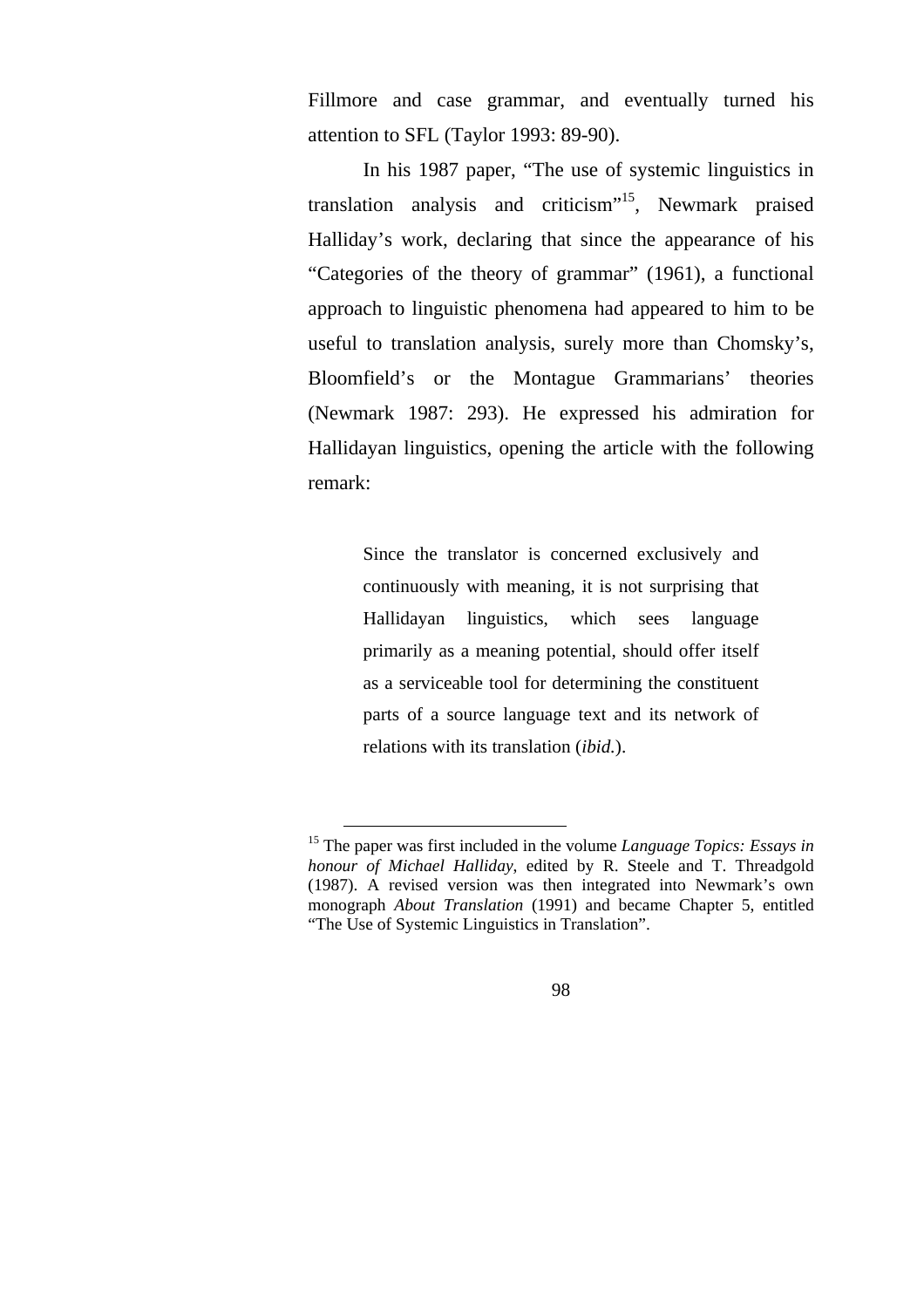Fillmore and case grammar, and eventually turned his attention to SFL (Taylor 1993: 89-90).

In his 1987 paper, "The use of systemic linguistics in translation analysis and criticism"15, Newmark praised Halliday's work, declaring that since the appearance of his "Categories of the theory of grammar" (1961), a functional approach to linguistic phenomena had appeared to him to be useful to translation analysis, surely more than Chomsky's, Bloomfield's or the Montague Grammarians' theories (Newmark 1987: 293). He expressed his admiration for Hallidayan linguistics, opening the article with the following remark:

> Since the translator is concerned exclusively and continuously with meaning, it is not surprising that Hallidayan linguistics, which sees language primarily as a meaning potential, should offer itself as a serviceable tool for determining the constituent parts of a source language text and its network of relations with its translation (*ibid.*).

 <sup>15</sup> The paper was first included in the volume *Language Topics: Essays in honour of Michael Halliday*, edited by R. Steele and T. Threadgold (1987). A revised version was then integrated into Newmark's own monograph *About Translation* (1991) and became Chapter 5, entitled "The Use of Systemic Linguistics in Translation".

<sup>98</sup>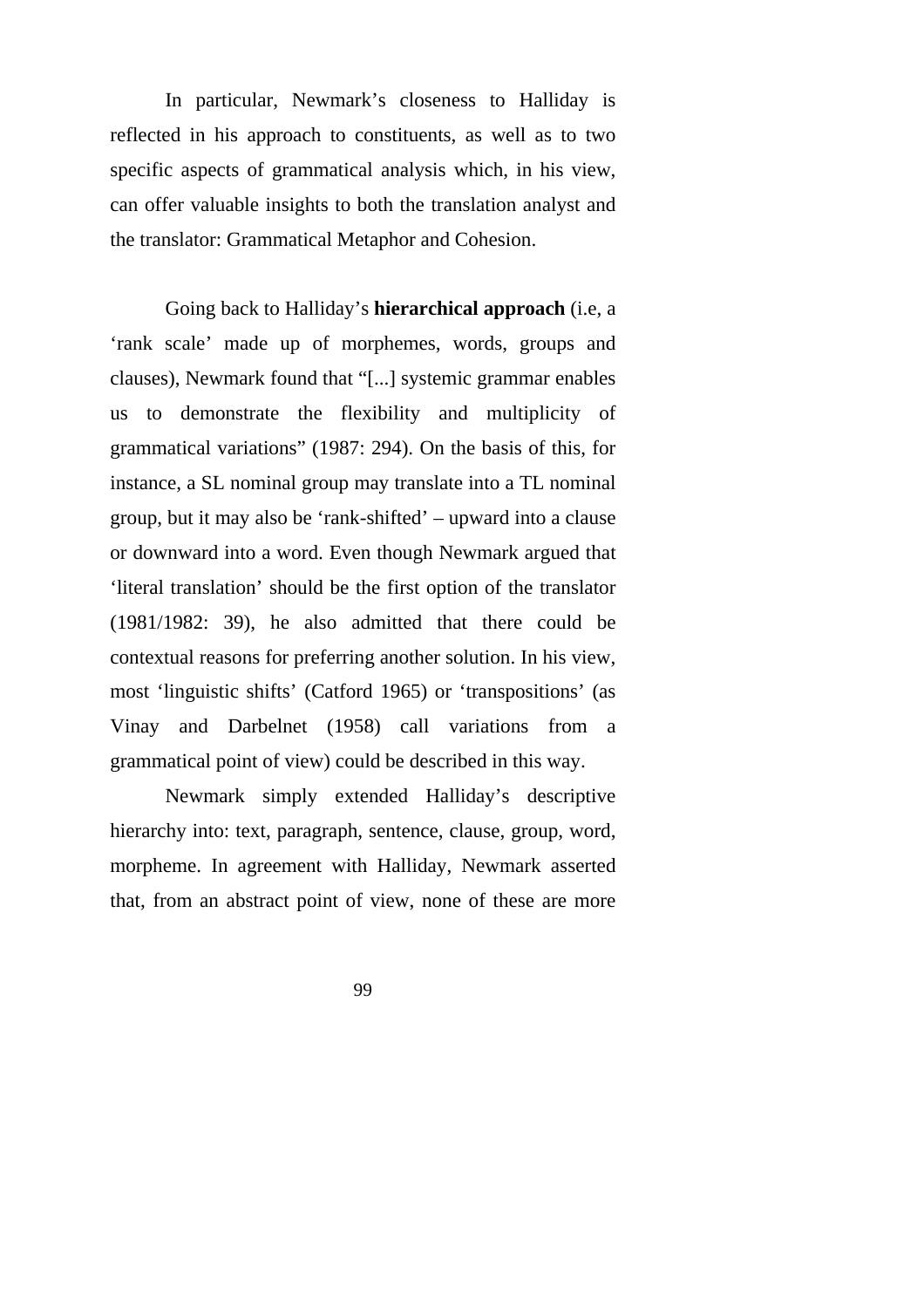In particular, Newmark's closeness to Halliday is reflected in his approach to constituents, as well as to two specific aspects of grammatical analysis which, in his view, can offer valuable insights to both the translation analyst and the translator: Grammatical Metaphor and Cohesion.

Going back to Halliday's **hierarchical approach** (i.e, a 'rank scale' made up of morphemes, words, groups and clauses), Newmark found that "[...] systemic grammar enables us to demonstrate the flexibility and multiplicity of grammatical variations" (1987: 294). On the basis of this, for instance, a SL nominal group may translate into a TL nominal group, but it may also be 'rank-shifted' – upward into a clause or downward into a word. Even though Newmark argued that 'literal translation' should be the first option of the translator (1981/1982: 39), he also admitted that there could be contextual reasons for preferring another solution. In his view, most 'linguistic shifts' (Catford 1965) or 'transpositions' (as Vinay and Darbelnet (1958) call variations from a grammatical point of view) could be described in this way.

Newmark simply extended Halliday's descriptive hierarchy into: text, paragraph, sentence, clause, group, word, morpheme. In agreement with Halliday, Newmark asserted that, from an abstract point of view, none of these are more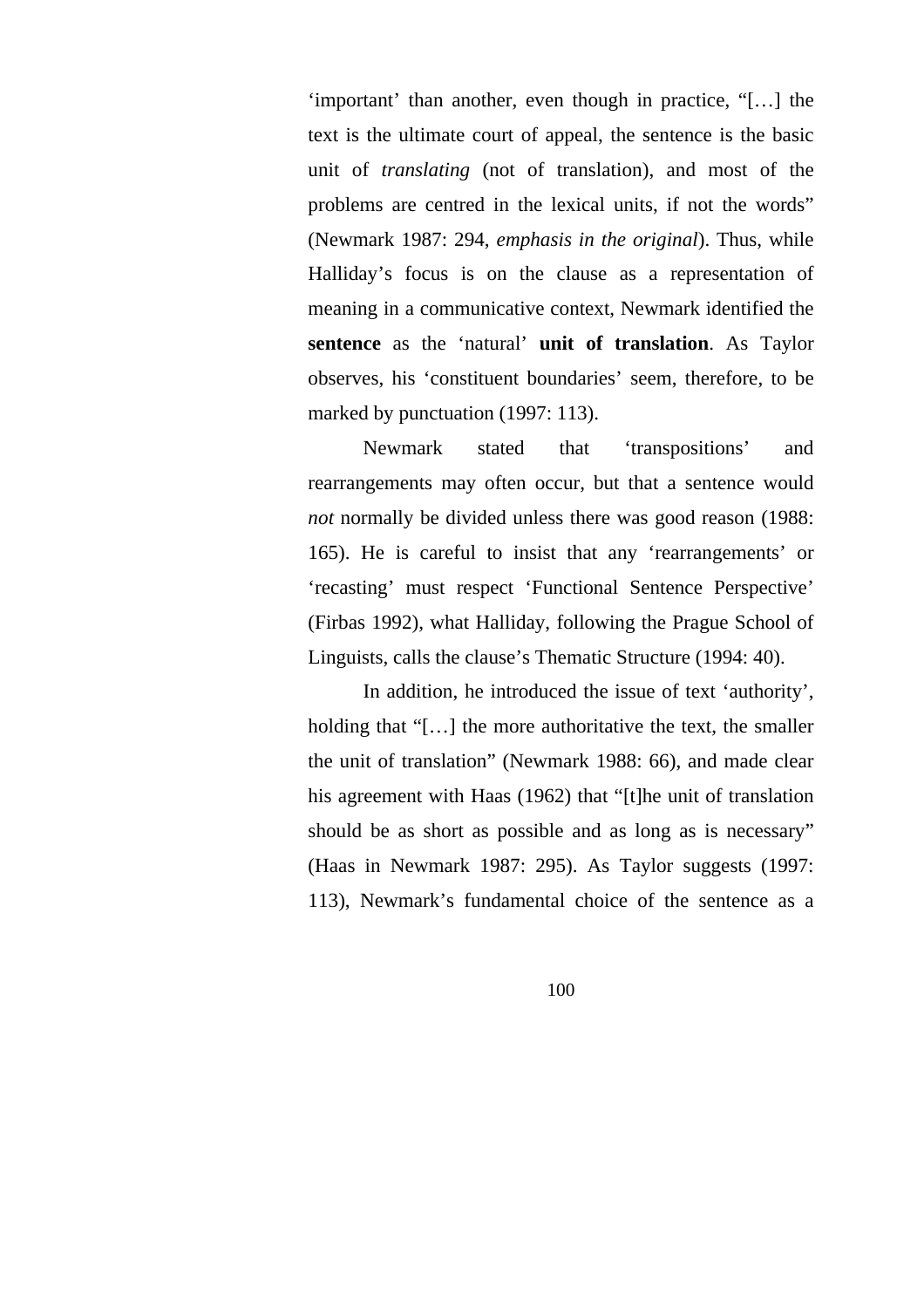'important' than another, even though in practice, "[…] the text is the ultimate court of appeal, the sentence is the basic unit of *translating* (not of translation), and most of the problems are centred in the lexical units, if not the words" (Newmark 1987: 294, *emphasis in the original*). Thus, while Halliday's focus is on the clause as a representation of meaning in a communicative context, Newmark identified the **sentence** as the 'natural' **unit of translation**. As Taylor observes, his 'constituent boundaries' seem, therefore, to be marked by punctuation (1997: 113).

Newmark stated that 'transpositions' and rearrangements may often occur, but that a sentence would *not* normally be divided unless there was good reason (1988: 165). He is careful to insist that any 'rearrangements' or 'recasting' must respect 'Functional Sentence Perspective' (Firbas 1992), what Halliday, following the Prague School of Linguists, calls the clause's Thematic Structure (1994: 40).

In addition, he introduced the issue of text 'authority', holding that "[...] the more authoritative the text, the smaller the unit of translation" (Newmark 1988: 66), and made clear his agreement with Haas (1962) that "[t]he unit of translation should be as short as possible and as long as is necessary" (Haas in Newmark 1987: 295). As Taylor suggests (1997: 113), Newmark's fundamental choice of the sentence as a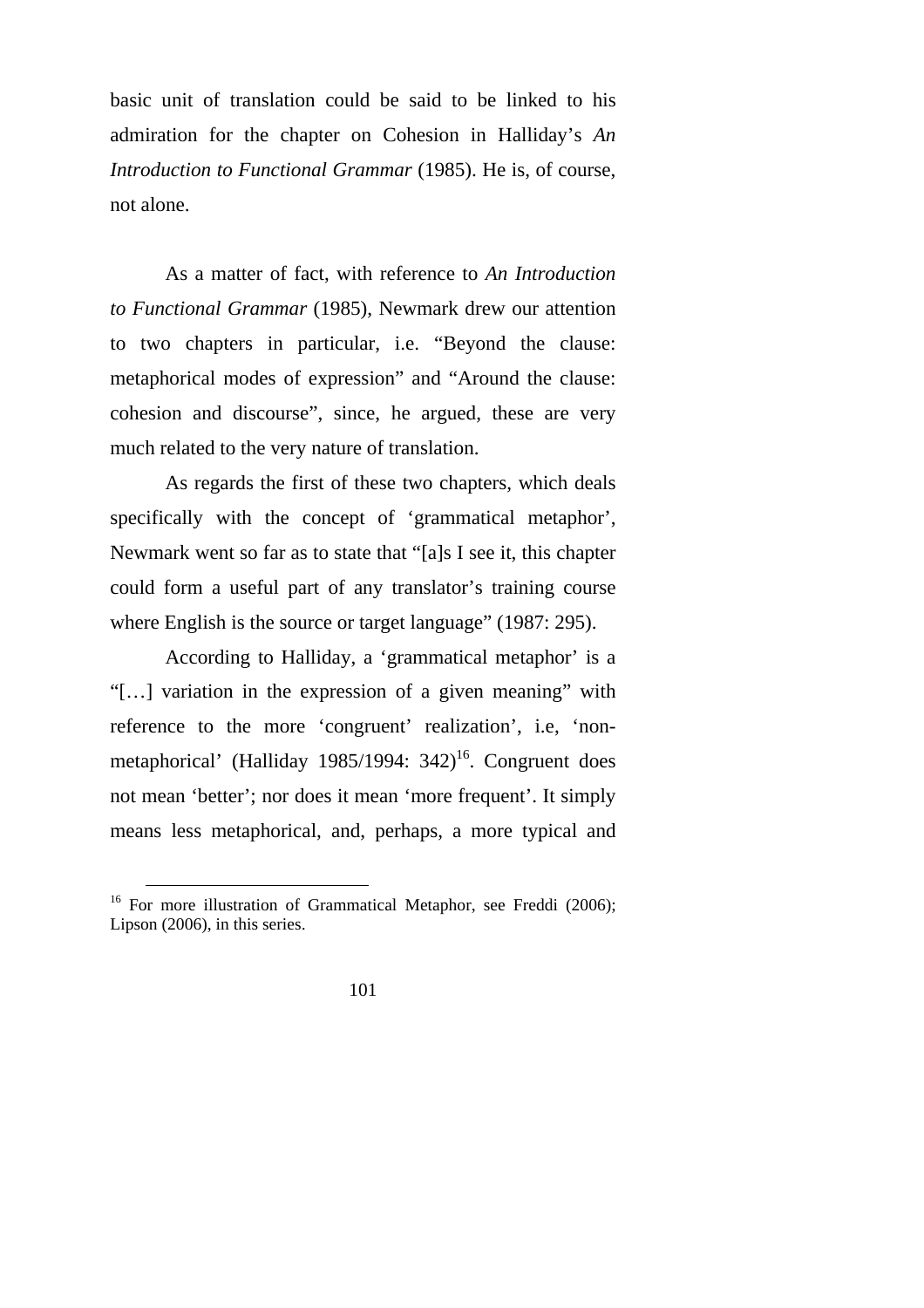basic unit of translation could be said to be linked to his admiration for the chapter on Cohesion in Halliday's *An Introduction to Functional Grammar* (1985). He is, of course, not alone.

As a matter of fact, with reference to *An Introduction to Functional Grammar* (1985), Newmark drew our attention to two chapters in particular, i.e. "Beyond the clause: metaphorical modes of expression" and "Around the clause: cohesion and discourse", since, he argued, these are very much related to the very nature of translation.

As regards the first of these two chapters, which deals specifically with the concept of 'grammatical metaphor', Newmark went so far as to state that "[a]s I see it, this chapter could form a useful part of any translator's training course where English is the source or target language" (1987: 295).

According to Halliday, a 'grammatical metaphor' is a "[…] variation in the expression of a given meaning" with reference to the more 'congruent' realization', i.e, 'nonmetaphorical' (Halliday 1985/1994:  $342$ <sup>16</sup>. Congruent does not mean 'better'; nor does it mean 'more frequent'. It simply means less metaphorical, and, perhaps, a more typical and

<sup>&</sup>lt;sup>16</sup> For more illustration of Grammatical Metaphor, see Freddi (2006); Lipson (2006), in this series.

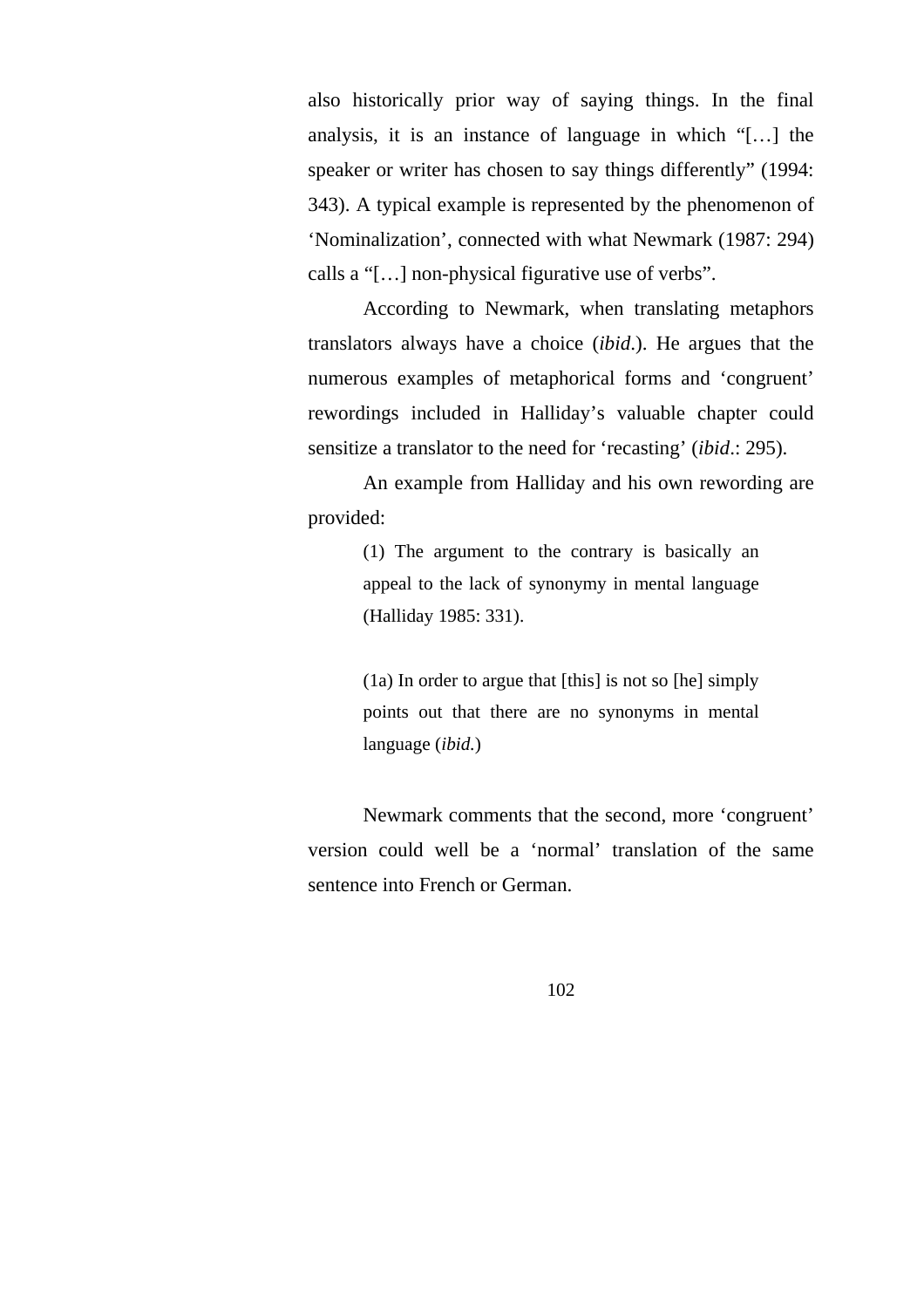also historically prior way of saying things. In the final analysis, it is an instance of language in which "[…] the speaker or writer has chosen to say things differently" (1994: 343). A typical example is represented by the phenomenon of 'Nominalization', connected with what Newmark (1987: 294) calls a "[…] non-physical figurative use of verbs".

According to Newmark, when translating metaphors translators always have a choice (*ibid*.). He argues that the numerous examples of metaphorical forms and 'congruent' rewordings included in Halliday's valuable chapter could sensitize a translator to the need for 'recasting' (*ibid*.: 295).

An example from Halliday and his own rewording are provided:

> (1) The argument to the contrary is basically an appeal to the lack of synonymy in mental language (Halliday 1985: 331).

> (1a) In order to argue that [this] is not so [he] simply points out that there are no synonyms in mental language (*ibid.*)

Newmark comments that the second, more 'congruent' version could well be a 'normal' translation of the same sentence into French or German.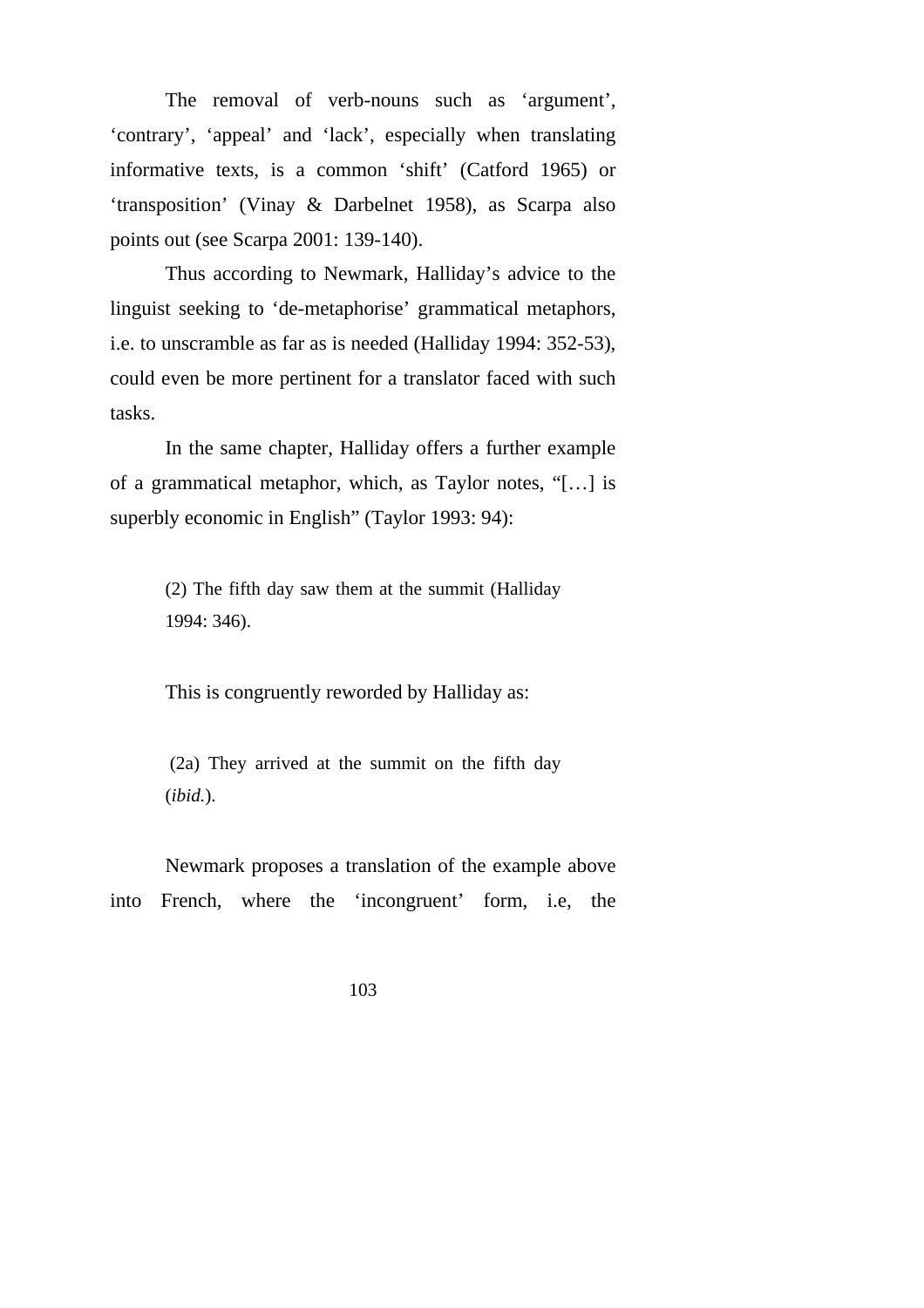The removal of verb-nouns such as 'argument', 'contrary', 'appeal' and 'lack', especially when translating informative texts, is a common 'shift' (Catford 1965) or 'transposition' (Vinay & Darbelnet 1958), as Scarpa also points out (see Scarpa 2001: 139-140).

Thus according to Newmark, Halliday's advice to the linguist seeking to 'de-metaphorise' grammatical metaphors, i.e. to unscramble as far as is needed (Halliday 1994: 352-53), could even be more pertinent for a translator faced with such tasks.

In the same chapter, Halliday offers a further example of a grammatical metaphor, which, as Taylor notes, "[…] is superbly economic in English" (Taylor 1993: 94):

> (2) The fifth day saw them at the summit (Halliday 1994: 346).

This is congruently reworded by Halliday as:

 (2a) They arrived at the summit on the fifth day (*ibid.*).

Newmark proposes a translation of the example above into French, where the 'incongruent' form, i.e, the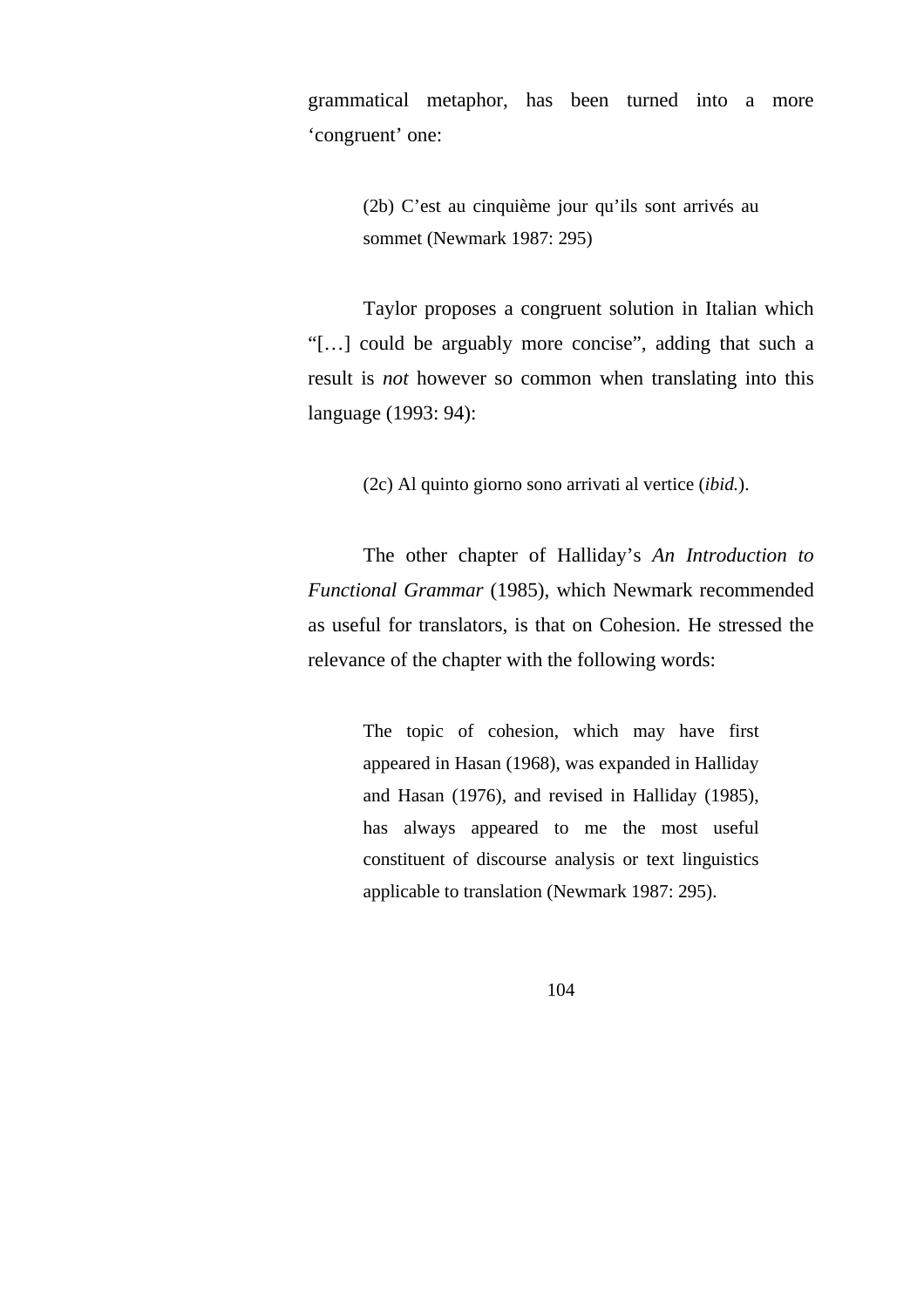grammatical metaphor, has been turned into a more 'congruent' one:

> (2b) C'est au cinquième jour qu'ils sont arrivés au sommet (Newmark 1987: 295)

Taylor proposes a congruent solution in Italian which "[…] could be arguably more concise", adding that such a result is *not* however so common when translating into this language (1993: 94):

(2c) Al quinto giorno sono arrivati al vertice (*ibid.*).

The other chapter of Halliday's *An Introduction to Functional Grammar* (1985), which Newmark recommended as useful for translators, is that on Cohesion. He stressed the relevance of the chapter with the following words:

> The topic of cohesion, which may have first appeared in Hasan (1968), was expanded in Halliday and Hasan (1976), and revised in Halliday (1985), has always appeared to me the most useful constituent of discourse analysis or text linguistics applicable to translation (Newmark 1987: 295).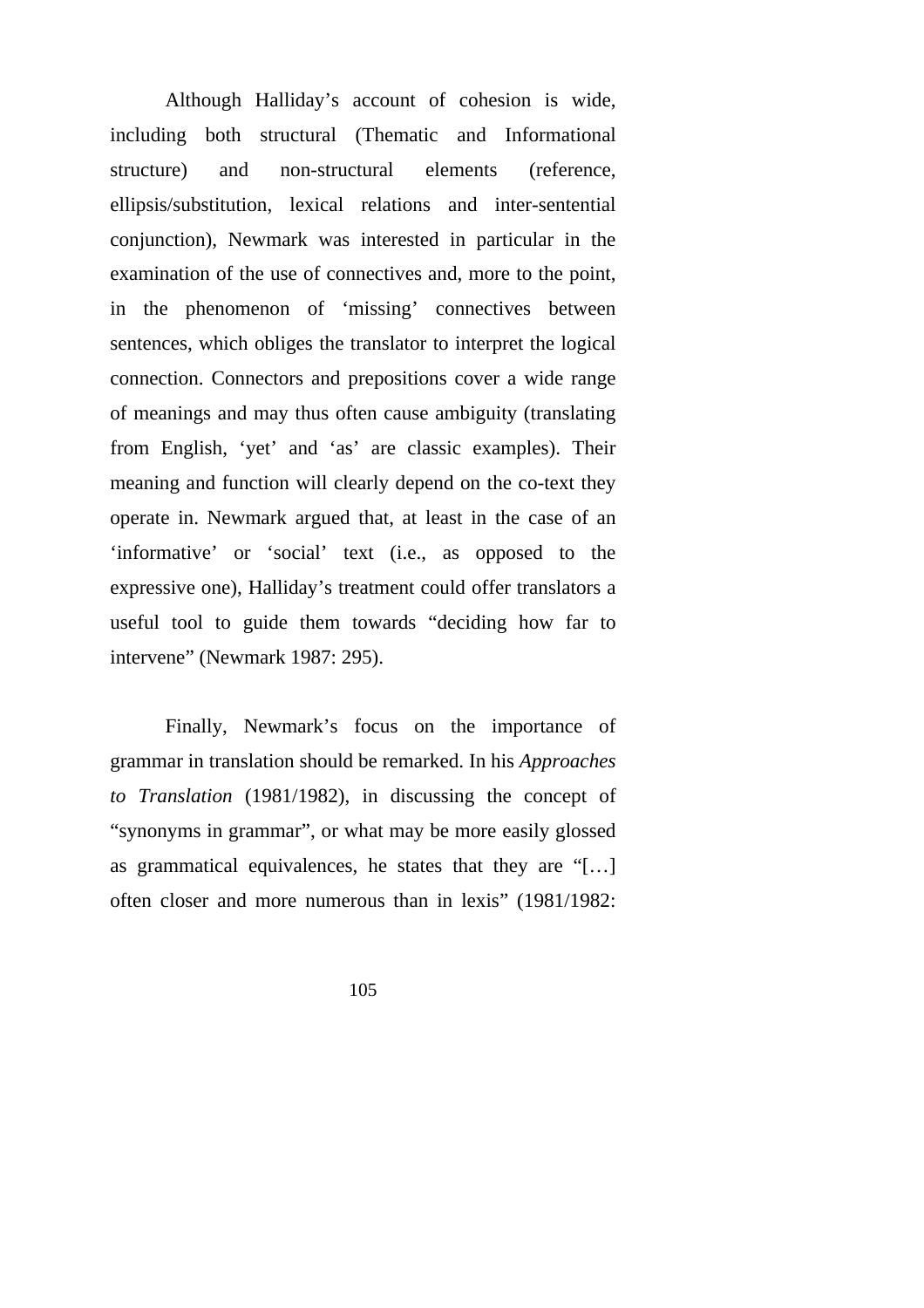Although Halliday's account of cohesion is wide, including both structural (Thematic and Informational structure) and non-structural elements (reference, ellipsis/substitution, lexical relations and inter-sentential conjunction), Newmark was interested in particular in the examination of the use of connectives and, more to the point, in the phenomenon of 'missing' connectives between sentences, which obliges the translator to interpret the logical connection. Connectors and prepositions cover a wide range of meanings and may thus often cause ambiguity (translating from English, 'yet' and 'as' are classic examples). Their meaning and function will clearly depend on the co-text they operate in. Newmark argued that, at least in the case of an 'informative' or 'social' text (i.e., as opposed to the expressive one), Halliday's treatment could offer translators a useful tool to guide them towards "deciding how far to intervene" (Newmark 1987: 295).

Finally, Newmark's focus on the importance of grammar in translation should be remarked. In his *Approaches to Translation* (1981/1982), in discussing the concept of "synonyms in grammar", or what may be more easily glossed as grammatical equivalences, he states that they are "[…] often closer and more numerous than in lexis" (1981/1982: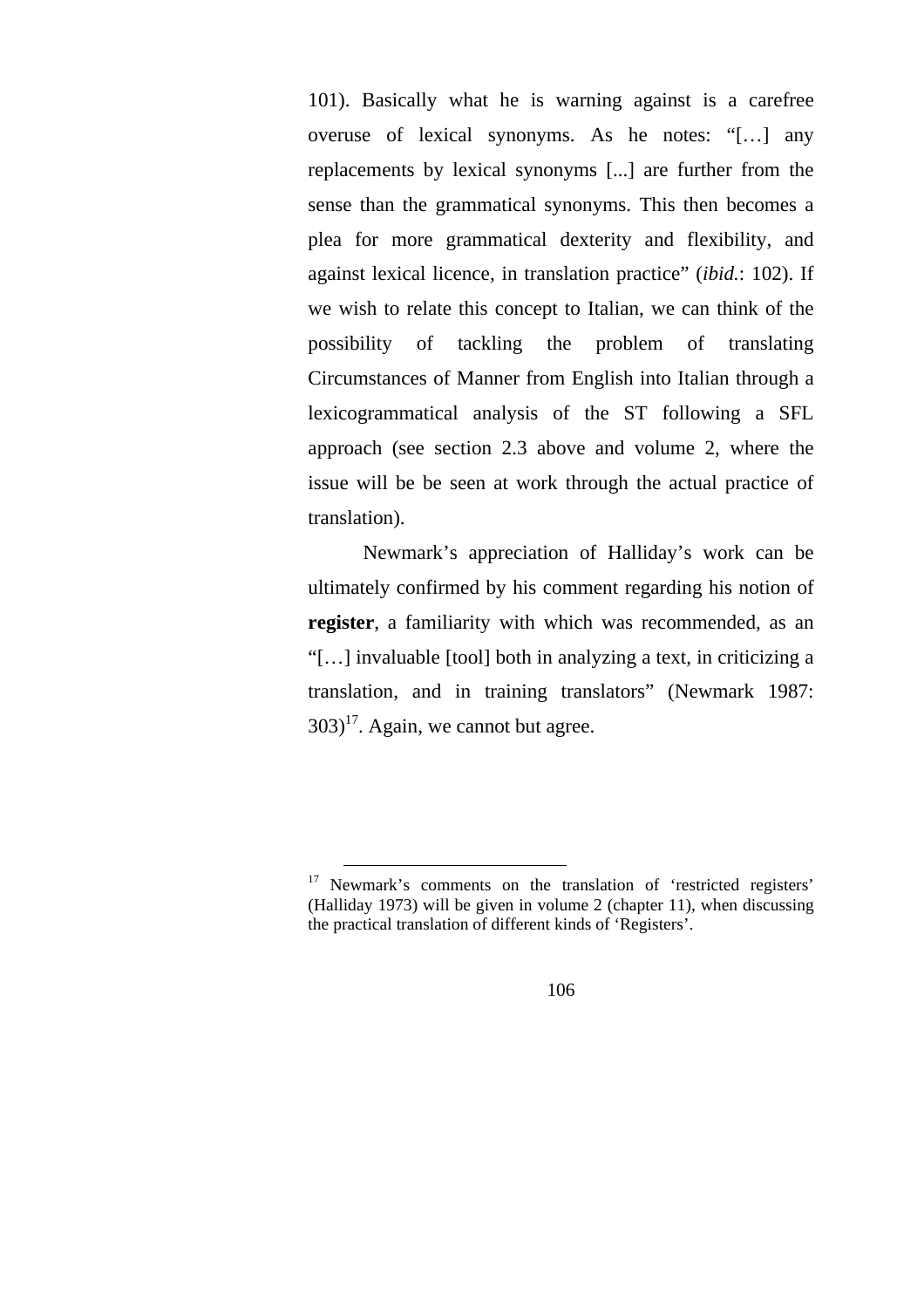101). Basically what he is warning against is a carefree overuse of lexical synonyms. As he notes: "[…] any replacements by lexical synonyms [...] are further from the sense than the grammatical synonyms. This then becomes a plea for more grammatical dexterity and flexibility, and against lexical licence, in translation practice" (*ibid.*: 102). If we wish to relate this concept to Italian, we can think of the possibility of tackling the problem of translating Circumstances of Manner from English into Italian through a lexicogrammatical analysis of the ST following a SFL approach (see section 2.3 above and volume 2, where the issue will be be seen at work through the actual practice of translation).

Newmark's appreciation of Halliday's work can be ultimately confirmed by his comment regarding his notion of **register**, a familiarity with which was recommended, as an "[…] invaluable [tool] both in analyzing a text, in criticizing a translation, and in training translators" (Newmark 1987:  $303$ <sup>17</sup>. Again, we cannot but agree.

<sup>&</sup>lt;sup>17</sup> Newmark's comments on the translation of 'restricted registers' (Halliday 1973) will be given in volume 2 (chapter 11), when discussing the practical translation of different kinds of 'Registers'.

<sup>106</sup>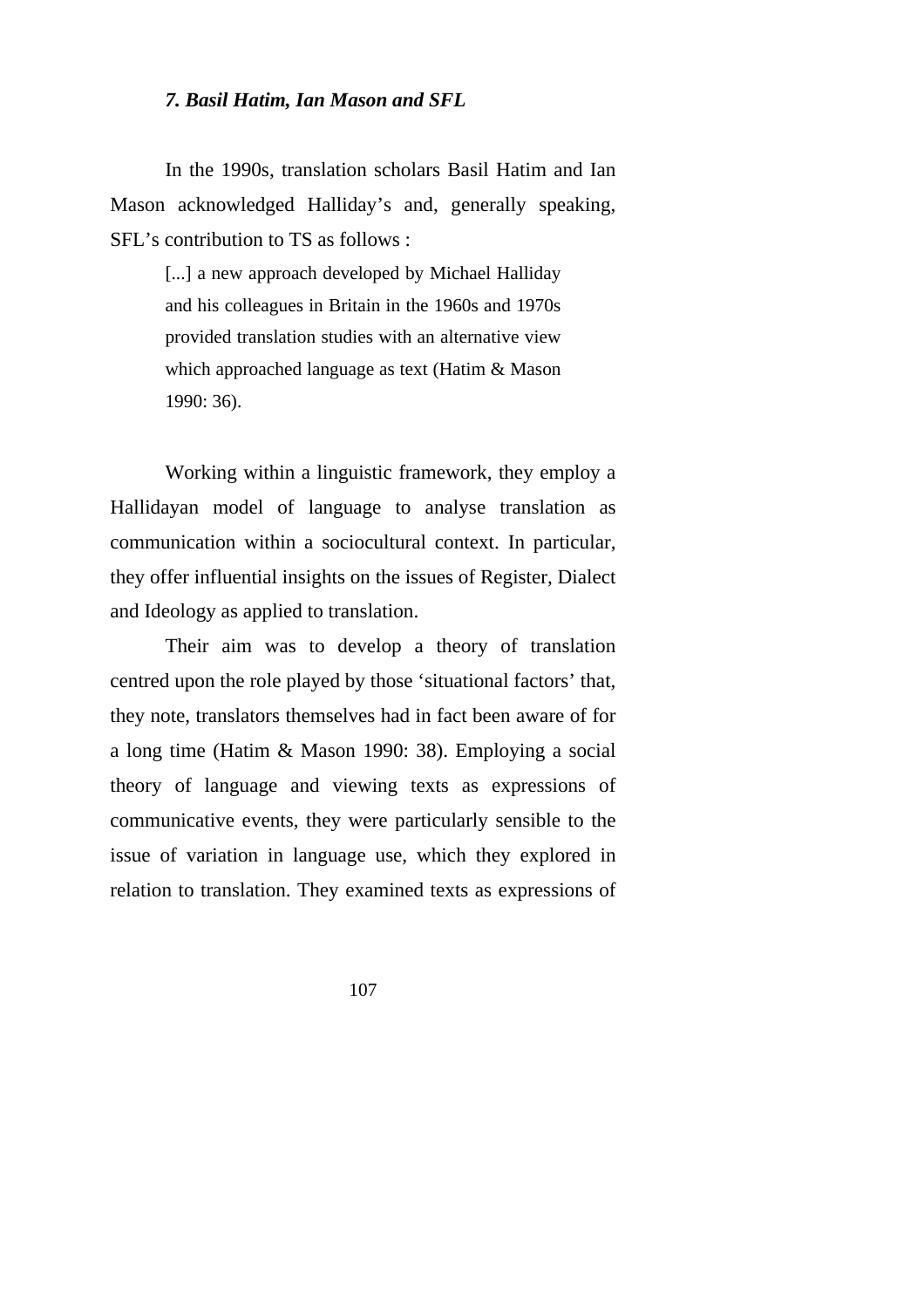## *7. Basil Hatim, Ian Mason and SFL*

In the 1990s, translation scholars Basil Hatim and Ian Mason acknowledged Halliday's and, generally speaking, SFL's contribution to TS as follows :

> [...] a new approach developed by Michael Halliday and his colleagues in Britain in the 1960s and 1970s provided translation studies with an alternative view which approached language as text (Hatim & Mason 1990: 36).

Working within a linguistic framework, they employ a Hallidayan model of language to analyse translation as communication within a sociocultural context. In particular, they offer influential insights on the issues of Register, Dialect and Ideology as applied to translation.

Their aim was to develop a theory of translation centred upon the role played by those 'situational factors' that, they note, translators themselves had in fact been aware of for a long time (Hatim & Mason 1990: 38). Employing a social theory of language and viewing texts as expressions of communicative events, they were particularly sensible to the issue of variation in language use, which they explored in relation to translation. They examined texts as expressions of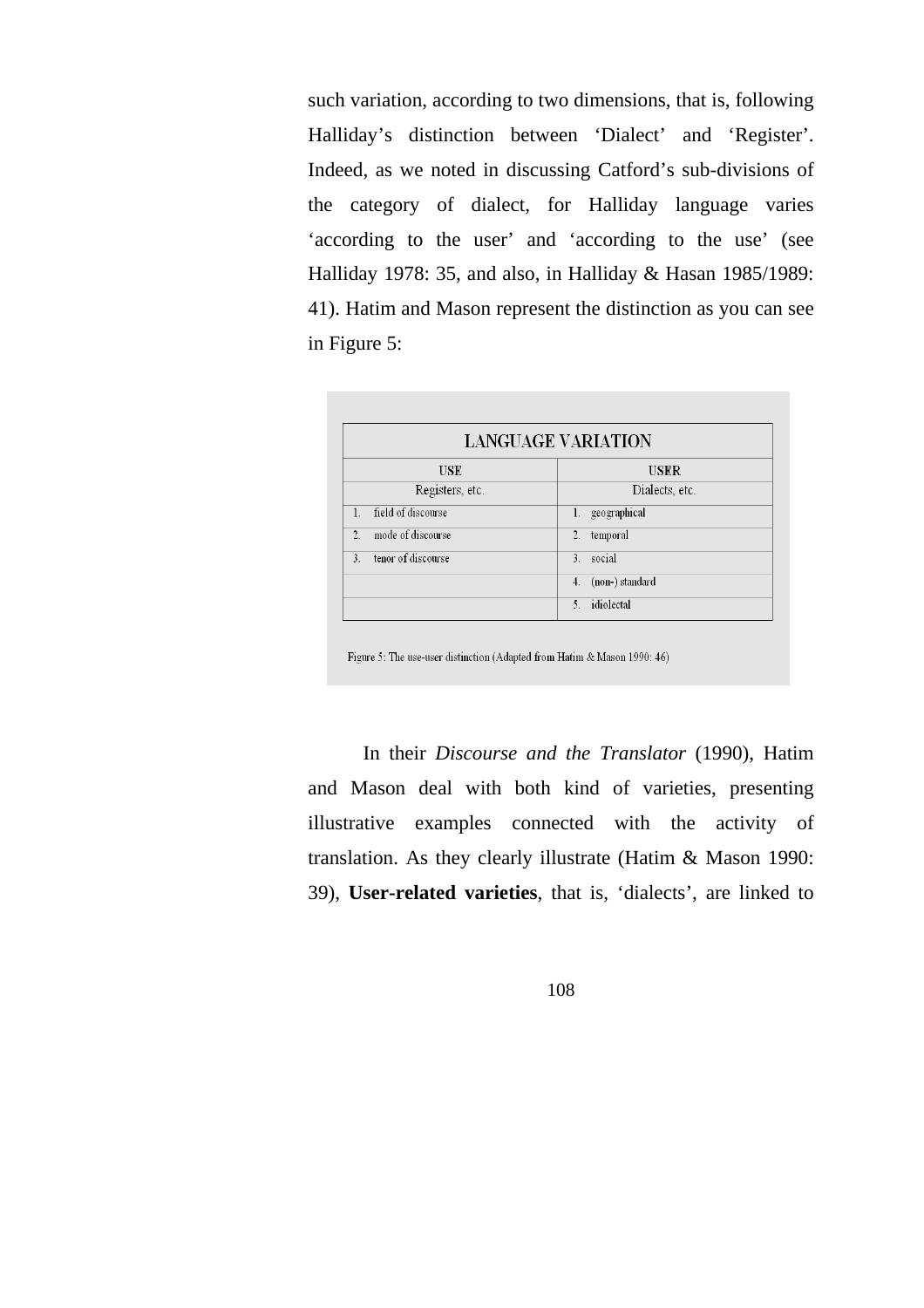such variation, according to two dimensions, that is, following Halliday's distinction between 'Dialect' and 'Register'. Indeed, as we noted in discussing Catford's sub-divisions of the category of dialect, for Halliday language varies 'according to the user' and 'according to the use' (see Halliday 1978: 35, and also, in Halliday & Hasan 1985/1989: 41). Hatim and Mason represent the distinction as you can see in Figure 5:

| <b>LANGUAGE VARIATION</b>           |                              |
|-------------------------------------|------------------------------|
| <b>USE</b>                          | <b>USER</b>                  |
| Registers, etc.                     | Dialects, etc.               |
| field of discourse<br>1.            | 1. geographical              |
| mode of discourse<br>$\overline{2}$ | $\overline{2}$ .<br>temporal |
| tenor of discourse<br>$\mathcal{L}$ | social<br>$3$ .              |
|                                     | (non-) standard<br>4.        |
|                                     | idiolectal<br>$\sim$         |

Figure 5: The use-user distinction (Adapted from Hatim & Mason 1990: 46)

In their *Discourse and the Translator* (1990), Hatim and Mason deal with both kind of varieties, presenting illustrative examples connected with the activity of translation. As they clearly illustrate (Hatim & Mason 1990: 39), **User-related varieties**, that is, 'dialects', are linked to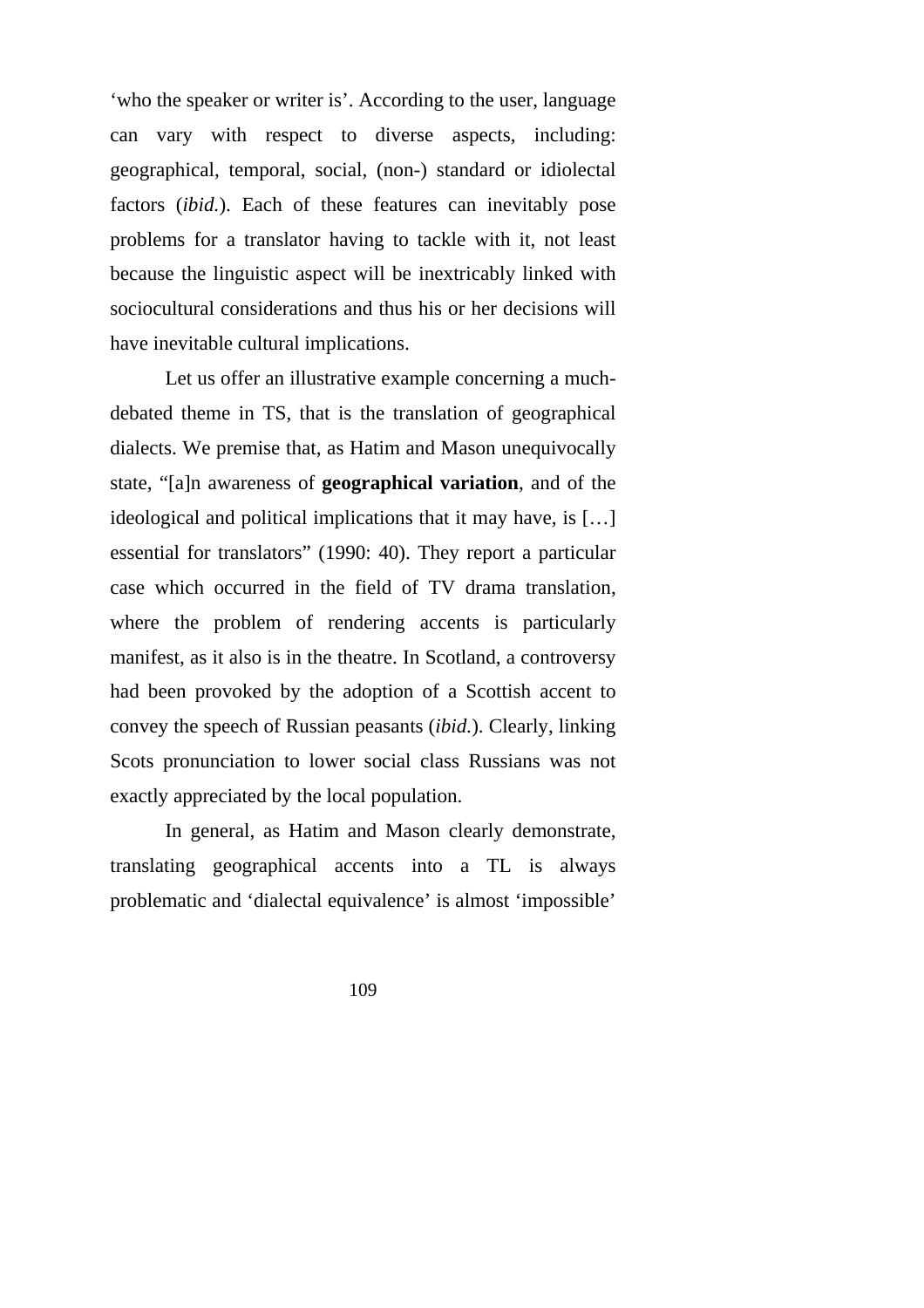'who the speaker or writer is'. According to the user, language can vary with respect to diverse aspects, including: geographical, temporal, social, (non-) standard or idiolectal factors (*ibid.*). Each of these features can inevitably pose problems for a translator having to tackle with it, not least because the linguistic aspect will be inextricably linked with sociocultural considerations and thus his or her decisions will have inevitable cultural implications.

Let us offer an illustrative example concerning a muchdebated theme in TS, that is the translation of geographical dialects. We premise that, as Hatim and Mason unequivocally state, "[a]n awareness of **geographical variation**, and of the ideological and political implications that it may have, is […] essential for translators" (1990: 40). They report a particular case which occurred in the field of TV drama translation, where the problem of rendering accents is particularly manifest, as it also is in the theatre. In Scotland, a controversy had been provoked by the adoption of a Scottish accent to convey the speech of Russian peasants (*ibid.*). Clearly, linking Scots pronunciation to lower social class Russians was not exactly appreciated by the local population.

In general, as Hatim and Mason clearly demonstrate, translating geographical accents into a TL is always problematic and 'dialectal equivalence' is almost 'impossible'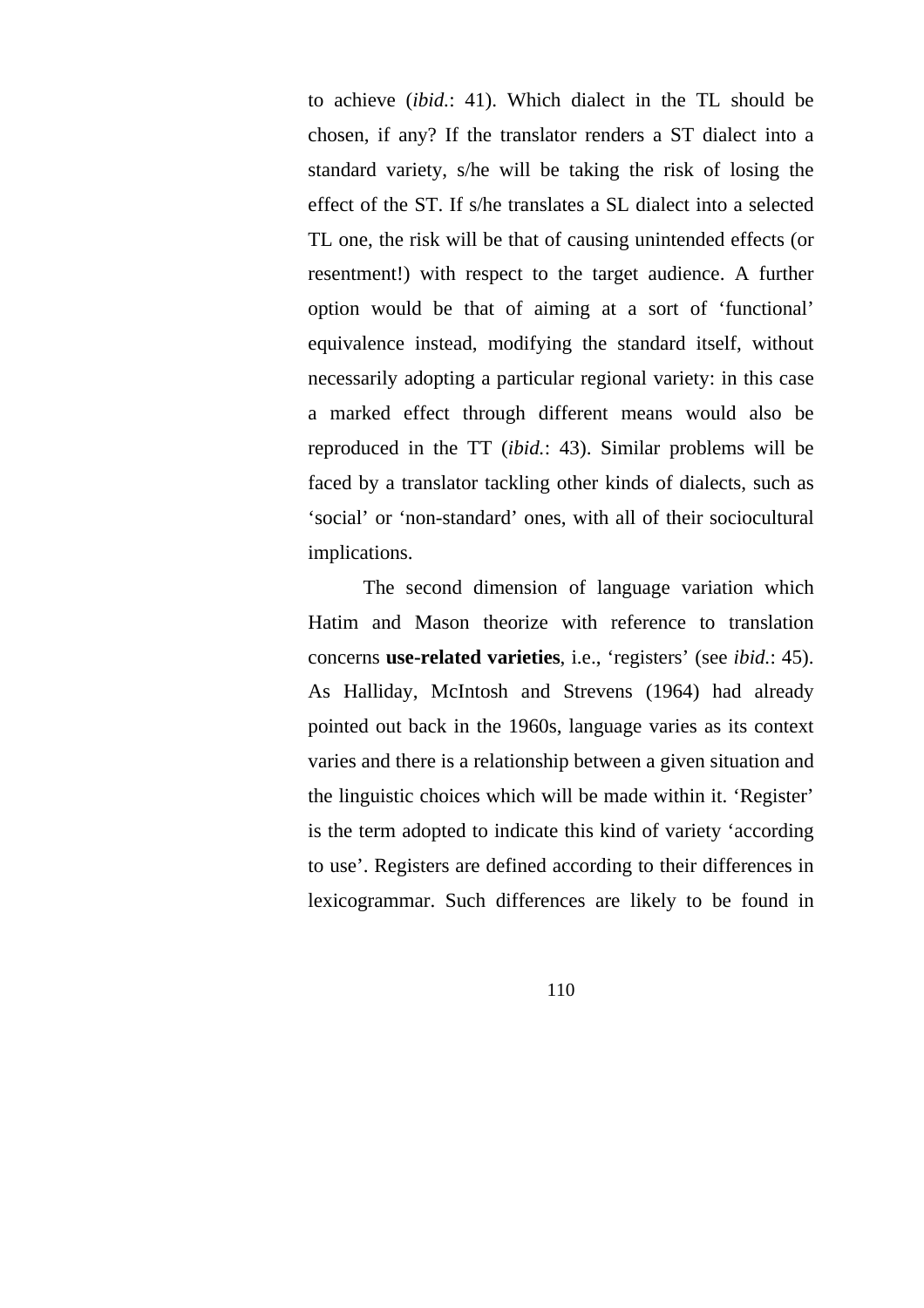to achieve (*ibid.*: 41). Which dialect in the TL should be chosen, if any? If the translator renders a ST dialect into a standard variety, s/he will be taking the risk of losing the effect of the ST. If s/he translates a SL dialect into a selected TL one, the risk will be that of causing unintended effects (or resentment!) with respect to the target audience. A further option would be that of aiming at a sort of 'functional' equivalence instead, modifying the standard itself, without necessarily adopting a particular regional variety: in this case a marked effect through different means would also be reproduced in the TT (*ibid.*: 43). Similar problems will be faced by a translator tackling other kinds of dialects, such as 'social' or 'non-standard' ones, with all of their sociocultural implications.

The second dimension of language variation which Hatim and Mason theorize with reference to translation concerns **use-related varieties**, i.e., 'registers' (see *ibid.*: 45). As Halliday, McIntosh and Strevens (1964) had already pointed out back in the 1960s, language varies as its context varies and there is a relationship between a given situation and the linguistic choices which will be made within it. 'Register' is the term adopted to indicate this kind of variety 'according to use'. Registers are defined according to their differences in lexicogrammar. Such differences are likely to be found in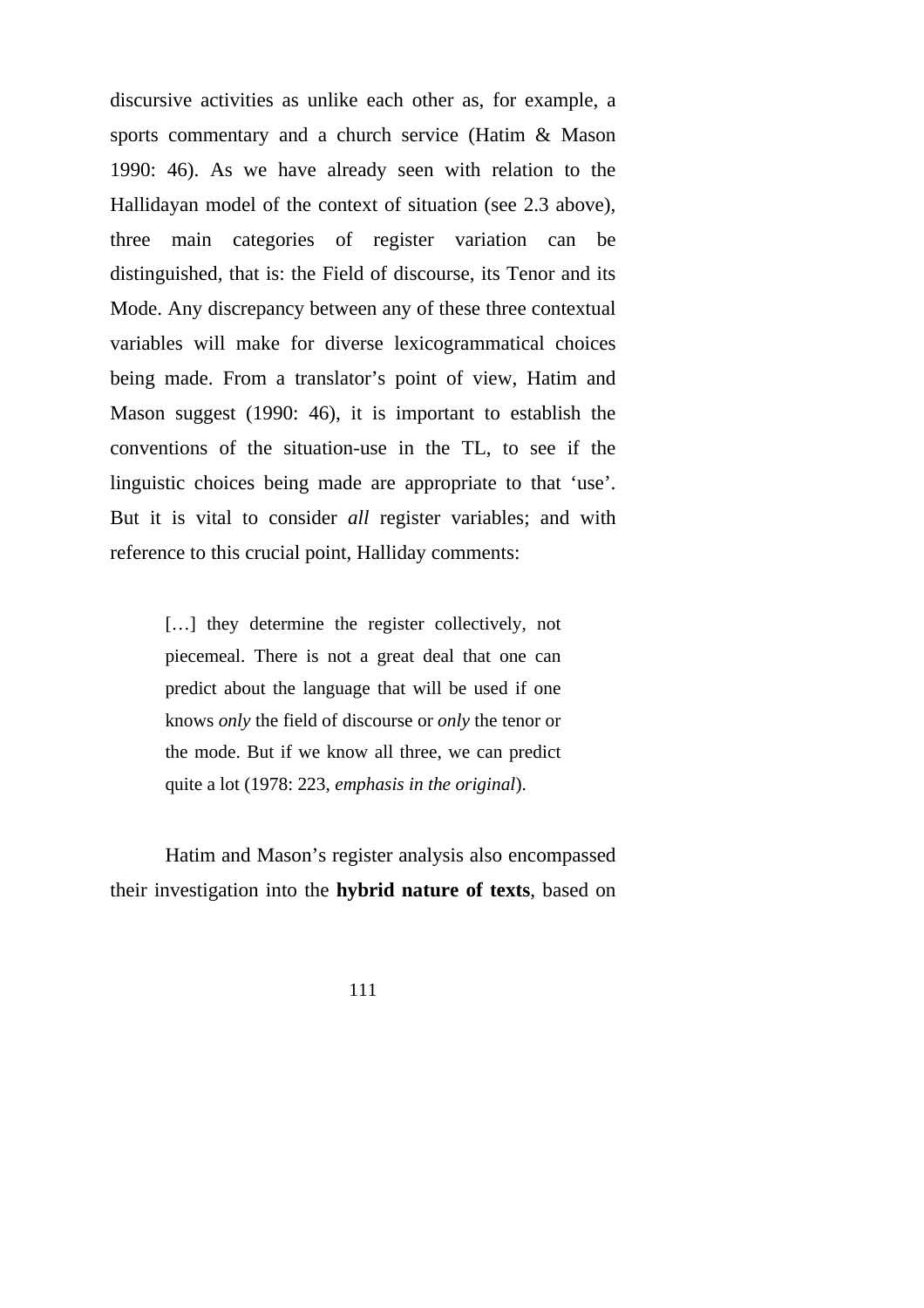discursive activities as unlike each other as, for example, a sports commentary and a church service (Hatim & Mason 1990: 46). As we have already seen with relation to the Hallidayan model of the context of situation (see 2.3 above), three main categories of register variation can be distinguished, that is: the Field of discourse, its Tenor and its Mode. Any discrepancy between any of these three contextual variables will make for diverse lexicogrammatical choices being made. From a translator's point of view, Hatim and Mason suggest (1990: 46), it is important to establish the conventions of the situation-use in the TL, to see if the linguistic choices being made are appropriate to that 'use'. But it is vital to consider *all* register variables; and with reference to this crucial point, Halliday comments:

> [...] they determine the register collectively, not piecemeal. There is not a great deal that one can predict about the language that will be used if one knows *only* the field of discourse or *only* the tenor or the mode. But if we know all three, we can predict quite a lot (1978: 223, *emphasis in the original*).

Hatim and Mason's register analysis also encompassed their investigation into the **hybrid nature of texts**, based on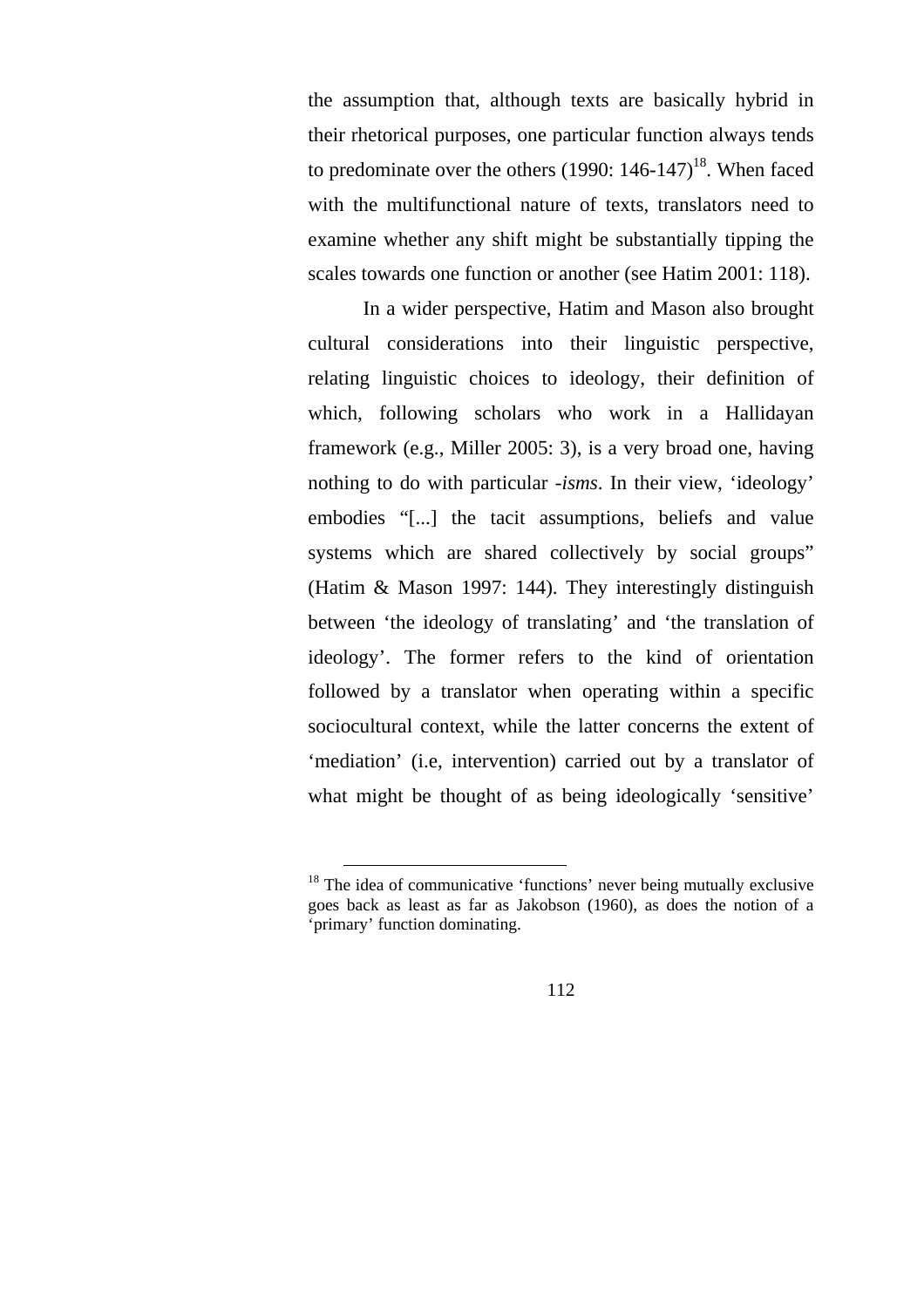the assumption that, although texts are basically hybrid in their rhetorical purposes, one particular function always tends to predominate over the others (1990:  $146-147$ )<sup>18</sup>. When faced with the multifunctional nature of texts, translators need to examine whether any shift might be substantially tipping the scales towards one function or another (see Hatim 2001: 118).

In a wider perspective, Hatim and Mason also brought cultural considerations into their linguistic perspective, relating linguistic choices to ideology, their definition of which, following scholars who work in a Hallidayan framework (e.g., Miller 2005: 3), is a very broad one, having nothing to do with particular -*isms*. In their view, 'ideology' embodies "[...] the tacit assumptions, beliefs and value systems which are shared collectively by social groups" (Hatim & Mason 1997: 144). They interestingly distinguish between 'the ideology of translating' and 'the translation of ideology'. The former refers to the kind of orientation followed by a translator when operating within a specific sociocultural context, while the latter concerns the extent of 'mediation' (i.e, intervention) carried out by a translator of what might be thought of as being ideologically 'sensitive'

<sup>&</sup>lt;sup>18</sup> The idea of communicative 'functions' never being mutually exclusive goes back as least as far as Jakobson (1960), as does the notion of a 'primary' function dominating.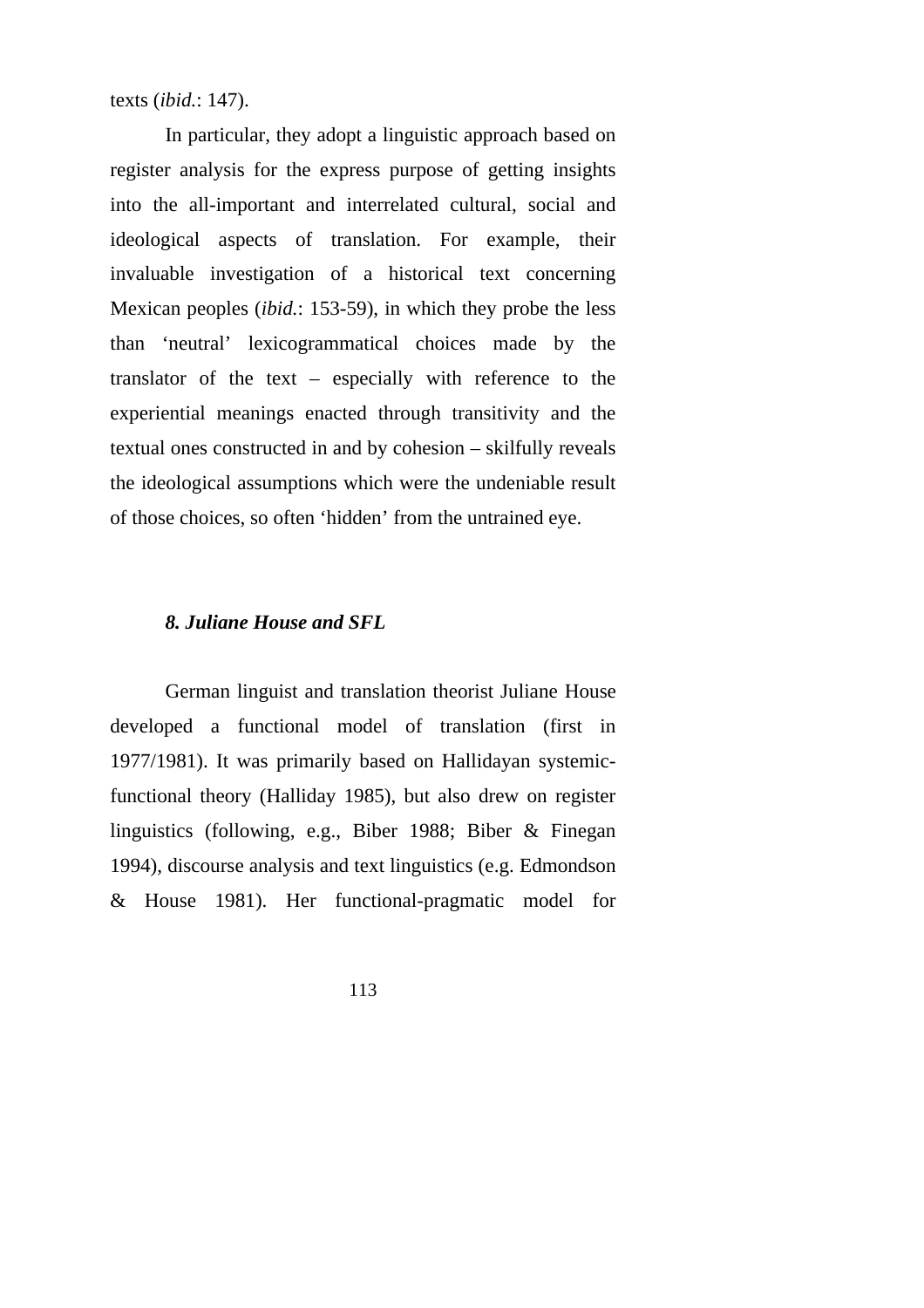texts (*ibid.*: 147).

In particular, they adopt a linguistic approach based on register analysis for the express purpose of getting insights into the all-important and interrelated cultural, social and ideological aspects of translation. For example, their invaluable investigation of a historical text concerning Mexican peoples (*ibid.*: 153-59), in which they probe the less than 'neutral' lexicogrammatical choices made by the translator of the text – especially with reference to the experiential meanings enacted through transitivity and the textual ones constructed in and by cohesion – skilfully reveals the ideological assumptions which were the undeniable result of those choices, so often 'hidden' from the untrained eye.

## *8. Juliane House and SFL*

German linguist and translation theorist Juliane House developed a functional model of translation (first in 1977/1981). It was primarily based on Hallidayan systemicfunctional theory (Halliday 1985), but also drew on register linguistics (following, e.g., Biber 1988; Biber & Finegan 1994), discourse analysis and text linguistics (e.g. Edmondson & House 1981). Her functional-pragmatic model for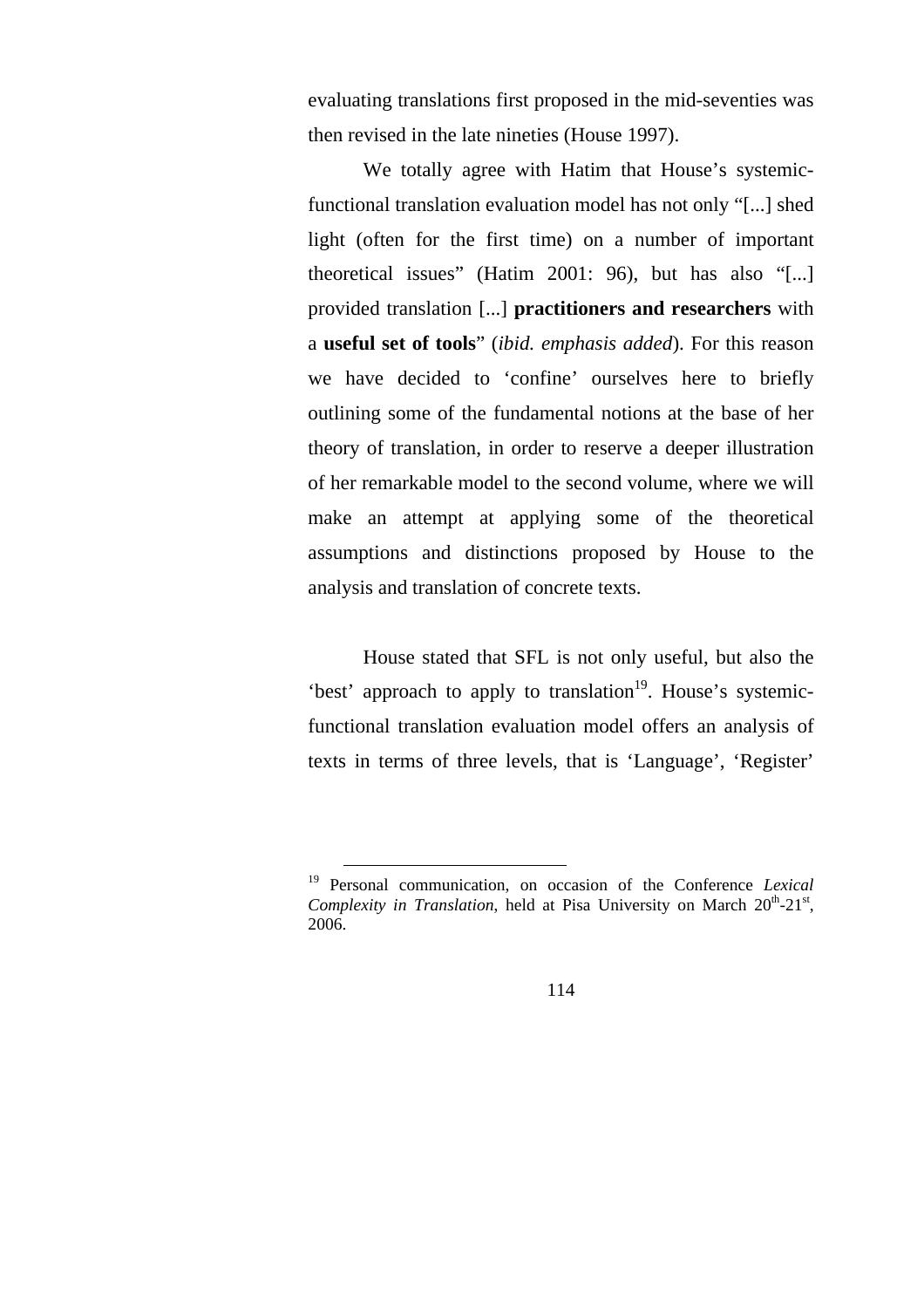evaluating translations first proposed in the mid-seventies was then revised in the late nineties (House 1997).

We totally agree with Hatim that House's systemicfunctional translation evaluation model has not only "[...] shed light (often for the first time) on a number of important theoretical issues" (Hatim 2001: 96), but has also "[...] provided translation [...] **practitioners and researchers** with a **useful set of tools**" (*ibid. emphasis added*). For this reason we have decided to 'confine' ourselves here to briefly outlining some of the fundamental notions at the base of her theory of translation, in order to reserve a deeper illustration of her remarkable model to the second volume, where we will make an attempt at applying some of the theoretical assumptions and distinctions proposed by House to the analysis and translation of concrete texts.

House stated that SFL is not only useful, but also the 'best' approach to apply to translation $19$ . House's systemicfunctional translation evaluation model offers an analysis of texts in terms of three levels, that is 'Language', 'Register'

 <sup>19</sup> Personal communication, on occasion of the Conference *Lexical Complexity in Translation*, held at Pisa University on March  $20^{th}$ - $21^{st}$ , 2006.

<sup>114</sup>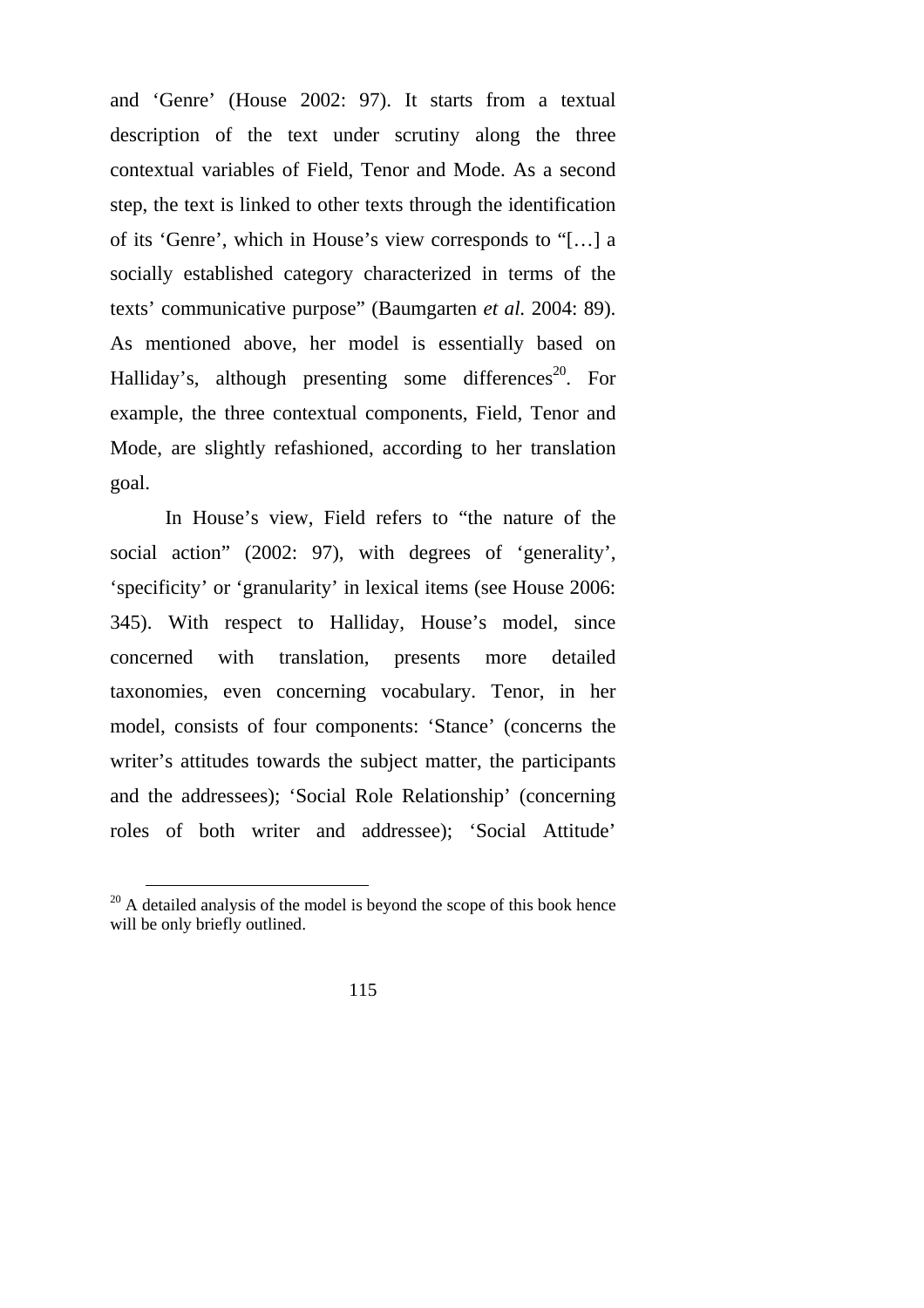and 'Genre' (House 2002: 97). It starts from a textual description of the text under scrutiny along the three contextual variables of Field, Tenor and Mode. As a second step, the text is linked to other texts through the identification of its 'Genre', which in House's view corresponds to "[…] a socially established category characterized in terms of the texts' communicative purpose" (Baumgarten *et al.* 2004: 89). As mentioned above, her model is essentially based on Halliday's, although presenting some differences<sup>20</sup>. For example, the three contextual components, Field, Tenor and Mode, are slightly refashioned, according to her translation goal.

In House's view, Field refers to "the nature of the social action" (2002: 97), with degrees of 'generality', 'specificity' or 'granularity' in lexical items (see House 2006: 345). With respect to Halliday, House's model, since concerned with translation, presents more detailed taxonomies, even concerning vocabulary. Tenor, in her model, consists of four components: 'Stance' (concerns the writer's attitudes towards the subject matter, the participants and the addressees); 'Social Role Relationship' (concerning roles of both writer and addressee); 'Social Attitude'

 $20$  A detailed analysis of the model is beyond the scope of this book hence will be only briefly outlined.

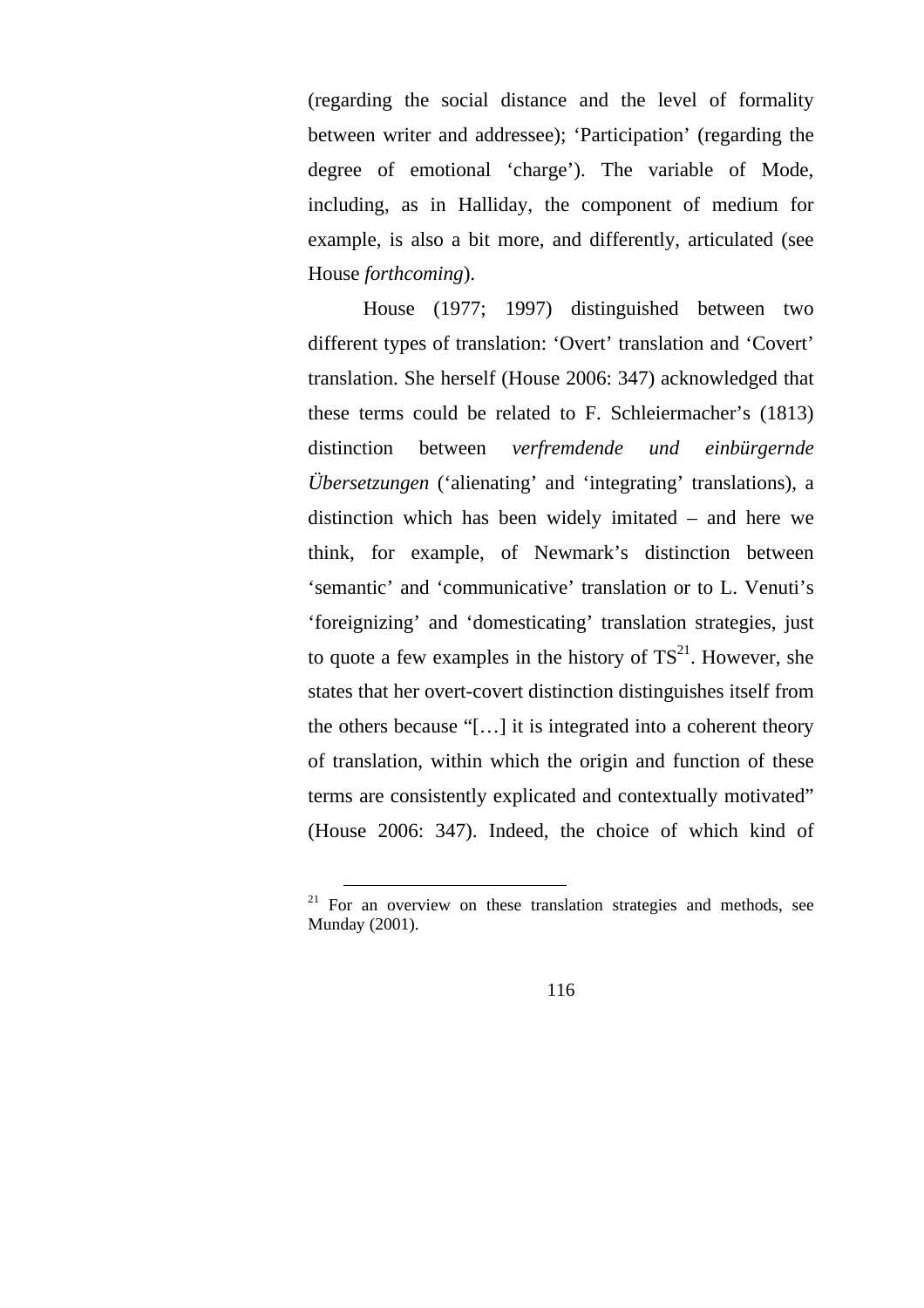(regarding the social distance and the level of formality between writer and addressee); 'Participation' (regarding the degree of emotional 'charge'). The variable of Mode, including, as in Halliday, the component of medium for example, is also a bit more, and differently, articulated (see House *forthcoming*).

House (1977; 1997) distinguished between two different types of translation: 'Overt' translation and 'Covert' translation. She herself (House 2006: 347) acknowledged that these terms could be related to F. Schleiermacher's (1813) distinction between *verfremdende und einbürgernde Übersetzungen* ('alienating' and 'integrating' translations), a distinction which has been widely imitated – and here we think, for example, of Newmark's distinction between 'semantic' and 'communicative' translation or to L. Venuti's 'foreignizing' and 'domesticating' translation strategies, just to quote a few examples in the history of  $TS<sup>21</sup>$ . However, she states that her overt-covert distinction distinguishes itself from the others because "[…] it is integrated into a coherent theory of translation, within which the origin and function of these terms are consistently explicated and contextually motivated" (House 2006: 347). Indeed, the choice of which kind of

 $21$  For an overview on these translation strategies and methods, see Munday (2001).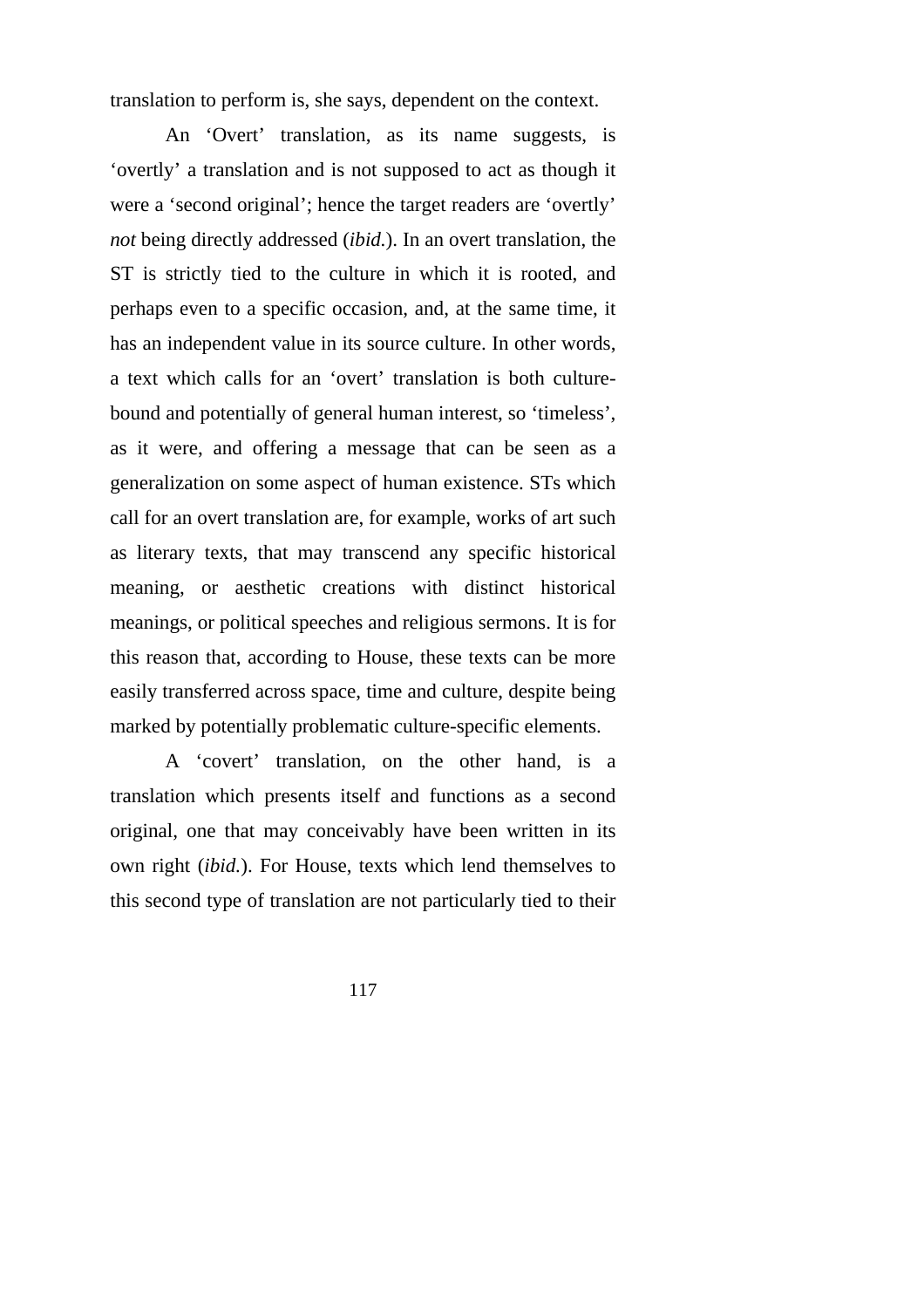translation to perform is, she says, dependent on the context.

An 'Overt' translation, as its name suggests, is 'overtly' a translation and is not supposed to act as though it were a 'second original'; hence the target readers are 'overtly' *not* being directly addressed (*ibid.*). In an overt translation, the ST is strictly tied to the culture in which it is rooted, and perhaps even to a specific occasion, and, at the same time, it has an independent value in its source culture. In other words, a text which calls for an 'overt' translation is both culturebound and potentially of general human interest, so 'timeless', as it were, and offering a message that can be seen as a generalization on some aspect of human existence. STs which call for an overt translation are, for example, works of art such as literary texts, that may transcend any specific historical meaning, or aesthetic creations with distinct historical meanings, or political speeches and religious sermons. It is for this reason that, according to House, these texts can be more easily transferred across space, time and culture, despite being marked by potentially problematic culture-specific elements.

A 'covert' translation, on the other hand, is a translation which presents itself and functions as a second original, one that may conceivably have been written in its own right (*ibid.*). For House, texts which lend themselves to this second type of translation are not particularly tied to their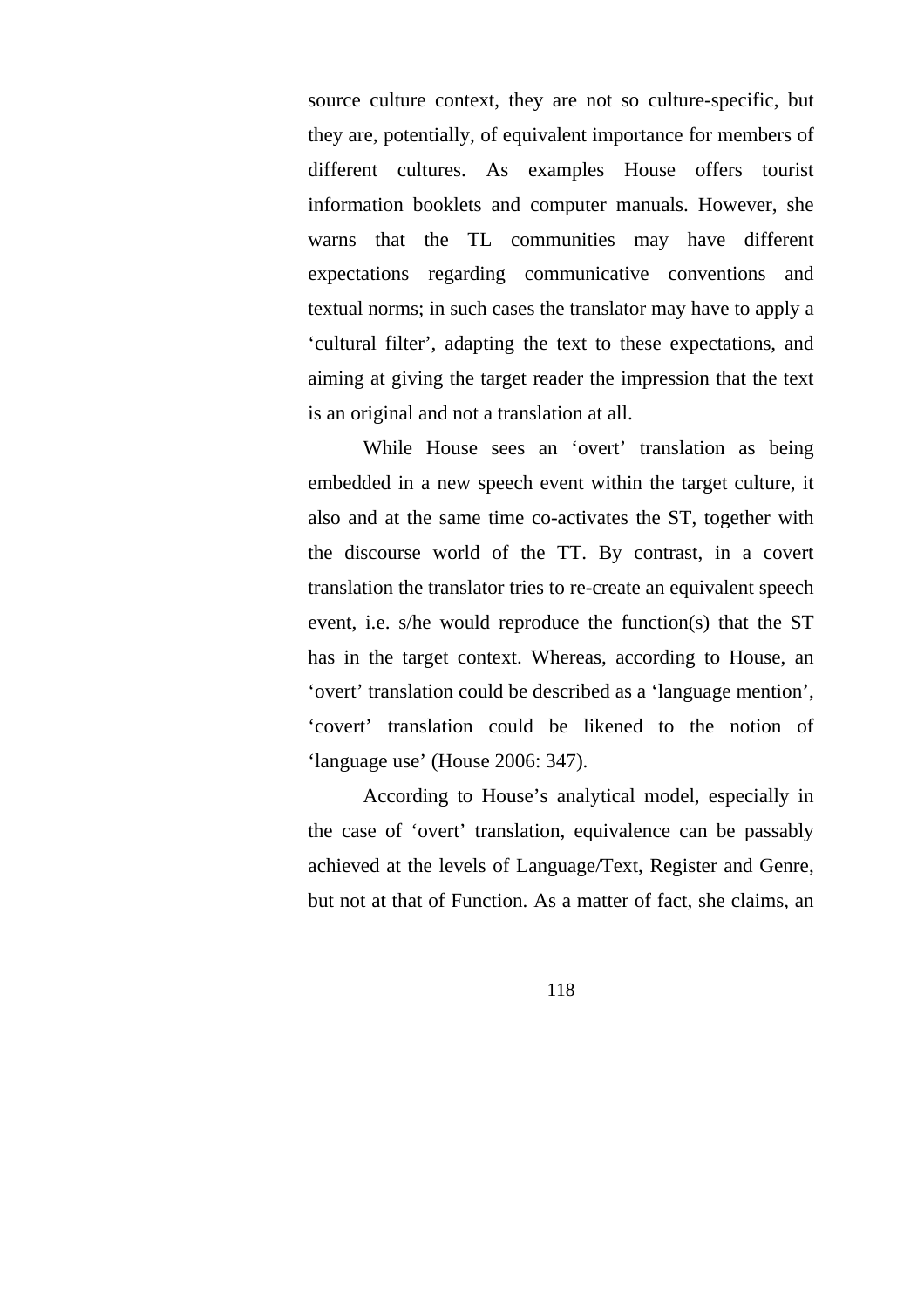source culture context, they are not so culture-specific, but they are, potentially, of equivalent importance for members of different cultures. As examples House offers tourist information booklets and computer manuals. However, she warns that the TL communities may have different expectations regarding communicative conventions and textual norms; in such cases the translator may have to apply a 'cultural filter', adapting the text to these expectations, and aiming at giving the target reader the impression that the text is an original and not a translation at all.

While House sees an 'overt' translation as being embedded in a new speech event within the target culture, it also and at the same time co-activates the ST, together with the discourse world of the TT. By contrast, in a covert translation the translator tries to re-create an equivalent speech event, i.e. s/he would reproduce the function(s) that the ST has in the target context. Whereas, according to House, an 'overt' translation could be described as a 'language mention', 'covert' translation could be likened to the notion of 'language use' (House 2006: 347).

According to House's analytical model, especially in the case of 'overt' translation, equivalence can be passably achieved at the levels of Language/Text, Register and Genre, but not at that of Function. As a matter of fact, she claims, an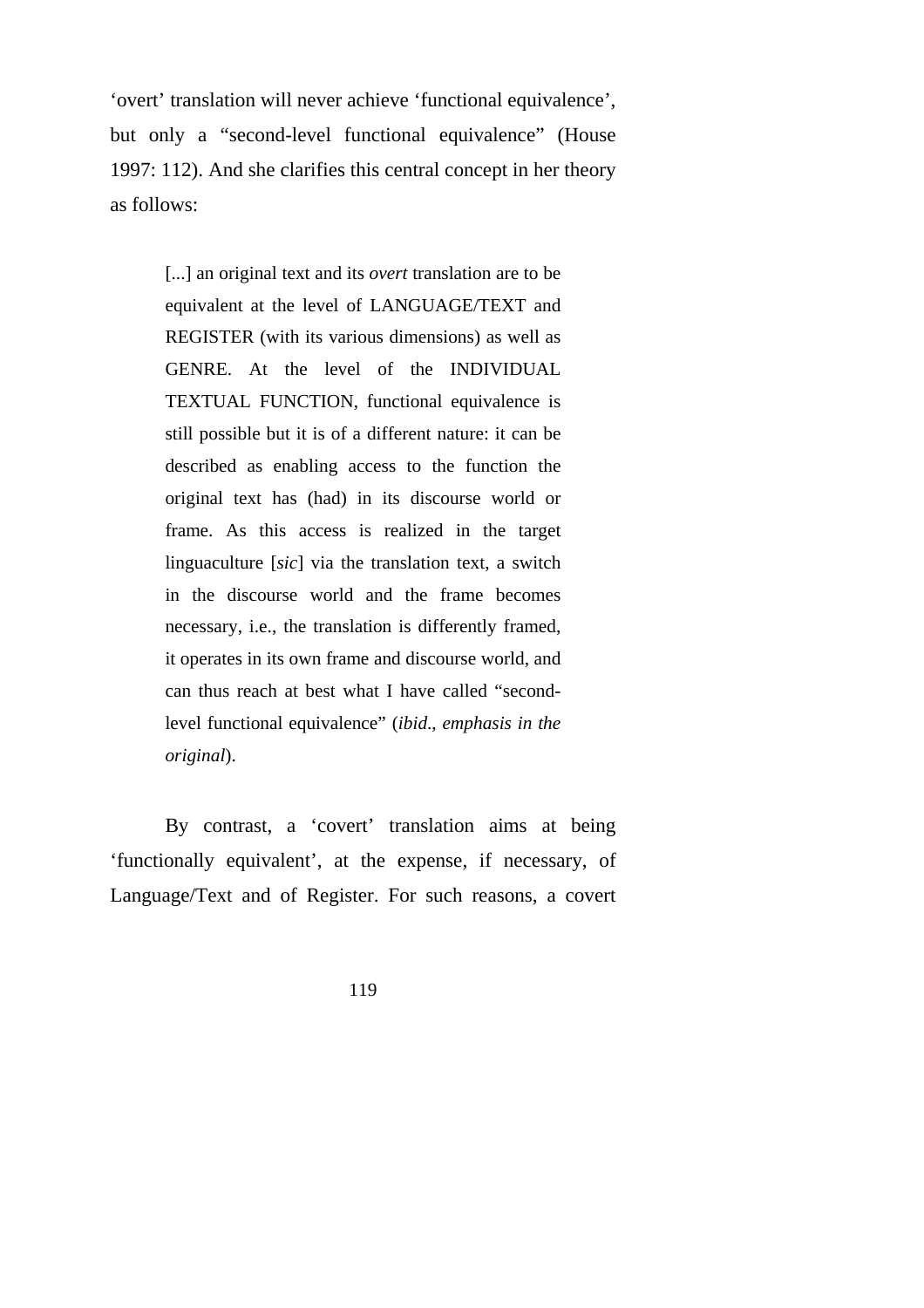'overt' translation will never achieve 'functional equivalence', but only a "second-level functional equivalence" (House 1997: 112). And she clarifies this central concept in her theory as follows:

> [...] an original text and its *overt* translation are to be equivalent at the level of LANGUAGE/TEXT and REGISTER (with its various dimensions) as well as GENRE. At the level of the INDIVIDUAL TEXTUAL FUNCTION, functional equivalence is still possible but it is of a different nature: it can be described as enabling access to the function the original text has (had) in its discourse world or frame. As this access is realized in the target linguaculture [*sic*] via the translation text, a switch in the discourse world and the frame becomes necessary, i.e., the translation is differently framed, it operates in its own frame and discourse world, and can thus reach at best what I have called "secondlevel functional equivalence" (*ibid*., *emphasis in the original*).

By contrast, a 'covert' translation aims at being 'functionally equivalent', at the expense, if necessary, of Language/Text and of Register. For such reasons, a covert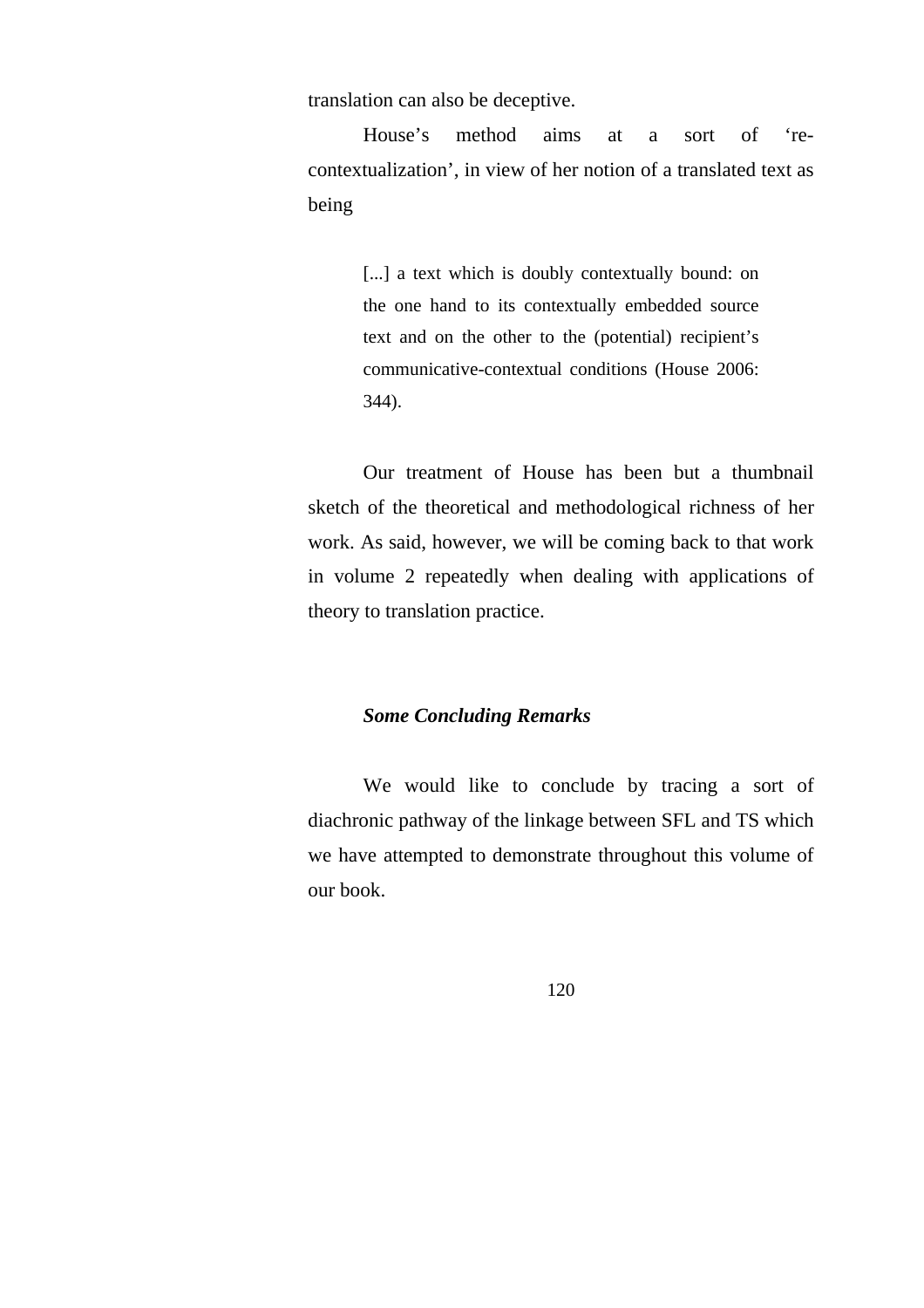translation can also be deceptive.

House's method aims at a sort of 'recontextualization', in view of her notion of a translated text as being

> [...] a text which is doubly contextually bound: on the one hand to its contextually embedded source text and on the other to the (potential) recipient's communicative-contextual conditions (House 2006: 344).

Our treatment of House has been but a thumbnail sketch of the theoretical and methodological richness of her work. As said, however, we will be coming back to that work in volume 2 repeatedly when dealing with applications of theory to translation practice.

## *Some Concluding Remarks*

We would like to conclude by tracing a sort of diachronic pathway of the linkage between SFL and TS which we have attempted to demonstrate throughout this volume of our book.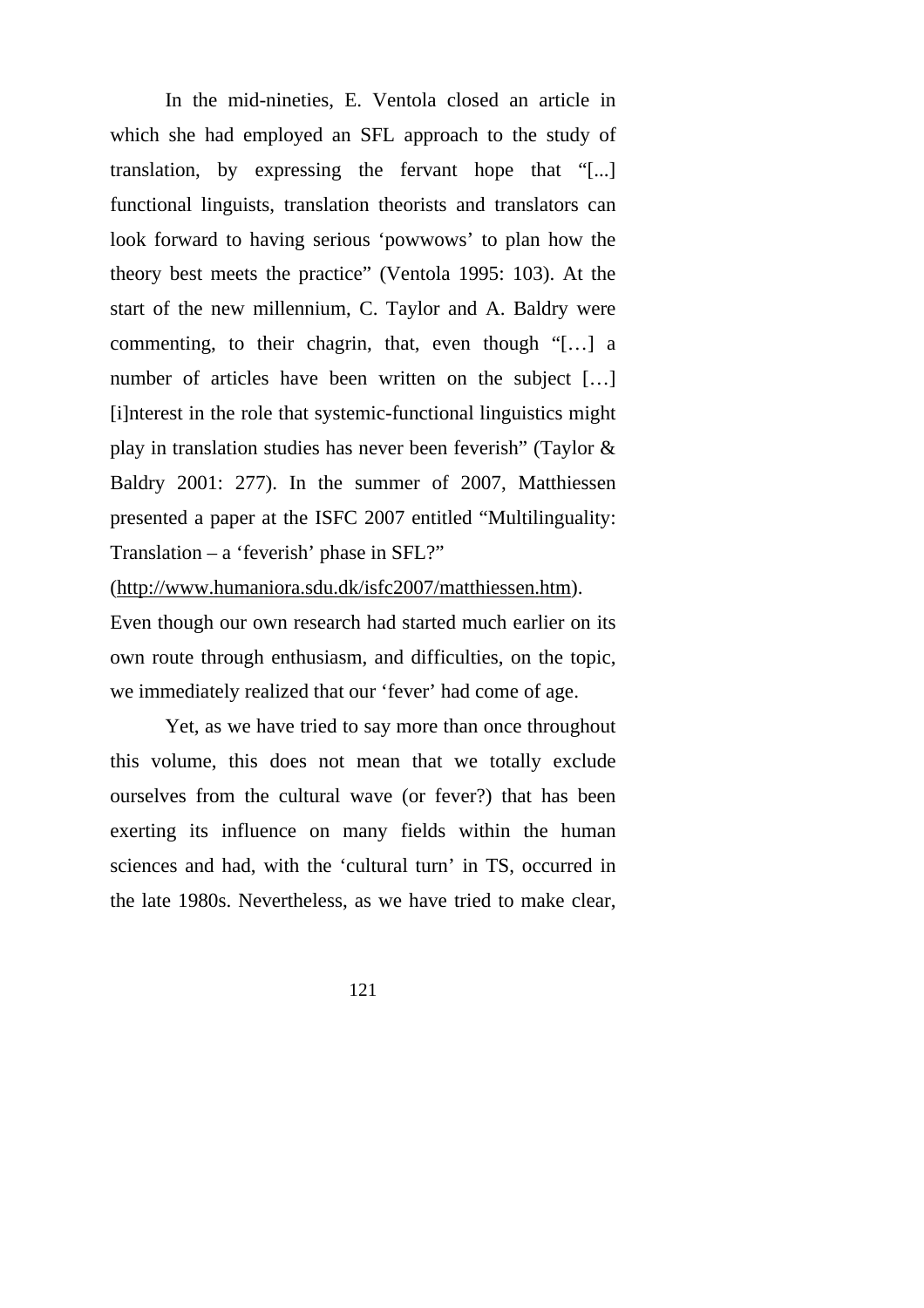In the mid-nineties, E. Ventola closed an article in which she had employed an SFL approach to the study of translation, by expressing the fervant hope that "[...] functional linguists, translation theorists and translators can look forward to having serious 'powwows' to plan how the theory best meets the practice" (Ventola 1995: 103). At the start of the new millennium, C. Taylor and A. Baldry were commenting, to their chagrin, that, even though "[…] a number of articles have been written on the subject [...] [i]nterest in the role that systemic-functional linguistics might play in translation studies has never been feverish" (Taylor & Baldry 2001: 277). In the summer of 2007, Matthiessen presented a paper at the ISFC 2007 entitled "Multilinguality: Translation – a 'feverish' phase in SFL?"

(http://www.humaniora.sdu.dk/isfc2007/matthiessen.htm). Even though our own research had started much earlier on its own route through enthusiasm, and difficulties, on the topic, we immediately realized that our 'fever' had come of age.

Yet, as we have tried to say more than once throughout this volume, this does not mean that we totally exclude ourselves from the cultural wave (or fever?) that has been exerting its influence on many fields within the human sciences and had, with the 'cultural turn' in TS, occurred in the late 1980s. Nevertheless, as we have tried to make clear,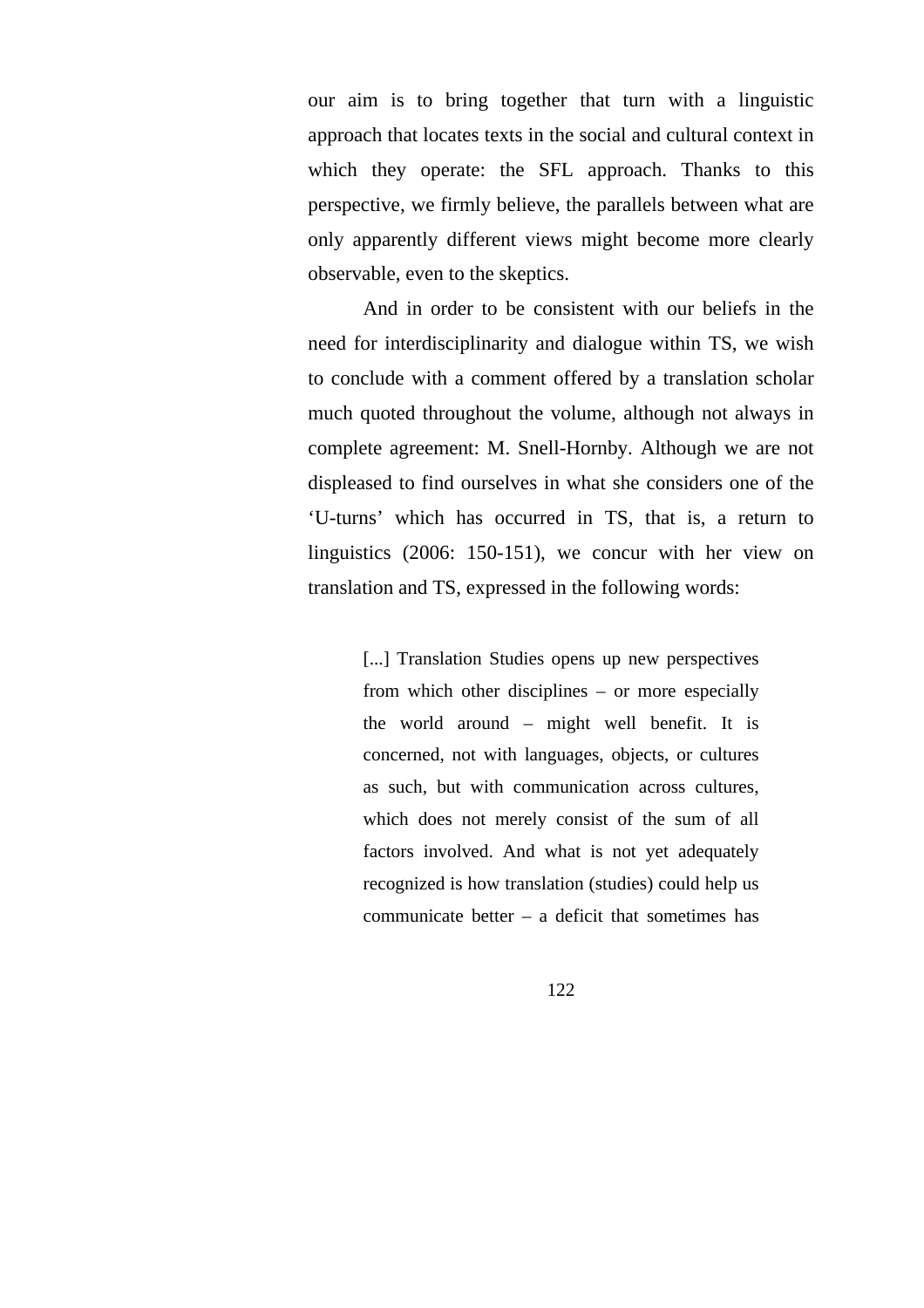our aim is to bring together that turn with a linguistic approach that locates texts in the social and cultural context in which they operate: the SFL approach. Thanks to this perspective, we firmly believe, the parallels between what are only apparently different views might become more clearly observable, even to the skeptics.

And in order to be consistent with our beliefs in the need for interdisciplinarity and dialogue within TS, we wish to conclude with a comment offered by a translation scholar much quoted throughout the volume, although not always in complete agreement: M. Snell-Hornby. Although we are not displeased to find ourselves in what she considers one of the 'U-turns' which has occurred in TS, that is, a return to linguistics (2006: 150-151), we concur with her view on translation and TS, expressed in the following words:

> [...] Translation Studies opens up new perspectives from which other disciplines – or more especially the world around – might well benefit. It is concerned, not with languages, objects, or cultures as such, but with communication across cultures, which does not merely consist of the sum of all factors involved. And what is not yet adequately recognized is how translation (studies) could help us communicate better – a deficit that sometimes has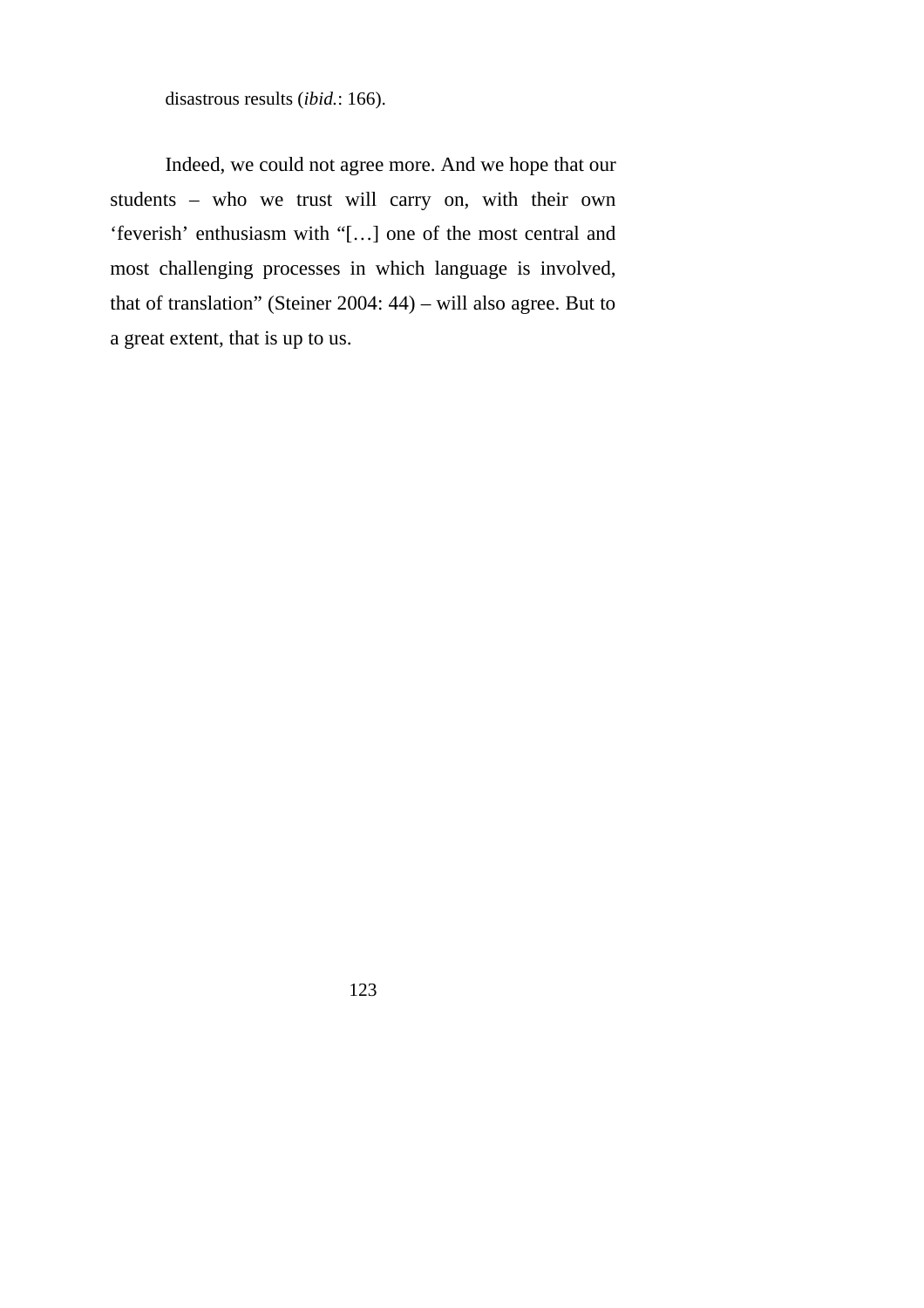disastrous results (*ibid.*: 166).

Indeed, we could not agree more. And we hope that our students – who we trust will carry on, with their own 'feverish' enthusiasm with "[…] one of the most central and most challenging processes in which language is involved, that of translation" (Steiner 2004: 44) – will also agree. But to a great extent, that is up to us.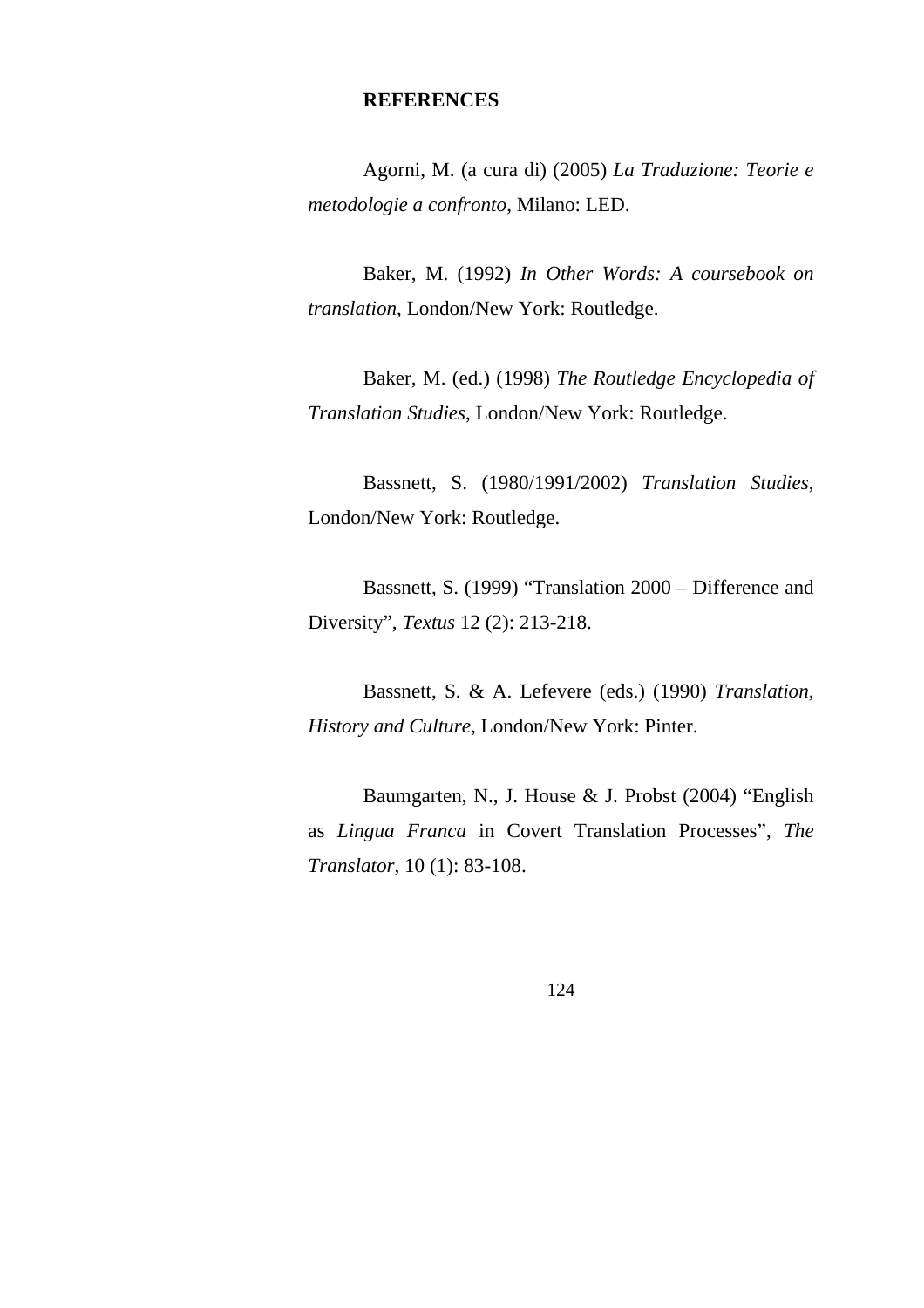## **REFERENCES**

Agorni, M. (a cura di) (2005) *La Traduzione: Teorie e metodologie a confronto*, Milano: LED.

Baker, M. (1992) *In Other Words: A coursebook on translation*, London/New York: Routledge.

Baker, M. (ed.) (1998) *The Routledge Encyclopedia of Translation Studies*, London/New York: Routledge.

Bassnett, S. (1980/1991/2002) *Translation Studies*, London/New York: Routledge.

Bassnett, S. (1999) "Translation 2000 – Difference and Diversity", *Textus* 12 (2): 213-218.

Bassnett, S. & A. Lefevere (eds.) (1990) *Translation, History and Culture*, London/New York: Pinter.

Baumgarten, N., J. House & J. Probst (2004) "English as *Lingua Franca* in Covert Translation Processes", *The Translator*, 10 (1): 83-108.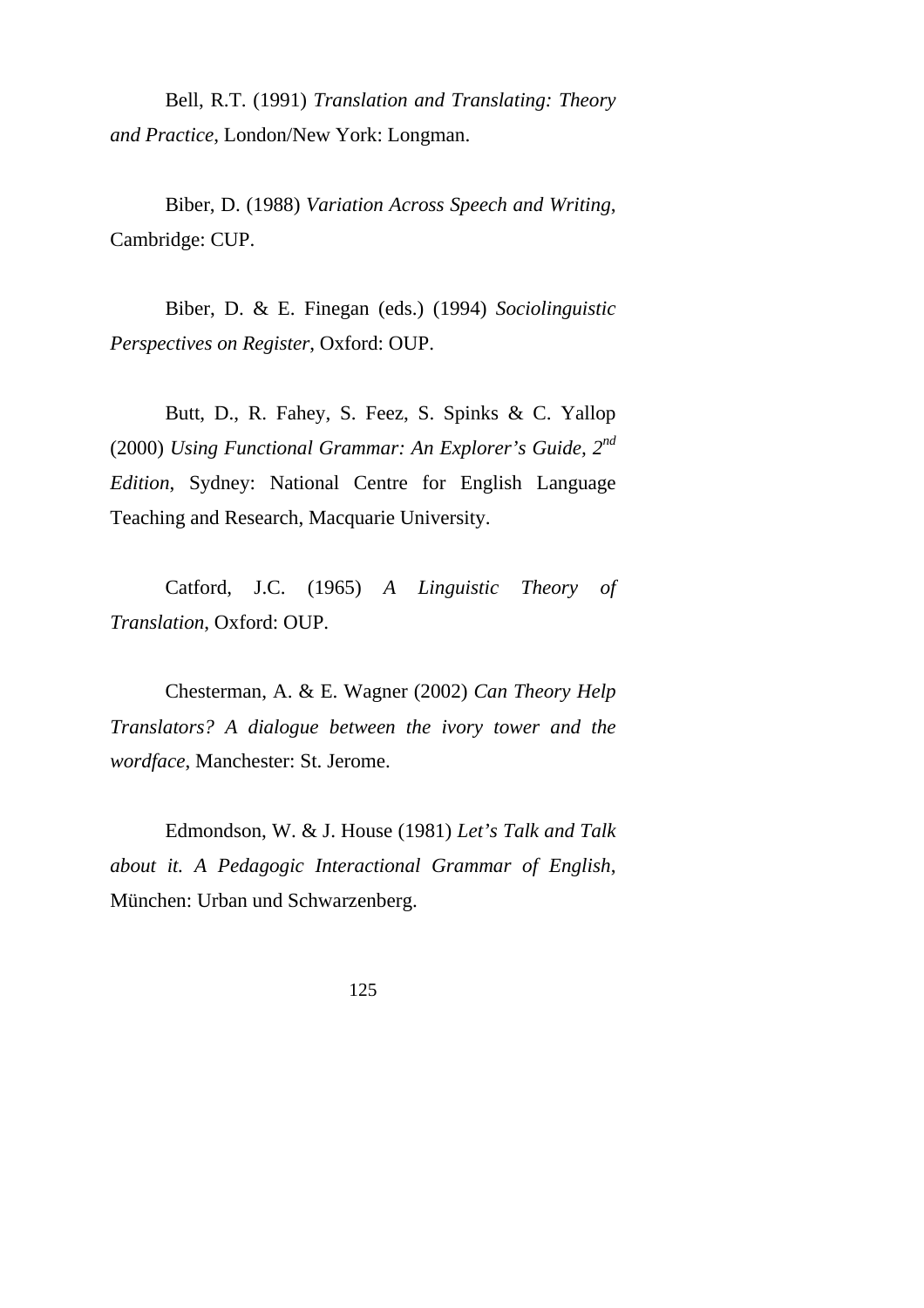Bell, R.T. (1991) *Translation and Translating: Theory and Practice*, London/New York: Longman.

Biber, D. (1988) *Variation Across Speech and Writing*, Cambridge: CUP.

Biber, D. & E. Finegan (eds.) (1994) *Sociolinguistic Perspectives on Register*, Oxford: OUP.

Butt, D., R. Fahey, S. Feez, S. Spinks & C. Yallop (2000) *Using Functional Grammar: An Explorer's Guide, 2nd Edition*, Sydney: National Centre for English Language Teaching and Research, Macquarie University.

Catford, J.C. (1965) *A Linguistic Theory of Translation*, Oxford: OUP.

Chesterman, A. & E. Wagner (2002) *Can Theory Help Translators? A dialogue between the ivory tower and the wordface*, Manchester: St. Jerome.

Edmondson, W. & J. House (1981) *Let's Talk and Talk about it. A Pedagogic Interactional Grammar of English*, München: Urban und Schwarzenberg.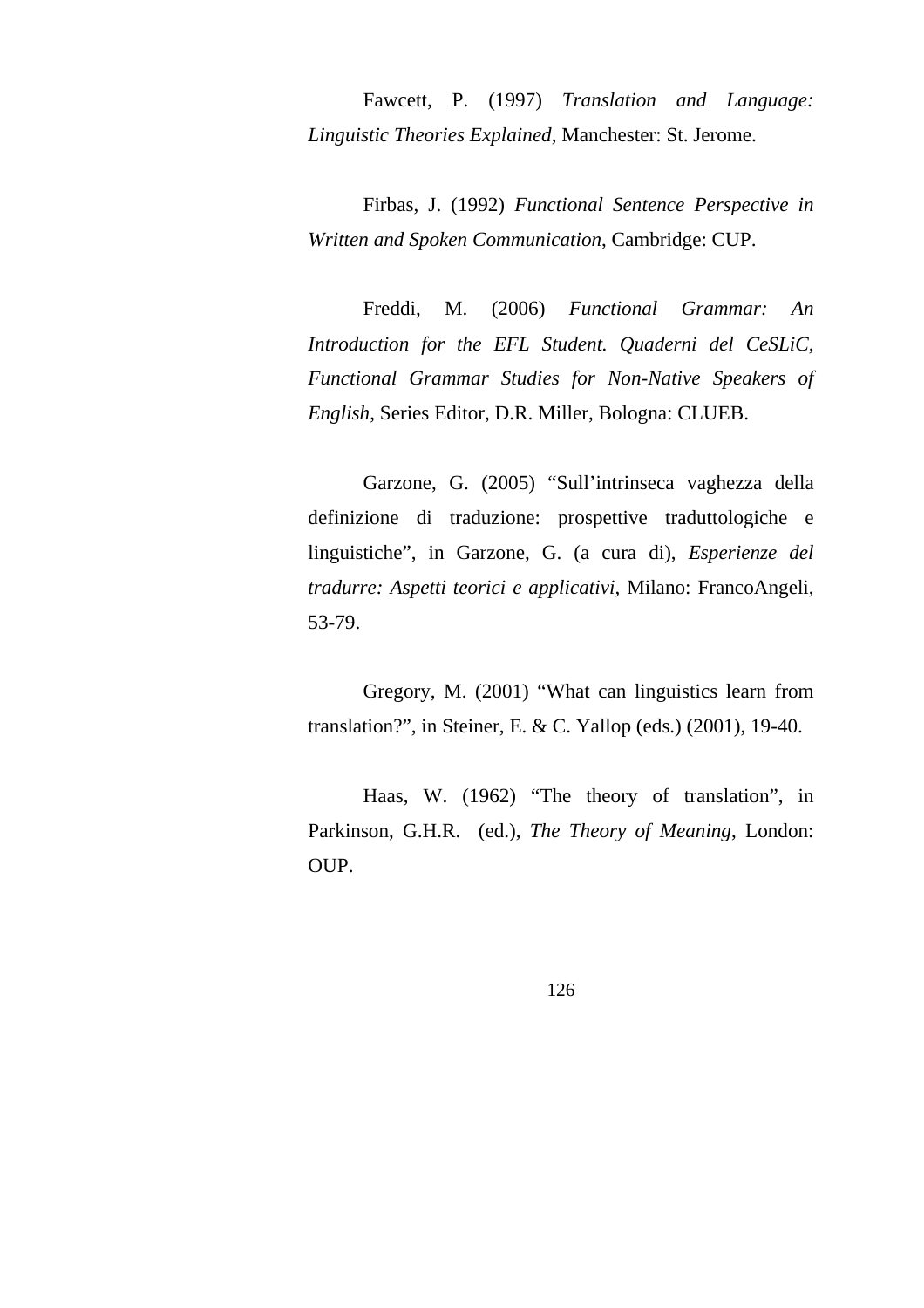Fawcett, P. (1997) *Translation and Language: Linguistic Theories Explained*, Manchester: St. Jerome.

Firbas, J. (1992) *Functional Sentence Perspective in Written and Spoken Communication*, Cambridge: CUP.

Freddi, M. (2006) *Functional Grammar: An Introduction for the EFL Student. Quaderni del CeSLiC, Functional Grammar Studies for Non-Native Speakers of English*, Series Editor, D.R. Miller, Bologna: CLUEB.

Garzone, G. (2005) "Sull'intrinseca vaghezza della definizione di traduzione: prospettive traduttologiche e linguistiche", in Garzone, G. (a cura di), *Esperienze del tradurre: Aspetti teorici e applicativi*, Milano: FrancoAngeli, 53-79.

Gregory, M. (2001) "What can linguistics learn from translation?", in Steiner, E. & C. Yallop (eds.) (2001), 19-40.

Haas, W. (1962) "The theory of translation", in Parkinson, G.H.R. (ed.), *The Theory of Meaning*, London: OUP.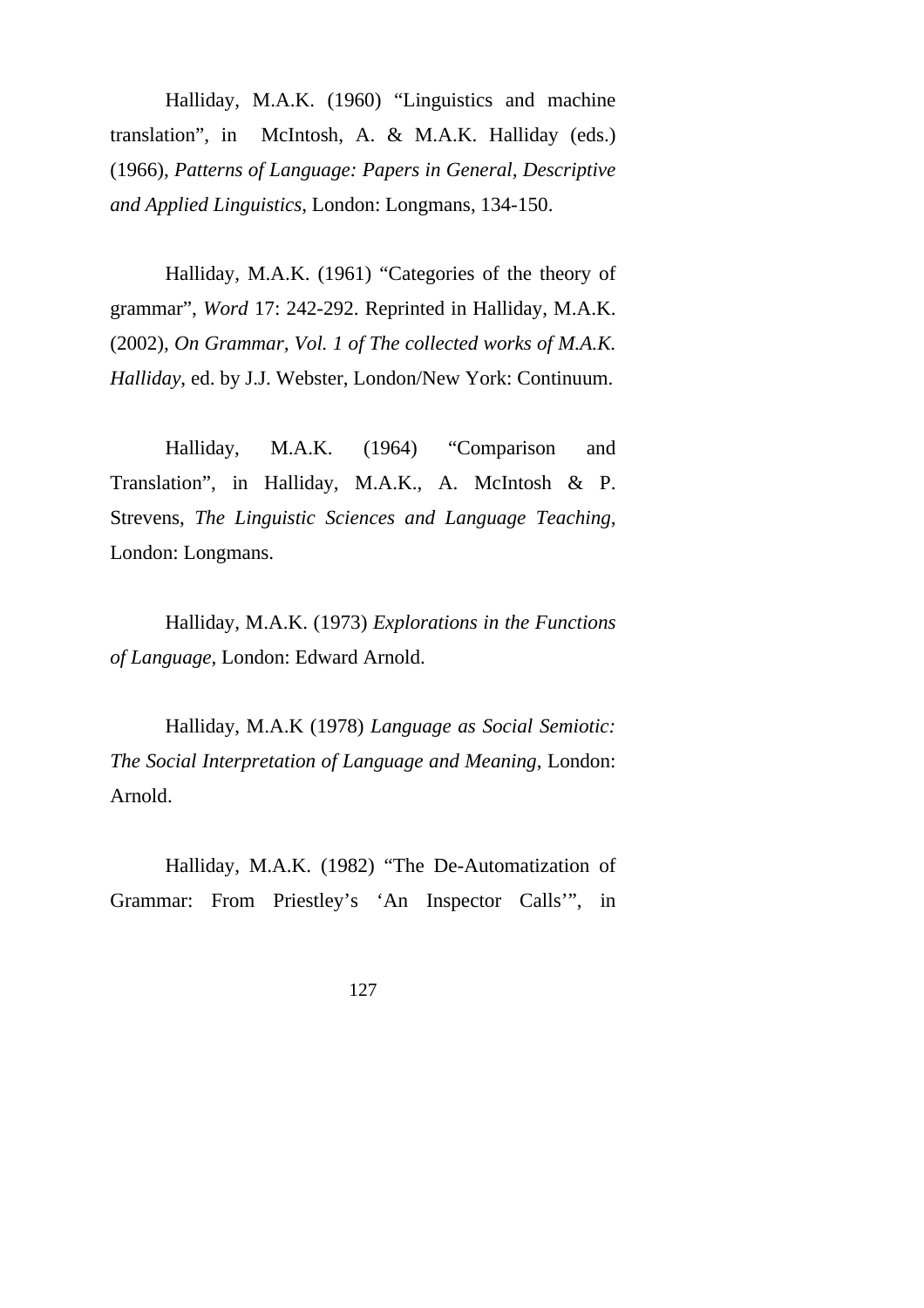Halliday, M.A.K. (1960) "Linguistics and machine translation", in McIntosh, A. & M.A.K. Halliday (eds.) (1966), *Patterns of Language: Papers in General, Descriptive and Applied Linguistics*, London: Longmans, 134-150.

Halliday, M.A.K. (1961) "Categories of the theory of grammar", *Word* 17: 242-292. Reprinted in Halliday, M.A.K. (2002), *On Grammar, Vol. 1 of The collected works of M.A.K. Halliday*, ed. by J.J. Webster, London/New York: Continuum.

Halliday, M.A.K. (1964) "Comparison and Translation", in Halliday, M.A.K., A. McIntosh & P. Strevens, *The Linguistic Sciences and Language Teaching*, London: Longmans.

Halliday, M.A.K. (1973) *Explorations in the Functions of Language*, London: Edward Arnold.

Halliday, M.A.K (1978) *Language as Social Semiotic: The Social Interpretation of Language and Meaning*, London: Arnold.

Halliday, M.A.K. (1982) "The De-Automatization of Grammar: From Priestley's 'An Inspector Calls'", in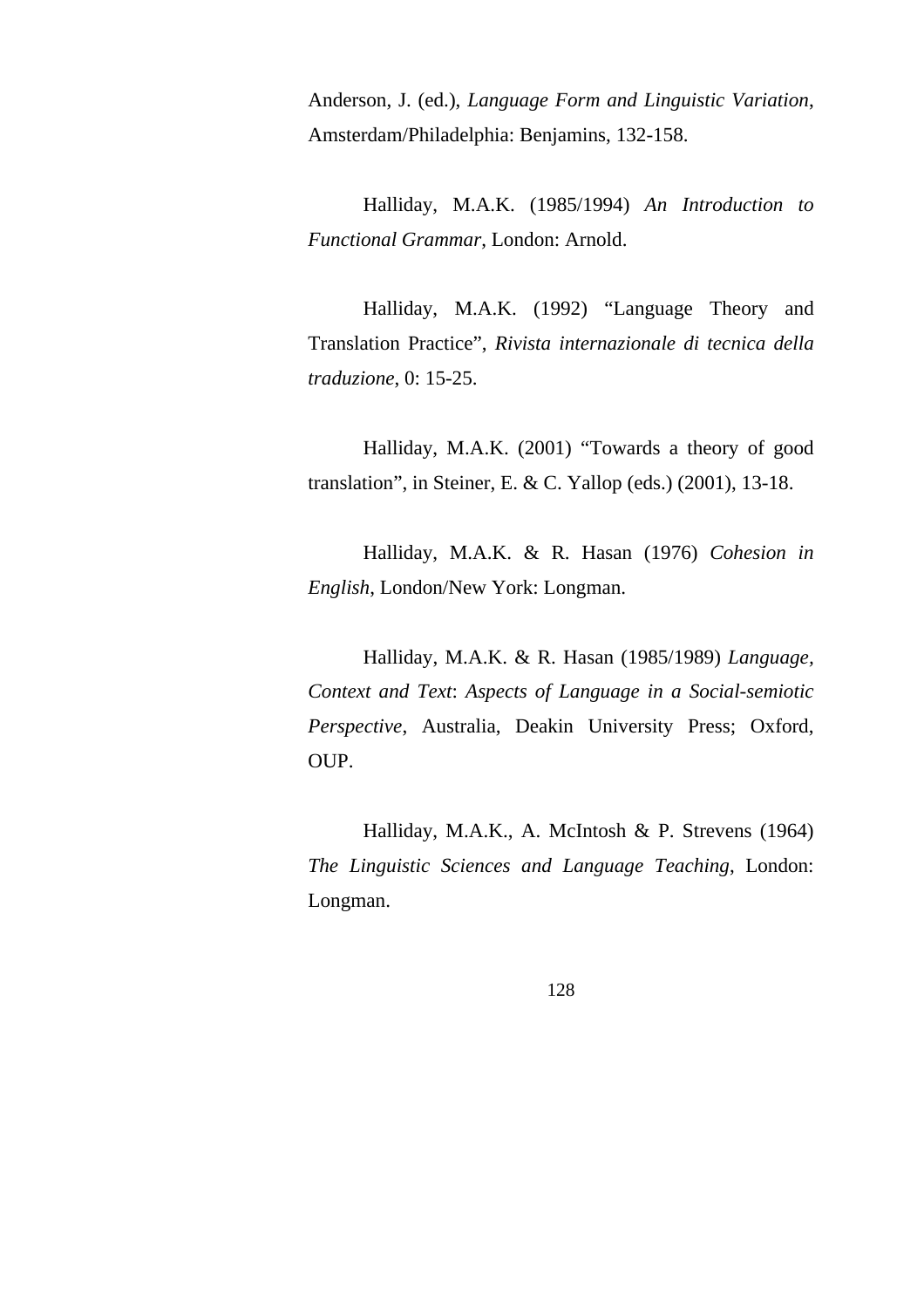Anderson, J. (ed.), *Language Form and Linguistic Variation*, Amsterdam/Philadelphia: Benjamins, 132-158.

Halliday, M.A.K. (1985/1994) *An Introduction to Functional Grammar*, London: Arnold.

Halliday, M.A.K. (1992) "Language Theory and Translation Practice", *Rivista internazionale di tecnica della traduzione*, 0: 15-25.

Halliday, M.A.K. (2001) "Towards a theory of good translation", in Steiner, E. & C. Yallop (eds.) (2001), 13-18.

Halliday, M.A.K. & R. Hasan (1976) *Cohesion in English*, London/New York: Longman.

Halliday, M.A.K. & R. Hasan (1985/1989) *Language, Context and Text*: *Aspects of Language in a Social-semiotic Perspective*, Australia, Deakin University Press; Oxford, OUP.

Halliday, M.A.K., A. McIntosh & P. Strevens (1964) *The Linguistic Sciences and Language Teaching*, London: Longman.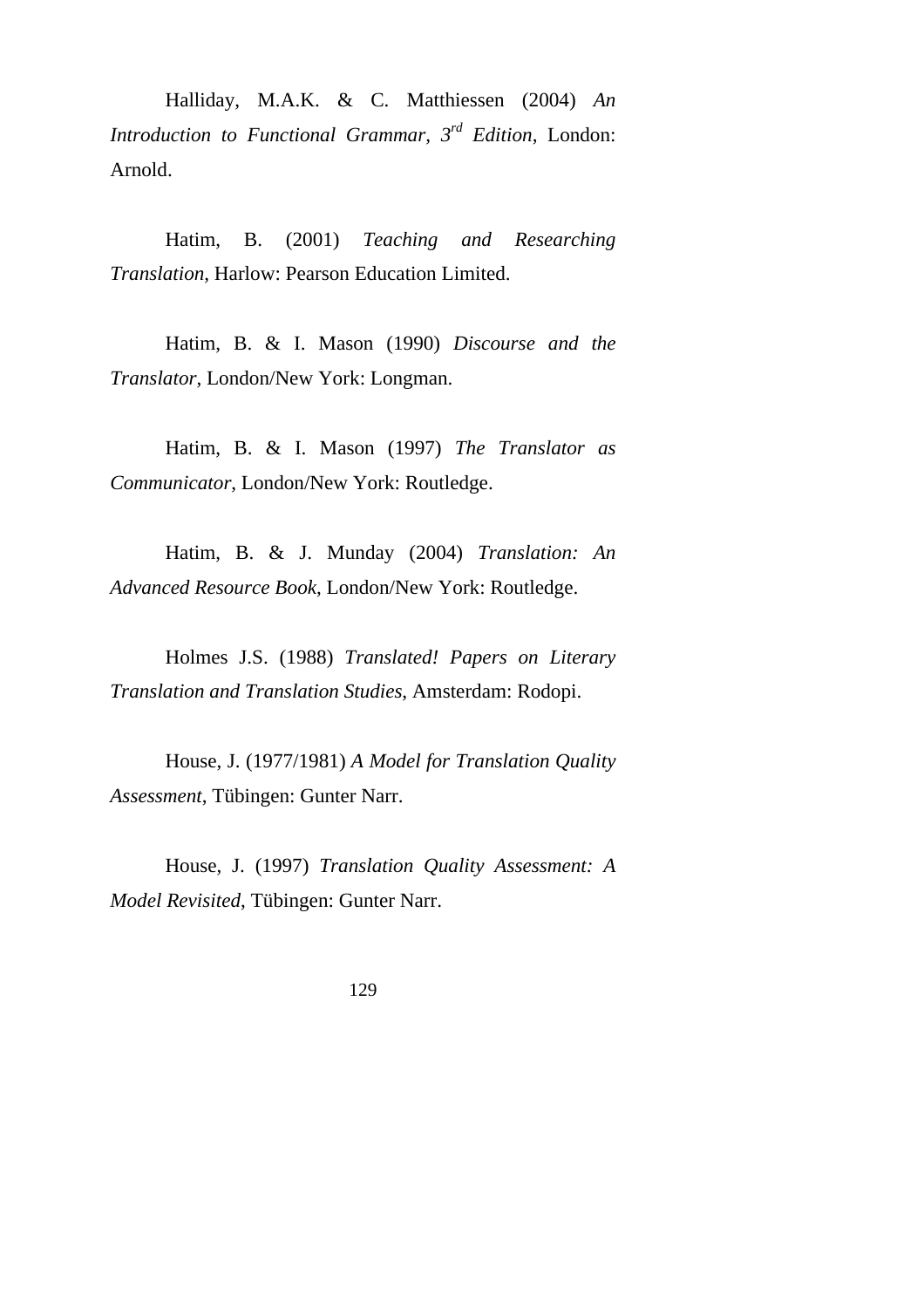Halliday, M.A.K. & C. Matthiessen (2004) *An Introduction to Functional Grammar, 3rd Edition*, London: Arnold.

Hatim, B. (2001) *Teaching and Researching Translation*, Harlow: Pearson Education Limited.

Hatim, B. & I. Mason (1990) *Discourse and the Translator*, London/New York: Longman.

Hatim, B. & I. Mason (1997) *The Translator as Communicator*, London/New York: Routledge.

Hatim, B. & J. Munday (2004) *Translation: An Advanced Resource Book*, London/New York: Routledge.

Holmes J.S. (1988) *Translated! Papers on Literary Translation and Translation Studies*, Amsterdam: Rodopi.

House, J. (1977/1981) *A Model for Translation Quality Assessment*, Tübingen: Gunter Narr.

House, J. (1997) *Translation Quality Assessment: A Model Revisited*, Tübingen: Gunter Narr.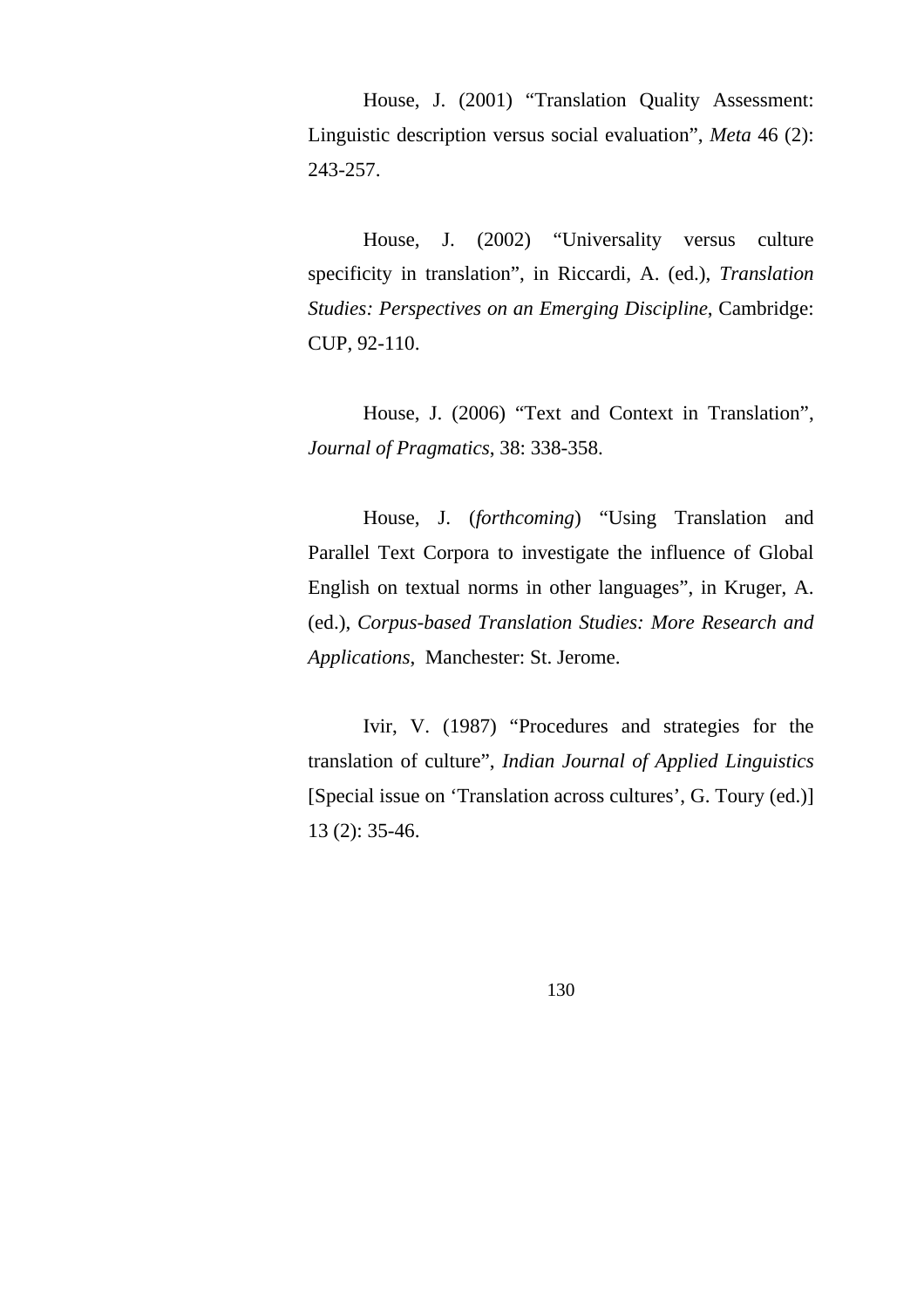House, J. (2001) "Translation Quality Assessment: Linguistic description versus social evaluation", *Meta* 46 (2): 243-257.

House, J. (2002) "Universality versus culture specificity in translation", in Riccardi, A. (ed.), *Translation Studies: Perspectives on an Emerging Discipline*, Cambridge: CUP, 92-110.

House, J. (2006) "Text and Context in Translation", *Journal of Pragmatics*, 38: 338-358.

House, J. (*forthcoming*) "Using Translation and Parallel Text Corpora to investigate the influence of Global English on textual norms in other languages", in Kruger, A. (ed.), *Corpus-based Translation Studies: More Research and Applications*, Manchester: St. Jerome.

Ivir, V. (1987) "Procedures and strategies for the translation of culture", *Indian Journal of Applied Linguistics* [Special issue on 'Translation across cultures', G. Toury (ed.)] 13 (2): 35-46.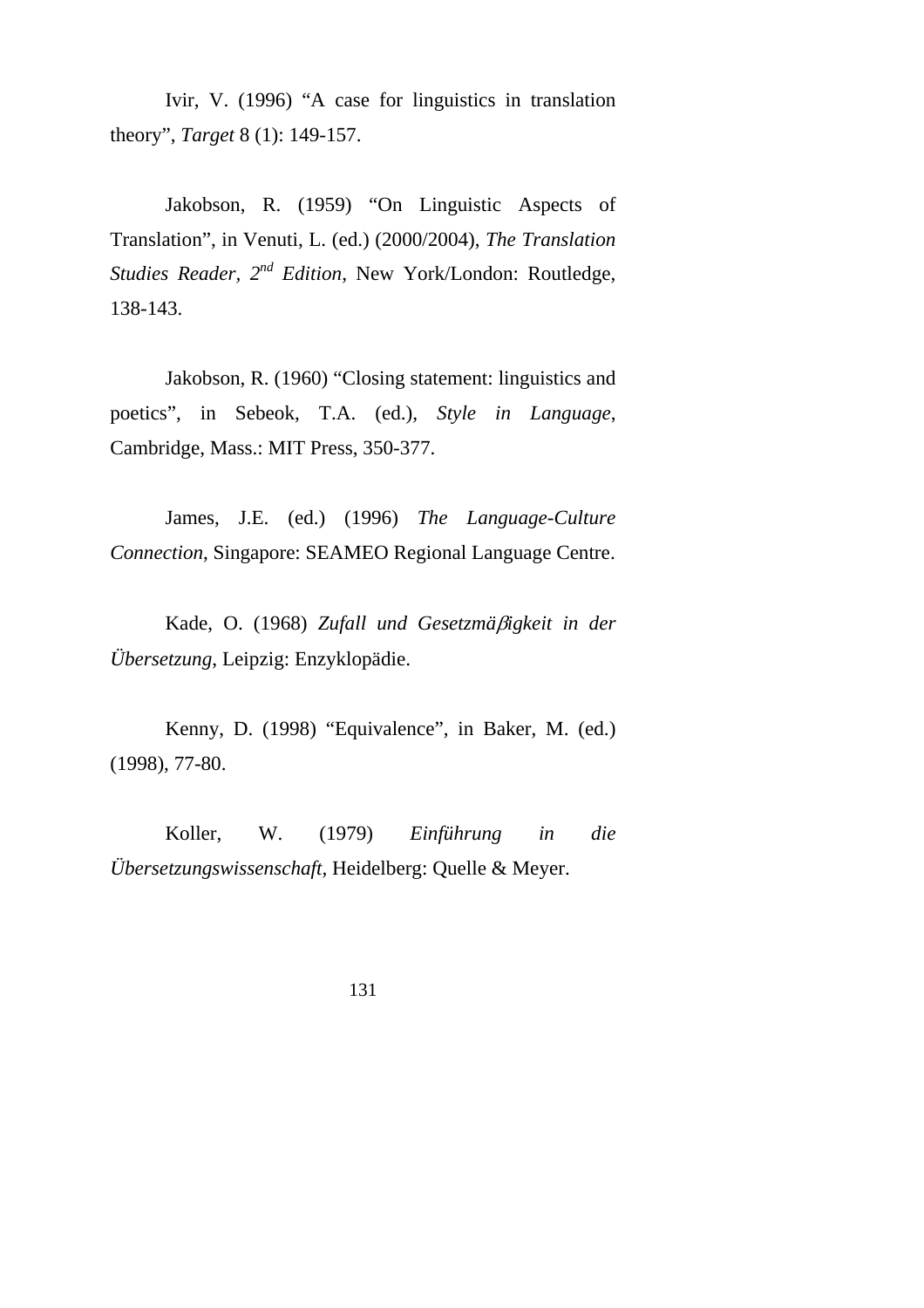Ivir, V. (1996) "A case for linguistics in translation theory", *Target* 8 (1): 149-157.

Jakobson, R. (1959) "On Linguistic Aspects of Translation", in Venuti, L. (ed.) (2000/2004), *The Translation Studies Reader, 2nd Edition*, New York/London: Routledge, 138-143.

Jakobson, R. (1960) "Closing statement: linguistics and poetics", in Sebeok, T.A. (ed.), *Style in Language*, Cambridge, Mass.: MIT Press, 350-377.

James, J.E. (ed.) (1996) *The Language-Culture Connection*, Singapore: SEAMEO Regional Language Centre.

Kade, O. (1968) *Zufall und Gesetzmä*β*igkeit in der Übersetzung*, Leipzig: Enzyklopädie.

Kenny, D. (1998) "Equivalence", in Baker, M. (ed.) (1998), 77-80.

Koller, W. (1979) *Einführung in die Übersetzungswissenschaft,* Heidelberg: Quelle & Meyer.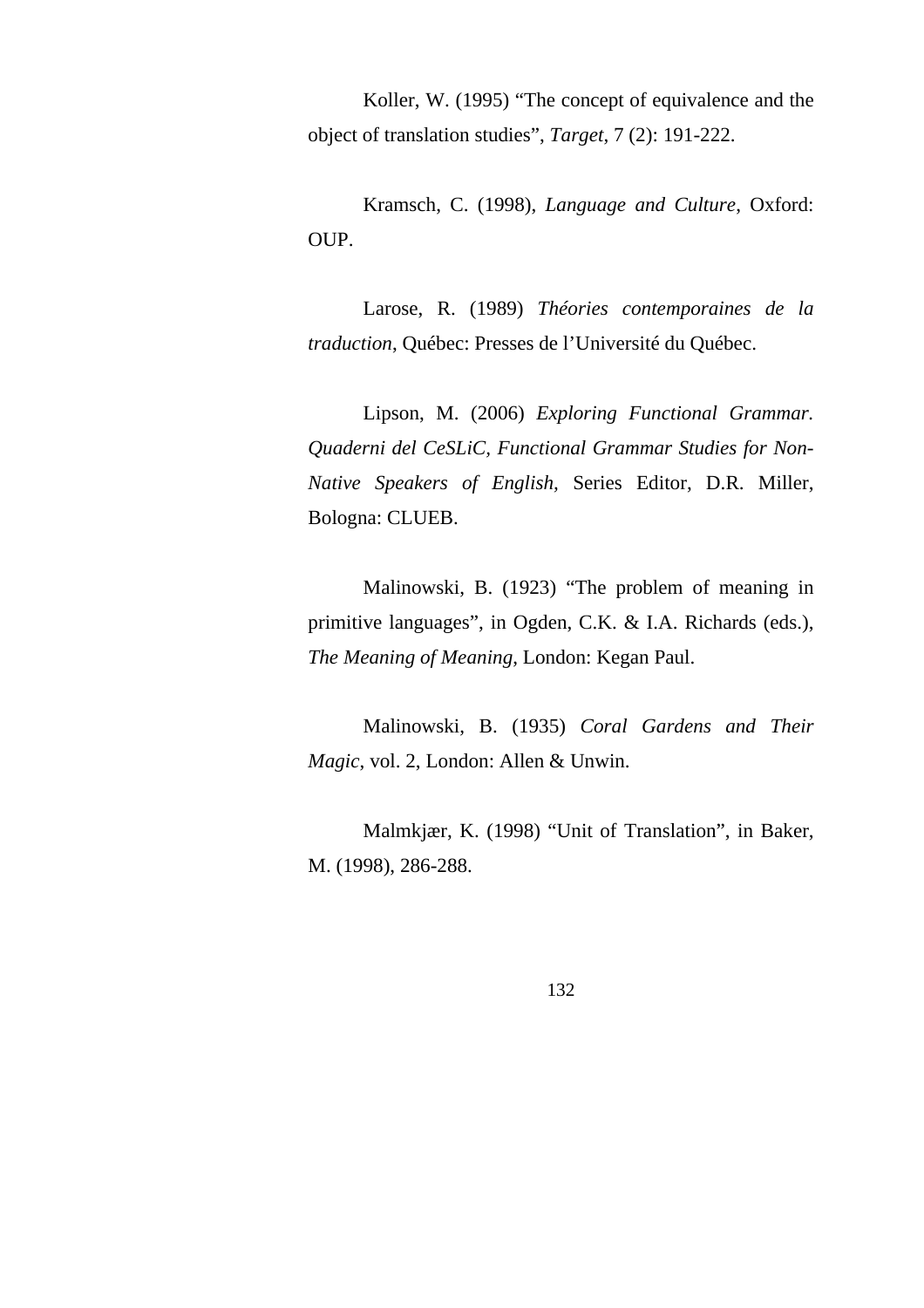Koller, W. (1995) "The concept of equivalence and the object of translation studies", *Target*, 7 (2): 191-222.

Kramsch, C. (1998), *Language and Culture*, Oxford: OUP.

Larose, R. (1989) *Théories contemporaines de la traduction*, Québec: Presses de l'Université du Québec.

Lipson, M. (2006) *Exploring Functional Grammar. Quaderni del CeSLiC, Functional Grammar Studies for Non-Native Speakers of English,* Series Editor, D.R. Miller, Bologna: CLUEB.

Malinowski, B. (1923) "The problem of meaning in primitive languages", in Ogden, C.K. & I.A. Richards (eds.), *The Meaning of Meaning*, London: Kegan Paul.

Malinowski, B. (1935) *Coral Gardens and Their Magic*, vol. 2, London: Allen & Unwin.

Malmkjær, K. (1998) "Unit of Translation", in Baker, M. (1998), 286-288.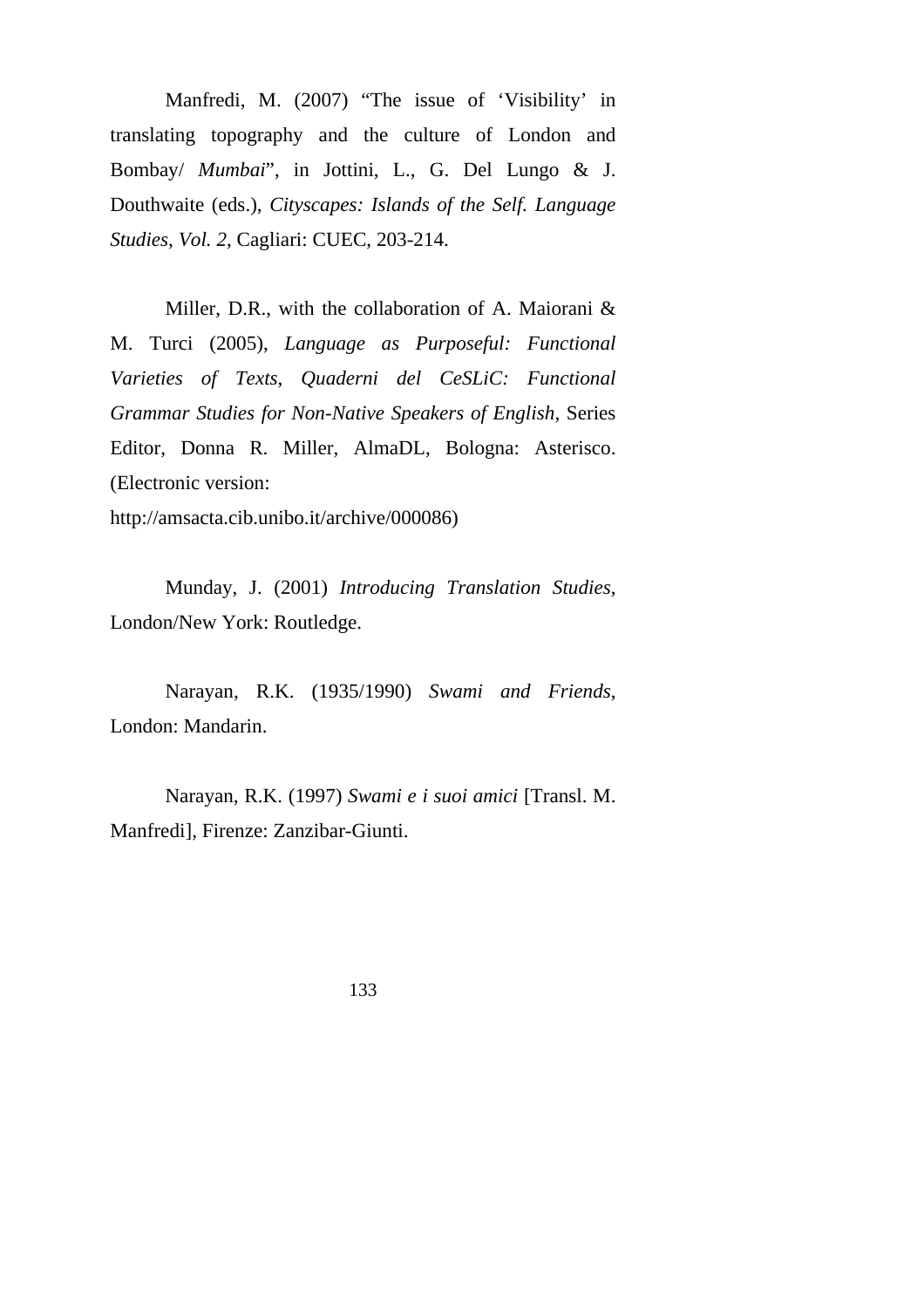Manfredi, M. (2007) "The issue of 'Visibility' in translating topography and the culture of London and Bombay/ *Mumbai*", in Jottini, L., G. Del Lungo & J. Douthwaite (eds.), *Cityscapes: Islands of the Self. Language Studies, Vol. 2*, Cagliari: CUEC, 203-214.

Miller, D.R., with the collaboration of A. Maiorani & M. Turci (2005), *Language as Purposeful: Functional Varieties of Texts*, *Quaderni del CeSLiC: Functional Grammar Studies for Non-Native Speakers of English*, Series Editor, Donna R. Miller, AlmaDL, Bologna: Asterisco. (Electronic version:

http://amsacta.cib.unibo.it/archive/000086)

Munday, J. (2001) *Introducing Translation Studies*, London/New York: Routledge.

Narayan, R.K. (1935/1990) *Swami and Friends*, London: Mandarin.

Narayan, R.K. (1997) *Swami e i suoi amici* [Transl. M. Manfredi], Firenze: Zanzibar-Giunti.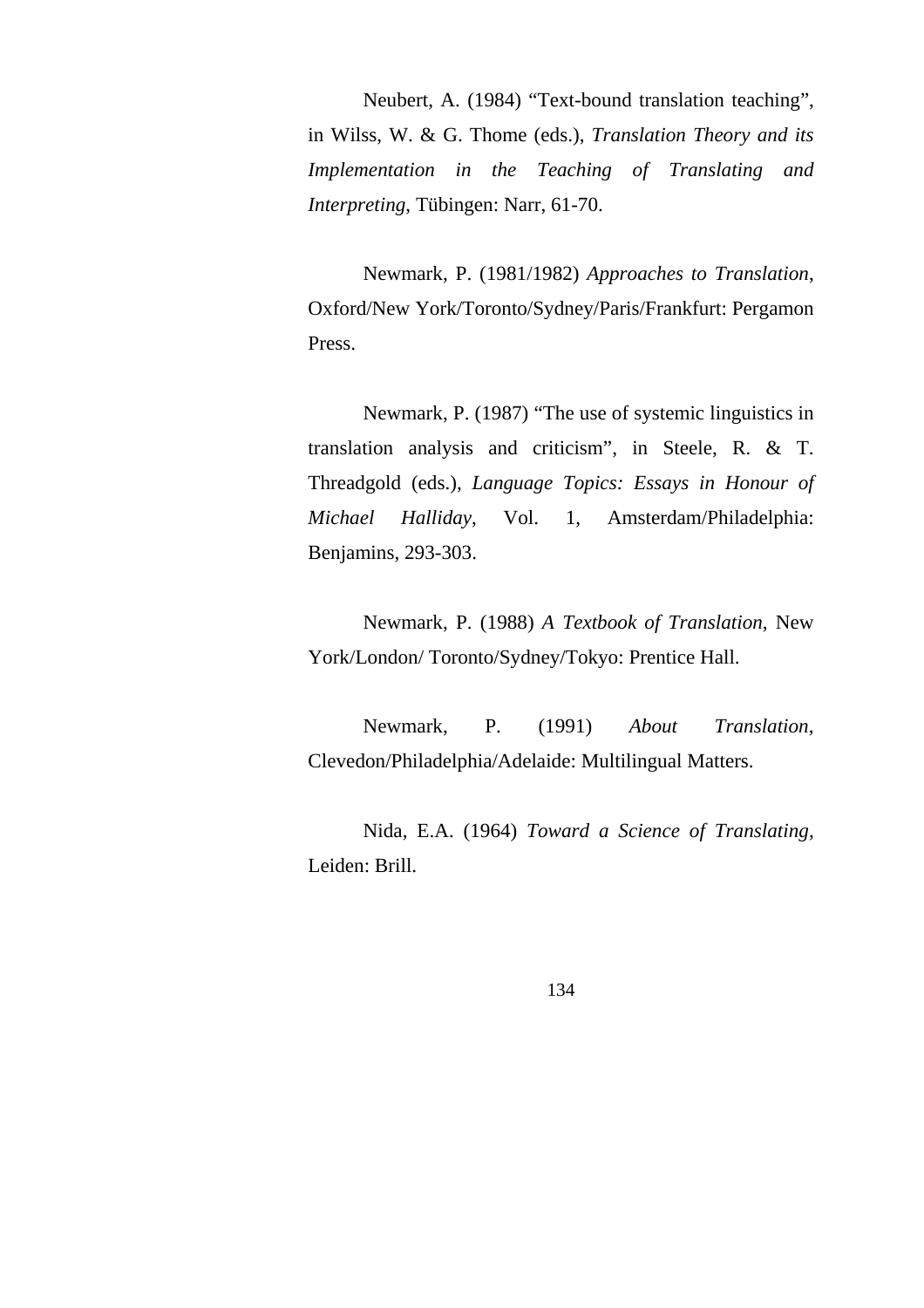Neubert, A. (1984) "Text-bound translation teaching", in Wilss, W. & G. Thome (eds.), *Translation Theory and its Implementation in the Teaching of Translating and Interpreting*, Tübingen: Narr, 61-70.

Newmark, P. (1981/1982) *Approaches to Translation*, Oxford/New York/Toronto/Sydney/Paris/Frankfurt: Pergamon Press.

Newmark, P. (1987) "The use of systemic linguistics in translation analysis and criticism", in Steele, R. & T. Threadgold (eds.), *Language Topics: Essays in Honour of Michael Halliday*, Vol. 1, Amsterdam/Philadelphia: Benjamins, 293-303.

Newmark, P. (1988) *A Textbook of Translation*, New York/London/ Toronto/Sydney/Tokyo: Prentice Hall.

Newmark, P. (1991) *About Translation*, Clevedon/Philadelphia/Adelaide: Multilingual Matters.

Nida, E.A. (1964) *Toward a Science of Translating*, Leiden: Brill.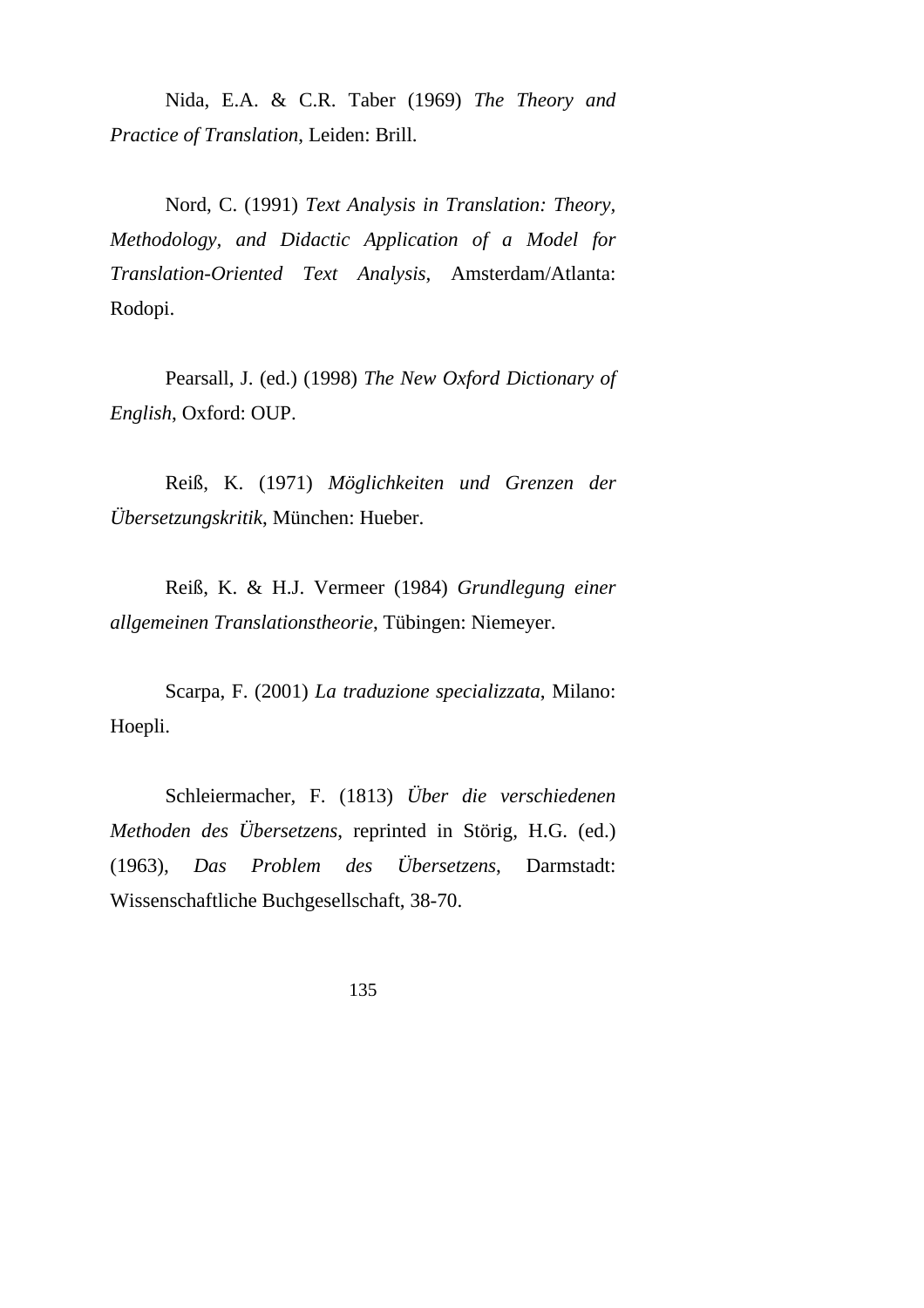Nida, E.A. & C.R. Taber (1969) *The Theory and Practice of Translation*, Leiden: Brill.

Nord, C. (1991) *Text Analysis in Translation: Theory, Methodology, and Didactic Application of a Model for Translation-Oriented Text Analysis*, Amsterdam/Atlanta: Rodopi.

Pearsall, J. (ed.) (1998) *The New Oxford Dictionary of English*, Oxford: OUP.

Reiß, K. (1971) *Möglichkeiten und Grenzen der Übersetzungskritik*, München: Hueber.

Reiß, K. & H.J. Vermeer (1984) *Grundlegung einer allgemeinen Translationstheorie*, Tübingen: Niemeyer.

Scarpa, F. (2001) *La traduzione specializzata*, Milano: Hoepli.

Schleiermacher, F. (1813) *Über die verschiedenen Methoden des Übersetzens*, reprinted in Störig, H.G. (ed.) (1963), *Das Problem des Übersetzens*, Darmstadt: Wissenschaftliche Buchgesellschaft, 38-70.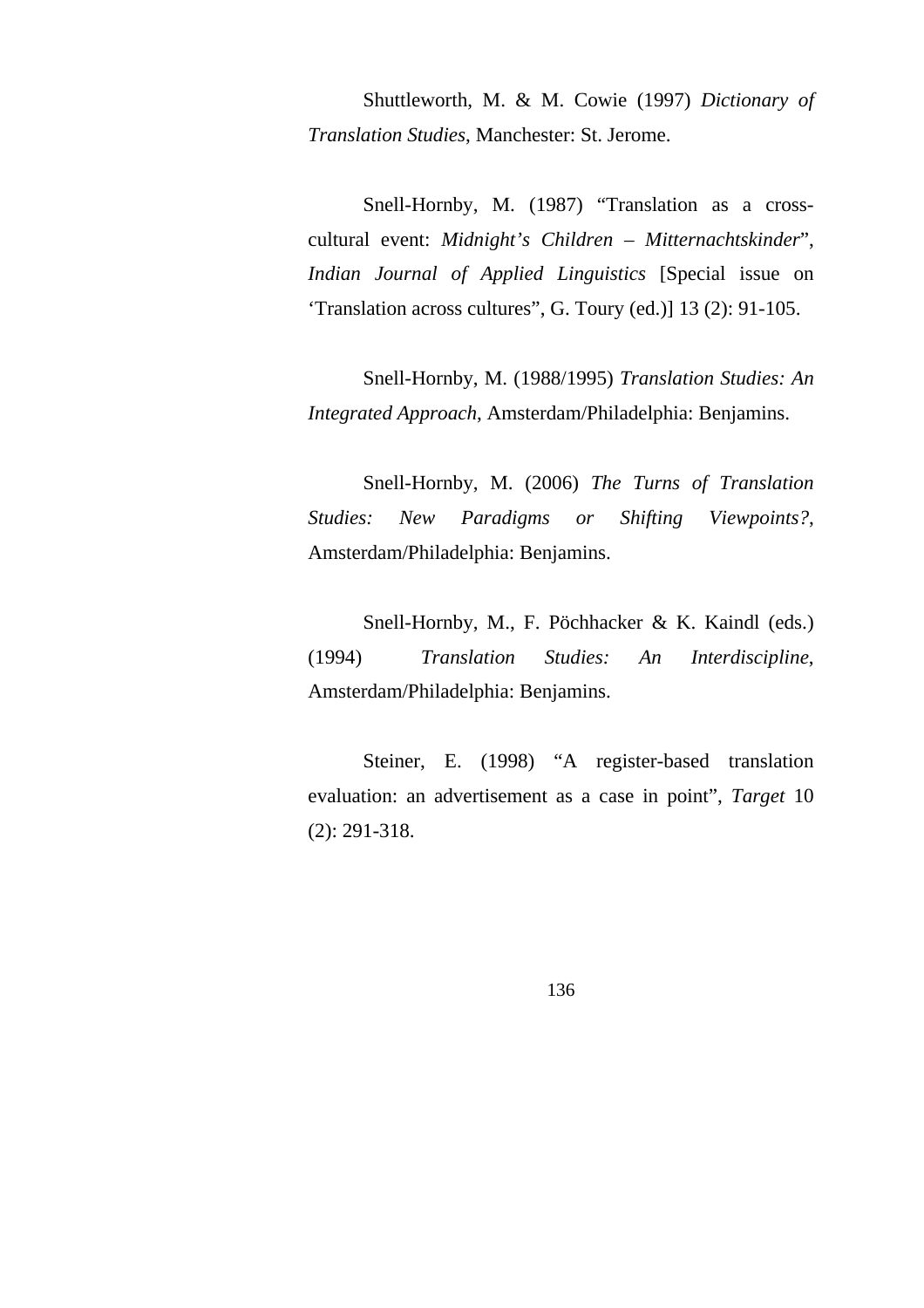Shuttleworth, M. & M. Cowie (1997) *Dictionary of Translation Studies*, Manchester: St. Jerome.

Snell-Hornby, M. (1987) "Translation as a crosscultural event: *Midnight's Children – Mitternachtskinder*", *Indian Journal of Applied Linguistics* [Special issue on 'Translation across cultures", G. Toury (ed.)] 13 (2): 91-105.

Snell-Hornby, M. (1988/1995) *Translation Studies: An Integrated Approach*, Amsterdam/Philadelphia: Benjamins.

Snell-Hornby, M. (2006) *The Turns of Translation Studies: New Paradigms or Shifting Viewpoints?*, Amsterdam/Philadelphia: Benjamins.

Snell-Hornby, M., F. Pöchhacker & K. Kaindl (eds.) (1994) *Translation Studies: An Interdiscipline*, Amsterdam/Philadelphia: Benjamins.

Steiner, E. (1998) "A register-based translation evaluation: an advertisement as a case in point", *Target* 10 (2): 291-318.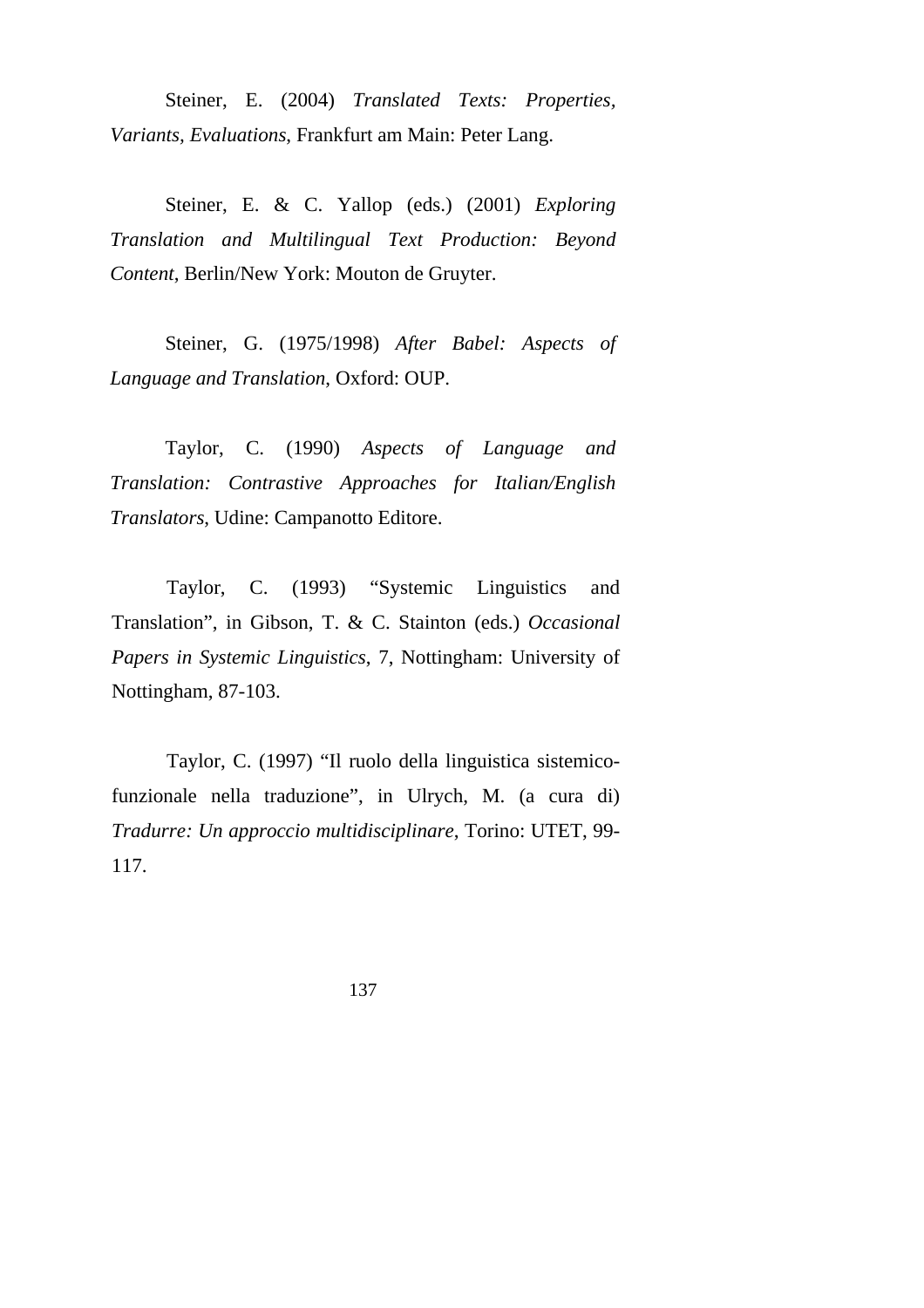Steiner, E. (2004) *Translated Texts: Properties, Variants, Evaluations*, Frankfurt am Main: Peter Lang.

Steiner, E. & C. Yallop (eds.) (2001) *Exploring Translation and Multilingual Text Production: Beyond Content*, Berlin/New York: Mouton de Gruyter.

Steiner, G. (1975/1998) *After Babel: Aspects of Language and Translation*, Oxford: OUP.

Taylor, C. (1990) *Aspects of Language and Translation: Contrastive Approaches for Italian/English Translators*, Udine: Campanotto Editore.

Taylor, C. (1993) "Systemic Linguistics and Translation", in Gibson, T. & C. Stainton (eds.) *Occasional Papers in Systemic Linguistics*, 7, Nottingham: University of Nottingham, 87-103.

Taylor, C. (1997) "Il ruolo della linguistica sistemicofunzionale nella traduzione", in Ulrych, M. (a cura di) *Tradurre: Un approccio multidisciplinare*, Torino: UTET, 99- 117.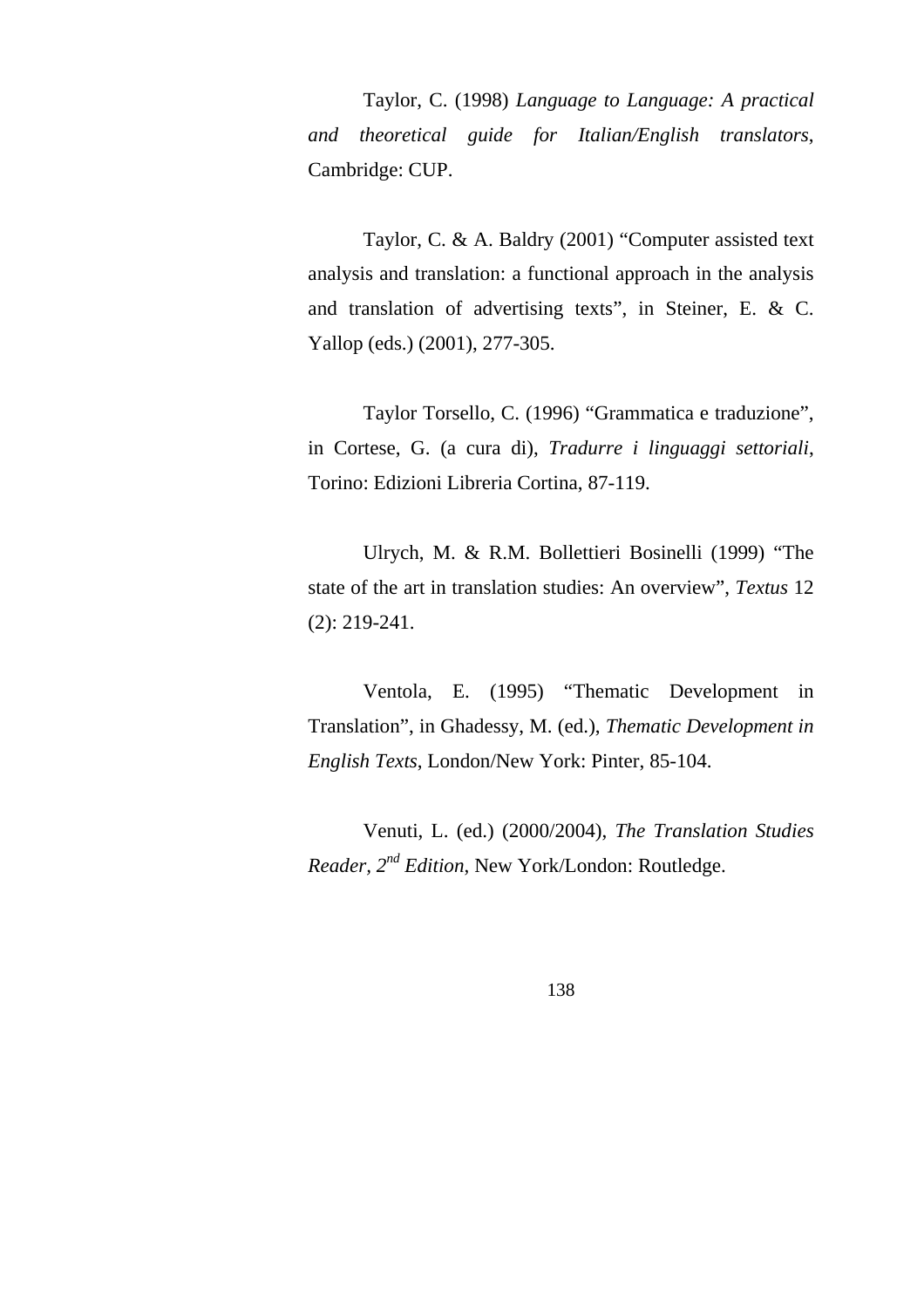Taylor, C. (1998) *Language to Language: A practical and theoretical guide for Italian/English translators*, Cambridge: CUP.

Taylor, C. & A. Baldry (2001) "Computer assisted text analysis and translation: a functional approach in the analysis and translation of advertising texts", in Steiner, E. & C. Yallop (eds.) (2001), 277-305.

Taylor Torsello, C. (1996) "Grammatica e traduzione", in Cortese, G. (a cura di), *Tradurre i linguaggi settoriali*, Torino: Edizioni Libreria Cortina, 87-119.

Ulrych, M. & R.M. Bollettieri Bosinelli (1999) "The state of the art in translation studies: An overview", *Textus* 12 (2): 219-241.

Ventola, E. (1995) "Thematic Development in Translation", in Ghadessy, M. (ed.), *Thematic Development in English Texts*, London/New York: Pinter, 85-104.

Venuti, L. (ed.) (2000/2004), *The Translation Studies Reader, 2nd Edition*, New York/London: Routledge.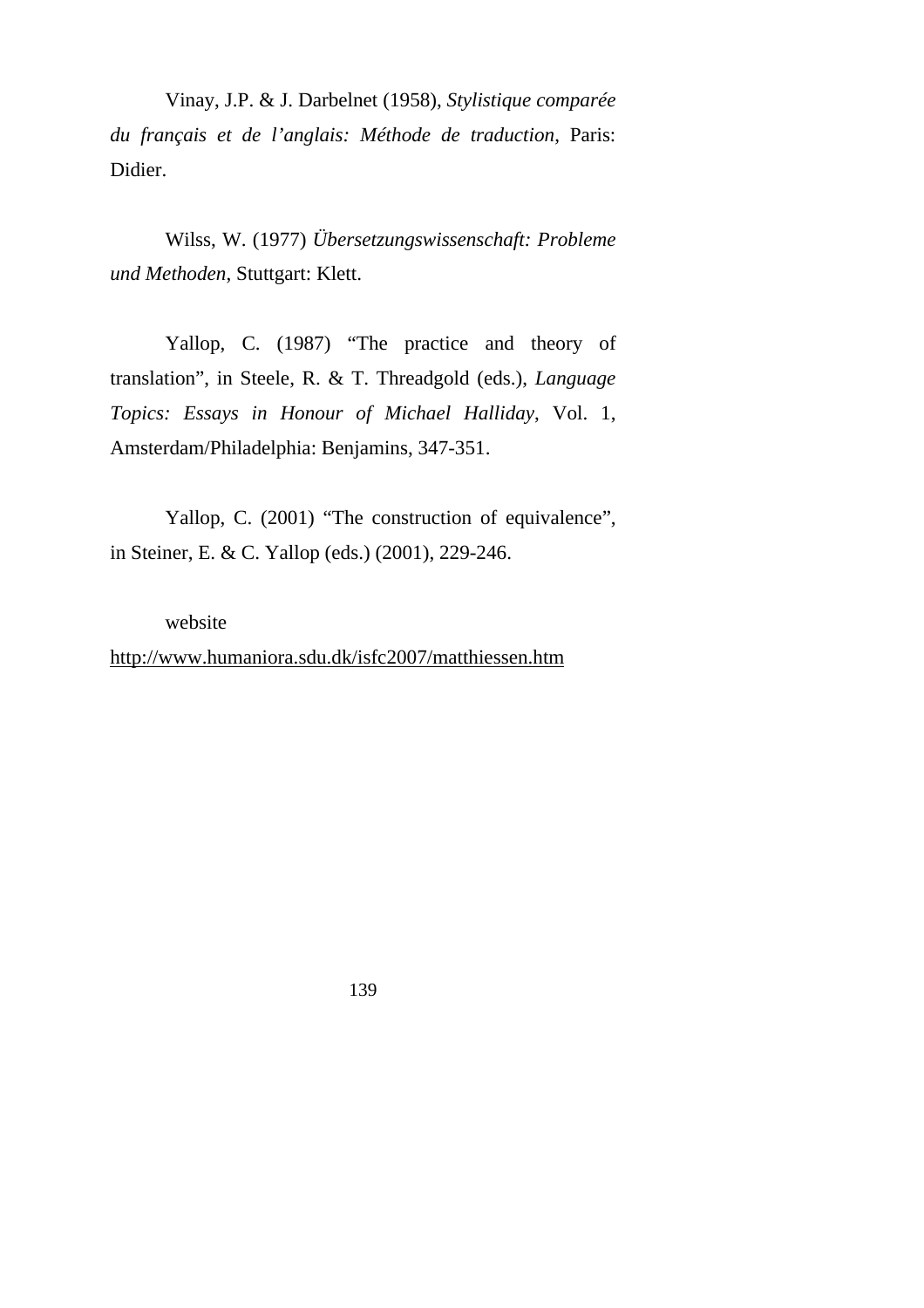Vinay, J.P. & J. Darbelnet (1958), *Stylistique comparée du français et de l'anglais: Méthode de traduction*, Paris: Didier.

Wilss, W. (1977) *Übersetzungswissenschaft: Probleme und Methoden*, Stuttgart: Klett.

Yallop, C. (1987) "The practice and theory of translation", in Steele, R. & T. Threadgold (eds.), *Language Topics: Essays in Honour of Michael Halliday*, Vol. 1, Amsterdam/Philadelphia: Benjamins, 347-351.

Yallop, C. (2001) "The construction of equivalence", in Steiner, E. & C. Yallop (eds.) (2001), 229-246.

website

http://www.humaniora.sdu.dk/isfc2007/matthiessen.htm